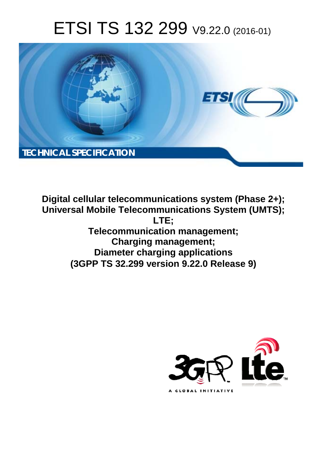# ETSI TS 132 299 V9.22.0 (2016-01)



**Digital cellular telecommunications system (Phase 2+); Universal Mobile Tel elecommunications System ( (UMTS); Telecomm munication management; Char arging management; Diameter ter charging applications**  (3GPP TS 32.299 version 9.22.0 Release 9) **LTE;** 

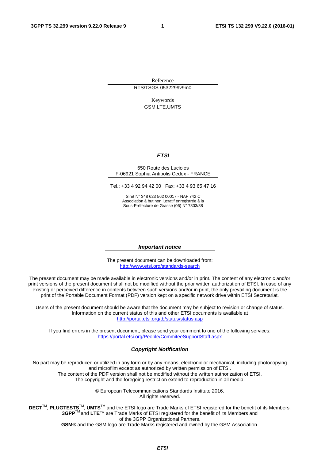Reference RTS/TSGS-0532299v9m0

> Keywords GSM,LTE,UMTS

#### *ETSI*

#### 650 Route des Lucioles F-06921 Sophia Antipolis Cedex - FRANCE

Tel.: +33 4 92 94 42 00 Fax: +33 4 93 65 47 16

Siret N° 348 623 562 00017 - NAF 742 C Association à but non lucratif enregistrée à la Sous-Préfecture de Grasse (06) N° 7803/88

#### *Important notice*

The present document can be downloaded from: <http://www.etsi.org/standards-search>

The present document may be made available in electronic versions and/or in print. The content of any electronic and/or print versions of the present document shall not be modified without the prior written authorization of ETSI. In case of any existing or perceived difference in contents between such versions and/or in print, the only prevailing document is the print of the Portable Document Format (PDF) version kept on a specific network drive within ETSI Secretariat.

Users of the present document should be aware that the document may be subject to revision or change of status. Information on the current status of this and other ETSI documents is available at <http://portal.etsi.org/tb/status/status.asp>

If you find errors in the present document, please send your comment to one of the following services: <https://portal.etsi.org/People/CommiteeSupportStaff.aspx>

#### *Copyright Notification*

No part may be reproduced or utilized in any form or by any means, electronic or mechanical, including photocopying and microfilm except as authorized by written permission of ETSI.

The content of the PDF version shall not be modified without the written authorization of ETSI. The copyright and the foregoing restriction extend to reproduction in all media.

> © European Telecommunications Standards Institute 2016. All rights reserved.

**DECT**TM, **PLUGTESTS**TM, **UMTS**TM and the ETSI logo are Trade Marks of ETSI registered for the benefit of its Members. **3GPP**TM and **LTE**™ are Trade Marks of ETSI registered for the benefit of its Members and of the 3GPP Organizational Partners.

**GSM**® and the GSM logo are Trade Marks registered and owned by the GSM Association.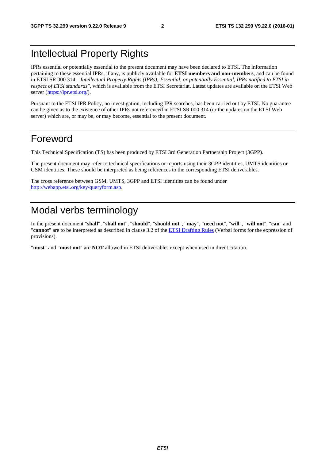# Intellectual Property Rights

IPRs essential or potentially essential to the present document may have been declared to ETSI. The information pertaining to these essential IPRs, if any, is publicly available for **ETSI members and non-members**, and can be found in ETSI SR 000 314: *"Intellectual Property Rights (IPRs); Essential, or potentially Essential, IPRs notified to ETSI in respect of ETSI standards"*, which is available from the ETSI Secretariat. Latest updates are available on the ETSI Web server ([https://ipr.etsi.org/\)](https://ipr.etsi.org/).

Pursuant to the ETSI IPR Policy, no investigation, including IPR searches, has been carried out by ETSI. No guarantee can be given as to the existence of other IPRs not referenced in ETSI SR 000 314 (or the updates on the ETSI Web server) which are, or may be, or may become, essential to the present document.

# Foreword

This Technical Specification (TS) has been produced by ETSI 3rd Generation Partnership Project (3GPP).

The present document may refer to technical specifications or reports using their 3GPP identities, UMTS identities or GSM identities. These should be interpreted as being references to the corresponding ETSI deliverables.

The cross reference between GSM, UMTS, 3GPP and ETSI identities can be found under [http://webapp.etsi.org/key/queryform.asp.](http://webapp.etsi.org/key/queryform.asp)

# Modal verbs terminology

In the present document "**shall**", "**shall not**", "**should**", "**should not**", "**may**", "**need not**", "**will**", "**will not**", "**can**" and "**cannot**" are to be interpreted as described in clause 3.2 of the [ETSI Drafting Rules](http://portal.etsi.org/Help/editHelp!/Howtostart/ETSIDraftingRules.aspx) (Verbal forms for the expression of provisions).

"**must**" and "**must not**" are **NOT** allowed in ETSI deliverables except when used in direct citation.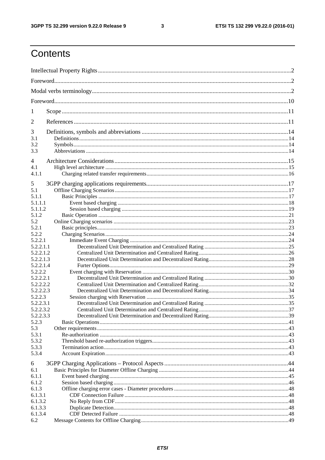$\mathbf{3}$ 

# Contents

| 1                      |  |  |  |
|------------------------|--|--|--|
| 2                      |  |  |  |
| 3                      |  |  |  |
| 3.1                    |  |  |  |
| 3.2                    |  |  |  |
| 3.3                    |  |  |  |
| $\overline{4}$         |  |  |  |
| 4.1                    |  |  |  |
| 4.1.1                  |  |  |  |
| 5                      |  |  |  |
| 5.1                    |  |  |  |
| 5.1.1                  |  |  |  |
| 5.1.1.1                |  |  |  |
| 5.1.1.2                |  |  |  |
| 5.1.2                  |  |  |  |
| 5.2                    |  |  |  |
| 5.2.1                  |  |  |  |
| 5.2.2                  |  |  |  |
| 5.2.2.1                |  |  |  |
| 5.2.2.1.1              |  |  |  |
| 5.2.2.1.2              |  |  |  |
| 5.2.2.1.3              |  |  |  |
| 5.2.2.1.4              |  |  |  |
| 5.2.2.2                |  |  |  |
| 5.2.2.2.1              |  |  |  |
| 5.2.2.2.2              |  |  |  |
| 5.2.2.2.3              |  |  |  |
| 5.2.2.3                |  |  |  |
| 5.2.2.3.1<br>5.2.2.3.2 |  |  |  |
| 5.2.2.3.3              |  |  |  |
| 5.2.3                  |  |  |  |
| 5.3                    |  |  |  |
| 5.3.1                  |  |  |  |
| 5.3.2                  |  |  |  |
| 5.3.3                  |  |  |  |
| 5.3.4                  |  |  |  |
| 6                      |  |  |  |
| 6.1                    |  |  |  |
| 6.1.1                  |  |  |  |
| 6.1.2                  |  |  |  |
| 6.1.3                  |  |  |  |
| 6.1.3.1                |  |  |  |
| 6.1.3.2                |  |  |  |
| 6.1.3.3                |  |  |  |
| 6.1.3.4                |  |  |  |
| 6.2                    |  |  |  |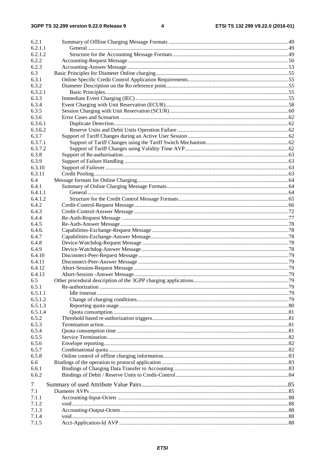| 6.2.1          |                                                                |    |
|----------------|----------------------------------------------------------------|----|
| 6.2.1.1        |                                                                |    |
| 6.2.1.2        |                                                                |    |
| 6.2.2          |                                                                |    |
| 6.2.3          |                                                                |    |
| 6.3<br>6.3.1   |                                                                |    |
| 6.3.2          |                                                                |    |
| 6.3.2.1        |                                                                |    |
| 6.3.3          |                                                                |    |
| 6.3.4          |                                                                |    |
| 6.3.5          |                                                                |    |
| 6.3.6          |                                                                |    |
| 6.3.6.1        |                                                                |    |
| 6.3.6.2        |                                                                |    |
| 6.3.7          |                                                                |    |
| 6.3.7.1        |                                                                |    |
| 6.3.7.2        |                                                                |    |
| 6.3.8          |                                                                |    |
| 6.3.9          |                                                                |    |
| 6.3.10         |                                                                |    |
| 6.3.11         |                                                                |    |
| 6.4            |                                                                |    |
| 6.4.1          |                                                                |    |
| 6.4.1.1        |                                                                |    |
| 6.4.1.2        |                                                                |    |
| 6.4.2          |                                                                |    |
| 6.4.3          |                                                                |    |
| 6.4.4          |                                                                |    |
| 6.4.5          |                                                                |    |
| 6.4.6.         |                                                                |    |
| 6.4.7          |                                                                |    |
| 6.4.8          |                                                                |    |
| 6.4.9          |                                                                |    |
| 6.4.10         |                                                                |    |
| 6.4.11         |                                                                |    |
| 6.4.12         |                                                                |    |
| 6.4.13         |                                                                |    |
| 65             | Other procedural description of the 3GPP charging applications | 79 |
| 6.5.1          |                                                                |    |
| 6.5.1.1        |                                                                |    |
| 6.5.1.2        |                                                                |    |
| 6.5.1.3        |                                                                |    |
| 6.5.1.4        |                                                                |    |
| 6.5.2          |                                                                |    |
| 6.5.3          |                                                                |    |
| 6.5.4          |                                                                |    |
| 6.5.5          |                                                                |    |
| 6.5.6<br>6.5.7 |                                                                |    |
|                |                                                                |    |
| 6.5.8<br>6.6   |                                                                |    |
| 6.6.1          |                                                                |    |
| 6.6.2          |                                                                |    |
|                |                                                                |    |
| 7              |                                                                |    |
| 7.1            |                                                                |    |
| 7.1.1          |                                                                |    |
| 7.1.2          |                                                                |    |
| 7.1.3          |                                                                |    |
| 7.1.4          |                                                                |    |
| 7.1.5          |                                                                |    |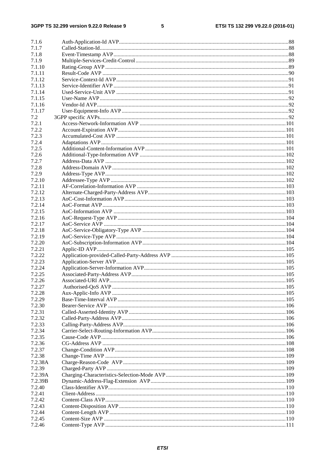### $5\phantom{a}$

| 7.1.6   |  |
|---------|--|
| 7.1.7   |  |
| 7.1.8   |  |
| 7.1.9   |  |
| 7.1.10  |  |
| 7.1.11  |  |
| 7.1.12  |  |
| 7.1.13  |  |
| 7.1.14  |  |
| 7.1.15  |  |
| 7.1.16  |  |
| 7.1.17  |  |
| 7.2     |  |
| 7.2.1   |  |
| 7.2.2   |  |
| 7.2.3   |  |
| 7.2.4   |  |
| 7.2.5   |  |
| 7.2.6   |  |
| 7.2.7   |  |
|         |  |
| 7.2.8   |  |
| 7.2.9   |  |
| 7.2.10  |  |
| 7.2.11  |  |
| 7.2.12  |  |
| 7.2.13  |  |
| 7.2.14  |  |
| 7.2.15  |  |
| 7.2.16  |  |
| 7.2.17  |  |
| 7.2.18  |  |
| 7.2.19  |  |
| 7.2.20  |  |
| 7.2.21  |  |
| 7.2.22  |  |
| 7.2.23  |  |
| 7.2.24  |  |
| 7.2.25  |  |
| 7.2.26  |  |
| 7.2.27  |  |
| 7.2.28  |  |
| 7.2.29  |  |
| 7.2.30  |  |
| 7.2.31  |  |
| 7.2.32  |  |
| 7.2.33  |  |
| 7.2.34  |  |
| 7.2.35  |  |
| 7.2.36  |  |
| 7.2.37  |  |
| 7.2.38  |  |
| 7.2.38A |  |
| 7.2.39  |  |
| 7.2.39A |  |
| 7.2.39B |  |
| 7.2.40  |  |
| 7.2.41  |  |
| 7.2.42  |  |
| 7.2.43  |  |
|         |  |
| 7.2.44  |  |
| 7.2.45  |  |
| 7.2.46  |  |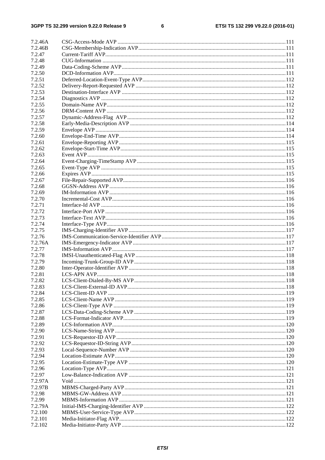#### $\bf 6$

| 7.2.46A |  |
|---------|--|
| 7.2.46B |  |
| 7.2.47  |  |
| 7.2.48  |  |
| 7.2.49  |  |
| 7.2.50  |  |
| 7.2.51  |  |
|         |  |
| 7.2.52  |  |
| 7.2.53  |  |
| 7.2.54  |  |
| 7.2.55  |  |
| 7.2.56  |  |
| 7.2.57  |  |
| 7.2.58  |  |
| 7.2.59  |  |
| 7.2.60  |  |
| 7.2.61  |  |
| 7.2.62  |  |
| 7.2.63  |  |
| 7.2.64  |  |
| 7.2.65  |  |
| 7.2.66  |  |
| 7.2.67  |  |
| 7.2.68  |  |
| 7.2.69  |  |
| 7.2.70  |  |
| 7.2.71  |  |
| 7.2.72  |  |
| 7.2.73  |  |
| 7.2.74  |  |
| 7.2.75  |  |
| 7.2.76  |  |
| 7.2.76A |  |
| 7.2.77  |  |
| 7.2.78  |  |
| 7.2.79  |  |
| 7.2.80  |  |
| 7.2.81  |  |
| 7.2.82  |  |
| 7.2.83  |  |
| 7.2.84  |  |
| 7.2.85  |  |
| 7.2.86  |  |
| 7.2.87  |  |
| 7.2.88  |  |
| 7.2.89  |  |
| 7.2.90  |  |
| 7.2.91  |  |
| 7.2.92  |  |
| 7.2.93  |  |
| 7.2.94  |  |
|         |  |
| 7.2.95  |  |
| 7.2.96  |  |
| 7.2.97  |  |
| 7.2.97A |  |
| 7.2.97B |  |
| 7.2.98  |  |
| 7.2.99  |  |
| 7.2.79A |  |
| 7.2.100 |  |
| 7.2.101 |  |
| 7.2.102 |  |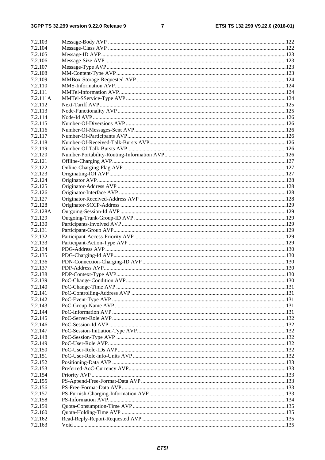#### $\overline{7}$

| 7.2.103  |  |
|----------|--|
| 7.2.104  |  |
| 7.2.105  |  |
| 7.2.106  |  |
| 7.2.107  |  |
| 7.2.108  |  |
| 7.2.109  |  |
| 7.2.110  |  |
|          |  |
| 7.2.111  |  |
| 7.2.111A |  |
| 7.2.112  |  |
| 7.2.113  |  |
| 7.2.114  |  |
| 7.2.115  |  |
| 7.2.116  |  |
| 7.2.117  |  |
| 7.2.118  |  |
| 7.2.119  |  |
| 7.2.120  |  |
|          |  |
| 7.2.121  |  |
| 7.2.122  |  |
| 7.2.123  |  |
| 7.2.124  |  |
| 7.2.125  |  |
| 7.2.126  |  |
| 7.2.127  |  |
| 7.2.128  |  |
| 7.2.128A |  |
| 7.2.129  |  |
| 7.2.130  |  |
|          |  |
| 7.2.131  |  |
| 7.2.132  |  |
| 7.2.133  |  |
| 7.2.134  |  |
| 7.2.135  |  |
| 7.2.136  |  |
| 7.2.137  |  |
| 7.2.138  |  |
| 7.2.139  |  |
| 7.2.140  |  |
| 7.2.141  |  |
| 7.2.142  |  |
|          |  |
| 7.2.143  |  |
| 7.2.144  |  |
| 7.2.145  |  |
| 7.2.146  |  |
| 7.2.147  |  |
| 7.2.148  |  |
| 7.2.149  |  |
| 7.2.150  |  |
| 7.2.151  |  |
| 7.2.152  |  |
| 7.2.153  |  |
|          |  |
| 7.2.154  |  |
| 7.2.155  |  |
| 7.2.156  |  |
| 7.2.157  |  |
| 7.2.158  |  |
| 7.2.159  |  |
| 7.2.160  |  |
| 7.2.162  |  |
| 7.2.163  |  |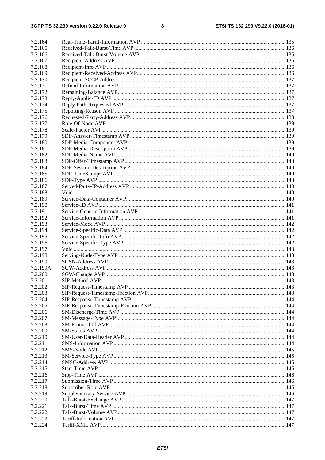$\bf8$ 

| 7.2.164  |  |
|----------|--|
| 7.2.165  |  |
|          |  |
| 7.2.166  |  |
| 7.2.167  |  |
| 7.2.168  |  |
| 7.2.169  |  |
| 7.2.170  |  |
| 7.2.171  |  |
| 7.2.172  |  |
| 7.2.173  |  |
| 7.2.174  |  |
| 7.2.175  |  |
| 7.2.176  |  |
| 7.2.177  |  |
| 7.2.178  |  |
| 7.2.179  |  |
| 7.2.180  |  |
| 7.2.181  |  |
| 7.2.182  |  |
| 7.2.183  |  |
|          |  |
| 7.2.184  |  |
| 7.2.185  |  |
| 7.2.186  |  |
| 7.2.187  |  |
| 7.2.188  |  |
| 7.2.189  |  |
| 7.2.190  |  |
| 7.2.191  |  |
| 7.2.192  |  |
| 7.2.193  |  |
| 7.2.194  |  |
| 7.2.195  |  |
| 7.2.196  |  |
| 7.2.197  |  |
| 7.2.198  |  |
| 7.2.199  |  |
| 7.2.199A |  |
| 7.2.200  |  |
| 7.2.201  |  |
| 7.2.202  |  |
|          |  |
| 7.2.203  |  |
| 7.2.204  |  |
| 7.2.205  |  |
| 7.2.206  |  |
| 7.2.207  |  |
| 7.2.208  |  |
| 7.2.209  |  |
| 7.2.210  |  |
| 7.2.211  |  |
| 7.2.212  |  |
| 7.2.213  |  |
| 7.2.214  |  |
| 7.2.215  |  |
| 7.2.216  |  |
| 7.2.217  |  |
| 7.2.218  |  |
| 7.2.219  |  |
| 7.2.220  |  |
| 7.2.221  |  |
| 7.2.222  |  |
| 7.2.223  |  |
| 7.2.224  |  |
|          |  |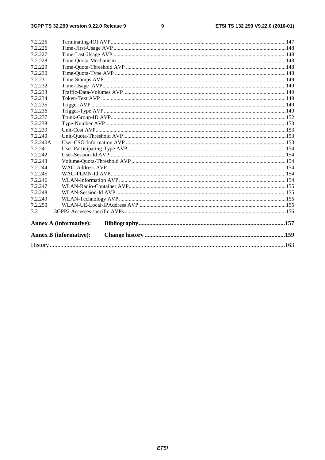### $\boldsymbol{9}$

| 7.2.225  |                               |  |  |
|----------|-------------------------------|--|--|
| 7.2.226  |                               |  |  |
| 7.2.227  |                               |  |  |
| 7.2.228  |                               |  |  |
| 7.2.229  |                               |  |  |
| 7.2.230  |                               |  |  |
| 7.2.231  |                               |  |  |
| 7.2.232  |                               |  |  |
| 7.2.233  |                               |  |  |
| 7.2.234  |                               |  |  |
| 7.2.235  |                               |  |  |
| 7.2.236  |                               |  |  |
| 7.2.237  |                               |  |  |
| 7.2.238  |                               |  |  |
| 7.2.239  |                               |  |  |
| 7.2.240  |                               |  |  |
| 7.2.240A |                               |  |  |
| 7.2.241  |                               |  |  |
| 7.2.242  |                               |  |  |
| 7.2.243  |                               |  |  |
| 7.2.244  |                               |  |  |
| 7.2.245  |                               |  |  |
| 7.2.246  |                               |  |  |
| 7.2.247  |                               |  |  |
| 7.2.248  |                               |  |  |
| 7.2.249  |                               |  |  |
| 7.2.250  |                               |  |  |
| 7.3      |                               |  |  |
|          | <b>Annex A (informative):</b> |  |  |
|          | <b>Annex B</b> (informative): |  |  |
|          |                               |  |  |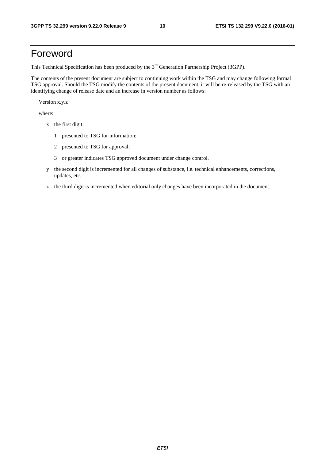# Foreword

This Technical Specification has been produced by the 3<sup>rd</sup> Generation Partnership Project (3GPP).

The contents of the present document are subject to continuing work within the TSG and may change following formal TSG approval. Should the TSG modify the contents of the present document, it will be re-released by the TSG with an identifying change of release date and an increase in version number as follows:

Version x.y.z

where:

- x the first digit:
	- 1 presented to TSG for information;
	- 2 presented to TSG for approval;
	- 3 or greater indicates TSG approved document under change control.
- y the second digit is incremented for all changes of substance, i.e. technical enhancements, corrections, updates, etc.
- z the third digit is incremented when editorial only changes have been incorporated in the document.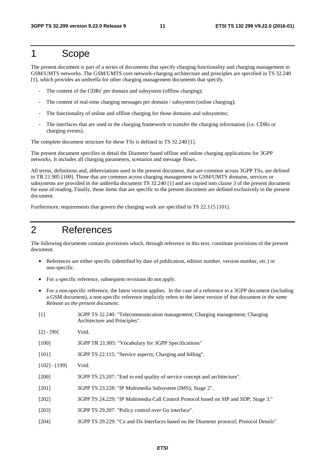# 1 Scope

The present document is part of a series of documents that specify charging functionality and charging management in GSM/UMTS networks. The GSM/UMTS core network-charging architecture and principles are specified in TS 32.240 [1], which provides an umbrella for other charging management documents that specify.

- The content of the CDRs' per domain and subsystem (offline charging);
- The content of real-time charging messages per domain / subsystem (online charging);
- The functionality of online and offline charging for those domains and subsystems;
- The interfaces that are used in the charging framework to transfer the charging information (i.e. CDRs or charging events).

The complete document structure for these TSs is defined in TS 32.240 [1].

The present document specifies in detail the Diameter based offline and online charging applications for 3GPP networks. It includes all charging parameters, scenarios and message flows..

All terms, definitions and, abbreviations used in the present document, that are common across 3GPP TSs, are defined in TR 21.905 [100]. Those that are common across charging management in GSM/UMTS domains, services or subsystems are provided in the umbrella document TS 32.240 [1] and are copied into clause 3 of the present document for ease of reading. Finally, those items that are specific to the present document are defined exclusively in the present document.

Furthermore, requirements that govern the charging work are specified in TS 22.115 [101].

# 2 References

The following documents contain provisions which, through reference in this text, constitute provisions of the present document.

- References are either specific (identified by date of publication, edition number, version number, etc.) or non-specific.
- For a specific reference, subsequent revisions do not apply.
- For a non-specific reference, the latest version applies. In the case of a reference to a 3GPP document (including a GSM document), a non-specific reference implicitly refers to the latest version of that document *in the same Release as the present document*.
- [1] 3GPP TS 32.240: "Telecommunication management; Charging management; Charging Architecture and Principles".
- [2] [99] Void.

[100] 3GPP TR 21.905: "Vocabulary for 3GPP Specifications"

[101] 3GPP TS 22.115: "Service aspects; Charging and billing".

- [102] [199] Void.
- [200] 3GPP TS 23.207: "End to end quality of service concept and architecture".
- [201] 3GPP TS 23.228: "IP Multimedia Subsystem (IMS); Stage 2".
- [202] 3GPP TS 24.229: "IP Multimedia Call Control Protocol based on SIP and SDP; Stage 3."
- [203] 3GPP TS 29.207: "Policy control over Go interface".
- [204] 3GPP TS 29.229: "Cx and Dx Interfaces based on the Diameter protocol; Protocol Details".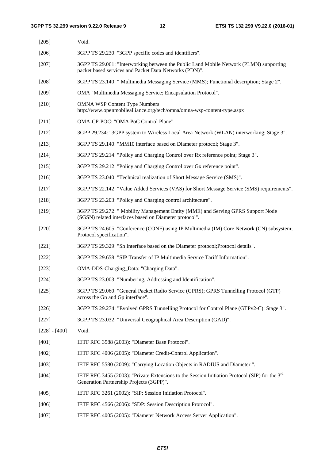| $[205]$         | Void.                                                                                                                                            |
|-----------------|--------------------------------------------------------------------------------------------------------------------------------------------------|
| [206]           | 3GPP TS 29.230: "3GPP specific codes and identifiers".                                                                                           |
| $[207]$         | 3GPP TS 29.061: "Interworking between the Public Land Mobile Network (PLMN) supporting<br>packet based services and Packet Data Networks (PDN)". |
| $[208]$         | 3GPP TS 23.140: " Multimedia Messaging Service (MMS); Functional description; Stage 2".                                                          |
| [209]           | OMA "Multimedia Messaging Service; Encapsulation Protocol".                                                                                      |
| $[210]$         | <b>OMNA WSP Content Type Numbers</b><br>http://www.openmobilealliance.org/tech/omna/omna-wsp-content-type.aspx                                   |
| $[211]$         | OMA-CP-POC: "OMA PoC Control Plane"                                                                                                              |
| $[212]$         | 3GPP 29.234: "3GPP system to Wireless Local Area Network (WLAN) interworking; Stage 3".                                                          |
| $[213]$         | 3GPP TS 29.140: "MM10 interface based on Diameter protocol; Stage 3".                                                                            |
| [214]           | 3GPP TS 29.214: "Policy and Charging Control over Rx reference point; Stage 3".                                                                  |
| $[215]$         | 3GPP TS 29.212: "Policy and Charging Control over Gx reference point".                                                                           |
| [216]           | 3GPP TS 23.040: "Technical realization of Short Message Service (SMS)".                                                                          |
| $[217]$         | 3GPP TS 22.142: "Value Added Services (VAS) for Short Message Service (SMS) requirements".                                                       |
| $[218]$         | 3GPP TS 23.203: "Policy and Charging control architecture".                                                                                      |
| [219]           | 3GPP TS 29.272: " Mobility Management Entity (MME) and Serving GPRS Support Node<br>(SGSN) related interfaces based on Diameter protocol".       |
| $[220]$         | 3GPP TS 24.605: "Conference (CONF) using IP Multimedia (IM) Core Network (CN) subsystem;<br>Protocol specification".                             |
| $[221]$         | 3GPP TS 29.329: "Sh Interface based on the Diameter protocol; Protocol details".                                                                 |
| $[222]$         | 3GPP TS 29.658: "SIP Transfer of IP Multimedia Service Tariff Information".                                                                      |
| $[223]$         | OMA-DDS-Charging_Data: "Charging Data".                                                                                                          |
| [224]           | 3GPP TS 23.003: "Numbering, Addressing and Identification".                                                                                      |
| $[225]$         | 3GPP TS 29.060: "General Packet Radio Service (GPRS); GPRS Tunnelling Protocol (GTP)<br>across the Gn and Gp interface".                         |
| $[226]$         | 3GPP TS 29.274: "Evolved GPRS Tunnelling Protocol for Control Plane (GTPv2-C); Stage 3".                                                         |
| [227]           | 3GPP TS 23.032: "Universal Geographical Area Description (GAD)".                                                                                 |
| $[228] - [400]$ | Void.                                                                                                                                            |
| [401]           | IETF RFC 3588 (2003): "Diameter Base Protocol".                                                                                                  |
| $[402]$         | IETF RFC 4006 (2005): "Diameter Credit-Control Application".                                                                                     |
| [403]           | IETF RFC 5580 (2009): "Carrying Location Objects in RADIUS and Diameter".                                                                        |
| [404]           | IETF RFC 3455 (2003): "Private Extensions to the Session Initiation Protocol (SIP) for the $3rd$<br>Generation Partnership Projects (3GPP)".     |
| [405]           | IETF RFC 3261 (2002): "SIP: Session Initiation Protocol".                                                                                        |
| [406]           | IETF RFC 4566 (2006): "SDP: Session Description Protocol".                                                                                       |

[407] IETF RFC 4005 (2005): "Diameter Network Access Server Application".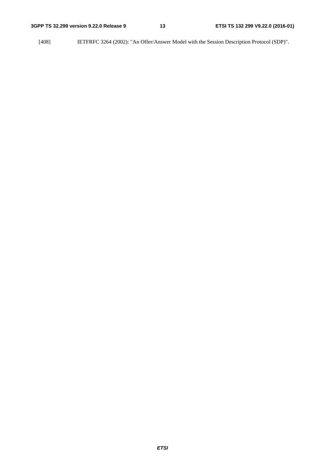[408] IETFRFC 3264 (2002): "An Offer/Answer Model with the Session Description Protocol (SDP)".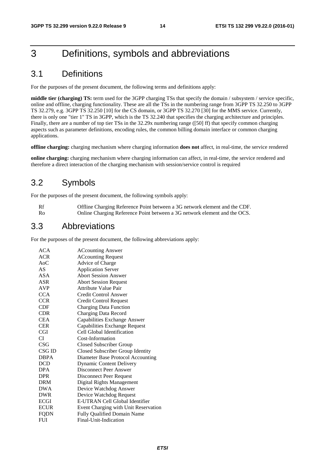# 3 Definitions, symbols and abbreviations

# 3.1 Definitions

For the purposes of the present document, the following terms and definitions apply:

**middle tier (charging) TS:** term used for the 3GPP charging TSs that specify the domain / subsystem / service specific, online and offline, charging functionality. These are all the TSs in the numbering range from 3GPP TS 32.250 to 3GPP TS 32.279, e.g. 3GPP TS 32.250 [10] for the CS domain, or 3GPP TS 32.270 [30] for the MMS service. Currently, there is only one "tier 1" TS in 3GPP, which is the TS 32.240 that specifies the charging architecture and principles. Finally, there are a number of top tier TSs in the 32.29x numbering range ([50] ff) that specify common charging aspects such as parameter definitions, encoding rules, the common billing domain interface or common charging applications.

**offline charging:** charging mechanism where charging information **does not** affect, in real-time, the service rendered

**online charging:** charging mechanism where charging information can affect, in real-time, the service rendered and therefore a direct interaction of the charging mechanism with session/service control is required

# 3.2 Symbols

For the purposes of the present document, the following symbols apply:

| Rf   | Offline Charging Reference Point between a 3G network element and the CDF. |
|------|----------------------------------------------------------------------------|
| - Ro | Online Charging Reference Point between a 3G network element and the OCS.  |

# 3.3 Abbreviations

For the purposes of the present document, the following abbreviations apply:

| ACA         | <b>ACcounting Answer</b>             |
|-------------|--------------------------------------|
| <b>ACR</b>  | <b>ACcounting Request</b>            |
| $A_0C$      | Advice of Charge                     |
| AS          | <b>Application Server</b>            |
| ASA         | <b>Abort Session Answer</b>          |
| ASR         | <b>Abort Session Request</b>         |
| <b>AVP</b>  | Attribute Value Pair                 |
| <b>CCA</b>  | Credit Control Answer                |
| <b>CCR</b>  | Credit Control Request               |
| CDF         | <b>Charging Data Function</b>        |
| <b>CDR</b>  | Charging Data Record                 |
| <b>CEA</b>  | Capabilities Exchange Answer         |
| <b>CER</b>  | Capabilities Exchange Request        |
| <b>CGI</b>  | Cell Global Identification           |
| СI          | Cost-Information                     |
| CSG         | <b>Closed Subscriber Group</b>       |
| CSG ID      | Closed Subscriber Group Identity     |
| <b>DBPA</b> | Diameter Base Protocol Accounting    |
| DCD         | <b>Dynamic Content Delivery</b>      |
| <b>DPA</b>  | <b>Disconnect Peer Answer</b>        |
| <b>DPR</b>  | Disconnect Peer Request              |
| <b>DRM</b>  | Digital Rights Management            |
| <b>DWA</b>  | Device Watchdog Answer               |
| <b>DWR</b>  | Device Watchdog Request              |
| <b>ECGI</b> | E-UTRAN Cell Global Identifier       |
| <b>ECUR</b> | Event Charging with Unit Reservation |
| FQDN        | <b>Fully Qualified Domain Name</b>   |
| <b>FUI</b>  | Final-Unit-Indication                |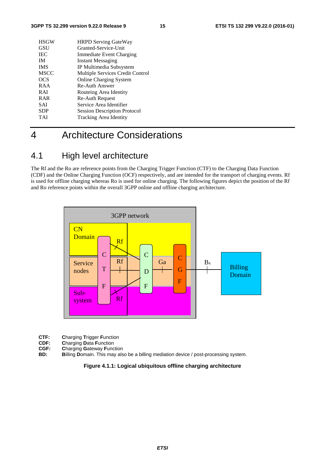| <b>HSGW</b> | <b>HRPD Serving GateWay</b>         |
|-------------|-------------------------------------|
| GSU         | Granted-Service-Unit                |
| <b>IEC</b>  | Immediate Event Charging            |
| <b>IM</b>   | <b>Instant Messaging</b>            |
| <b>IMS</b>  | IP Multimedia Subsystem             |
| <b>MSCC</b> | Multiple Services Credit Control    |
| <b>OCS</b>  | <b>Online Charging System</b>       |
| RAA         | Re-Auth Answer                      |
| <b>RAI</b>  | Routeing Area Identity              |
| <b>RAR</b>  | <b>Re-Auth Request</b>              |
| <b>SAI</b>  | Service Area Identifier             |
| <b>SDP</b>  | <b>Session Description Protocol</b> |
| TAI         | Tracking Area Identity              |
|             |                                     |

# 4 Architecture Considerations

# 4.1 High level architecture

The Rf and the Ro are reference points from the Charging Trigger Function (CTF) to the Charging Data Function (CDF) and the Online Charging Function (OCF) respectively, and are intended for the transport of charging events. Rf is used for offline charging whereas Ro is used for online charging. The following figures depict the position of the Rf and Ro reference points within the overall 3GPP online and offline charging architecture.



- **CTF: Charging Trigger Function**<br>**CDF: Charging Data Function**
- **CDF: Charging Data Function**<br>**CGF: Charging Gateway Function**
- **CGF: Charging Gateway Function**<br>**BD: Billing Domain**. This may als **Billing Domain.** This may also be a billing mediation device / post-processing system.

**Figure 4.1.1: Logical ubiquitous offline charging architecture**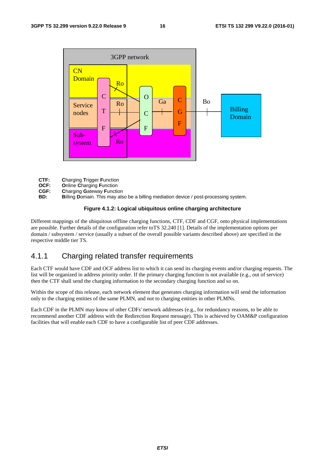

- 
- **CTF: Charging Trigger Function**<br>**OCF: Online Charging Function OCF:** Online Charging Function<br>**CGF:** Charging Gateway Function
- 
- **CGF: Charging Gateway Function**<br>**BD: Billing Domain.** This may als **Billing Domain.** This may also be a billing mediation device / post-processing system.

#### **Figure 4.1.2: Logical ubiquitous online charging architecture**

Different mappings of the ubiquitous offline charging functions, CTF, CDF and CGF, onto physical implementations are possible. Further details of the configuration refer toTS 32.240 [1]. Details of the implementation options per domain / subsystem / service (usually a subset of the overall possible variants described above) are specified in the respective middle tier TS.

# 4.1.1 Charging related transfer requirements

Each CTF would have CDF and OCF address list to which it can send its charging events and/or charging requests. The list will be organized in address priority order. If the primary charging function is not available (e.g., out of service) then the CTF shall send the charging information to the secondary charging function and so on.

Within the scope of this release, each network element that generates charging information will send the information only to the charging entities of the same PLMN, and not to charging entities in other PLMNs.

Each CDF in the PLMN may know of other CDFs' network addresses (e.g., for redundancy reasons, to be able to recommend another CDF address with the Redirection Request message). This is achieved by OAM&P configuration facilities that will enable each CDF to have a configurable list of peer CDF addresses.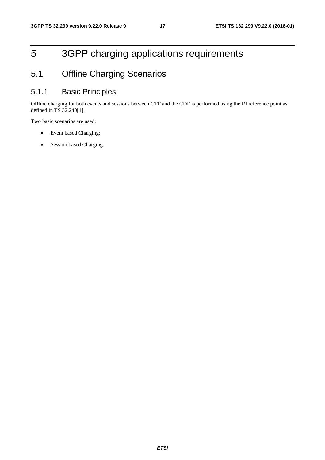# 5 3GPP charging applications requirements

# 5.1 Offline Charging Scenarios

# 5.1.1 Basic Principles

Offline charging for both events and sessions between CTF and the CDF is performed using the Rf reference point as defined in TS 32.240[1].

Two basic scenarios are used:

- Event based Charging;
- Session based Charging.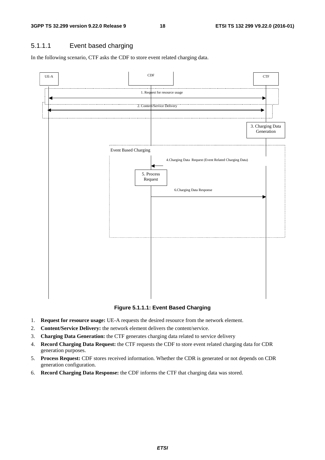# 5.1.1.1 Event based charging

In the following scenario, CTF asks the CDF to store event related charging data.



**Figure 5.1.1.1: Event Based Charging** 

- 1. **Request for resource usage:** UE-A requests the desired resource from the network element.
- 2. **Content/Service Delivery:** the network element delivers the content/service.
- 3. **Charging Data Generation:** the CTF generates charging data related to service delivery
- 4. **Record Charging Data Request:** the CTF requests the CDF to store event related charging data for CDR generation purposes.
- 5. **Process Request:** CDF stores received information. Whether the CDR is generated or not depends on CDR generation configuration.
- 6. **Record Charging Data Response:** the CDF informs the CTF that charging data was stored.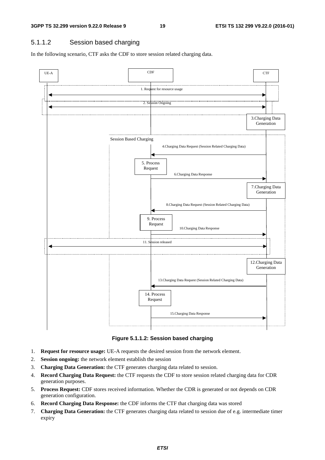## 5.1.1.2 Session based charging

In the following scenario, CTF asks the CDF to store session related charging data.



**Figure 5.1.1.2: Session based charging** 

- 1. **Request for resource usage:** UE-A requests the desired session from the network element.
- 2. **Session ongoing:** the network element establish the session
- 3. **Charging Data Generation:** the CTF generates charging data related to session.
- 4. **Record Charging Data Request:** the CTF requests the CDF to store session related charging data for CDR generation purposes.
- 5. **Process Request:** CDF stores received information. Whether the CDR is generated or not depends on CDR generation configuration.
- 6. **Record Charging Data Response:** the CDF informs the CTF that charging data was stored
- 7. **Charging Data Generation:** the CTF generates charging data related to session due of e.g. intermediate timer expiry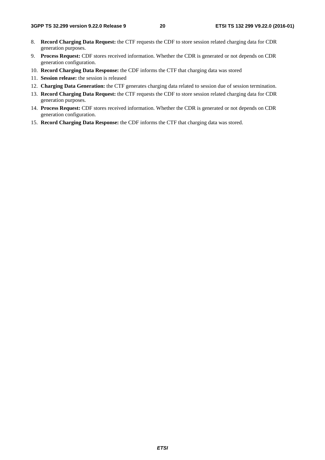- 8. **Record Charging Data Request:** the CTF requests the CDF to store session related charging data for CDR generation purposes.
- 9. **Process Request:** CDF stores received information. Whether the CDR is generated or not depends on CDR generation configuration.
- 10. **Record Charging Data Response:** the CDF informs the CTF that charging data was stored
- 11. **Session release:** the session is released
- 12. **Charging Data Generation:** the CTF generates charging data related to session due of session termination.
- 13. **Record Charging Data Request:** the CTF requests the CDF to store session related charging data for CDR generation purposes.
- 14. **Process Request:** CDF stores received information. Whether the CDR is generated or not depends on CDR generation configuration.
- 15. **Record Charging Data Response:** the CDF informs the CTF that charging data was stored.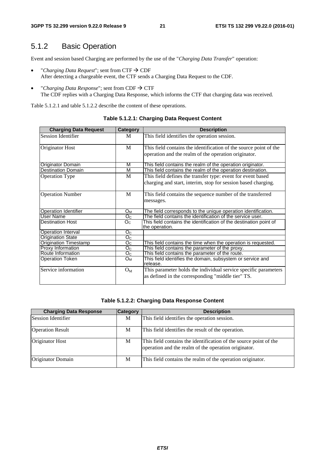# 5.1.2 Basic Operation

Event and session based Charging are performed by the use of the "*Charging Data Transfer*" operation:

- *"Charging Data Request"*; sent from  $CTF \rightarrow CDF$ After detecting a chargeable event, the CTF sends a Charging Data Request to the CDF.
- *"Charging Data Response"*; sent from  $CDF \rightarrow CTF$ The CDF replies with a Charging Data Response, which informs the CTF that charging data was received.

Table 5.1.2.1 and table 5.1.2.2 describe the content of these operations.

| <b>Charging Data Request</b> | Category                           | <b>Description</b>                                                                   |
|------------------------------|------------------------------------|--------------------------------------------------------------------------------------|
| <b>Session Identifier</b>    | M                                  | This field identifies the operation session.                                         |
| Originator Host              | M                                  | This field contains the identification of the source point of the                    |
|                              |                                    | operation and the realm of the operation originator.                                 |
| <b>Originator Domain</b>     | M                                  | This field contains the realm of the operation originator.                           |
| <b>Destination Domain</b>    | M                                  | This field contains the realm of the operation destination.                          |
| <b>Operation Type</b>        | M                                  | This field defines the transfer type: event for event based                          |
|                              |                                    | charging and start, interim, stop for session based charging.                        |
| <b>Operation Number</b>      | M                                  | This field contains the sequence number of the transferred                           |
|                              |                                    | messages.                                                                            |
| <b>Operation Identifier</b>  | $O_M$                              | The field corresponds to the unique operation identification.                        |
| <b>User Name</b>             | O <sub>c</sub>                     | The field contains the identification of the service user.                           |
| <b>Destination Host</b>      | O <sub>C</sub>                     | This field contains the identification of the destination point of<br>the operation. |
| Operation Interval           | O <sub>C</sub>                     |                                                                                      |
| <b>Origination State</b>     | $\overline{\mathrm{O}_\mathrm{C}}$ |                                                                                      |
| <b>Origination Timestamp</b> | O <sub>C</sub>                     | This field contains the time when the operation is requested.                        |
| <b>Proxy Information</b>     | $O_{\rm C}$                        | This field contains the parameter of the proxy.                                      |
| Route Information            | O <sub>C</sub>                     | This field contains the parameter of the route.                                      |
| <b>Operation Token</b>       | Oм                                 | This field identifies the domain, subsystem or service and<br>release.               |
| Service information          | $O_M$                              | This parameter holds the individual service specific parameters                      |
|                              |                                    | as defined in the corresponding "middle tier" TS.                                    |

**Table 5.1.2.1: Charging Data Request Content** 

#### **Table 5.1.2.2: Charging Data Response Content**

| <b>Charging Data Response</b> | <b>Category</b> | <b>Description</b>                                                                                                        |
|-------------------------------|-----------------|---------------------------------------------------------------------------------------------------------------------------|
| Session Identifier            | M               | This field identifies the operation session.                                                                              |
| <b>Operation Result</b>       | M               | This field identifies the result of the operation.                                                                        |
| Originator Host               | M               | This field contains the identification of the source point of the<br>operation and the realm of the operation originator. |
| Originator Domain             | M               | This field contains the realm of the operation originator.                                                                |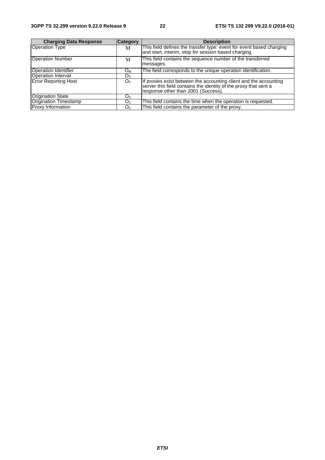| <b>Charging Data Response</b> | <b>Category</b> | <b>Description</b>                                                                                                                                                           |
|-------------------------------|-----------------|------------------------------------------------------------------------------------------------------------------------------------------------------------------------------|
| <b>Operation Type</b>         | M               | This field defines the transfer type: event for event based charging<br>and start, interim, stop for session based charging.                                                 |
| <b>Operation Number</b>       | М               | This field contains the sequence number of the transferred<br>messages.                                                                                                      |
| Operation Identifier          | O <sub>M</sub>  | The field corresponds to the unique operation identification.                                                                                                                |
| <b>Operation Interval</b>     | $O_{\rm C}$     |                                                                                                                                                                              |
| Error Reporting Host          | O <sub>C</sub>  | If proxies exist between the accounting client and the accounting<br>server this field contains the identity of the proxy that sent a<br>response other than 2001 (Success). |
| <b>Origination State</b>      | Oc.             |                                                                                                                                                                              |
| Origination Timestamp         | Oc.             | This field contains the time when the operation is requested.                                                                                                                |
| <b>Proxy Information</b>      | O <sub>C</sub>  | This field contains the parameter of the proxy.                                                                                                                              |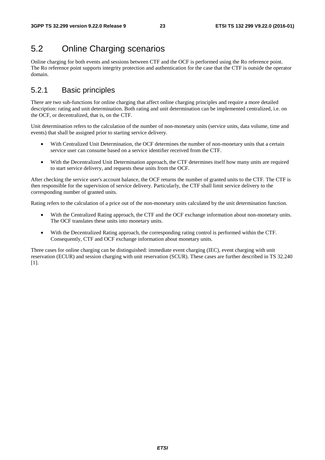# 5.2 Online Charging scenarios

Online charging for both events and sessions between CTF and the OCF is performed using the Ro reference point. The Ro reference point supports integrity protection and authentication for the case that the CTF is outside the operator domain.

# 5.2.1 Basic principles

There are two sub-functions for online charging that affect online charging principles and require a more detailed description: rating and unit determination. Both rating and unit determination can be implemented centralized, i.e. on the OCF, or decentralized, that is, on the CTF.

Unit determination refers to the calculation of the number of non-monetary units (service units, data volume, time and events) that shall be assigned prior to starting service delivery.

- With Centralized Unit Determination, the OCF determines the number of non-monetary units that a certain service user can consume based on a service identifier received from the CTF.
- With the Decentralized Unit Determination approach, the CTF determines itself how many units are required to start service delivery, and requests these units from the OCF.

After checking the service user's account balance, the OCF returns the number of granted units to the CTF. The CTF is then responsible for the supervision of service delivery. Particularly, the CTF shall limit service delivery to the corresponding number of granted units.

Rating refers to the calculation of a price out of the non-monetary units calculated by the unit determination function.

- With the Centralized Rating approach, the CTF and the OCF exchange information about non-monetary units. The OCF translates these units into monetary units.
- With the Decentralized Rating approach, the corresponding rating control is performed within the CTF. Consequently, CTF and OCF exchange information about monetary units.

Three cases for online charging can be distinguished: immediate event charging (IEC), event charging with unit reservation (ECUR) and session charging with unit reservation (SCUR). These cases are further described in TS 32.240 [1].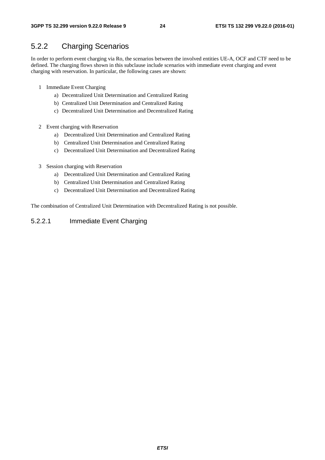# 5.2.2 Charging Scenarios

In order to perform event charging via Ro, the scenarios between the involved entities UE-A, OCF and CTF need to be defined. The charging flows shown in this subclause include scenarios with immediate event charging and event charging with reservation. In particular, the following cases are shown:

- 1 Immediate Event Charging
	- a) Decentralized Unit Determination and Centralized Rating
	- b) Centralized Unit Determination and Centralized Rating
	- c) Decentralized Unit Determination and Decentralized Rating
- 2 Event charging with Reservation
	- a) Decentralized Unit Determination and Centralized Rating
	- b) Centralized Unit Determination and Centralized Rating
	- c) Decentralized Unit Determination and Decentralized Rating
- 3 Session charging with Reservation
	- a) Decentralized Unit Determination and Centralized Rating
	- b) Centralized Unit Determination and Centralized Rating
	- c) Decentralized Unit Determination and Decentralized Rating

The combination of Centralized Unit Determination with Decentralized Rating is not possible.

### 5.2.2.1 Immediate Event Charging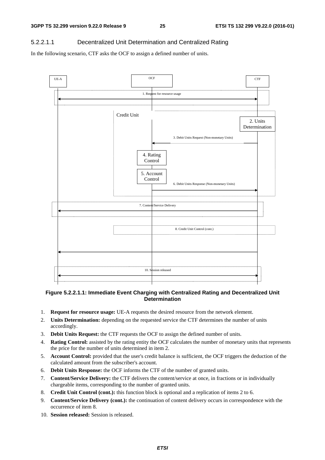### 5.2.2.1.1 Decentralized Unit Determination and Centralized Rating

In the following scenario, CTF asks the OCF to assign a defined number of units.



#### **Figure 5.2.2.1.1: Immediate Event Charging with Centralized Rating and Decentralized Unit Determination**

- 1. **Request for resource usage:** UE-A requests the desired resource from the network element.
- 2. **Units Determination:** depending on the requested service the CTF determines the number of units accordingly.
- 3. **Debit Units Request:** the CTF requests the OCF to assign the defined number of units.
- 4. **Rating Control:** assisted by the rating entity the OCF calculates the number of monetary units that represents the price for the number of units determined in item 2.
- 5. **Account Control:** provided that the user's credit balance is sufficient, the OCF triggers the deduction of the calculated amount from the subscriber's account.
- 6. **Debit Units Response:** the OCF informs the CTF of the number of granted units.
- 7. **Content/Service Delivery:** the CTF delivers the content/service at once, in fractions or in individually chargeable items, corresponding to the number of granted units.
- 8. **Credit Unit Control (cont.):** this function block is optional and a replication of items 2 to 6.
- 9. **Content/Service Delivery (cont.):** the continuation of content delivery occurs in correspondence with the occurrence of item 8.
- 10. **Session released:** Session is released.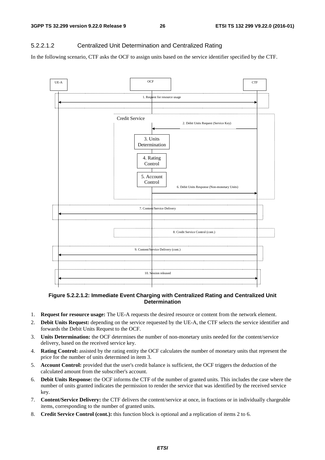### 5.2.2.1.2 Centralized Unit Determination and Centralized Rating

In the following scenario, CTF asks the OCF to assign units based on the service identifier specified by the CTF.



### **Figure 5.2.2.1.2: Immediate Event Charging with Centralized Rating and Centralized Unit Determination**

- 1. **Request for resource usage:** The UE-A requests the desired resource or content from the network element.
- 2. **Debit Units Request:** depending on the service requested by the UE-A, the CTF selects the service identifier and forwards the Debit Units Request to the OCF.
- 3. **Units Determination:** the OCF determines the number of non-monetary units needed for the content/service delivery, based on the received service key.
- 4. **Rating Control:** assisted by the rating entity the OCF calculates the number of monetary units that represent the price for the number of units determined in item 3.
- 5. **Account Control:** provided that the user's credit balance is sufficient, the OCF triggers the deduction of the calculated amount from the subscriber's account.
- 6. **Debit Units Response:** the OCF informs the CTF of the number of granted units. This includes the case where the number of units granted indicates the permission to render the service that was identified by the received service key.
- 7. **Content/Service Delivery:** the CTF delivers the content/service at once, in fractions or in individually chargeable items, corresponding to the number of granted units.
- 8. **Credit Service Control (cont.):** this function block is optional and a replication of items 2 to 6.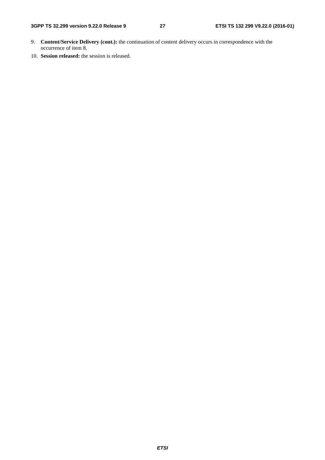- 9. **Content/Service Delivery (cont.):** the continuation of content delivery occurs in correspondence with the occurrence of item 8.
- 10. **Session released:** the session is released.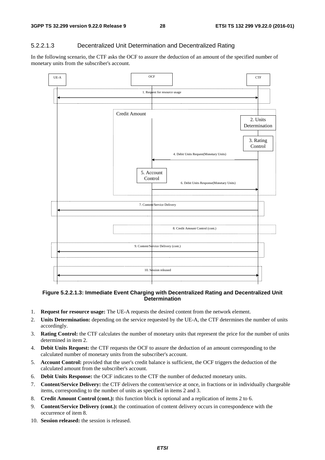### 5.2.2.1.3 Decentralized Unit Determination and Decentralized Rating

In the following scenario, the CTF asks the OCF to assure the deduction of an amount of the specified number of monetary units from the subscriber's account.



#### **Figure 5.2.2.1.3: Immediate Event Charging with Decentralized Rating and Decentralized Unit Determination**

- 1. **Request for resource usage:** The UE-A requests the desired content from the network element.
- 2. **Units Determination:** depending on the service requested by the UE-A, the CTF determines the number of units accordingly.
- 3. **Rating Control:** the CTF calculates the number of monetary units that represent the price for the number of units determined in item 2.
- 4. **Debit Units Request:** the CTF requests the OCF to assure the deduction of an amount corresponding to the calculated number of monetary units from the subscriber's account.
- 5. **Account Control:** provided that the user's credit balance is sufficient, the OCF triggers the deduction of the calculated amount from the subscriber's account.
- 6. **Debit Units Response:** the OCF indicates to the CTF the number of deducted monetary units.
- 7. **Content/Service Delivery:** the CTF delivers the content/service at once, in fractions or in individually chargeable items, corresponding to the number of units as specified in items 2 and 3.
- 8. **Credit Amount Control (cont.):** this function block is optional and a replication of items 2 to 6.
- 9. **Content/Service Delivery (cont.):** the continuation of content delivery occurs in correspondence with the occurrence of item 8.
- 10. **Session released:** the session is released.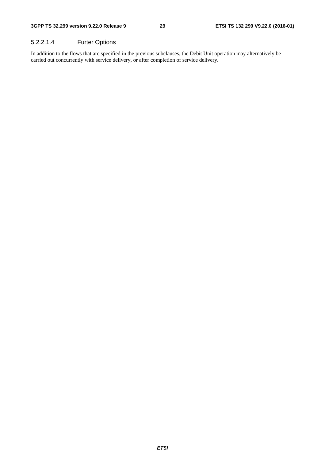### 5.2.2.1.4 Furter Options

In addition to the flows that are specified in the previous subclauses, the Debit Unit operation may alternatively be carried out concurrently with service delivery, or after completion of service delivery.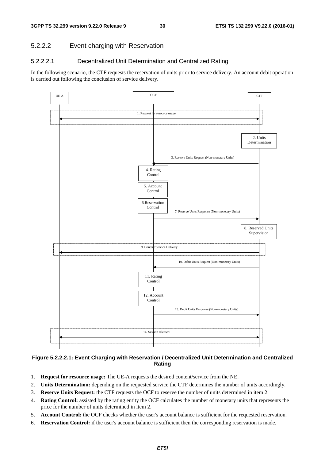### 5.2.2.2 Event charging with Reservation

### 5.2.2.2.1 Decentralized Unit Determination and Centralized Rating

In the following scenario, the CTF requests the reservation of units prior to service delivery. An account debit operation is carried out following the conclusion of service delivery.



### **Figure 5.2.2.2.1: Event Charging with Reservation / Decentralized Unit Determination and Centralized Rating**

- 1. **Request for resource usage:** The UE-A requests the desired content/service from the NE.
- 2. **Units Determination:** depending on the requested service the CTF determines the number of units accordingly.
- 3. **Reserve Units Request:** the CTF requests the OCF to reserve the number of units determined in item 2.
- 4. **Rating Control:** assisted by the rating entity the OCF calculates the number of monetary units that represents the price for the number of units determined in item 2.
- 5. **Account Control:** the OCF checks whether the user's account balance is sufficient for the requested reservation.
- 6. **Reservation Control:** if the user's account balance is sufficient then the corresponding reservation is made.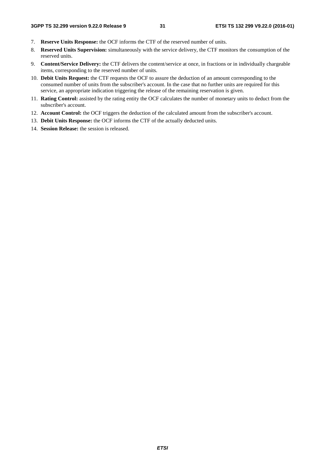- 7. **Reserve Units Response:** the OCF informs the CTF of the reserved number of units.
- 8. **Reserved Units Supervision:** simultaneously with the service delivery, the CTF monitors the consumption of the reserved units.
- 9. **Content/Service Delivery:** the CTF delivers the content/service at once, in fractions or in individually chargeable items, corresponding to the reserved number of units.
- 10. **Debit Units Request:** the CTF requests the OCF to assure the deduction of an amount corresponding to the consumed number of units from the subscriber's account. In the case that no further units are required for this service, an appropriate indication triggering the release of the remaining reservation is given.
- 11. **Rating Control:** assisted by the rating entity the OCF calculates the number of monetary units to deduct from the subscriber's account.
- 12. **Account Control:** the OCF triggers the deduction of the calculated amount from the subscriber's account.
- 13. **Debit Units Response:** the OCF informs the CTF of the actually deducted units.
- 14. **Session Release:** the session is released.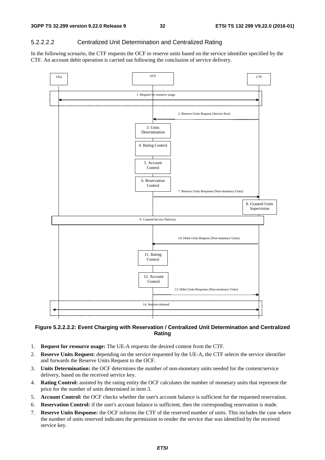## 5.2.2.2.2 Centralized Unit Determination and Centralized Rating

In the following scenario, the CTF requests the OCF to reserve units based on the service identifier specified by the CTF. An account debit operation is carried out following the conclusion of service delivery.



### **Figure 5.2.2.2.2: Event Charging with Reservation / Centralized Unit Determination and Centralized Rating**

- 1. **Request for resource usage:** The UE-A requests the desired content from the CTF.
- 2. **Reserve Units Request:** depending on the service requested by the UE-A, the CTF selects the service identifier and forwards the Reserve Units Request to the OCF.
- 3. **Units Determination:** the OCF determines the number of non-monetary units needed for the content/service delivery, based on the received service key.
- 4. **Rating Control:** assisted by the rating entity the OCF calculates the number of monetary units that represent the price for the number of units determined in item 3.
- 5. **Account Control:** the OCF checks whether the user's account balance is sufficient for the requested reservation.
- 6. **Reservation Control:** if the user's account balance is sufficient, then the corresponding reservation is made.
- 7. **Reserve Units Response:** the OCF informs the CTF of the reserved number of units. This includes the case where the number of units reserved indicates the permission to render the service that was identified by the received service key.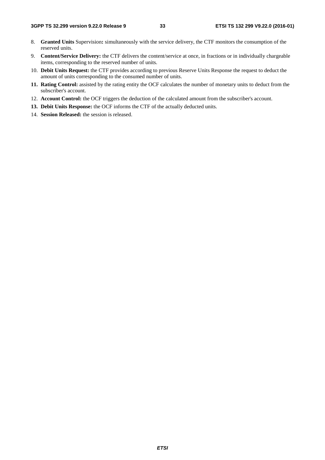- 8. **Granted Units** Supervision**:** simultaneously with the service delivery, the CTF monitors the consumption of the reserved units.
- 9. **Content/Service Delivery:** the CTF delivers the content/service at once, in fractions or in individually chargeable items, corresponding to the reserved number of units.
- 10. **Debit Units Request:** the CTF provides according to previous Reserve Units Response the request to deduct the amount of units corresponding to the consumed number of units.
- **11. Rating Control:** assisted by the rating entity the OCF calculates the number of monetary units to deduct from the subscriber's account.
- 12. **Account Control:** the OCF triggers the deduction of the calculated amount from the subscriber's account.
- **13. Debit Units Response:** the OCF informs the CTF of the actually deducted units.
- 14. **Session Released:** the session is released.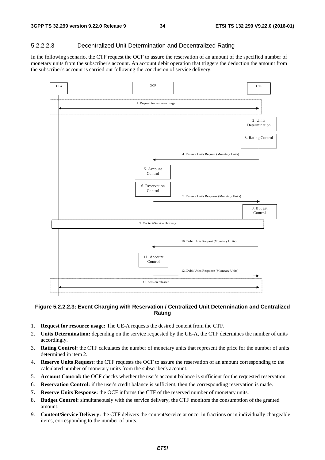### 5.2.2.2.3 Decentralized Unit Determination and Decentralized Rating

In the following scenario, the CTF request the OCF to assure the reservation of an amount of the specified number of monetary units from the subscriber's account. An account debit operation that triggers the deduction the amount from the subscriber's account is carried out following the conclusion of service delivery.



### **Figure 5.2.2.2.3: Event Charging with Reservation / Centralized Unit Determination and Centralized Rating**

- 1. **Request for resource usage:** The UE-A requests the desired content from the CTF.
- 2. **Units Determination:** depending on the service requested by the UE-A, the CTF determines the number of units accordingly.
- 3. **Rating Control:** the CTF calculates the number of monetary units that represent the price for the number of units determined in item 2.
- 4. **Reserve Units Request:** the CTF requests the OCF to assure the reservation of an amount corresponding to the calculated number of monetary units from the subscriber's account.
- 5. **Account Control:** the OCF checks whether the user's account balance is sufficient for the requested reservation.
- 6. **Reservation Control:** if the user's credit balance is sufficient, then the corresponding reservation is made.
- **7. Reserve Units Response:** the OCF informs the CTF of the reserved number of monetary units.
- 8. **Budget Control:** simultaneously with the service delivery, the CTF monitors the consumption of the granted amount.
- 9. **Content/Service Delivery:** the CTF delivers the content/service at once, in fractions or in individually chargeable items, corresponding to the number of units.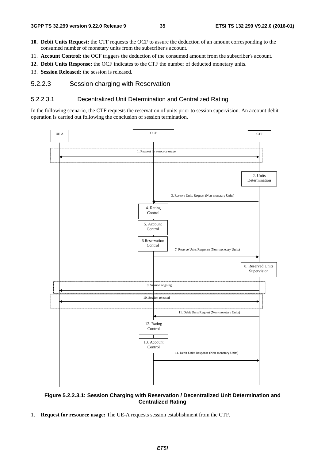- **10. Debit Units Request:** the CTF requests the OCF to assure the deduction of an amount corresponding to the consumed number of monetary units from the subscriber's account.
- 11. **Account Control:** the OCF triggers the deduction of the consumed amount from the subscriber's account.
- **12. Debit Units Response:** the OCF indicates to the CTF the number of deducted monetary units.
- 13. **Session Released:** the session is released.

### 5.2.2.3 Session charging with Reservation

#### 5.2.2.3.1 Decentralized Unit Determination and Centralized Rating

In the following scenario, the CTF requests the reservation of units prior to session supervision. An account debit operation is carried out following the conclusion of session termination.



#### **Figure 5.2.2.3.1: Session Charging with Reservation / Decentralized Unit Determination and Centralized Rating**

1. **Request for resource usage:** The UE-A requests session establishment from the CTF.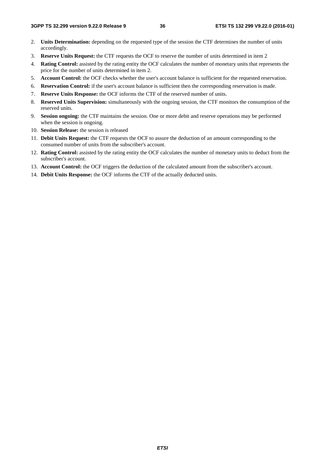- 2. **Units Determination:** depending on the requested type of the session the CTF determines the number of units accordingly.
- 3. **Reserve Units Request:** the CTF requests the OCF to reserve the number of units determined in item 2
- 4. **Rating Control:** assisted by the rating entity the OCF calculates the number of monetary units that represents the price for the number of units determined in item 2.
- 5. **Account Control:** the OCF checks whether the user's account balance is sufficient for the requested reservation.
- 6. **Reservation Control:** if the user's account balance is sufficient then the corresponding reservation is made.
- 7. **Reserve Units Response:** the OCF informs the CTF of the reserved number of units.
- 8. **Reserved Units Supervision:** simultaneously with the ongoing session, the CTF monitors the consumption of the reserved units.
- 9. **Session ongoing:** the CTF maintains the session. One or more debit and reserve operations may be performed when the session is ongoing.
- 10. **Session Release:** the session is released
- 11. **Debit Units Request:** the CTF requests the OCF to assure the deduction of an amount corresponding to the consumed number of units from the subscriber's account.
- 12. **Rating Control:** assisted by the rating entity the OCF calculates the number of monetary units to deduct from the subscriber's account.
- 13. **Account Control:** the OCF triggers the deduction of the calculated amount from the subscriber's account.
- 14. **Debit Units Response:** the OCF informs the CTF of the actually deducted units.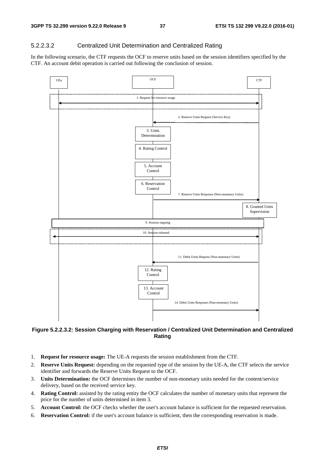#### 5.2.2.3.2 Centralized Unit Determination and Centralized Rating

In the following scenario, the CTF requests the OCF to reserve units based on the session identifiers specified by the CTF. An account debit operation is carried out following the conclusion of session.



#### **Figure 5.2.2.3.2: Session Charging with Reservation / Centralized Unit Determination and Centralized Rating**

- 1. **Request for resource usage:** The UE-A requests the session establishment from the CTF.
- 2. **Reserve Units Request:** depending on the requested type of the session by the UE-A, the CTF selects the service identifier and forwards the Reserve Units Request to the OCF.
- 3. **Units Determination:** the OCF determines the number of non-monetary units needed for the content/service delivery, based on the received service key.
- 4. **Rating Control:** assisted by the rating entity the OCF calculates the number of monetary units that represent the price for the number of units determined in item 3.
- 5. **Account Control:** the OCF checks whether the user's account balance is sufficient for the requested reservation.
- 6. **Reservation Control:** if the user's account balance is sufficient, then the corresponding reservation is made.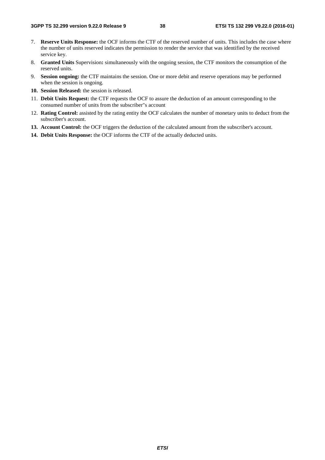- 7. **Reserve Units Response:** the OCF informs the CTF of the reserved number of units. This includes the case where the number of units reserved indicates the permission to render the service that was identified by the received service key.
- 8. **Granted Units** Supervision**:** simultaneously with the ongoing session, the CTF monitors the consumption of the reserved units.
- 9. **Session ongoing:** the CTF maintains the session. One or more debit and reserve operations may be performed when the session is ongoing.
- **10. Session Released:** the session is released.
- 11. **Debit Units Request:** the CTF requests the OCF to assure the deduction of an amount corresponding to the consumed number of units from the subscriber"s account
- 12. **Rating Control:** assisted by the rating entity the OCF calculates the number of monetary units to deduct from the subscriber's account.
- **13. Account Control:** the OCF triggers the deduction of the calculated amount from the subscriber's account.
- **14. Debit Units Response:** the OCF informs the CTF of the actually deducted units.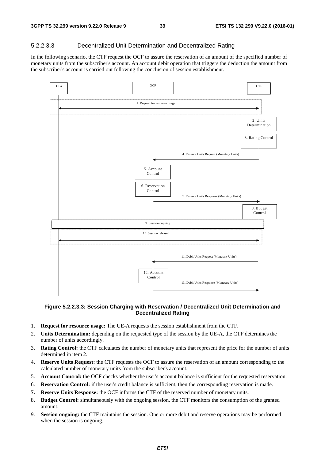#### 5.2.2.3.3 Decentralized Unit Determination and Decentralized Rating

In the following scenario, the CTF request the OCF to assure the reservation of an amount of the specified number of monetary units from the subscriber's account. An account debit operation that triggers the deduction the amount from the subscriber's account is carried out following the conclusion of session establishment.



#### **Figure 5.2.2.3.3: Session Charging with Reservation / Decentralized Unit Determination and Decentralized Rating**

- 1. **Request for resource usage:** The UE-A requests the session establishment from the CTF.
- 2. **Units Determination:** depending on the requested type of the session by the UE-A, the CTF determines the number of units accordingly.
- 3. **Rating Control:** the CTF calculates the number of monetary units that represent the price for the number of units determined in item 2.
- 4. **Reserve Units Request:** the CTF requests the OCF to assure the reservation of an amount corresponding to the calculated number of monetary units from the subscriber's account.
- 5. **Account Control:** the OCF checks whether the user's account balance is sufficient for the requested reservation.
- 6. **Reservation Control:** if the user's credit balance is sufficient, then the corresponding reservation is made.
- **7. Reserve Units Response:** the OCF informs the CTF of the reserved number of monetary units.
- 8. **Budget Control:** simultaneously with the ongoing session, the CTF monitors the consumption of the granted amount.
- 9. **Session ongoing:** the CTF maintains the session. One or more debit and reserve operations may be performed when the session is ongoing.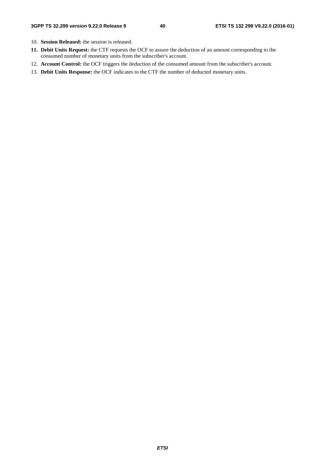- 10. **Session Released:** the session is released.
- **11. Debit Units Request:** the CTF requests the OCF to assure the deduction of an amount corresponding to the consumed number of monetary units from the subscriber's account.
- 12. **Account Control:** the OCF triggers the deduction of the consumed amount from the subscriber's account.
- 13. **Debit Units Response:** the OCF indicates to the CTF the number of deducted monetary units.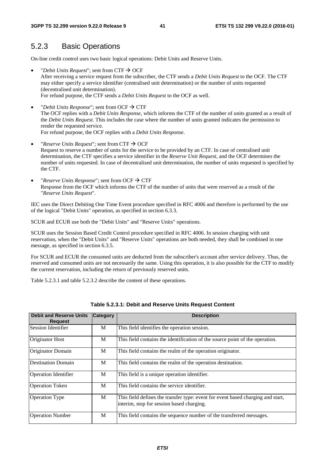## 5.2.3 Basic Operations

On-line credit control uses two basic logical operations: Debit Units and Reserve Units.

- "*Debit Units Request*"; sent from  $CTF \rightarrow OCF$ After receiving a service request from the subscriber, the CTF sends a *Debit Units Request* to the OCF. The CTF may either specify a service identifier (centralised unit determination) or the number of units requested (decentralised unit determination). For refund purpose, the CTF sends a *Debit Units Request* to the OCF as well.
- "*Debit Units Response*"; sent from OCF  $\rightarrow$  CTF The OCF replies with a *Debit Units Response*, which informs the CTF of the number of units granted as a result of the *Debit Units Request*. This includes the case where the number of units granted indicates the permission to render the requested service. For refund purpose, the OCF replies with a *Debit Units Response*.
- *"Reserve Units Request"*; sent from CTF  $\rightarrow$  OCF Request to reserve a number of units for the service to be provided by an CTF. In case of centralised unit determination, the CTF specifies a service identifier in the *Reserve Unit Request*, and the OCF determines the number of units requested. In case of decentralised unit determination, the number of units requested is specified by the CTF.
- "*Reserve Units Response*"; sent from OCF  $\rightarrow$  CTF Response from the OCF which informs the CTF of the number of units that were reserved as a result of the "*Reserve Units Request*".

IEC uses the Direct Debiting One Time Event procedure specified in RFC 4006 and therefore is performed by the use of the logical "Debit Units" operation, as specified in section 6.3.3.

SCUR and ECUR use both the "Debit Units" and "Reserve Units" operations.

SCUR uses the Session Based Credit Control procedure specified in RFC 4006. In session charging with unit reservation, when the "Debit Units" and "Reserve Units" operations are both needed, they shall be combined in one message, as specified in section 6.3.5.

For SCUR and ECUR the consumed units are deducted from the subscriber's account after service delivery. Thus, the reserved and consumed units are not necessarily the same. Using this operation, it is also possible for the CTF to modify the current reservation, including the return of previously reserved units.

Table 5.2.3.1 and table 5.2.3.2 describe the content of these operations.

| <b>Debit and Reserve Units</b><br><b>Request</b> | <b>Category</b> | <b>Description</b>                                                                                                           |
|--------------------------------------------------|-----------------|------------------------------------------------------------------------------------------------------------------------------|
| Session Identifier                               | M               | This field identifies the operation session.                                                                                 |
| Originator Host                                  | M               | This field contains the identification of the source point of the operation.                                                 |
| Originator Domain                                | M               | This field contains the realm of the operation originator.                                                                   |
| <b>Destination Domain</b>                        | M               | This field contains the realm of the operation destination.                                                                  |
| Operation Identifier                             | M               | This field is a unique operation identifier.                                                                                 |
| <b>Operation Token</b>                           | M               | This field contains the service identifier.                                                                                  |
| <b>Operation Type</b>                            | M               | This field defines the transfer type: event for event based charging and start,<br>interim, stop for session based charging. |
| <b>Operation Number</b>                          | M               | This field contains the sequence number of the transferred messages.                                                         |

#### **Table 5.2.3.1: Debit and Reserve Units Request Content**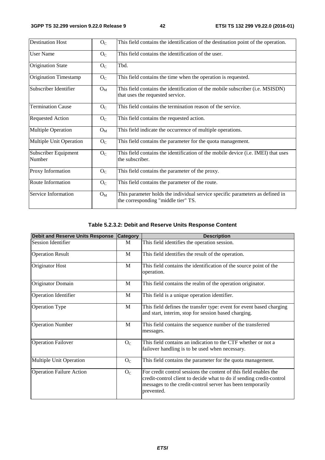| <b>Destination Host</b>        | O <sub>C</sub> | This field contains the identification of the destination point of the operation.                                    |  |  |
|--------------------------------|----------------|----------------------------------------------------------------------------------------------------------------------|--|--|
| <b>User Name</b>               | O <sub>C</sub> | This field contains the identification of the user.                                                                  |  |  |
| <b>Origination State</b>       | O <sub>C</sub> | Tbd.                                                                                                                 |  |  |
| <b>Origination Timestamp</b>   | O <sub>C</sub> | This field contains the time when the operation is requested.                                                        |  |  |
| Subscriber Identifier          | $O_{M}$        | This field contains the identification of the mobile subscriber (i.e. MSISDN)<br>that uses the requested service.    |  |  |
| <b>Termination Cause</b>       | $O_{C}$        | This field contains the termination reason of the service.                                                           |  |  |
| <b>Requested Action</b>        | O <sub>C</sub> | This field contains the requested action.                                                                            |  |  |
| <b>Multiple Operation</b>      | $O_{M}$        | This field indicate the occurrence of multiple operations.                                                           |  |  |
| Multiple Unit Operation        | O <sub>C</sub> | This field contains the parameter for the quota management.                                                          |  |  |
| Subscriber Equipment<br>Number | O <sub>C</sub> | This field contains the identification of the mobile device (i.e. IMEI) that uses<br>the subscriber.                 |  |  |
| Proxy Information              | O <sub>C</sub> | This field contains the parameter of the proxy.                                                                      |  |  |
| Route Information              | O <sub>C</sub> | This field contains the parameter of the route.                                                                      |  |  |
| Service Information            | $O_{M}$        | This parameter holds the individual service specific parameters as defined in<br>the corresponding "middle tier" TS. |  |  |

## **Table 5.2.3.2: Debit and Reserve Units Response Content**

| <b>Debit and Reserve Units Response</b> | <b>Category</b> | <b>Description</b>                                                                                                                                                                                                    |
|-----------------------------------------|-----------------|-----------------------------------------------------------------------------------------------------------------------------------------------------------------------------------------------------------------------|
| Session Identifier                      | M               | This field identifies the operation session.                                                                                                                                                                          |
| <b>Operation Result</b>                 | M               | This field identifies the result of the operation.                                                                                                                                                                    |
| Originator Host                         | M               | This field contains the identification of the source point of the<br>operation.                                                                                                                                       |
| Originator Domain                       | M               | This field contains the realm of the operation originator.                                                                                                                                                            |
| <b>Operation Identifier</b>             | M               | This field is a unique operation identifier.                                                                                                                                                                          |
| <b>Operation Type</b>                   | M               | This field defines the transfer type: event for event based charging<br>and start, interim, stop for session based charging.                                                                                          |
| <b>Operation Number</b>                 | M               | This field contains the sequence number of the transferred<br>messages.                                                                                                                                               |
| <b>Operation Failover</b>               | O <sub>C</sub>  | This field contains an indication to the CTF whether or not a<br>failover handling is to be used when necessary.                                                                                                      |
| Multiple Unit Operation                 | O <sub>C</sub>  | This field contains the parameter for the quota management.                                                                                                                                                           |
| <b>Operation Failure Action</b>         | O <sub>C</sub>  | For credit control sessions the content of this field enables the<br>credit-control client to decide what to do if sending credit-control<br>messages to the credit-control server has been temporarily<br>prevented. |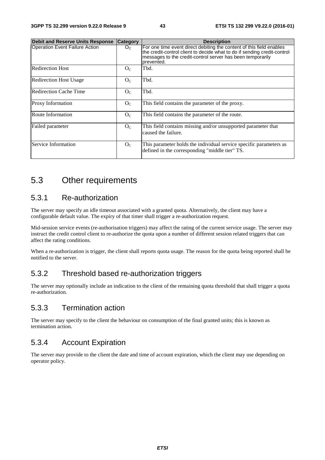| <b>Debit and Reserve Units Response</b> | <b>Category</b> | <b>Description</b>                                                                                                                                                                                                           |
|-----------------------------------------|-----------------|------------------------------------------------------------------------------------------------------------------------------------------------------------------------------------------------------------------------------|
| <b>Operation Event Failure Action</b>   | O <sub>C</sub>  | For one time event direct debiting the content of this field enables<br>the credit-control client to decide what to do if sending credit-control<br>messages to the credit-control server has been temporarily<br>prevented. |
| <b>Redirection Host</b>                 | O <sub>C</sub>  | Tbd.                                                                                                                                                                                                                         |
| <b>Redirection Host Usage</b>           | O <sub>C</sub>  | Tbd.                                                                                                                                                                                                                         |
| <b>Redirection Cache Time</b>           | O <sub>C</sub>  | Tbd.                                                                                                                                                                                                                         |
| Proxy Information                       | $O_{C}$         | This field contains the parameter of the proxy.                                                                                                                                                                              |
| Route Information                       | O <sub>C</sub>  | This field contains the parameter of the route.                                                                                                                                                                              |
| Failed parameter                        | $O_{C}$         | This field contains missing and/or unsupported parameter that<br>caused the failure.                                                                                                                                         |
| Service Information                     | O <sub>C</sub>  | This parameter holds the individual service specific parameters as<br>defined in the corresponding "middle tier" TS.                                                                                                         |

# 5.3 Other requirements

## 5.3.1 Re-authorization

The server may specify an idle timeout associated with a granted quota. Alternatively, the client may have a configurable default value. The expiry of that timer shall trigger a re-authorization request.

Mid-session service events (re-authorisation triggers) may affect the rating of the current service usage. The server may instruct the credit control client to re-authorize the quota upon a number of different session related triggers that can affect the rating conditions.

When a re-authorization is trigger, the client shall reports quota usage. The reason for the quota being reported shall be notified to the server.

# 5.3.2 Threshold based re-authorization triggers

The server may optionally include an indication to the client of the remaining quota threshold that shall trigger a quota re-authorization.

# 5.3.3 Termination action

The server may specify to the client the behaviour on consumption of the final granted units; this is known as termination action.

# 5.3.4 Account Expiration

The server may provide to the client the date and time of account expiration, which the client may use depending on operator policy.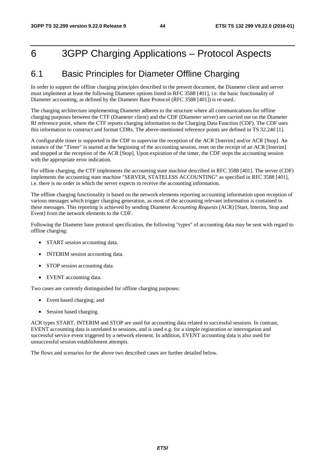# 6 3GPP Charging Applications – Protocol Aspects

# 6.1 Basic Principles for Diameter Offline Charging

In order to support the offline charging principles described in the present document, the Diameter client and server must implement at least the following Diameter options listed in RFC 3588 [401], i.e. the basic functionality of Diameter accounting, as defined by the Diameter Base Protocol (RFC 3588 [401]) is re-used..

The charging architecture implementing Diameter adheres to the structure where all communications for offline charging purposes between the CTF (Diameter client) and the CDF (Diameter server) are carried out on the Diameter Rf reference point, where the CTF reports charging information to the Charging Data Function (CDF). The CDF uses this information to construct and format CDRs. The above-mentioned reference points are defined in TS 32.240 [1].

A configurable timer is supported in the CDF to supervise the reception of the ACR [Interim] and/or ACR [Stop]. An instance of the "Timer" is started at the beginning of the accounting session, reset on the receipt of an ACR [Interim] and stopped at the reception of the ACR [Stop]. Upon expiration of the timer, the CDF stops the accounting session with the appropriate error indication.

For offline charging, the CTF implements the accounting state machine described in RFC 3588 [401]. The server (CDF) implements the accounting state machine "SERVER, STATELESS ACCOUNTING" as specified in RFC 3588 [401], i.e. there is no order in which the server expects to receive the accounting information.

The offline charging functionality is based on the network elements reporting accounting information upon reception of various messages which trigger charging generation, as most of the accounting relevant information is contained in these messages. This reporting is achieved by sending Diameter *Accounting Requests* (ACR) [Start, Interim, Stop and Event] from the network elements to the CDF.

Following the Diameter base protocol specification, the following "types" of accounting data may be sent with regard to offline charging:

- START session accounting data.
- INTERIM session accounting data.
- STOP session accounting data.
- EVENT accounting data.

Two cases are currently distinguished for offline charging purposes:

- Event based charging; and
- Session based charging.

ACR types START, INTERIM and STOP are used for accounting data related to successful sessions. In contrast, EVENT accounting data is unrelated to sessions, and is used e.g. for a simple registration or interrogation and successful service event triggered by a network element. In addition, EVENT accounting data is also used for unsuccessful session establishment attempts.

The flows and scenarios for the above two described cases are further detailed below.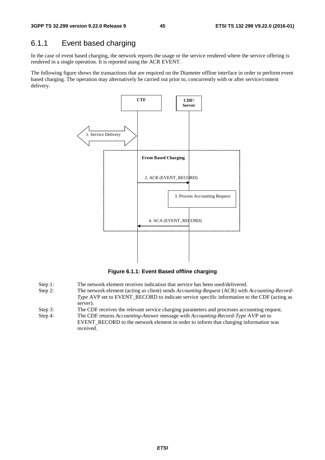# 6.1.1 Event based charging

In the case of event based charging, the network reports the usage or the service rendered where the service offering is rendered in a single operation. It is reported using the ACR EVENT.

The following figure shows the transactions that are required on the Diameter offline interface in order to perform event based charging. The operation may alternatively be carried out prior to, concurrently with or after service/content delivery.



**Figure 6.1.1: Event Based offline charging** 

- Step 1: The network element receives indication that service has been used/delivered.
- Step 2: The network element (acting as client) sends *Accounting-Request* (ACR) with *Accounting-Record-Type* AVP set to EVENT\_RECORD to indicate service specific information to the CDF (acting as server).
- Step 3: The CDF receives the relevant service charging parameters and processes accounting request.
- Step 4: The CDF returns *Accounting-Answer* message with *Accounting-Record-Type* AVP set to EVENT\_RECORD to the network element in order to inform that charging information was received.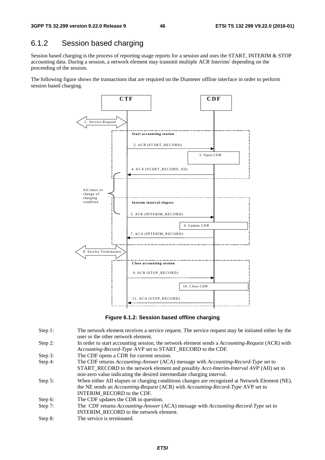# 6.1.2 Session based charging

Session based charging is the process of reporting usage reports for a session and uses the START, INTERIM & STOP accounting data. During a session, a network element may transmit multiple ACR Interims' depending on the proceeding of the session.

The following figure shows the transactions that are required on the Diameter offline interface in order to perform session based charging.



**Figure 6.1.2: Session based offline charging** 

- Step 1: The network element receives a service request. The service request may be initiated either by the user or the other network element.
- Step 2: In order to start accounting session, the network element sends a *Accounting-Request* (ACR) with *Accounting-Record-Type* AVP set to START\_RECORD to the CDF.
- Step 3: The CDF opens a CDR for current session.
- Step 4: The CDF returns *Accounting-Answer* (ACA) message with *Accounting-Record-Type* set to START\_RECORD to the network element and possibly *Acct-Interim-Interval AVP* (AII) set to non-zero value indicating the desired intermediate charging interval.
- Step 5: When either AII elapses or charging conditions changes are recognized at Network Element (NE), the NE sends an *Accounting-Request* (ACR) with *Accounting-Record-Type* AVP set to INTERIM\_RECORD to the CDF.
- Step 6: The CDF updates the CDR in question.
- Step 7: The CDF returns *Accounting-Answer* (ACA) message with *Accounting-Record-Type* set to INTERIM\_RECORD to the network element.
- Step 8: The service is terminated.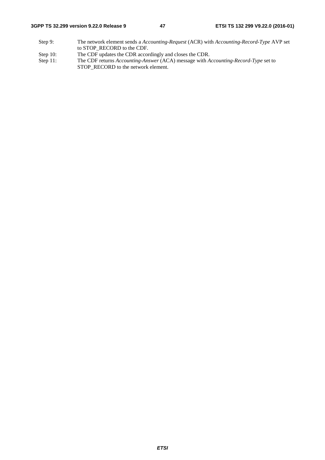#### **3GPP TS 32.299 version 9.22.0 Release 9 47 ETSI TS 132 299 V9.22.0 (2016-01)**

- Step 9: The network element sends a *Accounting-Request* (ACR) with *Accounting-Record-Type* AVP set to STOP\_RECORD to the CDF.
- Step 10: The CDF updates the CDR accordingly and closes the CDR.<br>Step 11: The CDF returns Accounting-Answer (ACA) message with A
- The CDF returns *Accounting-Answer* (ACA) message with *Accounting-Record-Type* set to STOP\_RECORD to the network element.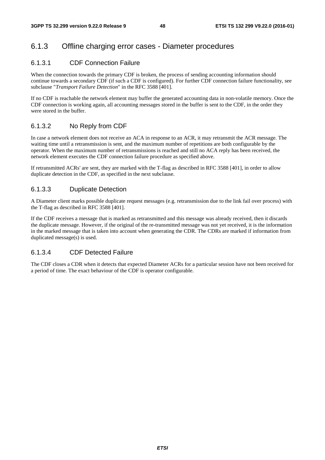# 6.1.3 Offline charging error cases - Diameter procedures

#### 6.1.3.1 CDF Connection Failure

When the connection towards the primary CDF is broken, the process of sending accounting information should continue towards a secondary CDF (if such a CDF is configured). For further CDF connection failure functionality, see subclause "*Transport Failure Detection*" in the RFC 3588 [401].

If no CDF is reachable the network element may buffer the generated accounting data in non-volatile memory. Once the CDF connection is working again, all accounting messages stored in the buffer is sent to the CDF, in the order they were stored in the buffer.

#### 6.1.3.2 No Reply from CDF

In case a network element does not receive an ACA in response to an ACR, it may retransmit the ACR message. The waiting time until a retransmission is sent, and the maximum number of repetitions are both configurable by the operator. When the maximum number of retransmissions is reached and still no ACA reply has been received, the network element executes the CDF connection failure procedure as specified above.

If retransmitted ACRs' are sent, they are marked with the T-flag as described in RFC 3588 [401], in order to allow duplicate detection in the CDF, as specified in the next subclause.

#### 6.1.3.3 Duplicate Detection

A Diameter client marks possible duplicate request messages (e.g. retransmission due to the link fail over process) with the T-flag as described in RFC 3588 [401].

If the CDF receives a message that is marked as retransmitted and this message was already received, then it discards the duplicate message. However, if the original of the re-transmitted message was not yet received, it is the information in the marked message that is taken into account when generating the CDR. The CDRs are marked if information from duplicated message(s) is used.

#### 6.1.3.4 CDF Detected Failure

The CDF closes a CDR when it detects that expected Diameter ACRs for a particular session have not been received for a period of time. The exact behaviour of the CDF is operator configurable.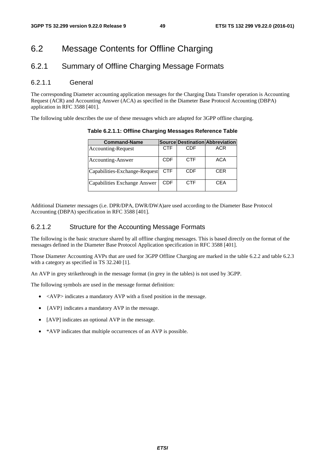# 6.2 Message Contents for Offline Charging

# 6.2.1 Summary of Offline Charging Message Formats

#### 6.2.1.1 General

The corresponding Diameter accounting application messages for the Charging Data Transfer operation is Accounting Request (ACR) and Accounting Answer (ACA) as specified in the Diameter Base Protocol Accounting (DBPA) application in RFC 3588 [401].

The following table describes the use of these messages which are adapted for 3GPP offline charging.

| <b>Command-Name</b>           |            |            | Source Destination Abbreviation |
|-------------------------------|------------|------------|---------------------------------|
| Accounting-Request            | <b>CTF</b> | CDF        | <b>ACR</b>                      |
| Accounting-Answer             | <b>CDF</b> | <b>CTF</b> | <b>ACA</b>                      |
| Capabilities-Exchange-Request | <b>CTF</b> | <b>CDF</b> | <b>CER</b>                      |
| Capabilities Exchange Answer  | CDF        | <b>CTF</b> | CEA                             |

**Table 6.2.1.1: Offline Charging Messages Reference Table** 

Additional Diameter messages (i.e. DPR/DPA, DWR/DWA)are used according to the Diameter Base Protocol Accounting (DBPA) specification in RFC 3588 [401].

#### 6.2.1.2 Structure for the Accounting Message Formats

The following is the basic structure shared by all offline charging messages. This is based directly on the format of the messages defined in the Diameter Base Protocol Application specification in RFC 3588 [401].

Those Diameter Accounting AVPs that are used for 3GPP Offline Charging are marked in the table 6.2.2 and table 6.2.3 with a category as specified in TS 32.240 [1].

An AVP in grey strikethrough in the message format (in grey in the tables) is not used by 3GPP.

The following symbols are used in the message format definition:

- $\bullet$  <AVP> indicates a mandatory AVP with a fixed position in the message.
- {AVP} indicates a mandatory AVP in the message.
- [AVP] indicates an optional AVP in the message.
- \*AVP indicates that multiple occurrences of an AVP is possible.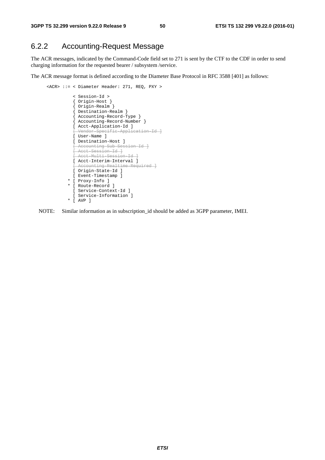# 6.2.2 Accounting-Request Message

The ACR messages, indicated by the Command-Code field set to 271 is sent by the CTF to the CDF in order to send charging information for the requested bearer / subsystem /service.

The ACR message format is defined according to the Diameter Base Protocol in RFC 3588 [401] as follows:

```
 <ACR> ::= < Diameter Header: 271, REQ, PXY > 
                < Session-Id > 
                { Origin-Host } 
                { Origin-Realm } 
                { Destination-Realm } 
{ Accounting-Record-Type } 
{ Accounting-Record-Number } 
                [ Acct-Application-Id ] 
                [ Vendor-Specific-Application-Id ]
               [ User-Name ] 
                [ Destination-Host ] 
                [ Accounting-Sub-Session-Id ]
                [ Acct-Session-Id ]
                [ Acct-Multi-Session-Id ]
                [ Acct-Interim-Interval ] 
                  ccounting-Realtime-Required ]
               [ Origin-State-Id ] 
               [ Event-Timestamp ] 
              * [ Proxy-Info ] 
              * [ Route-Record ] 
                [ Service-Context-Id ] 
                [ Service-Information ] 
              * [ AVP ]
```
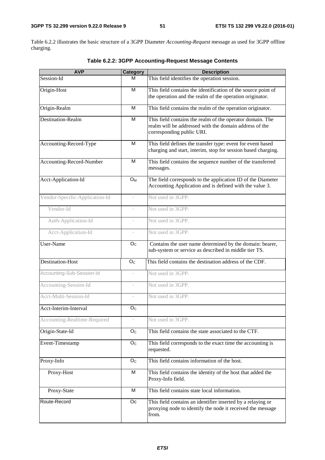Table 6.2.2 illustrates the basic structure of a 3GPP Diameter *Accounting-Request* message as used for 3GPP offline charging.

| <b>AVP</b>                     | <b>Category</b>          | <b>Description</b>                                                                                                                               |  |
|--------------------------------|--------------------------|--------------------------------------------------------------------------------------------------------------------------------------------------|--|
| Session-Id                     | м                        | This field identifies the operation session.                                                                                                     |  |
| Origin-Host                    | M                        | This field contains the identification of the source point of<br>the operation and the realm of the operation originator.                        |  |
| Origin-Realm                   | M                        | This field contains the realm of the operation originator.                                                                                       |  |
| Destination-Realm              | M                        | This field contains the realm of the operator domain. The<br>realm will be addressed with the domain address of the<br>corresponding public URI. |  |
| Accounting-Record-Type         | M                        | This field defines the transfer type: event for event based<br>charging and start, interim, stop for session based charging.                     |  |
| Accounting-Record-Number       | M                        | This field contains the sequence number of the transferred<br>messages.                                                                          |  |
| Acct-Application-Id            | O <sub>M</sub>           | The field corresponds to the application ID of the Diameter<br>Accounting Application and is defined with the value 3.                           |  |
| Vendor-Specific-Application-Id | $\overline{\phantom{a}}$ | Not used in 3GPP.                                                                                                                                |  |
| Vendor-Id                      |                          | Not used in 3GPP.                                                                                                                                |  |
| Auth-Application-Id            | $\overline{a}$           | Not used in 3GPP.                                                                                                                                |  |
| Acct-Application-Id            | $\bar{ }$                | Not used in 3GPP.                                                                                                                                |  |
| User-Name                      | O <sub>C</sub>           | Contains the user name determined by the domain: bearer,<br>sub-system or service as described in middle tier TS.                                |  |
| Destination-Host               | O <sub>C</sub>           | This field contains the destination address of the CDF.                                                                                          |  |
| Accounting-Sub-Session-Id      | $\overline{\phantom{0}}$ | Not used in 3GPP.                                                                                                                                |  |
| Accounting-Session-Id          | $\overline{\phantom{a}}$ | Not used in 3GPP.                                                                                                                                |  |
| Acct-Multi-Session-Id          | $\overline{\phantom{a}}$ | Not used in 3GPP.                                                                                                                                |  |
| Acct-Interim-Interval          | O <sub>C</sub>           |                                                                                                                                                  |  |
| Accounting-Realtime-Required   |                          | Not used in 3GPP.                                                                                                                                |  |
| Origin-State-Id                | O <sub>c</sub>           | This field contains the state associated to the CTF.                                                                                             |  |
| Event-Timestamp                | O <sub>C</sub>           | This field corresponds to the exact time the accounting is<br>requested.                                                                         |  |
| Proxy-Info                     | O <sub>C</sub>           | This field contains information of the host.                                                                                                     |  |
| Proxy-Host                     | M                        | This field contains the identity of the host that added the<br>Proxy-Info field.                                                                 |  |
| Proxy-State                    | M                        | This field contains state local information.                                                                                                     |  |
| Route-Record                   | Oc                       | This field contains an identifier inserted by a relaying or<br>proxying node to identify the node it received the message<br>from.               |  |

**Table 6.2.2: 3GPP Accounting-Request Message Contents**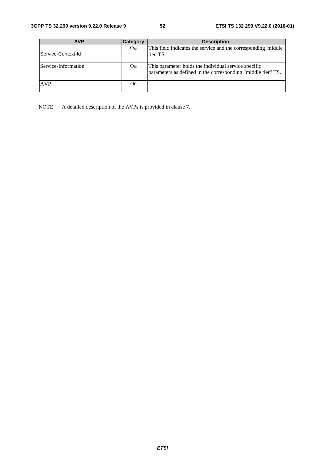| <b>AVP</b>          | Category | <b>Description</b>                                                                                                   |
|---------------------|----------|----------------------------------------------------------------------------------------------------------------------|
| lService-Context-Id | $O_{M}$  | This field indicates the service and the corresponding 'middle<br>tier' TS.                                          |
| Service-Information | $O_{M}$  | This parameter holds the individual service specific<br>parameters as defined in the corresponding "middle tier" TS. |
| <b>AVP</b>          | Oc       |                                                                                                                      |

NOTE: A detailed description of the AVPs is provided in clause 7.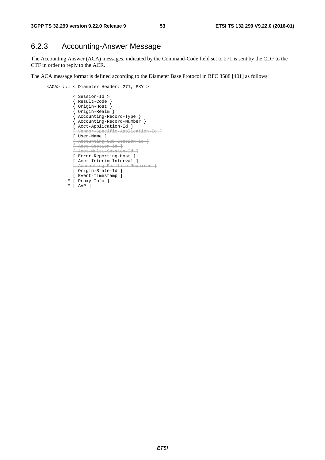# 6.2.3 Accounting-Answer Message

The Accounting Answer (ACA) messages, indicated by the Command-Code field set to 271 is sent by the CDF to the CTF in order to reply to the ACR.

The ACA message format is defined according to the Diameter Base Protocol in RFC 3588 [401] as follows:

```
 <ACA> ::= < Diameter Header: 271, PXY > 
                < Session-Id > 
                { Result-Code } 
                { Origin-Host } 
                { Origin-Realm } 
{ Accounting-Record-Type } 
{ Accounting-Record-Number } 
               [ Acct-Application-Id ] 
                [ Vendor-Specific-Application-Id ]
               [ User-Name ] 
                [ Accounting-Sub-Session-Id ]
                [ Acct-Session-Id ]
               [ Acct-Multi-Session-Id ]
               [ Error-Reporting-Host ] 
               [ Acct-Interim-Interval ] 
                  .<br>N Accounting-Realtime-Required
               [ Origin-State-Id ] 
               [ Event-Timestamp ] 
             * [ Proxy-Info ] 
              * [ AVP ]
```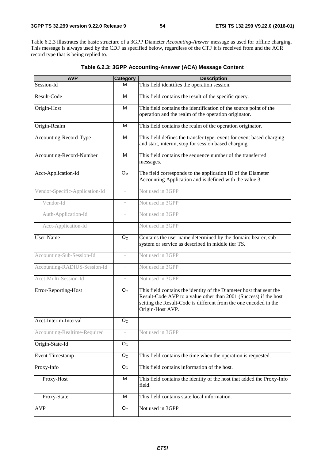Table 6.2.3 illustrates the basic structure of a 3GPP Diameter *Accounting-Answer* message as used for offline charging. This message is always used by the CDF as specified below, regardless of the CTF it is received from and the ACR record type that is being replied to.

| <b>AVP</b>                     | <b>Category</b>           | <b>Description</b>                                                                                                                                                                                                              |  |
|--------------------------------|---------------------------|---------------------------------------------------------------------------------------------------------------------------------------------------------------------------------------------------------------------------------|--|
| Session-Id                     | м                         | This field identifies the operation session.                                                                                                                                                                                    |  |
| Result-Code                    | M                         | This field contains the result of the specific query.                                                                                                                                                                           |  |
| Origin-Host                    | M                         | This field contains the identification of the source point of the<br>operation and the realm of the operation originator.                                                                                                       |  |
| Origin-Realm                   | M                         | This field contains the realm of the operation originator.                                                                                                                                                                      |  |
| Accounting-Record-Type         | M                         | This field defines the transfer type: event for event based charging<br>and start, interim, stop for session based charging.                                                                                                    |  |
| Accounting-Record-Number       | M                         | This field contains the sequence number of the transferred<br>messages.                                                                                                                                                         |  |
| Acct-Application-Id            | $O_{M}$                   | The field corresponds to the application ID of the Diameter<br>Accounting Application and is defined with the value 3.                                                                                                          |  |
| Vendor-Specific-Application-Id | $\bar{a}$                 | Not used in 3GPP                                                                                                                                                                                                                |  |
| Vendor-Id                      |                           | Not used in 3GPP                                                                                                                                                                                                                |  |
| Auth-Application-Id            |                           | Not used in 3GPP                                                                                                                                                                                                                |  |
| Acct-Application-Id            | ÷,                        | Not used in 3GPP                                                                                                                                                                                                                |  |
| User-Name                      | O <sub>c</sub>            | Contains the user name determined by the domain: bearer, sub-<br>system or service as described in middle tier TS.                                                                                                              |  |
| Accounting-Sub-Session-Id      | $\overline{\phantom{a}}$  | Not used in 3GPP                                                                                                                                                                                                                |  |
| Accounting-RADIUS-Session-Id   | $\overline{\phantom{m}}$  | Not used in 3GPP                                                                                                                                                                                                                |  |
| Acct-Multi-Session-Id          |                           | Not used in 3GPP                                                                                                                                                                                                                |  |
| Error-Reporting-Host           | O <sub>C</sub>            | This field contains the identity of the Diameter host that sent the<br>Result-Code AVP to a value other than 2001 (Success) if the host<br>setting the Result-Code is different from the one encoded in the<br>Origin-Host AVP. |  |
| Acct-Interim-Interval          | $\mathsf{O}_{\mathsf{C}}$ |                                                                                                                                                                                                                                 |  |
| Accounting-Realtime-Required   | $\overline{\phantom{m}}$  | Not used in 3GPP                                                                                                                                                                                                                |  |
| Origin-State-Id                | O <sub>C</sub>            |                                                                                                                                                                                                                                 |  |
| Event-Timestamp                | O <sub>C</sub>            | This field contains the time when the operation is requested.                                                                                                                                                                   |  |
| Proxy-Info                     | O <sub>c</sub>            | This field contains information of the host.                                                                                                                                                                                    |  |
| Proxy-Host                     | M                         | This field contains the identity of the host that added the Proxy-Info<br>field.                                                                                                                                                |  |
| Proxy-State                    | M                         | This field contains state local information.                                                                                                                                                                                    |  |
| <b>AVP</b>                     | O <sub>C</sub>            | Not used in 3GPP                                                                                                                                                                                                                |  |

**Table 6.2.3: 3GPP Accounting-Answer (ACA) Message Content**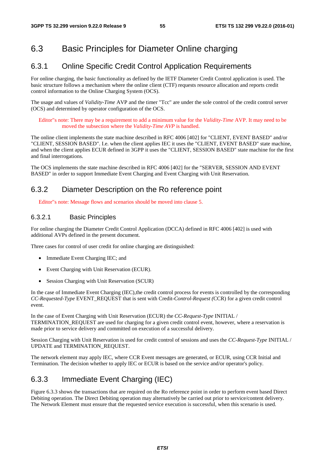# 6.3 Basic Principles for Diameter Online charging

### 6.3.1 Online Specific Credit Control Application Requirements

For online charging, the basic functionality as defined by the IETF Diameter Credit Control application is used. The basic structure follows a mechanism where the online client (CTF) requests resource allocation and reports credit control information to the Online Charging System (OCS).

The usage and values of *Validity-Time* AVP and the timer "Tcc" are under the sole control of the credit control server (OCS) and determined by operator configuration of the OCS.

Editor"s note: There may be a requirement to add a minimum value for the *Validity-Time* AVP. It may need to be moved the subsection where the *Validity-Time AVP* is handled.

The online client implements the state machine described in RFC 4006 [402] for "CLIENT, EVENT BASED" and/or "CLIENT, SESSION BASED". I.e. when the client applies IEC it uses the "CLIENT, EVENT BASED" state machine, and when the client applies ECUR defined in 3GPP it uses the "CLIENT, SESSION BASED" state machine for the first and final interrogations.

The OCS implements the state machine described in RFC 4006 [402] for the "SERVER, SESSION AND EVENT BASED" in order to support Immediate Event Charging and Event Charging with Unit Reservation.

## 6.3.2 Diameter Description on the Ro reference point

Editor"s note: Message flows and scenarios should be moved into clause 5.

#### 6.3.2.1 Basic Principles

For online charging the Diameter Credit Control Application (DCCA) defined in RFC 4006 [402] is used with additional AVPs defined in the present document.

Three cases for control of user credit for online charging are distinguished:

- Immediate Event Charging IEC; and
- Event Charging with Unit Reservation (ECUR).
- Session Charging with Unit Reservation (SCUR)

In the case of Immediate Event Charging (IEC),the credit control process for events is controlled by the corresponding *CC-Requested-Type* EVENT\_REQUEST that is sent with Credit*-Control-Request (*CCR) for a given credit control event.

In the case of Event Charging with Unit Reservation (ECUR) the *CC-Request-Type* INITIAL / TERMINATION\_REQUEST are used for charging for a given credit control event, however, where a reservation is made prior to service delivery and committed on execution of a successful delivery.

Session Charging with Unit Reservation is used for credit control of sessions and uses the *CC-Request-Type* INITIAL / UPDATE and TERMINATION\_REQUEST.

The network element may apply IEC, where CCR Event messages are generated, or ECUR, using CCR Initial and Termination. The decision whether to apply IEC or ECUR is based on the service and/or operator's policy.

# 6.3.3 Immediate Event Charging (IEC)

Figure 6.3.3 shows the transactions that are required on the Ro reference point in order to perform event based Direct Debiting operation. The Direct Debiting operation may alternatively be carried out prior to service/content delivery. The Network Element must ensure that the requested service execution is successful, when this scenario is used.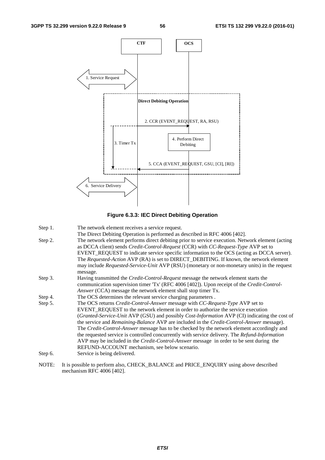



| Step 1. | The network element receives a service request. |  |
|---------|-------------------------------------------------|--|
|         |                                                 |  |

- The Direct Debiting Operation is performed as described in RFC 4006 [402].
- Step 2. The network element performs direct debiting prior to service execution. Network element (acting as DCCA client) sends *Credit-Control-Request* (CCR) with *CC-Request-Type* AVP set to EVENT\_REQUEST to indicate service specific information to the OCS (acting as DCCA server). The *Requested-Action* AVP (RA) is set to DIRECT\_DEBITING. If known, the network element may include *Requested-Service-Unit* AVP (RSU) (monetary or non-monetary units) in the request message.
- Step 3. Having transmitted the *Credit-Control-Request* message the network element starts the communication supervision timer 'Tx' (RFC 4006 [402]). Upon receipt of the *Credit-Control-Answer* (CCA) message the network element shall stop timer Tx.
- Step 4. The OCS determines the relevant service charging parameters.
- Step 5. The OCS returns *Credit-Control-Answer* message with *CC-Request-Type* AVP set to EVENT\_REQUEST to the network element in order to authorize the service execution (*Granted-Service-Unit* AVP (GSU) and possibly *Cost-Information* AVP (CI) indicating the cost of the service and *Remaining-Balance* AVP are included in the *Credit-Control-Answer* message). The *Credit-Control-Answer* message has to be checked by the network element accordingly and the requested service is controlled concurrently with service delivery. The *Refund-Information* AVP may be included in the *Credit-Control-Answer* message in order to be sent during the REFUND-ACCOUNT mechanism, see below scenario.
- Step 6. Service is being delivered.
- NOTE: It is possible to perform also, CHECK\_BALANCE and PRICE\_ENQUIRY using above described mechanism RFC 4006 [402].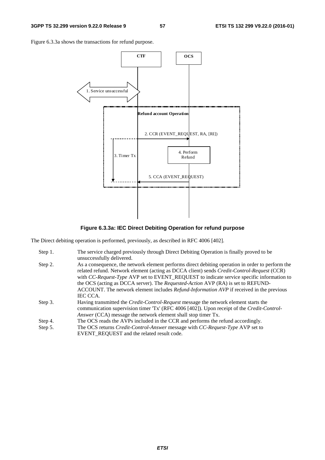Figure 6.3.3a shows the transactions for refund purpose.



**Figure 6.3.3a: IEC Direct Debiting Operation for refund purpose** 

The Direct debiting operation is performed, previously, as described in RFC 4006 [402].

| Step 1. | The service charged previously through Direct Debiting Operation is finally proved to be<br>unsuccessfully delivered.                                                                                                                                                                                                                                                                                                                                                                                        |
|---------|--------------------------------------------------------------------------------------------------------------------------------------------------------------------------------------------------------------------------------------------------------------------------------------------------------------------------------------------------------------------------------------------------------------------------------------------------------------------------------------------------------------|
| Step 2. | As a consequence, the network element performs direct debiting operation in order to perform the<br>related refund. Network element (acting as DCCA client) sends Credit-Control-Request (CCR)<br>with CC-Request-Type AVP set to EVENT_REQUEST to indicate service specific information to<br>the OCS (acting as DCCA server). The <i>Requested-Action</i> AVP (RA) is set to REFUND-<br>ACCOUNT. The network element includes <i>Refund-Information AVP</i> if received in the previous<br><b>IEC CCA.</b> |
| Step 3. | Having transmitted the <i>Credit-Control-Request</i> message the network element starts the<br>communication supervision timer 'Tx' (RFC 4006 [402]). Upon receipt of the Credit-Control-<br><i>Answer</i> (CCA) message the network element shall stop timer Tx.                                                                                                                                                                                                                                            |
| Step 4. | The OCS reads the AVPs included in the CCR and performs the refund accordingly.                                                                                                                                                                                                                                                                                                                                                                                                                              |
| Step 5. | The OCS returns <i>Credit-Control-Answer</i> message with <i>CC-Request-Type</i> AVP set to<br>EVENT REQUEST and the related result code.                                                                                                                                                                                                                                                                                                                                                                    |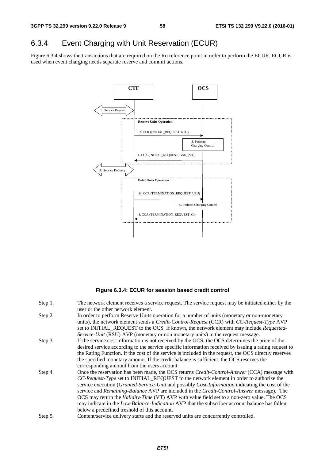# 6.3.4 Event Charging with Unit Reservation (ECUR)

Figure 6.3.4 shows the transactions that are required on the Ro reference point in order to perform the ECUR. ECUR is used when event charging needs separate reserve and commit actions.



#### **Figure 6.3.4: ECUR for session based credit control**

| Step 1. | The network element receives a service request. The service request may be initiated either by the      |
|---------|---------------------------------------------------------------------------------------------------------|
|         | user or the other network element.                                                                      |
| Step 2. | In order to perform Reserve Units operation for a number of units (monetary or non-monetary             |
|         | units), the network element sends a <i>Credit-Control-Request</i> (CCR) with <i>CC-Request-Type</i> AVP |
|         | set to INITIAL_REQUEST to the OCS. If known, the network element may include Requested-                 |
|         | Service-Unit (RSU) AVP (monetary or non monetary units) in the request message.                         |
| Step 3. | If the service cost information is not received by the OCS, the OCS determines the price of the         |
|         | desired service according to the service specific information received by issuing a rating request to   |
|         | the Rating Function. If the cost of the service is included in the request, the OCS directly reserves   |
|         | the specified monetary amount. If the credit balance is sufficient, the OCS reserves the                |
|         | corresponding amount from the users account.                                                            |
| Step 4. | Once the reservation has been made, the OCS returns <i>Credit-Control-Answer</i> (CCA) message with     |
|         | CC-Request-Type set to INITIAL_REQUEST to the network element in order to authorize the                 |
|         | service execution (Granted-Service-Unit and possibly Cost-Information indicating the cost of the        |
|         | service and <i>Remaining-Balance</i> AVP are included in the <i>Credit-Control-Answer</i> message). The |
|         | OCS may return the <i>Validity-Time</i> (VT) AVP with value field set to a non-zero value. The OCS      |
|         | may indicate in the <i>Low-Balance-Indication</i> AVP that the subscriber account balance has fallen    |
|         | below a predefined treshold of this account.                                                            |
| Step 5. | Content/service delivery starts and the reserved units are concurrently controlled.                     |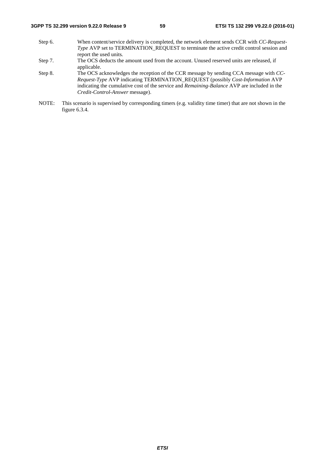- Step 6. When content/service delivery is completed, the network element sends CCR with *CC-Request-Type* AVP set to TERMINATION\_REQUEST to terminate the active credit control session and report the used units*.*
- Step 7. The OCS deducts the amount used from the account. Unused reserved units are released, if applicable.
- Step 8. The OCS acknowledges the reception of the CCR message by sending CCA message with *CC-Request-Type* AVP indicating TERMINATION\_REQUEST (possibly *Cost-Information* AVP indicating the cumulative cost of the service and *Remaining-Balance* AVP are included in the *Credit-Control-Answer* message).
- NOTE: This scenario is supervised by corresponding timers (e.g. validity time timer) that are not shown in the figure 6.3.4.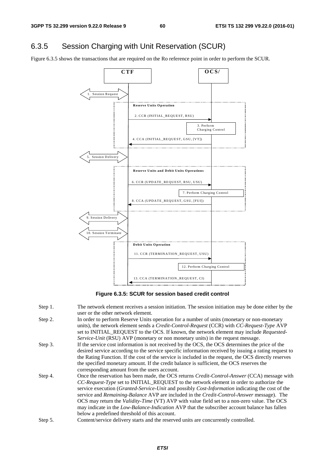## 6.3.5 Session Charging with Unit Reservation (SCUR)

Figure 6.3.5 shows the transactions that are required on the Ro reference point in order to perform the SCUR.



**Figure 6.3.5: SCUR for session based credit control** 

- Step 1. The network element receives a session initiation. The session initiation may be done either by the user or the other network element.
- Step 2. In order to perform Reserve Units operation for a number of units (monetary or non-monetary units), the network element sends a *Credit-Control-Request* (CCR) with *CC-Request-Type* AVP set to INITIAL\_REQUEST to the OCS. If known, the network element may include *Requested-Service-Unit* (RSU) AVP (monetary or non monetary units) in the request message.
- Step 3. If the service cost information is not received by the OCS, the OCS determines the price of the desired service according to the service specific information received by issuing a rating request to the Rating Function. If the cost of the service is included in the request, the OCS directly reserves the specified monetary amount. If the credit balance is sufficient, the OCS reserves the corresponding amount from the users account.
- Step 4. Once the reservation has been made, the OCS returns *Credit-Control-Answer* (CCA) message with *CC-Request-Type* set to INITIAL\_REQUEST to the network element in order to authorize the service execution (*Granted-Service-Unit* and possibly *Cost-Information* indicating the cost of the service and *Remaining-Balance* AVP are included in the *Credit-Control-Answer* message). The OCS may return the *Validity-Time* (VT) AVP with value field set to a non-zero value. The OCS may indicate in the *Low-Balance-Indication* AVP that the subscriber account balance has fallen below a predefined threshold of this account.
- Step 5. Content/service delivery starts and the reserved units are concurrently controlled.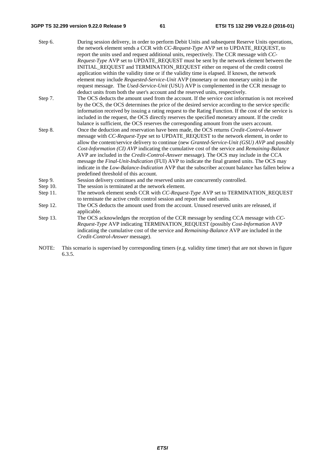#### **3GPP TS 32.299 version 9.22.0 Release 9 61 ETSI TS 132 299 V9.22.0 (2016-01)**

| During session delivery, in order to perform Debit Units and subsequent Reserve Units operations,<br>the network element sends a CCR with CC-Request-Type AVP set to UPDATE_REQUEST, to |
|-----------------------------------------------------------------------------------------------------------------------------------------------------------------------------------------|
| report the units used and request additional units, respectively. The CCR message with CC-                                                                                              |
| Request-Type AVP set to UPDATE_REQUEST must be sent by the network element between the                                                                                                  |
| INITIAL_REQUEST and TERMINATION_REQUEST either on request of the credit control                                                                                                         |
| application within the validity time or if the validity time is elapsed. If known, the network                                                                                          |
| element may include Requested-Service-Unit AVP (monetary or non monetary units) in the                                                                                                  |
| request message. The Used-Service-Unit (USU) AVP is complemented in the CCR message to                                                                                                  |
| deduct units from both the user's account and the reserved units, respectively.                                                                                                         |
| The OCS deducts the amount used from the account. If the service cost information is not received                                                                                       |
| by the OCS, the OCS determines the price of the desired service according to the service specific                                                                                       |
| information received by issuing a rating request to the Rating Function. If the cost of the service is                                                                                  |
| included in the request, the OCS directly reserves the specified monetary amount. If the credit                                                                                         |
| balance is sufficient, the OCS reserves the corresponding amount from the users account.                                                                                                |
| Once the deduction and reservation have been made, the OCS returns Credit-Control-Answer                                                                                                |
| message with <i>CC-Request-Type</i> set to UPDATE_REQUEST to the network element, in order to                                                                                           |
| allow the content/service delivery to continue (new Granted-Service-Unit (GSU) AVP and possibly                                                                                         |
| Cost-Information (CI) AVP indicating the cumulative cost of the service and Remaining-Balance                                                                                           |
| AVP are included in the <i>Credit-Control-Answer</i> message). The OCS may include in the CCA                                                                                           |
| message the <i>Final-Unit-Indication</i> (FUI) AVP to indicate the final granted units. The OCS may                                                                                     |
| indicate in the Low-Balance-Indication AVP that the subscriber account balance has fallen below a                                                                                       |
|                                                                                                                                                                                         |
| Session delivery continues and the reserved units are concurrently controlled.                                                                                                          |
| The session is terminated at the network element.                                                                                                                                       |
| The network element sends CCR with CC-Request-Type AVP set to TERMINATION_REQUEST                                                                                                       |
| to terminate the active credit control session and report the used units.                                                                                                               |
| The OCS deducts the amount used from the account. Unused reserved units are released, if                                                                                                |
|                                                                                                                                                                                         |

Step 13. The OCS acknowledges the reception of the CCR message by sending CCA message with *CC-Request-Type* AVP indicating TERMINATION\_REQUEST (possibly *Cost-Information* AVP indicating the cumulative cost of the service and *Remaining-Balance* AVP are included in the *Credit-Control-Answer* message).

NOTE: This scenario is supervised by corresponding timers (e.g. validity time timer) that are not shown in figure 6.3.5.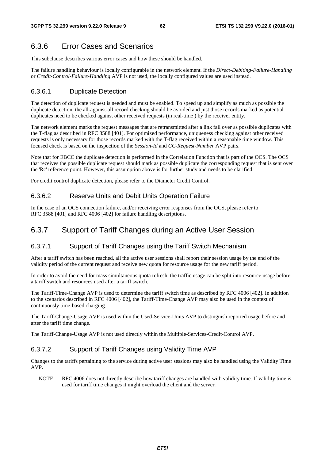# 6.3.6 Error Cases and Scenarios

This subclause describes various error cases and how these should be handled.

The failure handling behaviour is locally configurable in the network element. If the *Direct-Debiting-Failure-Handling* or *Credit-Control-Failure-Handling* AVP is not used, the locally configured values are used instead.

#### 6.3.6.1 Duplicate Detection

The detection of duplicate request is needed and must be enabled. To speed up and simplify as much as possible the duplicate detection, the all-against-all record checking should be avoided and just those records marked as potential duplicates need to be checked against other received requests (in real-time ) by the receiver entity.

The network element marks the request messages that are retransmitted after a link fail over as possible duplicates with the T-flag as described in RFC 3588 [401]. For optimized performance, uniqueness checking against other received requests is only necessary for those records marked with the T-flag received within a reasonable time window. This focused check is based on the inspection of the *Session-Id* and *CC-Request-Number* AVP pairs.

Note that for EBCC the duplicate detection is performed in the Correlation Function that is part of the OCS. The OCS that receives the possible duplicate request should mark as possible duplicate the corresponding request that is sent over the 'Rc' reference point. However, this assumption above is for further study and needs to be clarified.

For credit control duplicate detection, please refer to the Diameter Credit Control.

#### 6.3.6.2 Reserve Units and Debit Units Operation Failure

In the case of an OCS connection failure, and/or receiving error responses from the OCS, please refer to RFC 3588 [401] and RFC 4006 [402] for failure handling descriptions.

## 6.3.7 Support of Tariff Changes during an Active User Session

#### 6.3.7.1 Support of Tariff Changes using the Tariff Switch Mechanism

After a tariff switch has been reached, all the active user sessions shall report their session usage by the end of the validity period of the current request and receive new quota for resource usage for the new tariff period.

In order to avoid the need for mass simultaneous quota refresh, the traffic usage can be split into resource usage before a tariff switch and resources used after a tariff switch.

The Tariff-Time-Change AVP is used to determine the tariff switch time as described by RFC 4006 [402]. In addition to the scenarios described in RFC 4006 [402], the Tariff-Time-Change AVP may also be used in the context of continuously time-based charging.

The Tariff-Change-Usage AVP is used within the Used-Service-Units AVP to distinguish reported usage before and after the tariff time change.

The Tariff-Change-Usage AVP is not used directly within the Multiple-Services-Credit-Control AVP.

#### 6.3.7.2 Support of Tariff Changes using Validity Time AVP

Changes to the tariffs pertaining to the service during active user sessions may also be handled using the Validity Time AVP.

NOTE: RFC 4006 does not directly describe how tariff changes are handled with validity time. If validity time is used for tariff time changes it might overload the client and the server.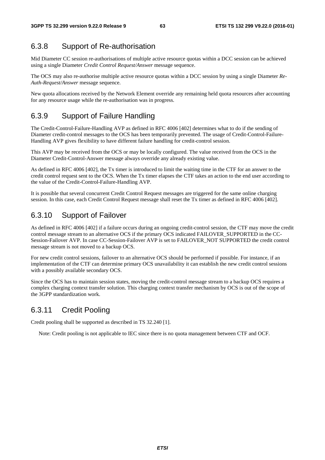## 6.3.8 Support of Re-authorisation

Mid Diameter CC session re-authorisations of multiple active resource quotas within a DCC session can be achieved using a single Diameter *Credit Control Request/Answer* message sequence.

The OCS may also re-authorise multiple active resource quotas within a DCC session by using a single Diameter *Re-Auth-Request/Answer* message sequence.

New quota allocations received by the Network Element override any remaining held quota resources after accounting for any resource usage while the re-authorisation was in progress.

## 6.3.9 Support of Failure Handling

The Credit-Control-Failure-Handling AVP as defined in RFC 4006 [402] determines what to do if the sending of Diameter credit-control messages to the OCS has been temporarily prevented. The usage of Credit-Control-Failure-Handling AVP gives flexibility to have different failure handling for credit-control session.

This AVP may be received from the OCS or may be locally configured. The value received from the OCS in the Diameter Credit-Control-Answer message always override any already existing value.

As defined in RFC 4006 [402], the Tx timer is introduced to limit the waiting time in the CTF for an answer to the credit control request sent to the OCS. When the Tx timer elapses the CTF takes an action to the end user according to the value of the Credit-Control-Failure-Handling AVP.

It is possible that several concurrent Credit Control Request messages are triggered for the same online charging session. In this case, each Credit Control Request message shall reset the Tx timer as defined in RFC 4006 [402].

# 6.3.10 Support of Failover

As defined in RFC 4006 [402] if a failure occurs during an ongoing credit-control session, the CTF may move the credit control message stream to an alternative OCS if the primary OCS indicated FAILOVER\_SUPPORTED in the CC-Session-Failover AVP. In case CC-Session-Failover AVP is set to FAILOVER\_NOT SUPPORTED the credit control message stream is not moved to a backup OCS.

For new credit control sessions, failover to an alternative OCS should be performed if possible. For instance, if an implementation of the CTF can determine primary OCS unavailability it can establish the new credit control sessions with a possibly available secondary OCS.

Since the OCS has to maintain session states, moving the credit-control message stream to a backup OCS requires a complex charging context transfer solution. This charging context transfer mechanism by OCS is out of the scope of the 3GPP standardization work.

# 6.3.11 Credit Pooling

Credit pooling shall be supported as described in TS 32.240 [1].

Note: Credit pooling is not applicable to IEC since there is no quota management between CTF and OCF.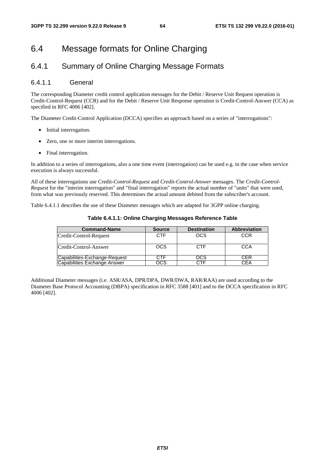# 6.4 Message formats for Online Charging

# 6.4.1 Summary of Online Charging Message Formats

#### 6.4.1.1 General

The corresponding Diameter credit control application messages for the Debit / Reserve Unit Request operation is Credit-Control-Request (CCR) and for the Debit / Reserve Unit Response operation is Credit-Control-Answer (CCA) as specified in RFC 4006 [402].

The Diameter Credit-Control Application (DCCA) specifies an approach based on a series of "interrogations":

- Initial interrogation.
- Zero, one or more interim interrogations.
- Final interrogation.

In addition to a series of interrogations, also a one time event (interrogation) can be used e.g. in the case when service execution is always successful.

All of these interrogations use Credit*-Control-Request* and *Credit-Control-Answer* messages. The *Credit-Control-Request* for the "interim interrogation" and "final interrogation" reports the actual number of "units" that were used, from what was previously reserved. This determines the actual amount debited from the subscriber's account.

Table 6.4.1.1 describes the use of these Diameter messages which are adapted for 3GPP online charging.

| <b>Command-Name</b>           | <b>Source</b> | <b>Destination</b> | <b>Abbreviation</b> |
|-------------------------------|---------------|--------------------|---------------------|
| Credit-Control-Request        | CTF           | OCS                | <b>CCR</b>          |
| Credit-Control-Answer         | <b>OCS</b>    | <b>CTF</b>         | CCA                 |
| Capabilities-Exchange-Request |               | OCS                | CER                 |
| Capabilities Exchange Answer  | DCS           | ∵⊤F                | CΕA                 |

#### **Table 6.4.1.1: Online Charging Messages Reference Table**

Additional Diameter messages (i.e. ASR/ASA, DPR/DPA, DWR/DWA, RAR/RAA) are used according to the Diameter Base Protocol Accounting (DBPA) specification in RFC 3588 [401] and to the DCCA specification in RFC 4006 [402].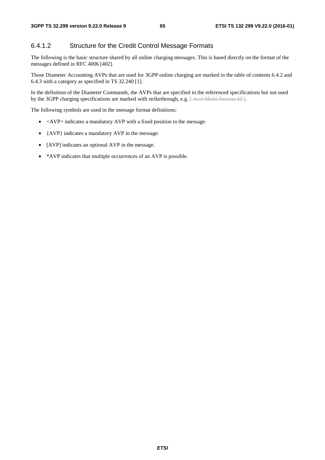#### 6.4.1.2 Structure for the Credit Control Message Formats

The following is the basic structure shared by all online charging messages. This is based directly on the format of the messages defined in RFC 4006 [402].

Those Diameter Accounting AVPs that are used for 3GPP online charging are marked in the table of contents 6.4.2 and 6.4.3 with a category as specified in TS 32.240 [1].

In the definition of the Diameter Commands, the AVPs that are specified in the referenced specifications but not used by the 3GPP charging specifications are marked with strikethrough, e.g. [Acct Multi-Session-Id ].

The following symbols are used in the message format definitions:

- <AVP> indicates a mandatory AVP with a fixed position in the message.
- {AVP} indicates a mandatory AVP in the message.
- [AVP] indicates an optional AVP in the message.
- \*AVP indicates that multiple occurrences of an AVP is possible.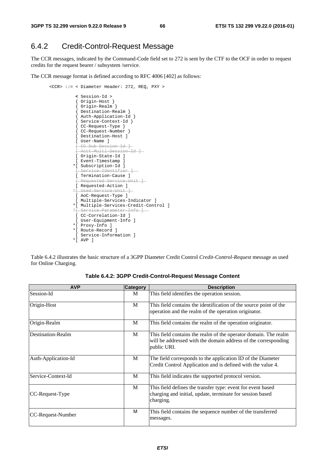# 6.4.2 Credit-Control-Request Message

The CCR messages, indicated by the Command-Code field set to 272 is sent by the CTF to the OCF in order to request credits for the request bearer / subsystem /service.

The CCR message format is defined according to RFC 4006 [402] as follows:

```
 <CCR> ::= < Diameter Header: 272, REQ, PXY > 
                 < Session-Id > 
                 { Origin-Host } 
                 { Origin-Realm } 
                 { Destination-Realm } 
                 { Auth-Application-Id } 
                 { Service-Context-Id } 
{ CC-Request-Type } 
{ CC-Request-Number } 
                 [ Destination-Host ] 
                 [ User-Name ] 
                   [ CC-Sub-Session-Id ] 
                 [ Acct-Multi-Session-Id ] 
                 [ Origin-State-Id ] 
                 [ Event-Timestamp ] 
                *[ Subscription-Id ] 
                f Service-Identifier
                 [ Termination-Cause ] 
                  Requested Service Unit ]
                [ Requested-Action ]
                *[ Used-Service-Unit ] 
                 [ AoC-Request-Type ] 
                [ Multiple-Services-Indicator ] 
                *[ Multiple-Services-Credit-Control ] 
               *f Service Parameter Inf
                [ CC-Correlation-Id ] 
                 [ User-Equipment-Info ] 
                *[ Proxy-Info ] 
                *[ Route-Record ] 
                 [ Service-Information ] 
                *[ AVP ]
```
Table 6.4.2 illustrates the basic structure of a 3GPP Diameter Credit Control *Credit-Control-Request* message as used for Online Charging.

| <b>AVP</b>          | <b>Category</b> | <b>Description</b>                                                                                                                               |
|---------------------|-----------------|--------------------------------------------------------------------------------------------------------------------------------------------------|
| Session-Id          | M               | This field identifies the operation session.                                                                                                     |
| Origin-Host         | M               | This field contains the identification of the source point of the<br>operation and the realm of the operation originator.                        |
| Origin-Realm        | M               | This field contains the realm of the operation originator.                                                                                       |
| Destination-Realm   | М               | This field contains the realm of the operator domain. The realm<br>will be addressed with the domain address of the corresponding<br>public URI. |
| Auth-Application-Id | M               | The field corresponds to the application ID of the Diameter<br>Credit Control Application and is defined with the value 4.                       |
| Service-Context-Id  | M               | This field indicates the supported protocol version.                                                                                             |
| CC-Request-Type     | M               | This field defines the transfer type: event for event based<br>charging and initial, update, terminate for session based<br>charging.            |
| CC-Request-Number   | M               | This field contains the sequence number of the transferred<br>messages.                                                                          |

**Table 6.4.2: 3GPP Credit-Control-Request Message Content**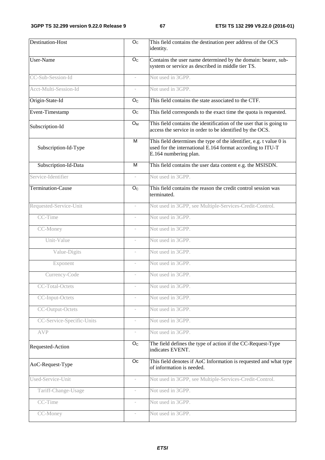| <b>Destination-Host</b>   | O <sub>C</sub>           | This field contains the destination peer address of the OCS<br>identity.                                                                                   |
|---------------------------|--------------------------|------------------------------------------------------------------------------------------------------------------------------------------------------------|
| User-Name                 | $\overline{O}_C$         | Contains the user name determined by the domain: bearer, sub-<br>system or service as described in middle tier TS.                                         |
| CC-Sub-Session-Id         | $\overline{\phantom{a}}$ | Not used in 3GPP.                                                                                                                                          |
| Acct-Multi-Session-Id     | $\sim$                   | Not used in 3GPP.                                                                                                                                          |
| Origin-State-Id           | O <sub>C</sub>           | This field contains the state associated to the CTF.                                                                                                       |
| Event-Timestamp           | O <sub>C</sub>           | This field corresponds to the exact time the quota is requested.                                                                                           |
| Subscription-Id           | $O_{M}$                  | This field contains the identification of the user that is going to<br>access the service in order to be identified by the OCS.                            |
| Subscription-Id-Type      | M                        | This field determines the type of the identifier, e.g. t value 0 is<br>used for the international E.164 format according to ITU-T<br>E.164 numbering plan. |
| Subscription-Id-Data      | M                        | This field contains the user data content e.g. the MSISDN.                                                                                                 |
| Service-Identifier        | $\overline{\phantom{a}}$ | Not used in 3GPP.                                                                                                                                          |
| <b>Termination-Cause</b>  | O <sub>C</sub>           | This field contains the reason the credit control session was<br>terminated.                                                                               |
| Requested-Service-Unit    | $\overline{\phantom{a}}$ | Not used in 3GPP, see Multiple-Services-Credit-Control.                                                                                                    |
| CC-Time                   |                          | Not used in 3GPP.                                                                                                                                          |
| CC-Money                  | $\overline{\phantom{a}}$ | Not used in 3GPP.                                                                                                                                          |
| Unit-Value                |                          | Not used in 3GPP.                                                                                                                                          |
| Value-Digits              | $\bar{ }$                | Not used in 3GPP.                                                                                                                                          |
| Exponent                  |                          | Not used in 3GPP.                                                                                                                                          |
| Currency-Code             |                          | Not used in 3GPP.                                                                                                                                          |
| <b>CC-Total-Octets</b>    |                          | Not used in 3GPP.                                                                                                                                          |
| CC-Input-Octets           |                          | Not used in 3GPP.                                                                                                                                          |
| CC-Output-Octets          |                          | Not used in 3GPP.                                                                                                                                          |
| CC-Service-Specific-Units | $\overline{\phantom{a}}$ | Not used in 3GPP.                                                                                                                                          |
| <b>AVP</b>                |                          | Not used in 3GPP.                                                                                                                                          |
| Requested-Action          | O <sub>C</sub>           | The field defines the type of action if the CC-Request-Type<br>indicates EVENT.                                                                            |
| AoC-Request-Type          | Oc                       | This field denotes if AoC Information is requested and what type<br>of information is needed.                                                              |
| Used-Service-Unit         | $\overline{\phantom{a}}$ | Not used in 3GPP, see Multiple-Services-Credit-Control.                                                                                                    |
| Tariff-Change-Usage       |                          | Not used in 3GPP.                                                                                                                                          |
| CC-Time                   | $\overline{\phantom{a}}$ | Not used in 3GPP.                                                                                                                                          |
| CC-Money                  |                          | Not used in 3GPP.                                                                                                                                          |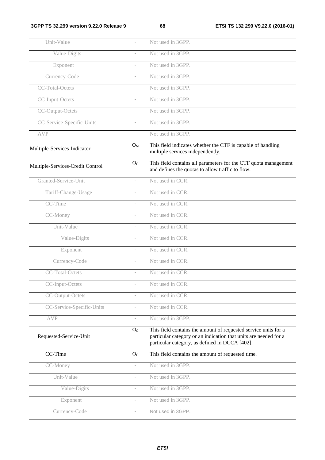|                          | Not used in 3GPP.                                                                                                                                                                     |
|--------------------------|---------------------------------------------------------------------------------------------------------------------------------------------------------------------------------------|
|                          | Not used in 3GPP.                                                                                                                                                                     |
| $\overline{\phantom{a}}$ | Not used in 3GPP.                                                                                                                                                                     |
|                          | Not used in 3GPP.                                                                                                                                                                     |
| $\overline{\phantom{a}}$ | Not used in 3GPP.                                                                                                                                                                     |
|                          | Not used in 3GPP.                                                                                                                                                                     |
| $\overline{\phantom{a}}$ | Not used in 3GPP.                                                                                                                                                                     |
|                          | Not used in 3GPP.                                                                                                                                                                     |
| $\overline{\phantom{a}}$ | Not used in 3GPP.                                                                                                                                                                     |
| $O_{M}$                  | This field indicates whether the CTF is capable of handling<br>multiple services independently.                                                                                       |
| O <sub>C</sub>           | This field contains all parameters for the CTF quota management<br>and defines the quotas to allow traffic to flow.                                                                   |
| $\overline{\phantom{a}}$ | Not used in CCR.                                                                                                                                                                      |
| $\overline{\phantom{a}}$ | Not used in CCR.                                                                                                                                                                      |
|                          | Not used in CCR.                                                                                                                                                                      |
| $\overline{\phantom{a}}$ | Not used in CCR.                                                                                                                                                                      |
| $\sim$                   | Not used in CCR.                                                                                                                                                                      |
| $\overline{\phantom{a}}$ | Not used in CCR.                                                                                                                                                                      |
|                          | Not used in CCR.                                                                                                                                                                      |
| $\overline{\phantom{a}}$ | Not used in CCR.                                                                                                                                                                      |
| $\overline{\phantom{a}}$ | Not used in CCR.                                                                                                                                                                      |
|                          | Not used in CCR.                                                                                                                                                                      |
|                          | Not used in CCR.                                                                                                                                                                      |
| $\overline{\phantom{a}}$ | Not used in CCR.                                                                                                                                                                      |
| $\overline{\phantom{a}}$ | Not used in 3GPP.                                                                                                                                                                     |
| O <sub>C</sub>           | This field contains the amount of requested service units for a<br>particular category or an indication that units are needed for a<br>particular category, as defined in DCCA [402]. |
| O <sub>C</sub>           | This field contains the amount of requested time.                                                                                                                                     |
| $\overline{\phantom{a}}$ | Not used in 3GPP.                                                                                                                                                                     |
| $\overline{\phantom{a}}$ | Not used in 3GPP.                                                                                                                                                                     |
| $\overline{\phantom{a}}$ | Not used in 3GPP.                                                                                                                                                                     |
| $\overline{\phantom{a}}$ | Not used in 3GPP.                                                                                                                                                                     |
| $\overline{\phantom{a}}$ | Not used in 3GPP.                                                                                                                                                                     |
|                          |                                                                                                                                                                                       |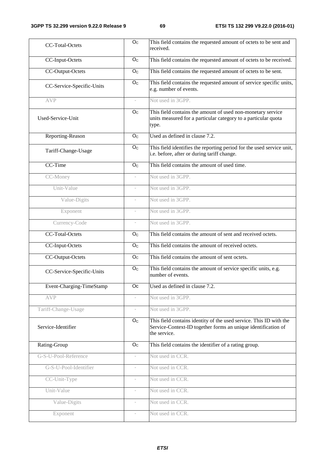| CC-Total-Octets           | O <sub>C</sub>           | This field contains the requested amount of octets to be sent and<br>received.                                                                      |
|---------------------------|--------------------------|-----------------------------------------------------------------------------------------------------------------------------------------------------|
| CC-Input-Octets           | O <sub>C</sub>           | This field contains the requested amount of octets to be received.                                                                                  |
| CC-Output-Octets          | O <sub>C</sub>           | This field contains the requested amount of octets to be sent.                                                                                      |
| CC-Service-Specific-Units | O <sub>C</sub>           | This field contains the requested amount of service specific units,<br>e.g. number of events.                                                       |
| <b>AVP</b>                |                          | Not used in 3GPP.                                                                                                                                   |
| Used-Service-Unit         | O <sub>C</sub>           | This field contains the amount of used non-monetary service<br>units measured for a particular category to a particular quota<br>type.              |
| Reporting-Reason          | O <sub>C</sub>           | Used as defined in clause 7.2.                                                                                                                      |
| Tariff-Change-Usage       | O <sub>C</sub>           | This field identifies the reporting period for the used service unit,<br>i.e. before, after or during tariff change.                                |
| CC-Time                   | O <sub>C</sub>           | This field contains the amount of used time.                                                                                                        |
| CC-Money                  |                          | Not used in 3GPP.                                                                                                                                   |
| Unit-Value                |                          | Not used in 3GPP.                                                                                                                                   |
| Value-Digits              |                          | Not used in 3GPP.                                                                                                                                   |
| Exponent                  |                          | Not used in 3GPP.                                                                                                                                   |
| Currency-Code             |                          | Not used in 3GPP.                                                                                                                                   |
| CC-Total-Octets           | O <sub>C</sub>           | This field contains the amount of sent and received octets.                                                                                         |
| CC-Input-Octets           | O <sub>c</sub>           | This field contains the amount of received octets.                                                                                                  |
| CC-Output-Octets          | O <sub>C</sub>           | This field contains the amount of sent octets.                                                                                                      |
| CC-Service-Specific-Units | O <sub>c</sub>           | This field contains the amount of service specific units, e.g.<br>number of events.                                                                 |
| Event-Charging-TimeStamp  | Oc                       | Used as defined in clause 7.2.                                                                                                                      |
| <b>AVP</b>                | $\overline{\phantom{0}}$ | Not used in 3GPP.                                                                                                                                   |
| Tariff-Change-Usage       | $\sim$                   | Not used in 3GPP.                                                                                                                                   |
| Service-Identifier        | O <sub>C</sub>           | This field contains identity of the used service. This ID with the<br>Service-Context-ID together forms an unique identification of<br>the service. |
| Rating-Group              | O <sub>C</sub>           | This field contains the identifier of a rating group.                                                                                               |
| G-S-U-Pool-Reference      | $\overline{\phantom{a}}$ | Not used in CCR.                                                                                                                                    |
| G-S-U-Pool-Identifier     | $\overline{\phantom{a}}$ | Not used in CCR.                                                                                                                                    |
| CC-Unit-Type              | $\overline{\phantom{a}}$ | Not used in CCR.                                                                                                                                    |
| Unit-Value                | ÷                        | Not used in CCR.                                                                                                                                    |
| Value-Digits              | $\overline{\phantom{a}}$ | Not used in CCR.                                                                                                                                    |
| Exponent                  | $\overline{\phantom{a}}$ | Not used in CCR.                                                                                                                                    |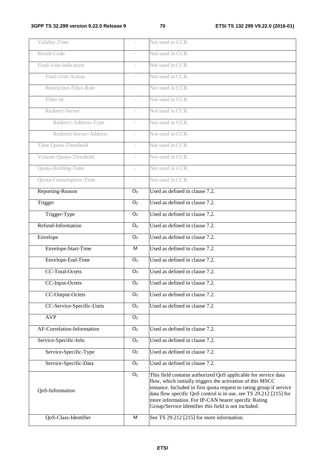| Validity-Time              |                           | Not used in CCR.                                                                                                                                                                                                                                                                                                                                                                         |
|----------------------------|---------------------------|------------------------------------------------------------------------------------------------------------------------------------------------------------------------------------------------------------------------------------------------------------------------------------------------------------------------------------------------------------------------------------------|
| Result-Code                |                           | Not used in CCR.                                                                                                                                                                                                                                                                                                                                                                         |
| Final-Unit-Indication      |                           | Not used in CCR.                                                                                                                                                                                                                                                                                                                                                                         |
| Final-Unit-Action          |                           | Not used in CCR.                                                                                                                                                                                                                                                                                                                                                                         |
| Restriction-Filter-Rule    |                           | Not used in CCR.                                                                                                                                                                                                                                                                                                                                                                         |
| Filter-Id                  |                           | Not used in CCR.                                                                                                                                                                                                                                                                                                                                                                         |
| Redirect-Server            |                           | Not used in CCR.                                                                                                                                                                                                                                                                                                                                                                         |
| Redirect-Address-Type      |                           | Not used in CCR.                                                                                                                                                                                                                                                                                                                                                                         |
| Redirect-Server-Address    |                           | Not used in CCR.                                                                                                                                                                                                                                                                                                                                                                         |
| Time-Quota-Threshold       |                           | Not used in CCR.                                                                                                                                                                                                                                                                                                                                                                         |
| Volume-Quota-Threshold     |                           | Not used in CCR.                                                                                                                                                                                                                                                                                                                                                                         |
| Quota-Holding-Time         |                           | Not used in CCR.                                                                                                                                                                                                                                                                                                                                                                         |
| Quota-Consumption-Time     | $\overline{\phantom{a}}$  | Not used in CCR.                                                                                                                                                                                                                                                                                                                                                                         |
| Reporting-Reason           | O <sub>c</sub>            | Used as defined in clause 7.2.                                                                                                                                                                                                                                                                                                                                                           |
| Trigger                    | $\mathsf{O}_\mathbb{C}$   | Used as defined in clause 7.2.                                                                                                                                                                                                                                                                                                                                                           |
| Trigger-Type               | O <sub>C</sub>            | Used as defined in clause 7.2.                                                                                                                                                                                                                                                                                                                                                           |
| Refund-Information         | O <sub>C</sub>            | Used as defined in clause 7.2.                                                                                                                                                                                                                                                                                                                                                           |
| Envelope                   | O <sub>C</sub>            | Used as defined in clause 7.2.                                                                                                                                                                                                                                                                                                                                                           |
| Envelope-Start-Time        | М                         | Used as defined in clause 7.2.                                                                                                                                                                                                                                                                                                                                                           |
| Envelope-End-Time          | O <sub>C</sub>            | Used as defined in clause 7.2.                                                                                                                                                                                                                                                                                                                                                           |
| CC-Total-Octets            | O <sub>C</sub>            | Used as defined in clause 7.2.                                                                                                                                                                                                                                                                                                                                                           |
| CC-Input-Octets            | $\overline{O_{C}}$        | Used as defined in clause 7.2.                                                                                                                                                                                                                                                                                                                                                           |
| CC-Output-Octets           | O <sub>C</sub>            | Used as defined in clause 7.2.                                                                                                                                                                                                                                                                                                                                                           |
| CC-Service-Specific-Units  | O <sub>C</sub>            | Used as defined in clause 7.2                                                                                                                                                                                                                                                                                                                                                            |
| <b>AVP</b>                 | O <sub>C</sub>            |                                                                                                                                                                                                                                                                                                                                                                                          |
| AF-Correlation-Information | O <sub>C</sub>            | Used as defined in clause 7.2.                                                                                                                                                                                                                                                                                                                                                           |
| Service-Specific-Info      | $\mathsf{O}_{\mathbb{C}}$ | Used as defined in clause 7.2.                                                                                                                                                                                                                                                                                                                                                           |
| Service-Specific-Type      | O <sub>C</sub>            | Used as defined in clause 7.2.                                                                                                                                                                                                                                                                                                                                                           |
| Service-Specific-Data      | O <sub>C</sub>            | Used as defined in clause 7.2.                                                                                                                                                                                                                                                                                                                                                           |
| QoS-Information            | O <sub>c</sub>            | This field contains authorized QoS applicable for service data<br>flow, which initially triggers the activation of this MSCC<br>instance. Included in first quota request to rating group if service<br>data flow specific QoS control is in use, see TS 29.212 [215] for<br>more information. For IP-CAN bearer specific Rating<br>Group/Service Identifier this field is not included. |
| QoS-Class-Identifier       | M                         | See TS 29.212 [215] for more information.                                                                                                                                                                                                                                                                                                                                                |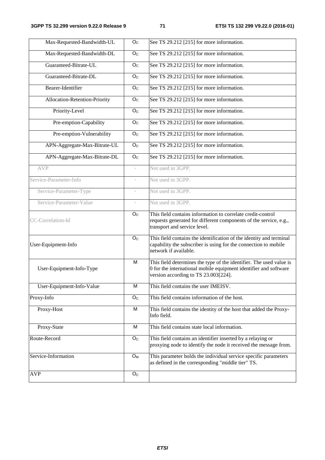| Max-Requested-Bandwidth-UL    | $\overline{O}_C$        | See TS 29.212 [215] for more information.                                                                                                                        |
|-------------------------------|-------------------------|------------------------------------------------------------------------------------------------------------------------------------------------------------------|
| Max-Requested-Bandwidth-DL    | O <sub>C</sub>          | See TS 29.212 [215] for more information.                                                                                                                        |
| Guaranteed-Bitrate-UL         | O <sub>C</sub>          | See TS 29.212 [215] for more information.                                                                                                                        |
| Guaranteed-Bitrate-DL         | O <sub>C</sub>          | See TS 29.212 [215] for more information.                                                                                                                        |
| Bearer-Identifier             | O <sub>C</sub>          | See TS 29.212 [215] for more information.                                                                                                                        |
| Allocation-Retention-Priority | O <sub>C</sub>          | See TS 29.212 [215] for more information.                                                                                                                        |
| Priority-Level                | O <sub>C</sub>          | See TS 29.212 [215] for more information.                                                                                                                        |
| Pre-emption-Capability        | O <sub>C</sub>          | See TS 29.212 [215] for more information.                                                                                                                        |
| Pre-emption-Vulnerability     | O <sub>C</sub>          | See TS 29.212 [215] for more information.                                                                                                                        |
| APN-Aggregate-Max-Bitrate-UL  | O <sub>C</sub>          | See TS 29.212 [215] for more information.                                                                                                                        |
| APN-Aggregate-Max-Bitrate-DL  | O <sub>C</sub>          | See TS 29.212 [215] for more information.                                                                                                                        |
| <b>AVP</b>                    | $\bar{a}$               | Not used in 3GPP.                                                                                                                                                |
| Service-Parameter-Info        |                         | Not used in 3GPP.                                                                                                                                                |
| Service-Parameter-Type        |                         | Not used in 3GPP.                                                                                                                                                |
| Service-Parameter-Value       |                         | Not used in 3GPP.                                                                                                                                                |
| CC-Correlation-Id             | $\mathsf{O}_\mathbb{C}$ | This field contains information to correlate credit-control<br>requests generated for different components of the service, e.g.,<br>transport and service level. |
| User-Equipment-Info           | O <sub>C</sub>          | This field contains the identification of the identity and terminal<br>capability the subscriber is using for the connection to mobile<br>network if available.  |
|                               | M                       | This field determines the type of the identifier. The used value is                                                                                              |
| User-Equipment-Info-Type      |                         | 0 for the international mobile equipment identifier and software<br>version according to TS 23.003[224].                                                         |
| User-Equipment-Info-Value     | M                       | This field contains the user IMEISV.                                                                                                                             |
| Proxy-Info                    | O <sub>C</sub>          | This field contains information of the host.                                                                                                                     |
| Proxy-Host                    | M                       | This field contains the identity of the host that added the Proxy-<br>Info field.                                                                                |
| Proxy-State                   | M                       | This field contains state local information.                                                                                                                     |
| Route-Record                  | O <sub>c</sub>          | This field contains an identifier inserted by a relaying or<br>proxying node to identify the node it received the message from.                                  |
| Service-Information           | O <sub>M</sub>          | This parameter holds the individual service specific parameters<br>as defined in the corresponding "middle tier" TS.                                             |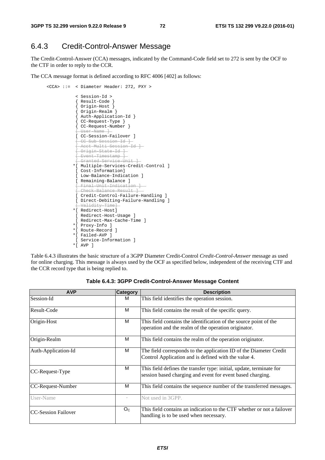### 6.4.3 Credit-Control-Answer Message

The Credit-Control-Answer (CCA) messages, indicated by the Command-Code field set to 272 is sent by the OCF to the CTF in order to reply to the CCR.

The CCA message format is defined according to RFC 4006 [402] as follows:

```
 <CCA> ::= < Diameter Header: 272, PXY > 
 < Session-Id > 
  { Result-Code } 
  { Origin-Host } 
  { Origin-Realm } 
  { Auth-Application-Id } 
  { CC-Request-Type } 
 { CC-Request-Number } 
   \Gamma \Gamma \alpha \alpha \gamma \sim \Gamma \gamma \gamma [ CC-Session-Failover ] 
    [ CC-Sub-Session-Id ] 
 [ Acct-Multi-Session-Id ] 
 [ Origin-State-Id ] 
 [ Event-Timestamp ] 
 [ Granted-Service-Unit ] 
*[ Multiple-Services-Credit-Control ] 
 [ Cost-Information] 
[ Low-Balance-Indication ] 
[ Remaining-Balance ] 
 [ Final-Unit-Indication ] 
[ Check-Balance-Result
 [ Credit-Control-Failure-Handling ] 
 [ Direct-Debiting-Failure-Handling ] 
    \lambdaalidity-Tim
*[ Redirect-Host] 
 [ Redirect-Host-Usage ] 
 [ Redirect-Max-Cache-Time ] 
*[ Proxy-Info ] 
*[ Route-Record ] 
*[ Failed-AVP ] 
 [ Service-Information ] 
*[ AVP ]
```
Table 6.4.3 illustrates the basic structure of a 3GPP Diameter Credit-Control *Credit-Control-Answer* message as used for online charging. This message is always used by the OCF as specified below, independent of the receiving CTF and the CCR record type that is being replied to.

| <b>AVP</b>           | <b>Category</b>          | <b>Description</b>                                                                                                                 |  |  |  |  |  |  |
|----------------------|--------------------------|------------------------------------------------------------------------------------------------------------------------------------|--|--|--|--|--|--|
| Session-Id           | м                        | This field identifies the operation session.                                                                                       |  |  |  |  |  |  |
| Result-Code          | M                        | This field contains the result of the specific query.                                                                              |  |  |  |  |  |  |
| Origin-Host          | м                        | This field contains the identification of the source point of the<br>operation and the realm of the operation originator.          |  |  |  |  |  |  |
| Origin-Realm         | M                        | This field contains the realm of the operation originator.                                                                         |  |  |  |  |  |  |
| Auth-Application-Id  | м                        | The field corresponds to the application ID of the Diameter Credit<br>Control Application and is defined with the value 4.         |  |  |  |  |  |  |
| $ CC$ -Request-Type  | M                        | This field defines the transfer type: initial, update, terminate for<br>session based charging and event for event based charging. |  |  |  |  |  |  |
| CC-Request-Number    | M                        | This field contains the sequence number of the transferred messages.                                                               |  |  |  |  |  |  |
| User-Name            | $\overline{\phantom{a}}$ | Not used in 3GPP.                                                                                                                  |  |  |  |  |  |  |
| ICC-Session Failover | O <sub>C</sub>           | This field contains an indication to the CTF whether or not a failover<br>handling is to be used when necessary.                   |  |  |  |  |  |  |

**Table 6.4.3: 3GPP Credit-Control-Answer Message Content**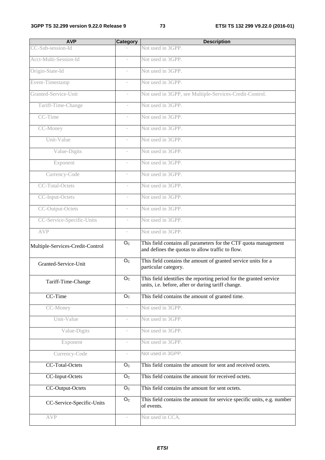| <b>AVP</b>                       | Category                 | <b>Description</b>                                                                                                       |
|----------------------------------|--------------------------|--------------------------------------------------------------------------------------------------------------------------|
| CC-Sub-session-Id                |                          | Not used in 3GPP.                                                                                                        |
| Acct-Multi-Session-Id            |                          | Not used in 3GPP.                                                                                                        |
| Origin-State-Id                  | $\overline{\phantom{a}}$ | Not used in 3GPP.                                                                                                        |
| Event-Timestamp                  | $\bar{a}$                | Not used in 3GPP.                                                                                                        |
| Granted-Service-Unit             | $\overline{\phantom{a}}$ | Not used in 3GPP, see Multiple-Services-Credit-Control.                                                                  |
| Tariff-Time-Change               |                          | Not used in 3GPP.                                                                                                        |
| CC-Time                          | $\overline{\phantom{a}}$ | Not used in 3GPP.                                                                                                        |
| CC-Money                         | $\bar{a}$                | Not used in 3GPP.                                                                                                        |
| Unit-Value                       | $\overline{\phantom{a}}$ | Not used in 3GPP.                                                                                                        |
| Value-Digits                     |                          | Not used in 3GPP.                                                                                                        |
| Exponent                         | $\overline{\phantom{a}}$ | Not used in 3GPP.                                                                                                        |
| Currency-Code                    | $\overline{\phantom{a}}$ | Not used in 3GPP.                                                                                                        |
| CC-Total-Octets                  | $\overline{\phantom{a}}$ | Not used in 3GPP.                                                                                                        |
| CC-Input-Octets                  |                          | Not used in 3GPP.                                                                                                        |
| CC-Output-Octets                 | $\overline{\phantom{a}}$ | Not used in 3GPP.                                                                                                        |
| CC-Service-Specific-Units        | $\overline{\phantom{a}}$ | Not used in 3GPP.                                                                                                        |
| <b>AVP</b>                       | $\overline{\phantom{a}}$ | Not used in 3GPP.                                                                                                        |
| Multiple-Services-Credit-Control | O <sub>C</sub>           | This field contains all parameters for the CTF quota management<br>and defines the quotas to allow traffic to flow.      |
| Granted-Service-Unit             | O <sub>C</sub>           | This field contains the amount of granted service units for a<br>particular category.                                    |
| Tariff-Time-Change               | $\overline{O}_C$         | This field identifies the reporting period for the granted service<br>units, i.e. before, after or during tariff change. |
| CC-Time                          | O <sub>C</sub>           | This field contains the amount of granted time.                                                                          |
| CC-Money                         | $\overline{\phantom{a}}$ | Not used in 3GPP.                                                                                                        |
| Unit-Value                       | $\overline{\phantom{a}}$ | Not used in 3GPP.                                                                                                        |
| Value-Digits                     | $\overline{\phantom{a}}$ | Not used in 3GPP.                                                                                                        |
| Exponent                         | $\overline{\phantom{a}}$ | Not used in 3GPP.                                                                                                        |
| Currency-Code                    | $\overline{\phantom{a}}$ | Not used in 3GPP.                                                                                                        |
| CC-Total-Octets                  | O <sub>C</sub>           | This field contains the amount for sent and received octets.                                                             |
| CC-Input-Octets                  | O <sub>C</sub>           | This field contains the amount for received octets.                                                                      |
| CC-Output-Octets                 | O <sub>C</sub>           | This field contains the amount for sent octets.                                                                          |
| CC-Service-Specific-Units        | O <sub>C</sub>           | This field contains the amount for service specific units, e.g. number<br>of events.                                     |
| <b>AVP</b>                       | $\overline{\phantom{a}}$ | Not used in CCA.                                                                                                         |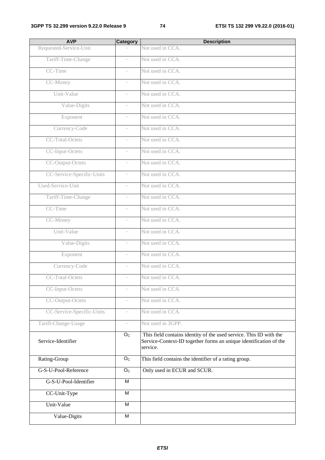| <b>AVP</b>                | <b>Category</b>          | <b>Description</b>                                                                                                                                  |
|---------------------------|--------------------------|-----------------------------------------------------------------------------------------------------------------------------------------------------|
| Requested-Service-Unit    |                          | Not used in CCA.                                                                                                                                    |
| Tariff-Time-Change        |                          | Not used in CCA.                                                                                                                                    |
| CC-Time                   | $\overline{\phantom{a}}$ | Not used in CCA.                                                                                                                                    |
| CC-Money                  |                          | Not used in CCA.                                                                                                                                    |
| Unit-Value                | $\overline{\phantom{a}}$ | Not used in CCA.                                                                                                                                    |
| Value-Digits              |                          | Not used in CCA.                                                                                                                                    |
| Exponent                  | $\overline{\phantom{a}}$ | Not used in CCA.                                                                                                                                    |
| Currency-Code             | $\overline{\phantom{a}}$ | Not used in CCA.                                                                                                                                    |
| CC-Total-Octets           | $\overline{\phantom{a}}$ | Not used in CCA.                                                                                                                                    |
| CC-Input-Octets           |                          | Not used in CCA.                                                                                                                                    |
| CC-Output-Octets          | $\overline{\phantom{a}}$ | Not used in CCA.                                                                                                                                    |
| CC-Service-Specific-Units | $\overline{\phantom{a}}$ | Not used in CCA.                                                                                                                                    |
| Used-Service-Unit         | $\overline{\phantom{a}}$ | Not used in CCA.                                                                                                                                    |
| Tariff-Time-Change        |                          | Not used in CCA.                                                                                                                                    |
| CC-Time                   | $\overline{\phantom{a}}$ | Not used in CCA.                                                                                                                                    |
| CC-Money                  | $\overline{\phantom{a}}$ | Not used in CCA.                                                                                                                                    |
| Unit-Value                | $\overline{\phantom{a}}$ | Not used in CCA.                                                                                                                                    |
| Value-Digits              |                          | Not used in CCA.                                                                                                                                    |
| Exponent                  | $\overline{\phantom{a}}$ | Not used in CCA.                                                                                                                                    |
| Currency-Code             | $\overline{\phantom{a}}$ | Not used in CCA.                                                                                                                                    |
| <b>CC-Total-Octets</b>    | $\overline{\phantom{a}}$ | Not used in CCA.                                                                                                                                    |
| CC-Input-Octets           |                          | Not used in CCA.                                                                                                                                    |
| CC-Output-Octets          | $\overline{\phantom{a}}$ | Not used in CCA.                                                                                                                                    |
| CC-Service-Specific-Units |                          | Not used in CCA.                                                                                                                                    |
| Tariff-Change-Usage       | $\overline{\phantom{a}}$ | Not used in 3GPP.                                                                                                                                   |
| Service-Identifier        | O <sub>C</sub>           | This field contains identity of the used service. This ID with the<br>Service-Context-ID together forms an unique identification of the<br>service. |
| Rating-Group              | O <sub>C</sub>           | This field contains the identifier of a rating group.                                                                                               |
| G-S-U-Pool-Reference      | $\overline{O_{C}}$       | Only used in ECUR and SCUR.                                                                                                                         |
| G-S-U-Pool-Identifier     | $\overline{M}$           |                                                                                                                                                     |
| CC-Unit-Type              | $\overline{M}$           |                                                                                                                                                     |
| Unit-Value                | M                        |                                                                                                                                                     |
| Value-Digits              | $\overline{M}$           |                                                                                                                                                     |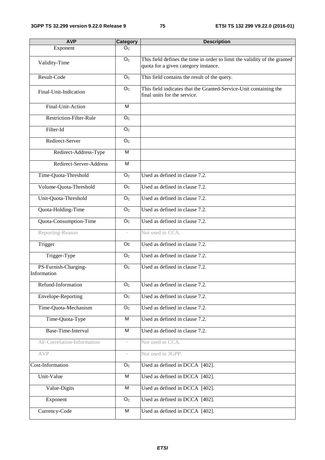| <b>AVP</b>                          | <b>Category</b>          | <b>Description</b>                                                                                                |
|-------------------------------------|--------------------------|-------------------------------------------------------------------------------------------------------------------|
| Exponent                            | O <sub>C</sub>           |                                                                                                                   |
| Validity-Time                       | O <sub>C</sub>           | This field defines the time in order to limit the validity of the granted<br>quota for a given category instance. |
| Result-Code                         | O <sub>C</sub>           | This field contains the result of the query.                                                                      |
| Final-Unit-Indication               | O <sub>C</sub>           | This field indicates that the Granted-Service-Unit containing the<br>final units for the service.                 |
| Final-Unit-Action                   | M                        |                                                                                                                   |
| Restriction-Filter-Rule             | O <sub>C</sub>           |                                                                                                                   |
| Filter-Id                           | O <sub>C</sub>           |                                                                                                                   |
| Redirect-Server                     | O <sub>c</sub>           |                                                                                                                   |
| Redirect-Address-Type               | M                        |                                                                                                                   |
| Redirect-Server-Address             | M                        |                                                                                                                   |
| Time-Quota-Threshold                | O <sub>C</sub>           | Used as defined in clause $7.2$ .                                                                                 |
| Volume-Quota-Threshold              | O <sub>C</sub>           | Used as defined in clause 7.2.                                                                                    |
| Unit-Quota-Threshold                | O <sub>c</sub>           | Used as defined in clause 7.2.                                                                                    |
| Quota-Holding-Time                  | O <sub>C</sub>           | Used as defined in clause 7.2.                                                                                    |
| Quota-Consumption-Time              | O <sub>C</sub>           | Used as defined in clause 7.2.                                                                                    |
| Reporting-Reason                    | $\overline{\phantom{a}}$ | Not used in CCA.                                                                                                  |
| Trigger                             | <b>Oc</b>                | Used as defined in clause 7.2.                                                                                    |
| Trigger-Type                        | O <sub>C</sub>           | Used as defined in clause 7.2.                                                                                    |
| PS-Furnish-Charging-<br>Information | O <sub>C</sub>           | Used as defined in clause 7.2.                                                                                    |
| Refund-Information                  | O <sub>C</sub>           | Used as defined in clause 7.2.                                                                                    |
| Envelope-Reporting                  | O <sub>C</sub>           | Used as defined in clause 7.2.                                                                                    |
| Time-Quota-Mechanism                | O <sub>C</sub>           | Used as defined in clause 7.2.                                                                                    |
| Time-Quota-Type                     | M                        | Used as defined in clause 7.2.                                                                                    |
| Base-Time-Interval                  | M                        | Used as defined in clause 7.2.                                                                                    |
| AF-Correlation-Information          | $\overline{\phantom{a}}$ | Not used in CCA.                                                                                                  |
| <b>AVP</b>                          | $\overline{\phantom{a}}$ | Not used in 3GPP.                                                                                                 |
| Cost-Information                    | O <sub>C</sub>           | Used as defined in DCCA [402].                                                                                    |
| Unit-Value                          | M                        | Used as defined in DCCA [402].                                                                                    |
| Value-Digits                        | $\overline{M}$           | Used as defined in DCCA [402].                                                                                    |
| Exponent                            | O <sub>C</sub>           | Used as defined in DCCA [402].                                                                                    |
| Currency-Code                       | M                        | Used as defined in DCCA [402].                                                                                    |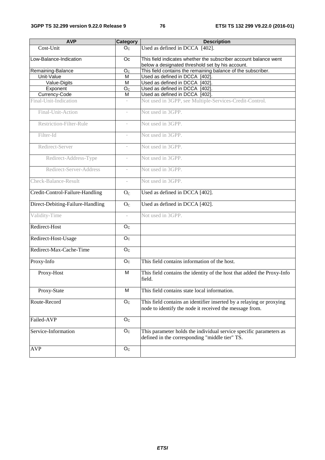| <b>AVP</b>                       | Category                 | <b>Description</b>                                                                                                              |  |  |  |  |  |
|----------------------------------|--------------------------|---------------------------------------------------------------------------------------------------------------------------------|--|--|--|--|--|
| Cost-Unit                        | O <sub>C</sub>           | Used as defined in DCCA [402].                                                                                                  |  |  |  |  |  |
| Low-Balance-Indication           | <b>Oc</b>                | This field indicates whether the subscriber account balance went<br>below a designated threshold set by his account.            |  |  |  |  |  |
| Remaining-Balance                | O <sub>C</sub>           | This field contains the remaining balance of the subscriber.                                                                    |  |  |  |  |  |
| Unit-Value                       | M                        | Used as defined in DCCA [402].                                                                                                  |  |  |  |  |  |
| Value-Digits                     | M                        | Used as defined in DCCA [402]                                                                                                   |  |  |  |  |  |
| Exponent                         | O <sub>C</sub>           | Used as defined in DCCA [402].                                                                                                  |  |  |  |  |  |
| Currency-Code                    | м                        | Used as defined in DCCA [402].                                                                                                  |  |  |  |  |  |
| Final-Unit-Indication            | ÷                        | Not used in 3GPP, see Multiple-Services-Credit-Control.                                                                         |  |  |  |  |  |
| Final-Unit-Action                | $\overline{\phantom{a}}$ | Not used in 3GPP.                                                                                                               |  |  |  |  |  |
| <b>Restriction-Filter-Rule</b>   | $\overline{\phantom{a}}$ | Not used in 3GPP.                                                                                                               |  |  |  |  |  |
| Filter-Id                        | $\overline{\phantom{a}}$ | Not used in 3GPP.                                                                                                               |  |  |  |  |  |
| Redirect-Server                  | $\overline{\phantom{a}}$ | Not used in 3GPP.                                                                                                               |  |  |  |  |  |
| Redirect-Address-Type            | $\overline{\phantom{a}}$ | Not used in 3GPP.                                                                                                               |  |  |  |  |  |
| Redirect-Server-Address          | $\overline{\phantom{a}}$ | Not used in 3GPP.                                                                                                               |  |  |  |  |  |
| Check-Balance-Result             | $\sim$                   | Not used in 3GPP.                                                                                                               |  |  |  |  |  |
| Credit-Control-Failure-Handling  | O <sub>C</sub>           | Used as defined in DCCA [402].                                                                                                  |  |  |  |  |  |
| Direct-Debiting-Failure-Handling | $O_{\rm C}$              | Used as defined in DCCA [402].                                                                                                  |  |  |  |  |  |
| Validity-Time                    | $\overline{\phantom{a}}$ | Not used in 3GPP.                                                                                                               |  |  |  |  |  |
| Redirect-Host                    | O <sub>C</sub>           |                                                                                                                                 |  |  |  |  |  |
| Redirect-Host-Usage              | O <sub>C</sub>           |                                                                                                                                 |  |  |  |  |  |
| Redirect-Max-Cache-Time          | O <sub>C</sub>           |                                                                                                                                 |  |  |  |  |  |
| Proxy-Info                       | O <sub>C</sub>           | This field contains information of the host.                                                                                    |  |  |  |  |  |
| Proxy-Host                       | M                        | This field contains the identity of the host that added the Proxy-Info<br>field.                                                |  |  |  |  |  |
| Proxy-State                      | M                        | This field contains state local information.                                                                                    |  |  |  |  |  |
| Route-Record                     | O <sub>C</sub>           | This field contains an identifier inserted by a relaying or proxying<br>node to identify the node it received the message from. |  |  |  |  |  |
| Failed-AVP                       | O <sub>C</sub>           |                                                                                                                                 |  |  |  |  |  |
| Service-Information              | O <sub>C</sub>           | This parameter holds the individual service specific parameters as<br>defined in the corresponding "middle tier" TS.            |  |  |  |  |  |
| <b>AVP</b>                       | O <sub>C</sub>           |                                                                                                                                 |  |  |  |  |  |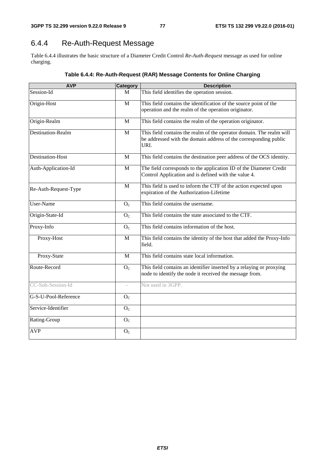# 6.4.4 Re-Auth-Request Message

Table 6.4.4 illustrates the basic structure of a Diameter Credit Control *Re-Auth-Request* message as used for online charging.

| <b>AVP</b>               | <b>Category</b>             | <b>Description</b>                                                                                                                               |
|--------------------------|-----------------------------|--------------------------------------------------------------------------------------------------------------------------------------------------|
| Session-Id               | M                           | This field identifies the operation session.                                                                                                     |
| Origin-Host              | $\mathbf{M}$                | This field contains the identification of the source point of the<br>operation and the realm of the operation originator.                        |
| Origin-Realm             | M                           | This field contains the realm of the operation originator.                                                                                       |
| <b>Destination-Realm</b> | M                           | This field contains the realm of the operator domain. The realm will<br>be addressed with the domain address of the corresponding public<br>URI. |
| Destination-Host         | $\mathbf{M}$                | This field contains the destination peer address of the OCS identity.                                                                            |
| Auth-Application-Id      | M                           | The field corresponds to the application ID of the Diameter Credit<br>Control Application and is defined with the value 4.                       |
| Re-Auth-Request-Type     | M                           | This field is used to inform the CTF of the action expected upon<br>expiration of the Authorization-Lifetime                                     |
| User-Name                | O <sub>C</sub>              | This field contains the username.                                                                                                                |
| Origin-State-Id          | O <sub>C</sub>              | This field contains the state associated to the CTF.                                                                                             |
| Proxy-Info               | O <sub>C</sub>              | This field contains information of the host.                                                                                                     |
| Proxy-Host               | M                           | This field contains the identity of the host that added the Proxy-Info<br>field.                                                                 |
| Proxy-State              | M                           | This field contains state local information.                                                                                                     |
| Route-Record             | $\mathcal{O}_{\mathcal{C}}$ | This field contains an identifier inserted by a relaying or proxying<br>node to identify the node it received the message from.                  |
| CC-Sub-Session-Id        | $\overline{\phantom{a}}$    | Not used in 3GPP.                                                                                                                                |
| G-S-U-Pool-Reference     | O <sub>C</sub>              |                                                                                                                                                  |
| Service-Identifier       | O <sub>C</sub>              |                                                                                                                                                  |
| Rating-Group             | O <sub>C</sub>              |                                                                                                                                                  |
| <b>AVP</b>               | O <sub>C</sub>              |                                                                                                                                                  |

**Table 6.4.4: Re-Auth-Request (RAR) Message Contents for Online Charging**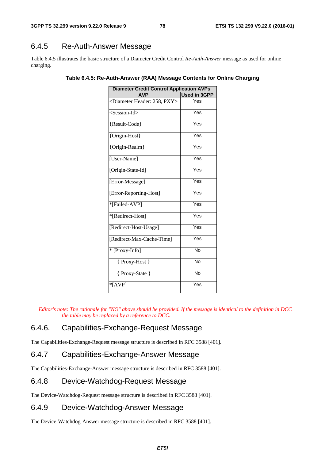# 6.4.5 Re-Auth-Answer Message

Table 6.4.5 illustrates the basic structure of a Diameter Credit Control *Re-Auth-Answer* message as used for online charging.

| <b>Diameter Credit Control Application AVPs</b> |                     |
|-------------------------------------------------|---------------------|
| <b>AVP</b>                                      | <b>Used in 3GPP</b> |
| <diameter 258,="" header:="" pxy=""></diameter> | Yes                 |
| <session-id></session-id>                       | Yes                 |
| {Result-Code}                                   | Yes                 |
| {Origin-Host}                                   | Yes                 |
| {Origin-Realm}                                  | Yes                 |
| [User-Name]                                     | Yes                 |
| [Origin-State-Id]                               | Yes                 |
| [Error-Message]                                 | Yes                 |
| [Error-Reporting-Host]                          | Yes                 |
| *[Failed-AVP]                                   | Yes                 |
| *[Redirect-Host]                                | Yes                 |
| [Redirect-Host-Usage]                           | Yes                 |
| [Redirect-Max-Cache-Time]                       | Yes                 |
| * [Proxy-Info]                                  | <b>No</b>           |
| { Proxy-Host }                                  | <b>No</b>           |
| { Proxy-State }                                 | No                  |
| $*$ [AVP]                                       | Yes                 |

**Table 6.4.5: Re-Auth-Answer (RAA) Message Contents for Online Charging** 

*Editor's note: The rationale for "NO" above should be provided. If the message is identical to the definition in DCC the table may be replaced by a reference to DCC.* 

### 6.4.6. Capabilities-Exchange-Request Message

The Capabilities-Exchange-Request message structure is described in RFC 3588 [401].

### 6.4.7 Capabilities-Exchange-Answer Message

The Capabilities-Exchange-Answer message structure is described in RFC 3588 [401].

### 6.4.8 Device-Watchdog-Request Message

The Device-Watchdog-Request message structure is described in RFC 3588 [401].

### 6.4.9 Device-Watchdog-Answer Message

The Device-Watchdog-Answer message structure is described in RFC 3588 [401].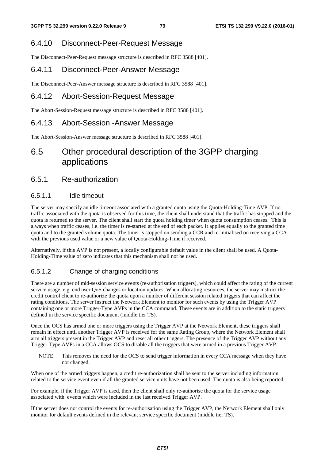### 6.4.10 Disconnect-Peer-Request Message

The Disconnect-Peer-Request message structure is described in RFC 3588 [401].

### 6.4.11 Disconnect-Peer-Answer Message

The Disconnect-Peer-Answer message structure is described in RFC 3588 [401].

### 6.4.12 Abort-Session-Request Message

The Abort-Session-Request message structure is described in RFC 3588 [401].

### 6.4.13 Abort-Session -Answer Message

The Abort-Session-Answer message structure is described in RFC 3588 [401].

# 6.5 Other procedural description of the 3GPP charging applications

### 6.5.1 Re-authorization

### 6.5.1.1 Idle timeout

The server may specify an idle timeout associated with a granted quota using the Quota-Holding-Time AVP. If no traffic associated with the quota is observed for this time, the client shall understand that the traffic has stopped and the quota is returned to the server. The client shall start the quota holding timer when quota consumption ceases. This is always when traffic ceases, i.e. the timer is re-started at the end of each packet. It applies equally to the granted time quota and to the granted volume quota. The timer is stopped on sending a CCR and re-initialised on receiving a CCA with the previous used value or a new value of Quota-Holding-Time if received.

Alternatively, if this AVP is not present, a locally configurable default value in the client shall be used. A Quota-Holding-Time value of zero indicates that this mechanism shall not be used.

### 6.5.1.2 Change of charging conditions

There are a number of mid-session service events (re-authorisation triggers), which could affect the rating of the current service usage, e.g. end user QoS changes or location updates. When allocating resources, the server may instruct the credit control client to re-authorize the quota upon a number of different session related triggers that can affect the rating conditions. The server instruct the Network Element to monitor for such events by using the Trigger AVP containing one or more Trigger-Type AVPs in the CCA command. These events are in addition to the static triggers defined in the service specific document (middle tier TS).

Once the OCS has armed one or more triggers using the Trigger AVP at the Network Element, these triggers shall remain in effect until another Trigger AVP is received for the same Rating Group, where the Network Element shall arm all triggers present in the Trigger AVP and reset all other triggers. The presence of the Trigger AVP without any Trigger-Type AVPs in a CCA allows OCS to disable all the triggers that were armed in a previous Trigger AVP.

NOTE: This removes the need for the OCS to send trigger information in every CCA message when they have not changed.

When one of the armed triggers happen, a credit re-authorization shall be sent to the server including information related to the service event even if all the granted service units have not been used. The quota is also being reported.

For example, if the Trigger AVP is used, then the client shall only re-authorise the quota for the service usage associated with events which were included in the last received Trigger AVP.

If the server does not control the events for re-authorisation using the Trigger AVP, the Network Element shall only monitor for default events defined in the relevant service specific document (middle tier TS).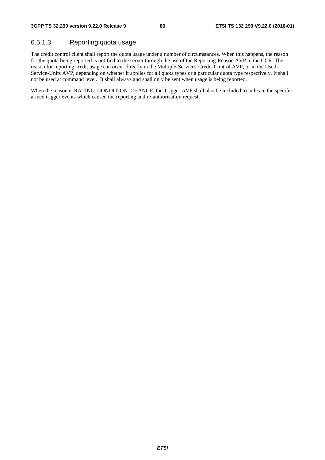### 6.5.1.3 Reporting quota usage

The credit control client shall report the quota usage under a number of circumstances. When this happens, the reason for the quota being reported is notified to the server through the use of the Reporting-Reason AVP in the CCR. The reason for reporting credit usage can occur directly in the Multiple-Services-Credit-Control AVP, or in the Used-Service-Units AVP, depending on whether it applies for all quota types or a particular quota type respectively. It shall not be used at command level. It shall always and shall only be sent when usage is being reported.

When the reason is RATING\_CONDITION\_CHANGE, the Trigger AVP shall also be included to indicate the specific armed trigger events which caused the reporting and re-authorisation request.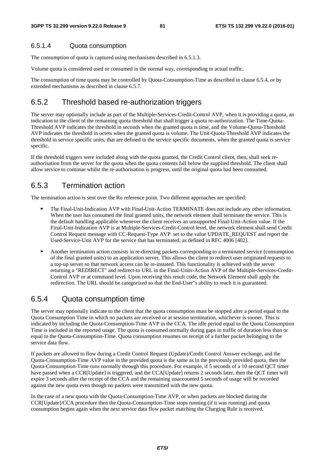### 6.5.1.4 Quota consumption

The consumption of quota is captured using mechanisms described in 6.5.1.3.

Volume quota is considered used or consumed in the normal way, corresponding to actual traffic.

The consumption of time quota may be controlled by Quota-Consumption-Time as described in clause 6.5.4, or by extended mechanisms as described in clause 6.5.7.

### 6.5.2 Threshold based re-authorization triggers

The server may optionally include as part of the Multiple-Services-Credit-Control AVP, when it is providing a quota, an indication to the client of the remaining quota threshold that shall trigger a quota re-authorization. The Time-Quota-Threshold AVP indicates the threshold in seconds when the granted quota is time, and the Volume-Quota-Threshold AVP indicates the threshold in octets when the granted quota is volume. The Unit-Quota-Threshold AVP indicates the threshold in service specific units, that are defined in the service specific documents, when the granted quota is service specific.

If the threshold triggers were included along with the quota granted, the Credit Control client, then, shall seek reauthorisation from the server for the quota when the quota contents fall below the supplied threshold. The client shall allow service to continue whilst the re-authorisation is progress, until the original quota had been consumed.

### 6.5.3 Termination action

The termination action is sent over the Ro reference point. Two different approaches are specified:

- The Final-Unit-Indication AVP with Final-Unit-Action TERMINATE does not include any other information. When the user has consumed the final granted units, the network element shall terminate the service. This is the default handling applicable whenever the client receives an unsupported Final-Unit-Action value. If the Final-Unit-Indication AVP is at Multiple-Services-Credit-Control level, the network element shall send Credit Control Request message with CC-Request-Type AVP set to the value UPDATE\_REQUEST and report the Used-Service-Unit AVP for the service that has terminated, as defined in RFC 4006 [402].
- Another termination action consists in re-directing packets corresponding to a terminated service (consumption of the final granted units) to an application server. This allows the client to redirect user originated requests to a top-up server so that network access can be re-instated. This functionality is achieved with the server returning a "REDIRECT" and redirect-to URL in the Final-Units-Action AVP of the Multiple-Services-Credit-Control AVP or at command level. Upon receiving this result code, the Network Element shall apply the redirection. The URL should be categorized so that the End-User"s ability to reach it is guaranteed.

### 6.5.4 Quota consumption time

The server may optionally indicate to the client that the quota consumption must be stopped after a period equal to the Quota Consumption Time in which no packets are received or at session termination, whichever is sooner. This is indicated by including the Quota-Consumption-Time AVP in the CCA. The idle period equal to the Quota Consumption Time is included in the reported usage. The quota is consumed normally during gaps in traffic of duration less than or equal to the Quota-Consumption-Time. Quota consumption resumes on receipt of a further packet belonging to the service data flow.

If packets are allowed to flow during a Credit Control Request (Update)/Credit Control Answer exchange, and the Quota-Consumption-Time AVP value in the provided quota is the same as in the previously provided quota, then the Quota-Consumption-Time runs normally through this procedure. For example, if 5 seconds of a 10 second QCT timer have passed when a CCR[Update] is triggered, and the CCA[Update] returns 2 seconds later, then the QCT timer will expire 3 seconds after the receipt of the CCA and the remaining unaccounted 5 seconds of usage will be recorded against the new quota even though no packets were transmitted with the new quota.

In the case of a new quota with the Quota-Consumption-Time AVP, or when packets are blocked during the CCR[Update]/CCA procedure then the Quota-Consumption-Time stops running (if it was running) and quota consumption begins again when the next service data flow packet matching the Charging Rule is received.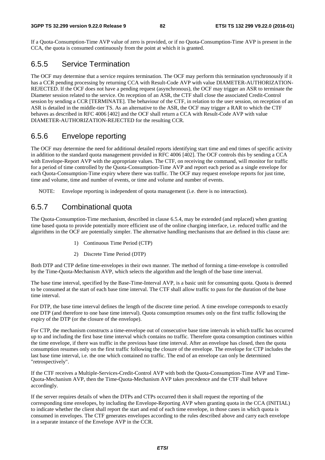If a Quota-Consumption-Time AVP value of zero is provided, or if no Quota-Consumption-Time AVP is present in the CCA, the quota is consumed continuously from the point at which it is granted.

### 6.5.5 Service Termination

The OCF may determine that a service requires termination. The OCF may perform this termination synchronously if it has a CCR pending processing by returning CCA with Result-Code AVP with value DIAMETER-AUTHORIZATION-REJECTED. If the OCF does not have a pending request (asynchronous), the OCF may trigger an ASR to terminate the Diameter session related to the service. On reception of an ASR, the CTF shall close the associated Credit-Control session by sending a CCR [TERMINATE]. The behaviour of the CTF, in relation to the user session, on reception of an ASR is detailed in the middle-tier TS. As an alternative to the ASR, the OCF may trigger a RAR to which the CTF behaves as described in RFC 4006 [402] and the OCF shall return a CCA with Result-Code AVP with value DIAMETER-AUTHORIZATION-REJECTED for the resulting CCR.

## 6.5.6 Envelope reporting

The OCF may determine the need for additional detailed reports identifying start time and end times of specific activity in addition to the standard quota management provided in RFC 4006 [402]. The OCF controls this by sending a CCA with Envelope-Report AVP with the appropriate values. The CTF, on receiving the command, will monitor for traffic for a period of time controlled by the Quota-Consumption-Time AVP and report each period as a single envelope for each Quota-Consumption-Time expiry where there was traffic. The OCF may request envelope reports for just time, time and volume, time and number of events, or time and volume and number of events.

NOTE: Envelope reporting is independent of quota management (i.e. there is no interaction).

### 6.5.7 Combinational quota

The Quota-Consumption-Time mechanism, described in clause 6.5.4, may be extended (and replaced) when granting time based quota to provide potentially more efficient use of the online charging interface, i.e. reduced traffic and the algorithms in the OCF are potentially simpler. The alternative handling mechanisms that are defined in this clause are:

- 1) Continuous Time Period (CTP)
- 2) Discrete Time Period (DTP)

Both DTP and CTP define time-envelopes in their own manner. The method of forming a time-envelope is controlled by the Time-Quota-Mechanism AVP, which selects the algorithm and the length of the base time interval.

The base time interval, specified by the Base-Time-Interval AVP, is a basic unit for consuming quota. Quota is deemed to be consumed at the start of each base time interval. The CTF shall allow traffic to pass for the duration of the base time interval.

For DTP, the base time interval defines the length of the discrete time period. A time envelope corresponds to exactly one DTP (and therefore to one base time interval). Quota consumption resumes only on the first traffic following the expiry of the DTP (or the closure of the envelope).

For CTP, the mechanism constructs a time-envelope out of consecutive base time intervals in which traffic has occurred up to and including the first base time interval which contains no traffic. Therefore quota consumption continues within the time envelope, if there was traffic in the previous base time interval. After an envelope has closed, then the quota consumption resumes only on the first traffic following the closure of the envelope. The envelope for CTP includes the last base time interval, i.e. the one which contained no traffic. The end of an envelope can only be determined "retrospectively".

If the CTF receives a Multiple-Services-Credit-Control AVP with both the Quota-Consumption-Time AVP and Time-Quota-Mechanism AVP, then the Time-Quota-Mechanism AVP takes precedence and the CTF shall behave accordingly.

If the server requires details of when the DTPs and CTPs occurred then it shall request the reporting of the corresponding time envelopes, by including the Envelope-Reporting AVP when granting quota in the CCA (INITIAL) to indicate whether the client shall report the start and end of each time envelope, in those cases in which quota is consumed in envelopes. The CTF generates envelopes according to the rules described above and carry each envelope in a separate instance of the Envelope AVP in the CCR.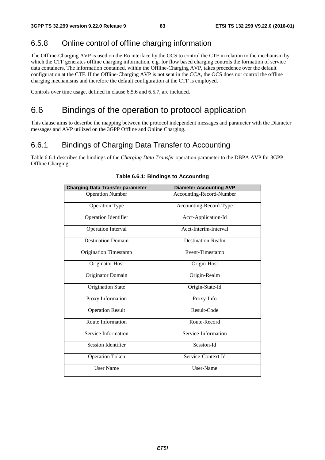# 6.5.8 Online control of offline charging information

The Offline-Charging AVP is used on the Ro interface by the OCS to control the CTF in relation to the mechanism by which the CTF generates offline charging information, e.g. for flow based charging controls the formation of service data containers. The information contained, within the Offline-Charging AVP, takes precedence over the default configuration at the CTF. If the Offline-Charging AVP is not sent in the CCA, the OCS does not control the offline charging mechanisms and therefore the default configuration at the CTF is employed.

Controls over time usage, defined in clause 6.5.6 and 6.5.7, are included.

# 6.6 Bindings of the operation to protocol application

This clause aims to describe the mapping between the protocol independent messages and parameter with the Diameter messages and AVP utilized on the 3GPP Offline and Online Charging.

# 6.6.1 Bindings of Charging Data Transfer to Accounting

Table 6.6.1 describes the bindings of the *Charging Data Transfer* operation parameter to the DBPA AVP for 3GPP Offline Charging.

| <b>Charging Data Transfer parameter</b> | <b>Diameter Accounting AVP</b> |
|-----------------------------------------|--------------------------------|
| <b>Operation Number</b>                 | Accounting-Record-Number       |
| <b>Operation Type</b>                   | Accounting-Record-Type         |
| <b>Operation Identifier</b>             | Acct-Application-Id            |
| <b>Operation Interval</b>               | Acct-Interim-Interval          |
| <b>Destination Domain</b>               | Destination-Realm              |
| <b>Origination Timestamp</b>            | Event-Timestamp                |
| Originator Host                         | Origin-Host                    |
| Originator Domain                       | Origin-Realm                   |
| <b>Origination State</b>                | Origin-State-Id                |
| Proxy Information                       | Proxy-Info                     |
| <b>Operation Result</b>                 | Result-Code                    |
| Route Information                       | Route-Record                   |
| Service Information                     | Service-Information            |
| <b>Session Identifier</b>               | Session-Id                     |
| <b>Operation Token</b>                  | Service-Context-Id             |
| <b>User Name</b>                        | User-Name                      |

### **Table 6.6.1: Bindings to Accounting**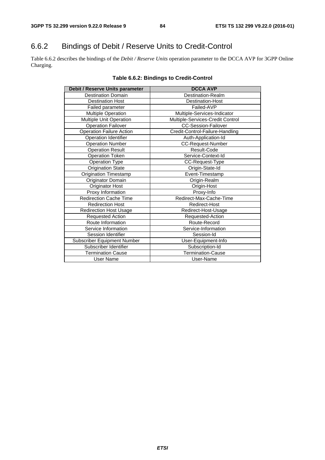# 6.6.2 Bindings of Debit / Reserve Units to Credit-Control

Table 6.6.2 describes the bindings of the *Debit / Reserve Units* operation parameter to the DCCA AVP for 3GPP Online Charging.

| Debit / Reserve Units parameter | <b>DCCA AVP</b>                  |
|---------------------------------|----------------------------------|
| <b>Destination Domain</b>       | Destination-Realm                |
| <b>Destination Host</b>         | <b>Destination-Host</b>          |
| <b>Failed parameter</b>         | Failed-AVP                       |
| Multiple Operation              | Multiple-Services-Indicator      |
| Multiple Unit Operation         | Multiple-Services-Credit Control |
| <b>Operation Failover</b>       | <b>CC-Session-Failover</b>       |
| <b>Operation Failure Action</b> | Credit-Control-Failure-Handling  |
| Operation Identifier            | Auth-Application-Id              |
| <b>Operation Number</b>         | CC-Request-Number                |
| <b>Operation Result</b>         | Result-Code                      |
| <b>Operation Token</b>          | Service-Context-Id               |
| <b>Operation Type</b>           | CC-Request-Type                  |
| <b>Origination State</b>        | Origin-State-Id                  |
| <b>Origination Timestamp</b>    | Event-Timestamp                  |
| Originator Domain               | Origin-Realm                     |
| Originator Host                 | Origin-Host                      |
| Proxy Information               | Proxy-Info                       |
| <b>Redirection Cache Time</b>   | Redirect-Max-Cache-Time          |
| <b>Redirection Host</b>         | Redirect-Host                    |
| <b>Redirection Host Usage</b>   | Redirect-Host-Usage              |
| Requested Action                | Requested-Action                 |
| Route Information               | Route-Record                     |
| Service Information             | Service-Information              |
| Session Identifier              | Session-Id                       |
| Subscriber Equipment Number     | User-Equipment-Info              |
| Subscriber Identifier           | Subscription-Id                  |
| <b>Termination Cause</b>        | <b>Termination-Cause</b>         |
| User Name                       | User-Name                        |

### **Table 6.6.2: Bindings to Credit-Control**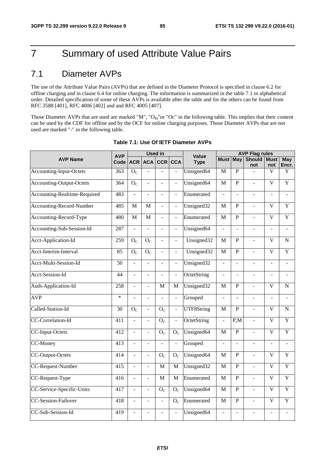# 7 Summary of used Attribute Value Pairs

# 7.1 Diameter AVPs

The use of the Attribute Value Pairs (AVPs) that are defined in the Diameter Protocol is specified in clause 6.2 for offline charging and in clause 6.4 for online charging. The information is summarized in the table 7.1 in alphabetical order. Detailed specification of some of these AVPs is available after the table and for the others can be found from RFC 3588 [401], RFC 4006 [402] and and RFC 4005 [407].

Those Diameter AVPs that are used are marked "M", " $O_M$ "or "Oc" in the following table. This implies that their content can be used by the CDF for offline and by the OCF for online charging purposes. Those Diameter AVPs that are not used are marked "-" in the following table.

|                                 | <b>AVP</b> | <b>Used in</b> |                          |                |                          | Value                    | <b>AVP Flag rules</b>    |                          |                          |                          |                          |
|---------------------------------|------------|----------------|--------------------------|----------------|--------------------------|--------------------------|--------------------------|--------------------------|--------------------------|--------------------------|--------------------------|
| <b>AVP Name</b>                 | Code       | <b>ACR</b>     |                          | ACA CCR        | <b>CCA</b>               | <b>Type</b>              | <b>Must</b>              | <b>May</b>               | <b>Should</b>            | <b>Must</b>              | May                      |
|                                 |            |                |                          |                |                          |                          |                          |                          | not                      | not                      | Encr.                    |
| Accounting-Input-Octets         | 363        | $O_{C}$        | $\overline{a}$           | $\overline{a}$ | $\mathbb{L}$             | Unsigned64               | M                        | $\mathbf{P}$             |                          | V                        | $\mathbf Y$              |
| Accounting-Output-Octets        | 364        | $O_{C}$        | $\overline{a}$           | $\overline{a}$ | $\blacksquare$           | Unsigned64               | M                        | $\overline{P}$           | $\overline{a}$           | $\overline{\mathbf{V}}$  | Y                        |
| Accounting-Realtime-Required    | 483        | $\overline{a}$ | $\overline{a}$           | $\overline{a}$ | $\overline{\phantom{a}}$ | Enumerated               | $\overline{a}$           | $\overline{\phantom{a}}$ | $\overline{\phantom{a}}$ | $\overline{\phantom{a}}$ | $\overline{\phantom{a}}$ |
| <b>Accounting-Record-Number</b> | 485        | M              | M                        | ÷,             | $\bar{\phantom{a}}$      | Unsigned32               | M                        | $\overline{P}$           | $\overline{a}$           | $\overline{\mathbf{V}}$  | Y                        |
| Accounting-Record-Type          | 480        | M              | $\mathbf M$              | $\overline{a}$ | $\overline{\phantom{a}}$ | Enumerated               | $\mathbf{M}$             | $\overline{P}$           | $\overline{a}$           | $\overline{\mathbf{V}}$  | Y                        |
| Accounting-Sub-Session-Id       | 287        | $\overline{a}$ | $\overline{a}$           | $\overline{a}$ | $\bar{\phantom{a}}$      | Unsigned64               | $\overline{a}$           | $\overline{\phantom{a}}$ | $\overline{a}$           | $\frac{1}{2}$            | $\blacksquare$           |
| Acct-Application-Id             | 259        | $O_{\rm C}$    | O <sub>C</sub>           | $\overline{a}$ | $\Box$                   | Unsigned32               | M                        | $\mathbf{P}$             | $\overline{a}$           | $\overline{\mathbf{V}}$  | $\mathbf N$              |
| Acct-Interim-Interval           | 85         | $O_{C}$        | O <sub>C</sub>           | $\overline{a}$ | $\frac{1}{2}$            | Unsigned32               | M                        | $\overline{P}$           | $\overline{a}$           | $\overline{\mathbf{V}}$  | Y                        |
| Acct-Multi-Session-Id           | 50         | $\overline{a}$ | $\blacksquare$           | $\blacksquare$ | $\blacksquare$           | Unsigned32               | $\overline{\phantom{a}}$ | $\overline{\phantom{a}}$ | $\overline{a}$           | $\overline{\phantom{a}}$ | $\overline{a}$           |
| Acct-Session-Id                 | 44         | $\overline{a}$ | $\overline{\phantom{a}}$ | $\frac{1}{2}$  | $\bar{\phantom{a}}$      | OctetString              | $\overline{a}$           | $\overline{\phantom{a}}$ | ÷,                       | ÷,                       | $\overline{\phantom{a}}$ |
| Auth-Application-Id             | 258        | $\overline{a}$ | $\overline{a}$           | M              | $\mathbf M$              | Unsigned <sub>32</sub>   | $\mathbf M$              | P                        | $\overline{a}$           | $\overline{\mathbf{V}}$  | ${\bf N}$                |
| <b>AVP</b>                      | $\ast$     | $\overline{a}$ | $\overline{a}$           | $\overline{a}$ | $\frac{1}{2}$            | Grouped                  | $\overline{a}$           | $\sim$                   | $\overline{a}$           | $\overline{\phantom{a}}$ | $\overline{a}$           |
| Called-Station-Id               | 30         | O <sub>C</sub> | $\overline{a}$           | O <sub>C</sub> | $\overline{\phantom{a}}$ | <b>UTF8String</b>        | M                        | $\overline{P}$           | $\overline{a}$           | V                        | N                        |
| CC-Correlation-Id               | 411        | ÷,             | $\overline{a}$           | $O_{\rm C}$    | $\Box$                   | OctetString              | $\overline{a}$           | P.M                      | $\overline{a}$           | $\overline{\mathbf{V}}$  | Y                        |
| CC-Input-Octets                 | 412        | $\overline{a}$ | $\overline{\phantom{a}}$ | $O_{C}$        | $O_{C}$                  | Unsigned64               | M                        | $\mathbf{P}$             | $\overline{a}$           | $\overline{V}$           | Y                        |
| CC-Money                        | 413        | $\overline{a}$ | $\blacksquare$           | ÷,             | $\overline{\phantom{a}}$ | Grouped                  | $\overline{a}$           | $\overline{\phantom{a}}$ | ÷,                       | $\overline{\phantom{a}}$ | $\overline{\phantom{a}}$ |
| CC-Output-Octets                | 414        | $\overline{a}$ | $\Box$                   | O <sub>C</sub> | $O_{C}$                  | $\overline{U}$ nsigned64 | M                        | $\mathbf{P}$             | $\overline{a}$           | $\overline{\mathbf{V}}$  | $\overline{Y}$           |
| CC-Request-Number               | 415        | $\overline{a}$ | $\overline{a}$           | $\mathbf{M}$   | $\mathbf{M}$             | Unsigned32               | M                        | $\mathbf{P}$             | $\overline{a}$           | $\overline{\mathbf{V}}$  | Y                        |
| CC-Request-Type                 | 416        | $\overline{a}$ | $\overline{a}$           | M              | M                        | Enumerated               | M                        | $\mathbf{P}$             | $\overline{a}$           | $\overline{\mathbf{V}}$  | Y                        |
| CC-Service-Specific-Units       | 417        | $\overline{a}$ | $\overline{\phantom{a}}$ | O <sub>C</sub> | $O_{C}$                  | Unsigned64               | M                        | P                        | $\overline{a}$           | $\overline{\mathbf{V}}$  | Y                        |
| <b>CC-Session-Failover</b>      | 418        | $\overline{a}$ | $\overline{\phantom{a}}$ | ÷,             | $\mathbf{O}_\mathrm{C}$  | Enumerated               | $\mathbf{M}$             | $\mathbf{P}$             | $\overline{a}$           | $\overline{\mathbf{V}}$  | Y                        |
| CC-Sub-Session-Id               | 419        | $\overline{a}$ | L.                       |                | ÷,                       | Unsigned64               | $\overline{a}$           | $\overline{\phantom{a}}$ |                          | L.                       | $\overline{a}$           |

### **Table 7.1: Use Of IETF Diameter AVPs**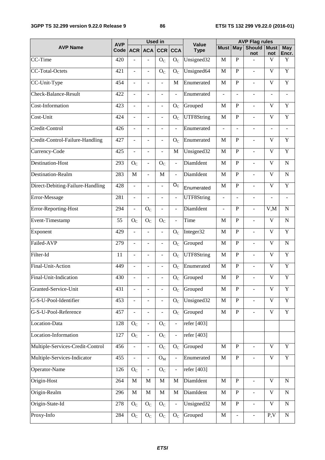|                                  |                    | <b>Used in</b>           |                             |                          |                             |                             | <b>AVP Flag rules</b> |                |                          |                          |                |  |
|----------------------------------|--------------------|--------------------------|-----------------------------|--------------------------|-----------------------------|-----------------------------|-----------------------|----------------|--------------------------|--------------------------|----------------|--|
| <b>AVP Name</b>                  | <b>AVP</b><br>Code | ACR                      | <b>ACA</b>                  | <b>CCR</b>               | <b>CCA</b>                  | <b>Value</b><br><b>Type</b> | <b>Must May</b>       |                | <b>Should</b><br>not     | <b>Must</b><br>not       | May<br>Encr.   |  |
| $\overline{CC}$ -Time            | 420                |                          | L                           | O <sub>C</sub>           | O <sub>C</sub>              | Unsigned32                  | M                     | $\mathbf{P}$   |                          | V                        | Y              |  |
| <b>CC-Total-Octets</b>           | 421                | $\overline{\phantom{a}}$ | $\overline{\phantom{a}}$    | $\mathcal{O}_{\text{C}}$ | O <sub>C</sub>              | Unsigned64                  | M                     | ${\bf P}$      | $\bar{\phantom{a}}$      | $\mathbf V$              | Y              |  |
| CC-Unit-Type                     | 454                | $\overline{a}$           |                             | $\overline{a}$           | M                           | Enumerated                  | M                     | $\mathbf{P}$   | ÷,                       | $\overline{\mathbf{V}}$  | $\overline{Y}$ |  |
| Check-Balance-Result             | 422                | $\overline{\phantom{a}}$ | $\overline{a}$              | $\blacksquare$           | $\overline{a}$              | Enumerated                  | $\overline{a}$        | $\overline{a}$ | $\frac{1}{2}$            | $\overline{\phantom{a}}$ | ÷              |  |
| Cost-Information                 | 423                | ÷,                       | $\overline{a}$              | $\blacksquare$           | $O_{C}$                     | Grouped                     | M                     | $\mathbf{P}$   | $\overline{a}$           | $\overline{V}$           | Y              |  |
| Cost-Unit                        | 424                | $\overline{a}$           | $\overline{a}$              | $\overline{\phantom{a}}$ | O <sub>C</sub>              | UTF8String                  | $\mathbf M$           | ${\bf P}$      | $\overline{a}$           | $\mathbf V$              | Y              |  |
| Credit-Control                   | 426                |                          |                             |                          | $\overline{a}$              | Enumerated                  |                       |                |                          |                          |                |  |
| Credit-Control-Failure-Handling  | 427                | $\overline{a}$           | ÷,                          | $\blacksquare$           | O <sub>C</sub>              | Enumerated                  | M                     | $\mathbf{P}$   | $\overline{\phantom{a}}$ | $\overline{V}$           | Y              |  |
| Currency-Code                    | 425                | $\overline{a}$           | ÷,                          | $\overline{a}$           | M                           | Unsigned32                  | M                     | $\mathbf P$    | $\overline{a}$           | $\overline{V}$           | Y              |  |
| <b>Destination-Host</b>          | 293                | $O_{\rm C}$              | $\overline{a}$              | O <sub>C</sub>           | $\overline{a}$              | DiamIdent                   | $\mathbf M$           | $\mathbf P$    | $\bar{\phantom{a}}$      | $\mathbf V$              | $\mathbf N$    |  |
| Destination-Realm                | 283                | M                        | $\overline{a}$              | $\mathbf M$              | $\overline{a}$              | DiamIdent                   | M                     | $\overline{P}$ | $\overline{a}$           | $\mathbf{V}$             | $\mathbf N$    |  |
| Direct-Debiting-Failure-Handling | 428                | $\overline{\phantom{a}}$ | $\overline{\phantom{a}}$    | $\overline{\phantom{a}}$ | $\overline{O_{C}}$          | Enumerated                  | M                     | ${\bf P}$      | $\blacksquare$           | $\overline{\mathsf{V}}$  | Y              |  |
| Error-Message                    | 281                | ÷,                       | L                           | $\overline{\phantom{a}}$ | $\bar{\phantom{a}}$         | UTF8String                  | $\overline{a}$        | ÷,             | $\overline{a}$           | $\blacksquare$           |                |  |
| Error-Reporting-Host             | 294                | $\overline{\phantom{a}}$ | $O_{\rm C}$                 | $\overline{\phantom{a}}$ | $\overline{\phantom{a}}$    | DiamIdent                   | ÷,                    | $\mathbf P$    | ÷,                       | V, M                     | $\mathbf N$    |  |
| Event-Timestamp                  | 55                 | O <sub>C</sub>           | O <sub>C</sub>              | O <sub>C</sub>           | ÷,                          | Time                        | M                     | $\mathbf{P}$   | $\overline{a}$           | $\mathbf{V}$             | $\mathbf N$    |  |
| Exponent                         | 429                | $\overline{a}$           | $\overline{a}$              | $\overline{\phantom{a}}$ | O <sub>C</sub>              | Integer32                   | M                     | ${\bf P}$      | ÷,                       | $\mathbf V$              | Y              |  |
| Failed-AVP                       | 279                |                          |                             | $\blacksquare$           | $O_{C}$                     | Grouped                     | M                     | $\mathbf P$    | $\overline{a}$           | $\overline{V}$           | $\mathbf N$    |  |
| Filter-Id                        | 11                 | $\overline{a}$           | $\overline{\phantom{a}}$    | $\blacksquare$           | O <sub>C</sub>              | UTF8String                  | M                     | ${\bf P}$      | ÷,                       | V                        | Y              |  |
| Final-Unit-Action                | 449                | L.                       |                             | $\overline{\phantom{a}}$ | O <sub>C</sub>              | Enumerated                  | M                     | $\mathbf P$    | $\overline{a}$           | $\mathbf{V}$             | $\overline{Y}$ |  |
| Final-Unit-Indication            | 430                | $\overline{\phantom{a}}$ | $\overline{\phantom{a}}$    | $\frac{1}{2}$            | $\mathcal{O}_{\mathcal{C}}$ | Grouped                     | $\mathbf M$           | $\mathbf P$    | $\overline{\phantom{0}}$ | $\mathbf V$              | Y              |  |
| Granted-Service-Unit             | 431                |                          |                             |                          | $O_{C}$                     | Grouped                     | M                     | $\mathbf P$    |                          | $\mathbf{V}$             | $\mathbf Y$    |  |
| G-S-U-Pool-Identifier            | 453                | $\overline{\phantom{0}}$ | ÷,                          | $\bar{\phantom{a}}$      | O <sub>C</sub>              | Unsigned32                  | $\mathbf M$           | ${\bf P}$      | $\blacksquare$           | $\mathbf V$              | $\mathbf Y$    |  |
| G-S-U-Pool-Reference             | 457                |                          |                             |                          | $O_{C}$                     | Grouped                     | $\mathbf M$           | $\, {\bf P}$   | $\overline{a}$           | $\overline{\mathbf{V}}$  | $\overline{Y}$ |  |
| Location-Data                    | 128                | $O_{C}$                  | $\overline{a}$              | O <sub>C</sub>           | $\bar{\phantom{a}}$         | refer [403]                 |                       |                |                          |                          |                |  |
| Location-Information             | 127                | $\overline{O}_C$         | $\overline{a}$              | O <sub>C</sub>           |                             | refer [403]                 |                       |                |                          |                          |                |  |
| Multiple-Services-Credit-Control | 456                | $\overline{a}$           | $\blacksquare$              | O <sub>C</sub>           | $O_{C}$                     | Grouped                     | $\mathbf M$           | ${\bf P}$      | $\blacksquare$           | $\mathbf V$              | $\mathbf Y$    |  |
| Multiple-Services-Indicator      | 455                |                          | $\overline{a}$              | $O_{M}$                  | $\overline{a}$              | Enumerated                  | $\mathbf M$           | ${\bf P}$      | $\overline{a}$           | $\overline{\mathbf{V}}$  | $\overline{Y}$ |  |
| Operator-Name                    | 126                | O <sub>C</sub>           | $\blacksquare$              | O <sub>C</sub>           | $\frac{1}{2}$               | refer [403]                 |                       |                |                          |                          |                |  |
| Origin-Host                      | 264                | $\mathbf M$              | $\mathbf M$                 | $\overline{M}$           | $\mathbf M$                 | DiamIdent                   | $\mathbf M$           | $\overline{P}$ | $\overline{a}$           | $\overline{\mathsf{V}}$  | $\mathbf N$    |  |
| Origin-Realm                     | 296                | $\mathbf M$              | $\mathbf M$                 | $\mathbf{M}$             | $\mathbf M$                 | DiamIdent                   | $\mathbf M$           | ${\bf P}$      | $\Box$                   | $\mathbf V$              | ${\bf N}$      |  |
| Origin-State-Id                  | 278                | O <sub>C</sub>           | O <sub>C</sub>              | O <sub>C</sub>           |                             | Unsigned32                  | M                     | ${\bf P}$      | $\overline{\phantom{a}}$ | $\overline{\mathsf{V}}$  | ${\bf N}$      |  |
| Proxy-Info                       | 284                | O <sub>C</sub>           | $\mathcal{O}_{\mathcal{C}}$ | ${\mathcal O}_C$         | $O_{C}$                     | Grouped                     | $\mathbf M$           | ÷,             | $\overline{a}$           | P, V                     | ${\bf N}$      |  |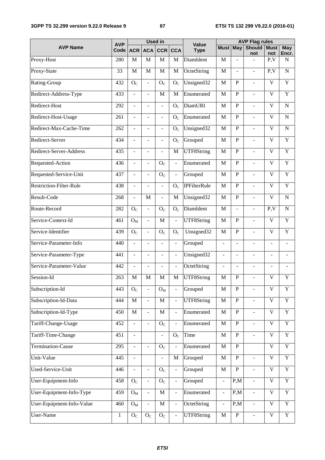### **3GPP TS 32.299 version 9.22.0 Release 9 87 ETSI TS 132 299 V9.22.0 (2016-01)**

|                                |                    | <b>Used in</b>              |                          |                             |                              |                             | <b>AVP Flag rules</b>    |                 |                          |                         |                          |  |
|--------------------------------|--------------------|-----------------------------|--------------------------|-----------------------------|------------------------------|-----------------------------|--------------------------|-----------------|--------------------------|-------------------------|--------------------------|--|
| <b>AVP Name</b>                | <b>AVP</b><br>Code | <b>ACR</b>                  | ACA                      | <b>CCR</b>                  | <b>CCA</b>                   | <b>Value</b><br><b>Type</b> |                          | <b>Must May</b> | <b>Should</b><br>not     | <b>Must</b><br>not      | <b>May</b><br>Encr.      |  |
| Proxy-Host                     | 280                | M                           | M                        | M                           | M                            | DiamIdent                   | M                        |                 | $\mathbf{r}$             | P, V                    | $\mathbf N$              |  |
| Proxy-State                    | 33                 | M                           | M                        | M                           | M                            | OctetString                 | $\mathbf{M}$             | $\blacksquare$  | $\overline{\phantom{a}}$ | P, V                    | $\mathbf N$              |  |
| Rating-Group                   | 432                | O <sub>C</sub>              | $\overline{\phantom{a}}$ | $O_{C}$                     | O <sub>C</sub>               | Unsigned32                  | M                        | P               | $\overline{\phantom{a}}$ | V                       | Y                        |  |
| Redirect-Address-Type          | 433                | $\overline{a}$              | $\overline{a}$           | M                           | M                            | Enumerated                  | M                        | $\mathbf P$     | $\overline{\phantom{a}}$ | $\mathbf V$             | Y                        |  |
| Redirect-Host                  | 292                |                             | L,                       | $\overline{\phantom{0}}$    | $O_{C}$                      | DiamURI                     | M                        | $\mathbf P$     | $\blacksquare$           | V                       | N                        |  |
| Redirect-Host-Usage            | 261                | $\overline{a}$              | $\overline{\phantom{a}}$ | $\blacksquare$              | O <sub>C</sub>               | Enumerated                  | $\mathbf M$              | $\mathbf P$     | $\blacksquare$           | V                       | $\mathbf N$              |  |
| Redirect-Max-Cache-Time        | 262                |                             |                          | $\blacksquare$              | O <sub>C</sub>               | Unsigned32                  | M                        | $\mathbf P$     | $\overline{\phantom{a}}$ | V                       | N                        |  |
| Redirect-Server                | 434                | $\overline{a}$              | $\overline{a}$           | $\overline{\phantom{a}}$    | O <sub>C</sub>               | Grouped                     | M                        | $\mathbf{P}$    | $\blacksquare$           | V                       | Y                        |  |
| Redirect-Server-Address        | 435                | ÷,                          | ÷,                       | $\blacksquare$              | M                            | <b>UTF8String</b>           | M                        | $\mathbf P$     | $\overline{\phantom{a}}$ | V                       | Y                        |  |
| Requested-Action               | 436                | $\overline{\phantom{a}}$    | $\overline{a}$           | O <sub>C</sub>              | $\blacksquare$               | Enumerated                  | $\mathbf M$              | $\mathbf P$     | $\blacksquare$           | V                       | $\mathbf Y$              |  |
| Requested-Service-Unit         | 437                |                             | $\overline{\phantom{a}}$ | $\mathcal{O}_{\mathcal{C}}$ | ÷,                           | Grouped                     | M                        | $\mathbf P$     | $\overline{a}$           | V                       | Y                        |  |
| <b>Restriction-Filter-Rule</b> | 438                | $\overline{a}$              | $\overline{a}$           | $\blacksquare$              | O <sub>C</sub>               | <b>IPFilterRule</b>         | M                        | $\mathbf{P}$    | $\overline{\phantom{a}}$ | V                       | Y                        |  |
| Result-Code                    | 268                |                             | M                        | $\blacksquare$              | M                            | Unsigned32                  | M                        | $\mathbf P$     | $\blacksquare$           | $\mathbf{V}$            | $\mathbf N$              |  |
| Route-Record                   | 282                | O <sub>C</sub>              | $\blacksquare$           | $O_{C}$                     | O <sub>C</sub>               | DiamIdent                   | $\mathbf{M}$             | $\blacksquare$  | $\overline{\phantom{a}}$ | P, V                    | N                        |  |
| Service-Context-Id             | 461                | $O_M$                       | $\overline{a}$           | M                           | $\bar{\phantom{a}}$          | UTF8String                  | M                        | $\mathbf P$     | $\overline{\phantom{a}}$ | V                       | Y                        |  |
| Service-Identifier             | 439                | $O_{\rm C}$                 | $\frac{1}{2}$            | $O_{\rm C}$                 | O <sub>C</sub>               | Unsigned32                  | $\mathbf M$              | $\mathbf P$     | $\blacksquare$           | $\mathbf V$             | Y                        |  |
| Service-Parameter-Info         | 440                |                             | $\overline{\phantom{a}}$ | $\overline{\phantom{a}}$    | $\frac{1}{2}$                | Grouped                     | $\overline{\phantom{a}}$ | ÷               | $\blacksquare$           | $\sim$                  |                          |  |
| Service-Parameter-Type         | 441                | $\overline{a}$              | $\blacksquare$           | $\blacksquare$              | $\qquad \qquad \blacksquare$ | Unsigned32                  | $\overline{\phantom{a}}$ | $\overline{a}$  | $\blacksquare$           | $\blacksquare$          | $\overline{\phantom{a}}$ |  |
| Service-Parameter-Value        | 442                |                             |                          | $\overline{\phantom{a}}$    | $\qquad \qquad \blacksquare$ | OctetString                 | $\overline{a}$           |                 | $\overline{\phantom{a}}$ | $\overline{a}$          |                          |  |
| Session-Id                     | 263                | M                           | M                        | M                           | M                            | UTF8String                  | $\mathbf M$              | $\mathbf P$     | $\overline{\phantom{a}}$ | $\mathbf V$             | Y                        |  |
| Subscription-Id                | 443                | $\mathcal{O}_{\text{C}}$    |                          | $O_{M}$                     |                              | Grouped                     | M                        | $\mathbf P$     |                          | $\mathbf V$             | Y                        |  |
| Subscription-Id-Data           | 444                | $\mathbf M$                 | $\overline{a}$           | $\mathbf M$                 | $\frac{1}{2}$                | UTF8String                  | $\mathbf M$              | ${\bf P}$       | $\blacksquare$           | $\mathbf V$             | $\mathbf Y$              |  |
| Subscription-Id-Type           | 450                | $\mathbf M$                 | ÷,                       | $\mathbf M$                 | $\overline{a}$               | Enumerated                  | $\mathbf{M}$             | ${\bf P}$       | $\overline{\phantom{a}}$ | $\mathbf V$             | $\overline{Y}$           |  |
| Tariff-Change-Usage            | 452                | $\overline{a}$              | $\overline{a}$           | O <sub>C</sub>              | ÷,                           | Enumerated                  | $\mathbf M$              | ${\bf P}$       | $\overline{\phantom{a}}$ | $\mathbf V$             | $\mathbf Y$              |  |
| Tariff-Time-Change             | 451                |                             |                          | $\overline{\phantom{a}}$    | O <sub>C</sub>               | Time                        | $\mathbf{M}$             | ${\bf P}$       |                          | $\mathbf V$             | $\overline{Y}$           |  |
| Termination-Cause              | 295                | $\overline{\phantom{a}}$    | $\overline{\phantom{a}}$ | O <sub>C</sub>              |                              | Enumerated                  | $\mathbf M$              | ${\bf P}$       |                          | $\mathbf V$             | $\mathbf Y$              |  |
| Unit-Value                     | 445                |                             |                          |                             | M                            | Grouped                     | $\mathbf M$              | ${\bf P}$       | $\overline{a}$           | $\mathbf V$             | $\overline{Y}$           |  |
| Used-Service-Unit              | 446                | $\overline{a}$              | $\overline{\phantom{0}}$ | O <sub>C</sub>              | ÷,                           | Grouped                     | $\mathbf M$              | ${\bf P}$       | $\blacksquare$           | $\mathbf V$             | $\overline{Y}$           |  |
| User-Equipment-Info            | 458                | O <sub>C</sub>              |                          | $\overline{O}_C$            | ÷,                           | Grouped                     | $\Box$                   | P,M             | $\bar{\phantom{a}}$      | $\overline{\mathsf{V}}$ | $\overline{Y}$           |  |
| User-Equipment-Info-Type       | 459                | $O_M$                       | $\overline{a}$           | $\mathbf M$                 | $\qquad \qquad \Box$         | Enumerated                  | $\blacksquare$           | P,M             | $\blacksquare$           | $\overline{\mathsf{V}}$ | $\overline{Y}$           |  |
| User-Equipment-Info-Value      | 460                | $O_M$                       |                          | $\mathbf M$                 | $\qquad \qquad \Box$         | OctetString                 | $\blacksquare$           | P,M             | $\blacksquare$           | $\overline{V}$          | $\overline{Y}$           |  |
| <b>User-Name</b>               | $\mathbf{1}$       | $\mathcal{O}_{\mathcal{C}}$ | O <sub>C</sub>           | O <sub>C</sub>              | $\overline{\phantom{0}}$     | UTF8String                  | $\mathbf M$              | ${\bf P}$       | $\blacksquare$           | $\mathbf V$             | $\overline{Y}$           |  |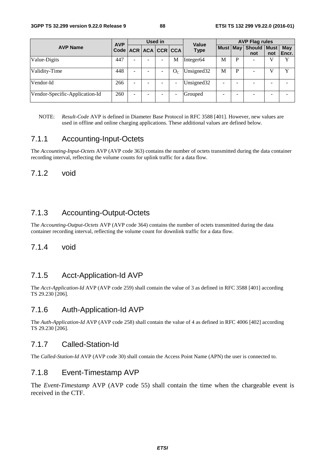|                                | <b>AVP</b>                   |                          |   | <b>Used in</b> |         | Value                  | <b>AVP Flag rules</b> |   |                             |     |              |  |  |
|--------------------------------|------------------------------|--------------------------|---|----------------|---------|------------------------|-----------------------|---|-----------------------------|-----|--------------|--|--|
| <b>AVP Name</b>                | Code   ACR   ACA   CCR   CCA |                          |   |                |         | <b>Type</b>            |                       |   | Must May Should Must<br>not | not | May<br>Encr. |  |  |
| Value-Digits                   | 447                          | $\overline{\phantom{a}}$ |   |                | М       | Integer <sub>64</sub>  | M                     | P |                             | V   | $\mathbf v$  |  |  |
| Validity-Time                  | 448                          | -                        | - |                | $O_{C}$ | Unsigned <sub>32</sub> | M                     | P |                             | v   | $\mathbf v$  |  |  |
| Vendor-Id                      | 266                          | $\overline{\phantom{a}}$ | ۰ |                | ۰       | Unsigned <sub>32</sub> | -                     | - |                             | -   |              |  |  |
| Vendor-Specific-Application-Id | 260                          | ۰                        | ۳ |                |         | Grouped                |                       | ۰ |                             | -   |              |  |  |

NOTE: *Result-Code* AVP is defined in Diameter Base Protocol in RFC 3588 [401]. However, new values are used in offline and online charging applications. These additional values are defined below.

### 7.1.1 Accounting-Input-Octets

The *Accounting-Input-Octets* AVP (AVP code 363) contains the number of octets transmitted during the data container recording interval, reflecting the volume counts for uplink traffic for a data flow.

### 7.1.2 void

## 7.1.3 Accounting-Output-Octets

The *Accounting-Output-Octets* AVP (AVP code 364) contains the number of octets transmitted during the data container recording interval, reflecting the volume count for downlink traffic for a data flow.

### 7.1.4 void

## 7.1.5 Acct-Application-Id AVP

The *Acct-Application-Id* AVP (AVP code 259) shall contain the value of 3 as defined in RFC 3588 [401] according TS 29.230 [206].

### 7.1.6 Auth-Application-Id AVP

The *Auth-Application-Id* AVP (AVP code 258) shall contain the value of 4 as defined in RFC 4006 [402] according TS 29.230 [206].

### 7.1.7 Called-Station-Id

The *Called-Station-Id* AVP (AVP code 30) shall contain the Access Point Name (APN) the user is connected to.

### 7.1.8 Event-Timestamp AVP

The *Event-Timestamp* AVP (AVP code 55) shall contain the time when the chargeable event is received in the CTF.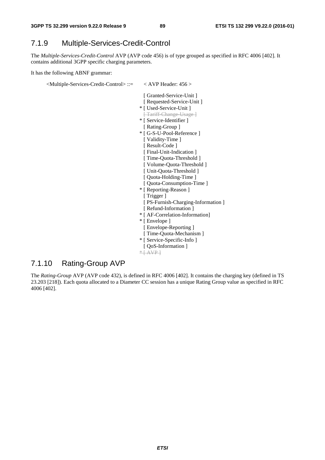## 7.1.9 Multiple-Services-Credit-Control

The *Multiple-Services-Credit-Control* AVP (AVP code 456) is of type grouped as specified in RFC 4006 [402]. It contains additional 3GPP specific charging parameters.

It has the following ABNF grammar:

<Multiple-Services-Credit-Control> ::= < AVP Header: 456 >

- [ Granted-Service-Unit ]
- [ Requested-Service-Unit ]
- \* [ Used-Service-Unit ]
- [ Tariff-Change-Usage ]
- \* [ Service-Identifier ]
- [ Rating-Group ]
- \* [ G-S-U-Pool-Reference ]
	- [ Validity-Time ]
- [ Result-Code ]
- [ Final-Unit-Indication ]
- [ Time-Quota-Threshold ] [ Volume-Quota-Threshold ]
- [ Unit-Quota-Threshold ]
- [ Quota-Holding-Time ]
- [ Quota-Consumption-Time ]
- \* [ Reporting-Reason ]
	- [ Trigger ]
	- [ PS-Furnish-Charging-Information ]
- [ Refund-Information ]
- \* [ AF-Correlation-Information]
- \* [ Envelope ]
- [ Envelope-Reporting ]
- [ Time-Quota-Mechanism ]
- \* [ Service-Specific-Info ]
- [ QoS-Information ]

 $*$   $AVP$ 

### 7.1.10 Rating-Group AVP

The *Rating-Group* AVP (AVP code 432), is defined in RFC 4006 [402]. It contains the charging key (defined in TS 23.203 [218]). Each quota allocated to a Diameter CC session has a unique Rating Group value as specified in RFC 4006 [402].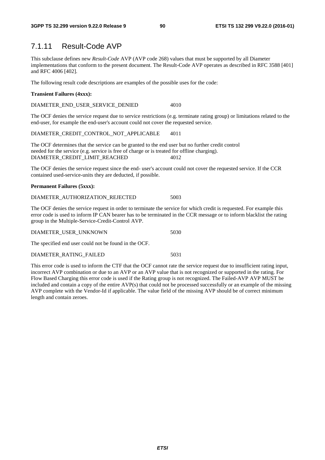### 7.1.11 Result-Code AVP

This subclause defines new *Result-Code* AVP (AVP code 268) values that must be supported by all Diameter implementations that conform to the present document. The Result-Code AVP operates as described in RFC 3588 [401] and RFC 4006 [402].

The following result code descriptions are examples of the possible uses for the code:

### **Transient Failures (4xxx):**

DIAMETER\_END\_USER\_SERVICE\_DENIED 4010

The OCF denies the service request due to service restrictions (e.g. terminate rating group) or limitations related to the end-user, for example the end-user's account could not cover the requested service.

DIAMETER\_CREDIT\_CONTROL\_NOT\_APPLICABLE 4011

The OCF determines that the service can be granted to the end user but no further credit control needed for the service (e.g. service is free of charge or is treated for offline charging). DIAMETER\_CREDIT\_LIMIT\_REACHED 4012

The OCF denies the service request since the end- user's account could not cover the requested service. If the CCR contained used-service-units they are deducted, if possible.

### **Permanent Failures (5xxx):**

| DIAMETER AUTHORIZATION REJECTED | 5003 |
|---------------------------------|------|
|---------------------------------|------|

The OCF denies the service request in order to terminate the service for which credit is requested. For example this error code is used to inform IP CAN bearer has to be terminated in the CCR message or to inform blacklist the rating group in the Multiple-Service-Credit-Control AVP.

| DIAMETER USER UNKNOWN | 5030 |
|-----------------------|------|
|                       |      |

The specified end user could not be found in the OCF.

### DIAMETER\_RATING\_FAILED 5031

This error code is used to inform the CTF that the OCF cannot rate the service request due to insufficient rating input, incorrect AVP combination or due to an AVP or an AVP value that is not recognized or supported in the rating. For Flow Based Charging this error code is used if the Rating group is not recognized. The Failed-AVP AVP MUST be included and contain a copy of the entire AVP(s) that could not be processed successfully or an example of the missing AVP complete with the Vendor-Id if applicable. The value field of the missing AVP should be of correct minimum length and contain zeroes.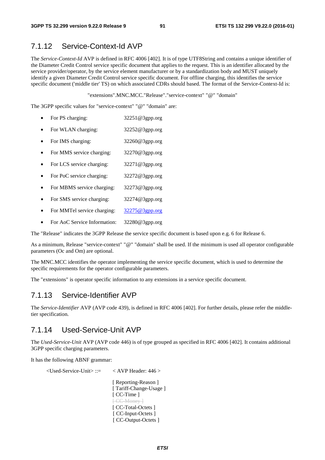### 7.1.12 Service-Context-Id AVP

The *Service-Context-Id* AVP is defined in RFC 4006 [402]. It is of type UTF8String and contains a unique identifier of the Diameter Credit Control service specific document that applies to the request. This is an identifier allocated by the service provider/operator, by the service element manufacturer or by a standardization body and MUST uniquely identify a given Diameter Credit Control service specific document. For offline charging, this identifies the service specific document ('middle tier' TS) on which associated CDRs should based. The format of the Service-Context-Id is:

"extensions".MNC.MCC."Release"."service-context" "@" "domain"

The 3GPP specific values for "service-context" "@" "domain" are:

- For PS charging: 32251@3gpp.org
- For WLAN charging: 32252@3gpp.org
- For IMS charging: 32260@3gpp.org
- For MMS service charging: 32270@3gpp.org
- For LCS service charging: 32271@3gpp.org
- For PoC service charging: 32272@3gpp.org
- For MBMS service charging: 32273@3gpp.org
- For SMS service charging: 32274@3gpp.org
- For MMTel service charging: [32275@3gpp.org](mailto:32275@3gpp.org)
- For AoC Service Information: 32280@3gpp.org

The "Release" indicates the 3GPP Release the service specific document is based upon e.g. 6 for Release 6.

As a minimum, Release "service-context" "@" "domain" shall be used. If the minimum is used all operator configurable parameters (Oc and Om) are optional.

The MNC.MCC identifies the operator implementing the service specific document, which is used to determine the specific requirements for the operator configurable parameters.

The "extensions" is operator specific information to any extensions in a service specific document.

### 7.1.13 Service-Identifier AVP

The *Service-Identifier* AVP (AVP code 439), is defined in RFC 4006 [402]. For further details, please refer the middletier specification.

### 7.1.14 Used-Service-Unit AVP

The *Used-Service-Unit* AVP (AVP code 446) is of type grouped as specified in RFC 4006 [402]. It contains additional 3GPP specific charging parameters.

It has the following ABNF grammar:

```
 <Used-Service-Unit> ::= < AVP Header: 446 >
```
[ Reporting-Reason ] [ Tariff-Change-Usage ] [ CC-Time ] [ CC Money ] [ CC-Total-Octets ] [ CC-Input-Octets ] [ CC-Output-Octets ]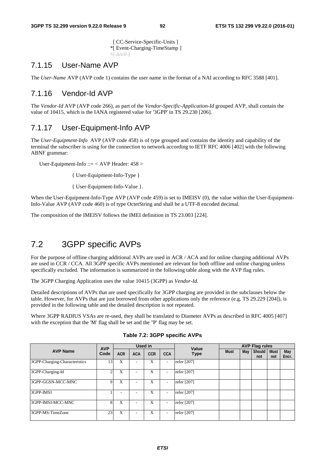[ CC-Service-Specific-Units ] \*[ Event-Charging-TimeStamp ] \*[ AVP ]

### 7.1.15 User-Name AVP

The *User-Name* AVP (AVP code 1) contains the user name in the format of a NAI according to RFC 3588 [401].

### 7.1.16 Vendor-Id AVP

The *Vendor-Id* AVP (AVP code 266), as part of the *Vendor-Specific-Application-Id* grouped AVP, shall contain the value of 10415, which is the IANA registered value for '3GPP' in TS 29.230 [206].

### 7.1.17 User-Equipment-Info AVP

The *User-Equipment-Info* AVP (AVP code 458) is of type grouped and contains the identity and capability of the terminal the subscriber is using for the connection to network according to IETF RFC 4006 [402] with the following ABNF grammar:

User-Equipment-Info ::= < AVP Header: 458 >

{ User-Equipment-Info-Type }

{ User-Equipment-Info-Value }.

When the User-Equipment-Info-Type AVP (AVP code 459) is set to IMEISV (0), the value within the User-Equipment-Info-Value AVP (AVP code 460) is of type OctetString and shall be a UTF-8 encoded decimal.

The composition of the IMEISV follows the IMEI definition in TS 23.003 [224].

# 7.2 3GPP specific AVPs

For the purpose of offline charging additional AVPs are used in ACR / ACA and for online charging additional AVPs are used in CCR / CCA. All 3GPP specific AVPs mentioned are relevant for both offline and online charging unless specifically excluded. The information is summarized in the following table along with the AVP flag rules.

The 3GPP Charging Application uses the value 10415 (3GPP) as *Vendor-Id.*

Detailed descriptions of AVPs that are used specifically for 3GPP charging are provided in the subclauses below the table. However, for AVPs that are just borrowed from other applications only the reference (e.g. TS 29.229 [204]), is provided in the following table and the detailed description is not repeated.

Where 3GPP RADIUS VSAs are re-used, they shall be translated to Diameter AVPs as described in RFC 4005 [407] with the exception that the 'M' flag shall be set and the ''P' flag may be set.

|                               | <b>AVP</b>   |            |            | Used in    |                          | Value       | <b>AVP Flag rules</b> |     |                      |                    |                     |  |
|-------------------------------|--------------|------------|------------|------------|--------------------------|-------------|-----------------------|-----|----------------------|--------------------|---------------------|--|
| <b>AVP Name</b>               | Code         | <b>ACR</b> | <b>ACA</b> | <b>CCR</b> | <b>CCA</b>               | <b>Type</b> | <b>Must</b>           | May | <b>Should</b><br>not | <b>Must</b><br>not | <b>May</b><br>Encr. |  |
| 3GPP-Charging-Characteristics | 13           | X          | ۰          | X          | $\overline{\phantom{a}}$ | refer [207] |                       |     |                      |                    |                     |  |
| 3GPP-Charging-Id              |              | X          |            | X          | $\overline{\phantom{a}}$ | refer [207] |                       |     |                      |                    |                     |  |
| 3GPP-GGSN-MCC-MNC             | Q            | X          |            | X          | $\overline{\phantom{a}}$ | refer [207] |                       |     |                      |                    |                     |  |
| 3GPP-IMSI                     |              |            |            | X          | $\overline{\phantom{a}}$ | refer [207] |                       |     |                      |                    |                     |  |
| 3GPP-IMSI-MCC-MNC             | $\mathbf{8}$ | X          | ۰          | X          | $\overline{\phantom{a}}$ | refer [207] |                       |     |                      |                    |                     |  |
| 3GPP-MS-TimeZone              | 23           | X          |            | X          | $\overline{\phantom{a}}$ | refer [207] |                       |     |                      |                    |                     |  |

**Table 7.2: 3GPP specific AVPs**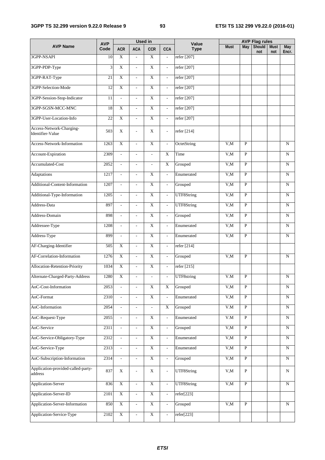### **3GPP TS 32.299 version 9.22.0 Release 9 93 ETSI TS 132 299 V9.22.0 (2016-01)**

|                                               |                    |                             |                              | <b>Used in</b>            |                          |                      |             |                | <b>AVP Flag rules</b> |                    |                |
|-----------------------------------------------|--------------------|-----------------------------|------------------------------|---------------------------|--------------------------|----------------------|-------------|----------------|-----------------------|--------------------|----------------|
| <b>AVP Name</b>                               | <b>AVP</b><br>Code | <b>ACR</b>                  | <b>ACA</b>                   | <b>CCR</b>                | <b>CCA</b>               | Value<br><b>Type</b> | <b>Must</b> | May            | Should<br>not         | <b>Must</b><br>not | May<br>Encr.   |
| 3GPP-NSAPI                                    | 10                 | X                           | $\overline{a}$               | $\mathbf X$               | $\overline{\phantom{a}}$ | refer [207]          |             |                |                       |                    |                |
| 3GPP-PDP-Type                                 | 3                  | $\overline{X}$              | $\overline{\phantom{a}}$     | $\overline{X}$            | $\overline{a}$           | refer [207]          |             |                |                       |                    |                |
| 3GPP-RAT-Type                                 | 21                 | $\overline{X}$              | $\blacksquare$               | $\overline{X}$            | $\overline{\phantom{a}}$ | refer [207]          |             |                |                       |                    |                |
| 3GPP-Selection-Mode                           | 12                 | $\overline{X}$              | $\blacksquare$               | $\overline{X}$            | $\overline{\phantom{a}}$ | refer [207]          |             |                |                       |                    |                |
| 3GPP-Session-Stop-Indicator                   | $\overline{11}$    | $\overline{a}$              | $\mathcal{L}$                | $\overline{X}$            | $\blacksquare$           | refer [207]          |             |                |                       |                    |                |
| 3GPP-SGSN-MCC-MNC                             | 18                 | $\overline{X}$              | $\blacksquare$               | $\overline{X}$            | $\overline{a}$           | refer [207]          |             |                |                       |                    |                |
| 3GPP-User-Location-Info                       | $\overline{22}$    | $\overline{X}$              | $\mathbf{r}$                 | $\overline{X}$            | $\overline{\phantom{a}}$ | refer [207]          |             |                |                       |                    |                |
| Access-Network-Charging-<br>Identifier-Value  | 503                | X                           | $\qquad \qquad \blacksquare$ | X                         | $\overline{\phantom{a}}$ | refer [214]          |             |                |                       |                    |                |
| Access-Network-Information                    | 1263               | $\overline{X}$              | $\overline{\phantom{a}}$     | $\overline{X}$            | $\bar{\phantom{a}}$      | OctetString          | V.M         | $\overline{P}$ |                       |                    | N              |
| Account-Expiration                            | 2309               | $\mathcal{L}$               | $\overline{\phantom{a}}$     | $\overline{a}$            | $\overline{X}$           | Time                 | V, M        | $\overline{P}$ |                       |                    | $\mathbf N$    |
| Accumulated-Cost                              | 2052               | $\overline{\phantom{a}}$    | $\sim$                       | $\overline{a}$            | $\mathbf X$              | Grouped              | V, M        | P              |                       |                    | N              |
| <b>Adaptations</b>                            | 1217               | $\mathcal{L}^{\mathcal{A}}$ | $\mathcal{L}$                | X                         | $\overline{a}$           | Enumerated           | V, M        | $\mathbf{P}$   |                       |                    | N              |
| Additional-Content-Information                | 1207               | $\overline{\phantom{a}}$    | $\mathbf{r}$                 | $\mathbf X$               | $\overline{a}$           | Grouped              | V, M        | $\mathbf{P}$   |                       |                    | N              |
| Additional-Type-Information                   | 1205               | $\mathcal{L}$               | $\overline{\phantom{a}}$     | $\overline{X}$            | $\blacksquare$           | UTF8String           | V, M        | $\mathbf{P}$   |                       |                    | N              |
| Address-Data                                  | 897                | $\mathcal{L}$               | $\mathcal{L}$                | $\overline{X}$            | $\overline{a}$           | UTF8String           | V, M        | P              |                       |                    | N              |
| Address-Domain                                | 898                | $\mathcal{L}$               | $\mathcal{L}^{\mathcal{A}}$  | $\mathbf X$               | $\mathbb{L}$             | Grouped              | V, M        | $\mathbf{P}$   |                       |                    | ${\bf N}$      |
| Addressee-Type                                | 1208               | $\mathbb{L}$                | $\mathcal{L}$                | $\overline{X}$            | $\mathcal{L}$            | Enumerated           | V,M         | $\mathbf{P}$   |                       |                    | ${\bf N}$      |
| Address-Type                                  | 899                | $\overline{a}$              | $\overline{\phantom{a}}$     | $\overline{X}$            | $\omega$                 | Enumerated           | V, M        | $\overline{P}$ |                       |                    | ${\bf N}$      |
| AF-Charging-Identifier                        | 505                | $\overline{X}$              | $\overline{\phantom{a}}$     | $\overline{X}$            | $\overline{a}$           | refer [214]          |             |                |                       |                    |                |
| AF-Correlation-Information                    | 1276               | $\overline{X}$              | $\mathcal{L}$                | $\overline{X}$            | $\overline{\phantom{0}}$ | Grouped              | V, M        | $\overline{P}$ |                       |                    | $\mathbf N$    |
| Allocation-Retention-Priority                 | 1034               | $\overline{X}$              | $\overline{\phantom{a}}$     | $\overline{X}$            | $\overline{\phantom{a}}$ | refer [215]          |             |                |                       |                    |                |
| Alternate-Charged-Party-Address               | 1280               | $\overline{X}$              | $\overline{\phantom{a}}$     | $\overline{\phantom{a}}$  | $\overline{\phantom{a}}$ | UTF8string           | V.M         | $\overline{P}$ |                       |                    | ${\bf N}$      |
| AoC-Cost-Information                          | 2053               |                             | $\overline{a}$               | $\overline{X}$            | $\overline{\mathbf{X}}$  | Grouped              | V,M         | $\mathbf{P}$   |                       |                    | $\mathbf N$    |
| AoC-Format                                    | 2310               | $\omega$                    | $\overline{\phantom{a}}$     | $\boldsymbol{\mathrm{X}}$ | $\overline{\phantom{a}}$ | Enumerated           | V, M        | $\overline{P}$ |                       |                    | $\overline{N}$ |
| AoC-Information                               | 2054               | $\mathbb{L}$                | $\overline{\phantom{a}}$     | $\omega$                  | $\overline{X}$           | Grouped              | V.M         | $\overline{P}$ |                       |                    | $\overline{N}$ |
| AoC-Request-Type                              | 2055               | $\blacksquare$              | $\overline{\phantom{a}}$     | $\overline{\text{X}}$     | $\overline{\phantom{a}}$ | Enumerated           | V.M         | $\overline{P}$ |                       |                    | $\overline{N}$ |
| AoC-Service                                   | 2311               | $\overline{\phantom{a}}$    | $\overline{\phantom{a}}$     | $\overline{X}$            | ÷,                       | Grouped              | V, M        | $\overline{P}$ |                       |                    | ${\bf N}$      |
| AoC-Service-Obligatory-Type                   | 2312               |                             | $\overline{\phantom{a}}$     | $\overline{\textbf{X}}$   | $\overline{\phantom{a}}$ | Enumerated           | V,M         | $\mathbf{P}$   |                       |                    | N              |
| AoC-Service-Type                              | 2313               | $\overline{\phantom{a}}$    | $\overline{\phantom{a}}$     | $\mathbf X$               | $\overline{\phantom{a}}$ | Enumerated           | V,M         | $\, {\bf P}$   |                       |                    | N              |
| AoC-Subscription-Information                  | 2314               | $\overline{\phantom{a}}$    | $\overline{\phantom{a}}$     | $\mathbf X$               | $\overline{\phantom{a}}$ | Grouped              | V,M         | $\, {\bf P}$   |                       |                    | ${\bf N}$      |
| Application-provided-called-party-<br>address | 837                | $\mathbf X$                 | $\qquad \qquad \blacksquare$ | $\mathbf X$               | $\overline{\phantom{a}}$ | UTF8String           | V, M        | $\, {\bf P}$   |                       |                    | N              |
| Application-Server                            | 836                | $\bold{X}$                  | $\overline{\phantom{a}}$     | $\overline{\textbf{X}}$   | $\overline{\phantom{a}}$ | UTF8String           | V, M        | $\overline{P}$ |                       |                    | N              |
| Application-Server-ID                         | 2101               | $\overline{\textbf{X}}$     | $\overline{\phantom{a}}$     | $\overline{\textbf{X}}$   | $\overline{\phantom{a}}$ | refer[223]           |             |                |                       |                    |                |
| Application-Server-Information                | 850                | $\overline{\textbf{X}}$     | $\overline{\phantom{a}}$     | $\mathbf X$               | $\overline{\phantom{a}}$ | Grouped              | V, M        | $\mathbf{P}$   |                       |                    | N              |
| Application-Service-Type                      | 2102               | $\mathbf X$                 | $\overline{\phantom{a}}$     | $\overline{\textbf{X}}$   | $\overline{\phantom{a}}$ | refer[223]           |             |                |                       |                    |                |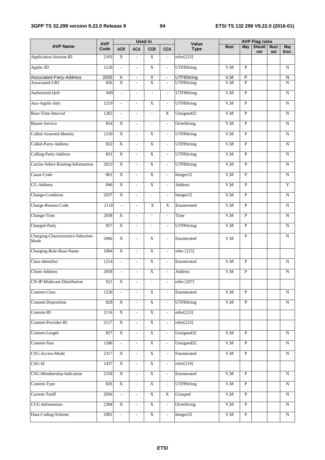|                                             |                    |                             |                          | <b>Used in</b>           |                             |                      |             |                | <b>AVP Flag rules</b> |                    |                         |
|---------------------------------------------|--------------------|-----------------------------|--------------------------|--------------------------|-----------------------------|----------------------|-------------|----------------|-----------------------|--------------------|-------------------------|
| <b>AVP Name</b>                             | <b>AVP</b><br>Code | <b>ACR</b>                  | <b>ACA</b>               | <b>CCR</b>               | <b>CCA</b>                  | Value<br><b>Type</b> | <b>Must</b> | May            | <b>Should</b><br>not  | <b>Must</b><br>not | May<br>Encr.            |
| Application-Session-ID                      | 2103               | $\mathbf X$                 | $\overline{\phantom{a}}$ | $\overline{\mathbf{X}}$  | $\frac{1}{2}$               | refer[223]           |             |                |                       |                    |                         |
| Applic-ID                                   | 1218               | $\mathcal{L}^{\pm}$         | $\mathbb{L}$             | $\overline{X}$           | $\mathcal{L}^{\pm}$         | UTF8String           | V.M         | $\mathbf{P}$   |                       |                    | N                       |
| Associated-Party-Address                    | 2035               | Χ                           | $\blacksquare$           | χ                        | $\blacksquare$              | UTF8String           | V, M        | P              |                       |                    | $\overline{\mathsf{N}}$ |
| Associated-URI                              | 856                | $\overline{X}$              | $\overline{\phantom{a}}$ | $\overline{\text{X}}$    | $\overline{\phantom{a}}$    | UTF8String           | V, M        | $\mathbf{P}$   |                       |                    | ${\bf N}$               |
| Authorized-QoS                              | 849                | $\overline{\phantom{a}}$    | $\overline{\phantom{a}}$ | ÷,                       | $\overline{\phantom{a}}$    | UTF8String           | V, M        | P              |                       |                    | $\mathbf N$             |
| Aux-Applic-Info                             | 1219               | $\mathbb{L}$                | $\mathbb{L}$             | $\overline{X}$           | $\Box$                      | UTF8String           | V, M        | $\overline{P}$ |                       |                    | $\mathbf N$             |
| Base-Time-Interval                          | 1265               | $\overline{a}$              | $\mathbb{L}$             | $\overline{\phantom{a}}$ | $\overline{X}$              | Unsigned32           | V, M        | $\mathbf{P}$   |                       |                    | $\mathbf N$             |
| <b>Bearer-Service</b>                       | 854                | $\overline{X}$              | $\overline{\phantom{a}}$ | $\overline{\phantom{a}}$ | $\overline{\phantom{0}}$    | OctetString          | V, M        | $\mathbf{P}$   |                       |                    | N                       |
| Called-Asserted-Identity                    | 1250               | $\overline{X}$              | $\overline{\phantom{a}}$ | $\overline{X}$           | ÷,                          | UTF8String           | V, M        | $\mathbf{P}$   |                       |                    | N                       |
| Called-Party-Address                        | 832                | $\overline{X}$              | $\overline{\phantom{a}}$ | $\overline{X}$           | $\overline{\phantom{a}}$    | UTF8String           | V, M        | $\mathbf{P}$   |                       |                    | N                       |
| Calling-Party-Address                       | 831                | $\overline{X}$              | $\overline{\phantom{a}}$ | $\overline{X}$           | $\mathcal{L}_{\mathcal{A}}$ | UTF8String           | V, M        | $\overline{P}$ |                       |                    | N                       |
| Carrier-Select-Routing-Information          | 2023               | $\mathbf X$                 | $\overline{\phantom{a}}$ | $\mathbf X$              | $\overline{\phantom{a}}$    | UTF8String           | V, M        | $\mathbf{P}$   |                       |                    | N                       |
| Cause-Code                                  | 861                | $\overline{X}$              | $\overline{\phantom{a}}$ | $\overline{X}$           | $\overline{\phantom{a}}$    | Integer32            | V, M        | $\mathbf{P}$   |                       |                    | N                       |
| <b>CG-Address</b>                           | 846                | $\overline{X}$              | $\overline{\phantom{a}}$ | $\overline{X}$           | $\overline{\phantom{a}}$    | <b>Address</b>       | V, M        | P              |                       |                    | Y                       |
| Change-Condition                            | 2037               | $\overline{X}$              | $\mathbb{L}$             | $\overline{\phantom{a}}$ | $\overline{\phantom{a}}$    | Integer32            | V, M        | $\overline{P}$ |                       |                    | N                       |
| Charge-Reason-Code                          | 2118               | $\mathcal{L}_{\mathcal{A}}$ | $\overline{\phantom{a}}$ | X                        | X                           | Enumerated           | V, M        | $\overline{P}$ |                       |                    | N                       |
| Change-Time                                 | 2038               | $\overline{X}$              | $\overline{\phantom{a}}$ | $\overline{\phantom{a}}$ | $\overline{\phantom{a}}$    | Time                 | V, M        | $\overline{P}$ |                       |                    | N                       |
| Charged-Party                               | 857                | $\overline{X}$              | $\overline{\phantom{a}}$ | $\frac{1}{2}$            | $\overline{\phantom{a}}$    | UTF8String           | V, M        | $\mathbf{P}$   |                       |                    | N                       |
| Charging-Characteristics-Selection-<br>Mode | 2066               | $\mathbf X$                 | $\blacksquare$           | $\mathbf X$              | $\overline{\phantom{a}}$    | Enumerated           | V, M        | $\overline{P}$ |                       |                    | $\mathbf N$             |
| Charging-Rule-Base-Name                     | 1004               | $\overline{X}$              | $\overline{\phantom{a}}$ | X                        | $\overline{\phantom{a}}$    | refer [215]          |             |                |                       |                    |                         |
| Class-Identifier                            | 1214               | $\overline{\phantom{a}}$    | $\overline{\phantom{a}}$ | $\overline{X}$           | $\overline{a}$              | Enumerated           | V,M         | $\overline{P}$ |                       |                    | N                       |
| <b>Client-Address</b>                       | 2018               |                             |                          | $\overline{\mathbf{X}}$  |                             | Address              | V,M         | $\mathbf{P}$   |                       |                    | $\mathbf N$             |
| CN-IP-Multicast-Distribution                | 921                | $\overline{\textbf{X}}$     |                          |                          |                             | refer [207]          |             |                |                       |                    |                         |
| Content-Class                               | 1220               | $\overline{\phantom{a}}$    | $\overline{\phantom{a}}$ | $\mathbf X$              | $\overline{\phantom{a}}$    | Enumerated           | V,M         | $\overline{P}$ |                       |                    | ${\bf N}$               |
| Content-Disposition                         | 828                | $\mathbf X$                 | $\overline{\phantom{a}}$ | $\mathbf X$              | $\overline{\phantom{a}}$    | UTF8String           | V, M        | $\, {\bf P}$   |                       |                    | ${\bf N}$               |
| Content-ID                                  | 2116               | $\overline{X}$              | $\overline{\phantom{a}}$ | $\overline{X}$           | $\blacksquare$              | refer[223]           |             |                |                       |                    |                         |
| Content-Provider-ID                         | 2117               | $\bold{X}$                  | $\overline{\phantom{a}}$ | $\bold{X}$               | $\overline{\phantom{a}}$    | refer[223]           |             |                |                       |                    |                         |
| Content-Length                              | 827                | $\overline{X}$              | $\overline{\phantom{a}}$ | $\overline{\textbf{X}}$  | $\overline{\phantom{a}}$    | Unsigned32           | V, M        | $\overline{P}$ |                       |                    | ${\bf N}$               |
| Content-Size                                | 1206               |                             | $\overline{\phantom{a}}$ | $\overline{X}$           | $\overline{\phantom{a}}$    | Unsigned32           | V, M        | $\overline{P}$ |                       |                    | N                       |
| CSG-Access-Mode                             | 2317               | $\overline{X}$              | $\overline{\phantom{a}}$ | $\overline{X}$           | ÷,                          | Enumerated           | V,M         | $\overline{P}$ |                       |                    | N                       |
| CSG-Id                                      | 1437               | $\overline{\textbf{X}}$     | $\Box$                   | $\overline{\textbf{X}}$  | $\overline{\phantom{a}}$    | refer[219]           |             |                |                       |                    |                         |
| CSG-Membership-Indication                   | 2318               | $\overline{\textbf{X}}$     | $\overline{\phantom{a}}$ | $\mathbf X$              | $\overline{\phantom{a}}$    | Enumerated           | V, M        | $\overline{P}$ |                       |                    | N                       |
| Content-Type                                | 826                | $\mathbf X$                 | $\overline{\phantom{a}}$ | $\mathbf X$              | $\overline{\phantom{a}}$    | UTF8String           | V.M         | $\, {\bf P}$   |                       |                    | ${\bf N}$               |
| Current-Tariff                              | 2056               | $\overline{\phantom{a}}$    | $\overline{\phantom{a}}$ | $\mathbf X$              | X                           | Grouped              | V,M         | $\mathbf{P}$   |                       |                    | N                       |
| <b>CUG-Information</b>                      | 2304               | $\mathbf X$                 | $\overline{\phantom{a}}$ | $\overline{\textbf{X}}$  | $\overline{\phantom{a}}$    | OctetString          | V, M        | $\mathbf{P}$   |                       |                    | ${\bf N}$               |
| Data-Coding-Scheme                          | 2001               | $\overline{\phantom{a}}$    | $\overline{\phantom{a}}$ | $\bold{X}$               | $\overline{\phantom{a}}$    | Integer32            | V, M        | $\overline{P}$ |                       |                    | N                       |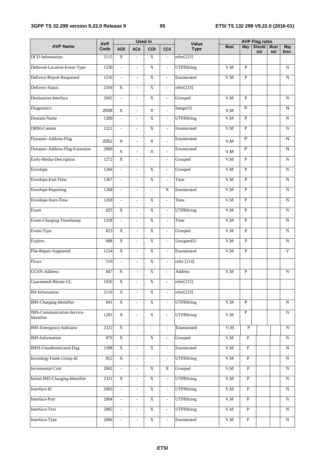### **3GPP TS 32.299 version 9.22.0 Release 9 95 ETSI TS 132 299 V9.22.0 (2016-01)**

|                                                 | <b>AVP</b> |                          |                          | <b>Used in</b>            |                          | Value       |             |                | <b>AVP Flag rules</b> |                    |                         |
|-------------------------------------------------|------------|--------------------------|--------------------------|---------------------------|--------------------------|-------------|-------------|----------------|-----------------------|--------------------|-------------------------|
| <b>AVP Name</b>                                 | Code       | <b>ACR</b>               | <b>ACA</b>               | <b>CCR</b>                | <b>CCA</b>               | <b>Type</b> | <b>Must</b> | May            | Should<br>not         | <b>Must</b><br>not | <b>May</b><br>Encr.     |
| DCD-Information                                 | 2115       | $\overline{X}$           | $\overline{\phantom{a}}$ | $\overline{\mathbf{X}}$   | $\overline{\phantom{a}}$ | refer[223]  |             |                |                       |                    |                         |
| Deferred-Location-Event-Type                    | 1230       | $\omega$                 | $\overline{\phantom{a}}$ | $\overline{X}$            | $\overline{\phantom{a}}$ | UTF8String  | V, M        | $\overline{P}$ |                       |                    | $\mathbf N$             |
| Delivery-Report-Requested                       | 1216       | $\mathbb{L}$             | $\blacksquare$           | $\overline{X}$            | $\overline{\phantom{a}}$ | Enumerated  | V, M        | $\overline{P}$ |                       |                    | N                       |
| Delivery-Status                                 | 2104       | $\overline{X}$           | $\blacksquare$           | $\overline{X}$            | $\overline{\phantom{a}}$ | refer[223]  |             |                |                       |                    |                         |
| Destination-Interface                           | 2002       | $\overline{\phantom{a}}$ | $\overline{\phantom{a}}$ | $\overline{X}$            | $\overline{\phantom{a}}$ | Grouped     | V, M        | $\overline{P}$ |                       |                    | $\mathbf N$             |
| Diagnostics                                     | 2039       | X                        | $\blacksquare$           | X                         |                          | Integer32   | V, M        | $\overline{P}$ |                       |                    | N                       |
| Domain-Name                                     | 1200       | $\overline{\phantom{a}}$ | $\overline{\phantom{a}}$ | $\overline{X}$            | $\overline{\phantom{a}}$ | UTF8String  | V, M        | $\mathbf{P}$   |                       |                    | N                       |
| DRM-Content                                     | 1221       | $\overline{\phantom{a}}$ | $\overline{\phantom{a}}$ | $\mathbf X$               | $\overline{\phantom{a}}$ | Enumerated  | V, M        | $\mathbf P$    |                       |                    | N                       |
| Dynamic-Address-Flag                            | 2051       | X                        | $\blacksquare$           | X                         | ä,                       | Enumerated  | V, M        | $\overline{P}$ |                       |                    | N                       |
| Dynamic-Address-Flag-Extension                  | 2068       | $\mathsf X$              | $\blacksquare$           | X                         | $\blacksquare$           | Enumerated  | V, M        | $\overline{P}$ |                       |                    | $\overline{\mathsf{N}}$ |
| Early-Media-Description                         | 1272       | $\overline{X}$           | $\blacksquare$           | $\overline{\phantom{a}}$  | $\overline{\phantom{a}}$ | Grouped     | V, M        | $\overline{P}$ |                       |                    | $\mathbf N$             |
| Envelope                                        | 1266       | $\overline{\phantom{a}}$ | $\overline{\phantom{a}}$ | $\mathbf X$               | $\overline{\phantom{a}}$ | Grouped     | V, M        | $\mathbf{P}$   |                       |                    | N                       |
| Envelope-End-Time                               | 1267       | $\overline{\phantom{a}}$ | $\overline{\phantom{a}}$ | $\overline{X}$            | $\overline{a}$           | Time        | V, M        | $\mathbf{P}$   |                       |                    | N                       |
| <b>Envelope-Reporting</b>                       | 1268       | $\overline{\phantom{a}}$ | $\overline{\phantom{a}}$ | $\overline{a}$            | $\overline{X}$           | Enumerated  | V,M         | $\mathbf{P}$   |                       |                    | $\mathbf N$             |
| Envelope-Start-Time                             | 1269       | $\overline{\phantom{a}}$ | $\overline{\phantom{a}}$ | $\overline{X}$            | $\overline{\phantom{a}}$ | Time        | V, M        | $\overline{P}$ |                       |                    | $\mathbf N$             |
| Event                                           | 825        | $\mathbf X$              | $\overline{\phantom{a}}$ | $\mathbf X$               | $\overline{\phantom{a}}$ | UTF8String  | V, M        | $\overline{P}$ |                       |                    | $\mathbf N$             |
| Event-Charging-TimeStamp                        | 1258       | $\overline{\phantom{a}}$ | $\overline{\phantom{a}}$ | $\mathbf X$               | $\blacksquare$           | Time        | V, M        | $\mathbf{P}$   |                       |                    | N                       |
| Event-Type                                      | 823        | $\overline{X}$           | $\overline{\phantom{a}}$ | $\overline{\mathbf{X}}$   | $\blacksquare$           | Grouped     | V, M        | P              |                       |                    | $\mathbf N$             |
| <b>Expires</b>                                  | 888        | $\overline{X}$           | $\overline{\phantom{a}}$ | $\overline{\text{X}}$     | $\overline{\phantom{a}}$ | Unsigned32  | V,M         | $\overline{P}$ |                       |                    | N                       |
| File-Repair-Supported                           | 1224       | $\overline{X}$           | $\blacksquare$           | $\overline{X}$            | $\overline{\phantom{a}}$ | Enumerated  | V, M        | $\overline{P}$ |                       |                    | $\overline{Y}$          |
| Flows                                           | 510        | $\bar{\phantom{a}}$      | $\overline{\phantom{a}}$ | $\overline{X}$            | $\overline{\phantom{a}}$ | refer [214] |             |                |                       |                    |                         |
| GGSN-Address                                    | 847        | $\overline{X}$           | $\overline{\phantom{a}}$ | $\mathbf X$               | $\overline{\phantom{a}}$ | Address     | V, M        | $\mathbf P$    |                       |                    | N                       |
| Guaranteed-Bitrate-UL                           | 1026       | $\overline{\text{X}}$    |                          | $\overline{\text{X}}$     |                          | refer[215]  |             |                |                       |                    |                         |
| IM-Information                                  | 2110       | $\mathbf X$              | $\overline{\phantom{a}}$ | $\mathbf X$               | $\overline{\phantom{a}}$ | refer[223]  |             |                |                       |                    |                         |
| <b>IMS-Charging-Identifier</b>                  | 841        | $\mathbf X$              | $\overline{\phantom{a}}$ | $\mathbf X$               | $\overline{\phantom{a}}$ | UTF8String  | V, M        | $\mathbf{P}$   |                       |                    | ${\bf N}$               |
| <b>IMS-Communication-Service-</b><br>Identifier | 1281       | $\mathbf X$              | $\blacksquare$           | X                         | $\overline{\phantom{a}}$ | UTF8String  | V, M        | $\mathbf{P}$   |                       |                    | N                       |
| IMS-Emergency-Indicator                         | 2322       | $\overline{\textbf{X}}$  | $\overline{\phantom{a}}$ |                           | $\overline{\phantom{a}}$ | Enumerated  | V,M         | $\overline{P}$ |                       |                    | N                       |
| <b>IMS-Information</b>                          | 876        | $\mathbf X$              | $\overline{\phantom{a}}$ | $\mathbf X$               | $\overline{\phantom{a}}$ | Grouped     | V, M        | $\mathbf{P}$   |                       |                    | N                       |
| <b>IMSI-Unauthenticated-Flag</b>                | 2308       | $\mathbf X$              | $\overline{\phantom{a}}$ | $\mathbf X$               | $\overline{\phantom{a}}$ | Enumerated  | V, M        | $\, {\bf P}$   |                       |                    | ${\bf N}$               |
| Incoming-Trunk-Group-Id                         | 852        | $\mathbf X$              | $\overline{\phantom{a}}$ | $\blacksquare$            | $\overline{\phantom{a}}$ | UTF8String  | V.M         | $\overline{P}$ |                       |                    | ${\bf N}$               |
| Incremental-Cost                                | 2062       | $\overline{\phantom{a}}$ | $\overline{\phantom{a}}$ | $\mathbf X$               | $\mathbf X$              | Grouped     | V, M        | $\overline{P}$ |                       |                    | N                       |
| Initial-IMS-Charging-Identifier                 | 2321       | $\overline{X}$           | $\overline{\phantom{a}}$ | $\boldsymbol{\mathrm{X}}$ | $\overline{\phantom{a}}$ | UTF8String  | V, M        | $\overline{P}$ |                       |                    | N                       |
| Interface-Id                                    | 2003       | $\blacksquare$           | $\overline{\phantom{a}}$ | $\overline{\textbf{X}}$   | $\overline{\phantom{a}}$ | UTF8String  | V, M        | $\overline{P}$ |                       |                    | N                       |
| Interface-Port                                  | 2004       | $\overline{\phantom{a}}$ | $\overline{\phantom{a}}$ | $\mathbf X$               | $\overline{\phantom{a}}$ | UTF8String  | V,M         | $\overline{P}$ |                       |                    | N                       |
| Interface-Text                                  | 2005       |                          | $\overline{\phantom{a}}$ | $\overline{X}$            | $\Box$                   | UTF8String  | V, M        | $\overline{P}$ |                       |                    | ${\bf N}$               |
| Interface-Type                                  | 2006       |                          | $\overline{\phantom{a}}$ | $\mathbf X$               | $\frac{1}{2}$            | Enumerated  | V.M         | $\overline{P}$ |                       |                    | ${\bf N}$               |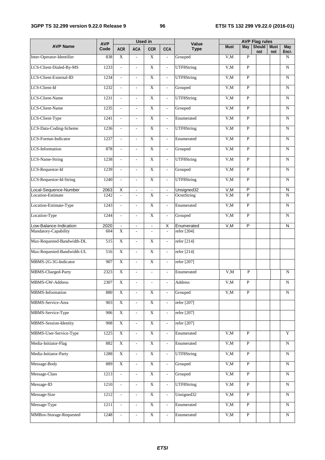### **3GPP TS 32.299 version 9.22.0 Release 9 96 ETSI TS 132 299 V9.22.0 (2016-01)**

|                              |                    |                          |                          | <b>Used in</b>            |                             |                      |             | <b>AVP Flag rules</b> |               |                    |                     |
|------------------------------|--------------------|--------------------------|--------------------------|---------------------------|-----------------------------|----------------------|-------------|-----------------------|---------------|--------------------|---------------------|
| <b>AVP Name</b>              | <b>AVP</b><br>Code | <b>ACR</b>               | <b>ACA</b>               | <b>CCR</b>                | <b>CCA</b>                  | Value<br><b>Type</b> | <b>Must</b> | May                   | Should<br>not | <b>Must</b><br>not | <b>May</b><br>Encr. |
| Inter-Operator-Identifier    | 838                | $\mathbf X$              | $\overline{\phantom{a}}$ | $\mathbf X$               | $\overline{\phantom{a}}$    | Grouped              | V, M        | $\mathbf{P}$          |               |                    | N                   |
| LCS-Client-Dialed-By-MS      | 1233               | $\overline{\phantom{a}}$ | $\overline{\phantom{a}}$ | $\overline{X}$            | $\overline{\phantom{a}}$    | UTF8String           | V, M        | $\mathbf{P}$          |               |                    | N                   |
| LCS-Client-External-ID       | 1234               | $\overline{\phantom{a}}$ | $\overline{\phantom{a}}$ | $\overline{X}$            | $\overline{\phantom{a}}$    | UTF8String           | V, M        | $\overline{P}$        |               |                    | N                   |
| LCS-Client-Id                | 1232               | $\Box$                   | $\blacksquare$           | $\overline{X}$            | $\overline{\phantom{a}}$    | Grouped              | V, M        | $\overline{P}$        |               |                    | N                   |
| LCS-Client-Name              | 1231               | $\overline{\phantom{a}}$ | $\mathbf{r}$             | $\overline{X}$            | $\overline{\phantom{a}}$    | UTF8String           | V,M         | $\overline{P}$        |               |                    | N                   |
| LCS-Client-Name              | 1235               | $\overline{\phantom{a}}$ | $\blacksquare$           | $\overline{X}$            | $\overline{\phantom{a}}$    | Grouped              | V, M        | $\overline{P}$        |               |                    | N                   |
| LCS-Client-Type              | 1241               | $\overline{\phantom{a}}$ | $\overline{\phantom{a}}$ | $\overline{X}$            | $\overline{a}$              | Enumerated           | V, M        | $\mathbf{P}$          |               |                    | N                   |
| LCS-Data-Coding-Scheme       | 1236               | $\overline{\phantom{a}}$ | $\overline{\phantom{a}}$ | $\mathbf X$               | $\mathcal{L}_{\mathcal{A}}$ | UTF8String           | V, M        | $\mathbf{P}$          |               |                    | N                   |
| LCS-Format-Indicator         | 1237               | $\overline{\phantom{a}}$ | $\overline{\phantom{a}}$ | $\mathbf X$               | $\overline{\phantom{a}}$    | Enumerated           | V, M        | $\mathbf{P}$          |               |                    | N                   |
| LCS-Information              | 878                | $\overline{\phantom{a}}$ | $\overline{\phantom{a}}$ | $\mathbf X$               | $\overline{\phantom{a}}$    | Grouped              | V, M        | $\mathbf{P}$          |               |                    | N                   |
| <b>LCS-Name-String</b>       | 1238               | $\overline{\phantom{a}}$ | $\overline{\phantom{a}}$ | $\overline{X}$            | $\overline{\phantom{a}}$    | UTF8String           | V, M        | $\overline{P}$        |               |                    | N                   |
| LCS-Requestor-Id             | 1239               | $\mathbb{L}$             | $\omega$                 | $\overline{X}$            | $\overline{\phantom{a}}$    | Grouped              | V.M         | $\overline{P}$        |               |                    | N                   |
| LCS-Requestor-Id-String      | 1240               | $\mathbb{L}$             | $\overline{\phantom{a}}$ | $\overline{\text{X}}$     | ä,                          | UTF8String           | V, M        | $\overline{P}$        |               |                    | $\mathbf N$         |
| Local-Sequence-Number        | 2063               | $\overline{X}$           | $\Box$                   |                           | $\Box$                      | Unsigned32           | V, M        | P                     |               |                    | N                   |
| Location-Estimate            | 1242               | $\overline{\phantom{a}}$ | $\overline{\phantom{a}}$ | $\overline{X}$            | $\overline{\phantom{a}}$    | OctetString          | V, M        | $\overline{P}$        |               |                    | $\mathbf N$         |
| Location-Estimate-Type       | 1243               | $\omega$                 | $\blacksquare$           | $\overline{X}$            | $\overline{\phantom{a}}$    | Enumerated           | V,M         | $\overline{P}$        |               |                    | $\mathbf N$         |
| Location-Type                | 1244               | $\overline{\phantom{a}}$ | $\mathcal{L}$            | $\overline{X}$            | $\mathcal{L}_{\mathcal{A}}$ | Grouped              | V,M         | $\overline{P}$        |               |                    | $\mathbf N$         |
| .ow-Balance-Indication       | 2020               |                          | $\blacksquare$           | $\Box$                    | $\overline{\mathsf{x}}$     | Enumerated           | V, M        | $\overline{P}$        |               |                    | N                   |
| Mandatory-Capability         | 604                | X                        | $\overline{\phantom{a}}$ | $\overline{\phantom{a}}$  | $\blacksquare$              | refer [204]          |             |                       |               |                    |                     |
| Max-Requested-Bandwidth-DL   | 515                | $\overline{X}$           | $\overline{\phantom{a}}$ | $\overline{X}$            | $\overline{\phantom{a}}$    | refer [214]          |             |                       |               |                    |                     |
| Max-Requested-Bandwidth-UL   | 516                | $\overline{X}$           | $\omega$                 | $\overline{X}$            | $\overline{\phantom{a}}$    | refer [214]          |             |                       |               |                    |                     |
| MBMS-2G-3G-Indicator         | 907                | $\overline{X}$           | $\overline{\phantom{a}}$ | $\mathbf X$               | $\blacksquare$              | refer [207]          |             |                       |               |                    |                     |
| MBMS-Charged-Party           | 2323               | $\overline{X}$           | $\overline{\phantom{a}}$ |                           | $\overline{\phantom{a}}$    | Enumerated           | V, M        | $\overline{P}$        |               |                    | N                   |
| MBMS-GW-Address              | 2307               | $\overline{\text{X}}$    |                          |                           |                             | Address              | V,M         | ${\bf P}$             |               |                    | ${\bf N}$           |
| MBMS-Information             | 880                | $\mathbf X$              | $\overline{\phantom{a}}$ | $\mathbf X$               | $\mathbf{r}$                | Grouped              | V, M        | $\mathbf P$           |               |                    | N                   |
| MBMS-Service-Area            | 903                | $\mathbf X$              | $\overline{\phantom{a}}$ | $\mathbf X$               |                             | refer [207]          |             |                       |               |                    |                     |
| MBMS-Service-Type            | 906                | $\mathbf X$              | $\overline{\phantom{a}}$ | $\mathbf X$               | $\overline{\phantom{a}}$    | refer [207]          |             |                       |               |                    |                     |
| <b>MBMS-Session-Identity</b> | 908                | $\mathbf X$              | $\overline{\phantom{a}}$ | $\mathbf X$               | $\blacksquare$              | refer [207]          |             |                       |               |                    |                     |
| MBMS-User-Service-Type       | 1225               | $\overline{\textbf{X}}$  | $\overline{\phantom{a}}$ | $\overline{\textbf{X}}$   | $\overline{\phantom{a}}$    | Enumerated           | V,M         | $\overline{P}$        |               |                    | $\mathbf Y$         |
| Media-Initiator-Flag         | 882                | $\overline{X}$           | $\mathbb{Z}^2$           | $\overline{\textbf{X}}$   | $\overline{\phantom{a}}$    | Enumerated           | V,M         | $\overline{P}$        |               |                    | $\mathbf N$         |
| Media-Initiator-Party        | 1288               | $\overline{X}$           | $\overline{\phantom{a}}$ | $\overline{X}$            | $\overline{\phantom{a}}$    | UTF8String           | V,M         | $\overline{P}$        |               |                    | N                   |
| Message-Body                 | 889                | $\overline{X}$           |                          | $\overline{X}$            | $\overline{a}$              | Grouped              | V, M        | $\overline{P}$        |               |                    | ${\bf N}$           |
| Message-Class                | 1213               | $\overline{\phantom{a}}$ | $\overline{\phantom{a}}$ | $\overline{\textbf{X}}$   | $\blacksquare$              | Grouped              | V, M        | $\overline{P}$        |               |                    | N                   |
| Message-ID                   | 1210               | $\overline{\phantom{a}}$ | $\overline{\phantom{a}}$ | $\mathbf X$               | $\overline{\phantom{a}}$    | UTF8String           | V, M        | $\overline{P}$        |               |                    | N                   |
| Message-Size                 | 1212               | $\overline{\phantom{a}}$ | $\overline{\phantom{a}}$ | $\mathbf X$               | $\overline{\phantom{a}}$    | Unsigned32           | V, M        | $\overline{P}$        |               |                    | ${\bf N}$           |
| Message-Type                 | 1211               | $\overline{\phantom{a}}$ | $\overline{\phantom{a}}$ | $\overline{\textbf{X}}$   | $\overline{\phantom{a}}$    | Enumerated           | V,M         | $\overline{P}$        |               |                    | $\mathbf N$         |
| MMBox-Storage-Requested      | 1248               | $\overline{\phantom{a}}$ | $\Box$                   | $\boldsymbol{\mathrm{X}}$ | $\blacksquare$              | Enumerated           | V,M         | $\overline{P}$        |               |                    | ${\bf N}$           |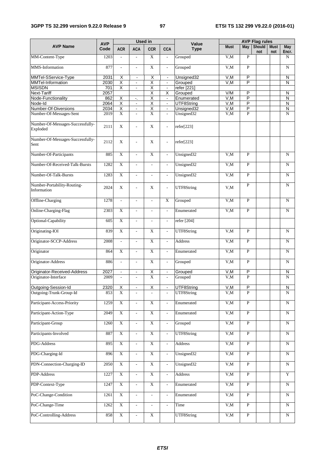### **3GPP TS 32.299 version 9.22.0 Release 9 97 ETSI TS 132 299 V9.22.0 (2016-01)**

|                                                 | <b>AVP</b>   |                           |                                            | <b>Used in</b>            |                                            | Value                    |              | <b>AVP Flag rules</b>   |                      |                    |                  |
|-------------------------------------------------|--------------|---------------------------|--------------------------------------------|---------------------------|--------------------------------------------|--------------------------|--------------|-------------------------|----------------------|--------------------|------------------|
| <b>AVP Name</b>                                 | Code         | <b>ACR</b>                | <b>ACA</b>                                 | <b>CCR</b>                | CCA                                        | <b>Type</b>              | <b>Must</b>  | May                     | <b>Should</b><br>not | <b>Must</b><br>not | May<br>Encr.     |
| MM-Content-Type                                 | 1203         | $\overline{\phantom{a}}$  | $\sim$                                     | $\mathbf X$               | $\overline{\phantom{a}}$                   | Grouped                  | V, M         | $\mathbf P$             |                      |                    | N                |
| MMS-Information                                 | 877          | $\overline{\phantom{a}}$  | $\sim$                                     | $\mathbf X$               | $\overline{\phantom{a}}$                   | Grouped                  | V, M         | $\mathbf P$             |                      |                    | N                |
| MMTel-SService-Type                             | 2031         | X                         | $\blacksquare$                             | Χ                         | $\blacksquare$                             | Unsigned32               | V, M         | P                       |                      |                    | N                |
| MMTel-Information                               | 2030         | $\overline{\mathsf{X}}$   | $\overline{\phantom{a}}$                   | $\overline{\mathsf{x}}$   | $\blacksquare$                             | Grouped                  | V, M         | $\overline{\mathsf{P}}$ |                      |                    | N                |
| <b>MSISDN</b>                                   | 701          | $\overline{\mathsf{X}}$   | $\blacksquare$                             | $\overline{\mathsf{x}}$   | $\blacksquare$                             | refer [221]              |              |                         |                      |                    |                  |
| <b>Next-Tariff</b>                              | 2057         |                           |                                            | $\overline{\mathsf{x}}$   | Х                                          | Grouped                  | V/M          | P                       |                      |                    | N                |
| Node-Functionality                              | 862          | Χ                         | $\mathcal{L}_\mathbf{a}$                   | Χ                         | $\blacksquare$                             | Enumerated               | V, M         | $\overline{\mathsf{P}}$ |                      |                    | $\overline{N}$   |
| Node-Id                                         | 2064         | $\overline{\mathsf{X}}$   | $\blacksquare$                             | $\overline{\mathsf{x}}$   | $\blacksquare$                             | UTF8String               | V, M         | P                       |                      |                    | N                |
| Number-Of-Diversions<br>Number-Of-Messages-Sent | 2034<br>2019 | Χ<br>$\overline{X}$       | $\blacksquare$<br>$\overline{\phantom{a}}$ | Χ<br>$\overline{X}$       | $\blacksquare$<br>$\overline{\phantom{a}}$ | Unsigned32<br>Unsigned32 | V, M<br>V, M | P<br>$\overline{P}$     |                      |                    | N<br>$\mathbf N$ |
| Number-Of-Messages-Successfully-                |              |                           |                                            |                           |                                            |                          |              |                         |                      |                    |                  |
| Exploded                                        | 2111         | $\mathbf X$               | L,                                         | $\mathbf X$               | $\overline{\phantom{a}}$                   | refer[223]               |              |                         |                      |                    |                  |
| Number-Of-Messages-Successfully-<br>Sent        | 2112         | $\mathbf X$               | $\overline{\phantom{a}}$                   | X                         | $\overline{\phantom{a}}$                   | refer[223]               |              |                         |                      |                    |                  |
| Number-Of-Participants                          | 885          | $\overline{X}$            | $\overline{\phantom{a}}$                   | X                         | $\overline{\phantom{a}}$                   | Unsigned32               | V,M          | $\overline{P}$          |                      |                    | N                |
| Number-Of-Received-Talk-Bursts                  | 1282         | $\overline{X}$            | $\overline{\phantom{a}}$                   | L,                        | $\frac{1}{2}$                              | Unsigned32               | V, M         | $\mathbf{P}$            |                      |                    | N                |
| Number-Of-Talk-Bursts                           | 1283         | $\overline{X}$            | $\overline{\phantom{a}}$                   | $\overline{\phantom{a}}$  | $\overline{\phantom{a}}$                   | Unsigned32               | V,M          | $\mathbf P$             |                      |                    | N                |
| Number-Portability-Routing-<br>Information      | 2024         | $\mathbf X$               | $\overline{a}$                             | X                         | $\overline{\phantom{a}}$                   | UTF8String               | V, M         | $\mathbf P$             |                      |                    | N                |
| Offline-Charging                                | 1278         | $\overline{\phantom{a}}$  | $\overline{\phantom{a}}$                   | $\frac{1}{2}$             | X                                          | Grouped                  | V, M         | $\overline{P}$          |                      |                    | N                |
| Online-Charging-Flag                            | 2303         | $\overline{X}$            | $\overline{\phantom{a}}$                   | $\overline{a}$            | $\overline{a}$                             | Enumerated               | V, M         | $\mathbf P$             |                      |                    | N                |
| Optional-Capability                             | 605          | $\overline{X}$            | $\overline{\phantom{a}}$                   | $\overline{\phantom{a}}$  | $\overline{\phantom{a}}$                   | refer [204]              |              |                         |                      |                    |                  |
| Originating-IOI                                 | 839          | $\overline{X}$            | $\overline{\phantom{a}}$                   | X                         | $\mathbb{L}$                               | UTF8String               | V, M         | $\overline{P}$          |                      |                    | N                |
| Originator-SCCP-Address                         | 2008         | $\overline{a}$            | $\sim$                                     | $\overline{X}$            | $\overline{\phantom{a}}$                   | Address                  | V, M         | $\mathbf{P}$            |                      |                    | N                |
| Originator                                      | 864          | $\overline{X}$            | $\overline{a}$                             | $\overline{X}$            | $\overline{a}$                             | Enumerated               | V, M         | $\overline{P}$          |                      |                    | N                |
| Originator-Address                              | 886          | $\bar{\phantom{a}}$       | $\overline{\phantom{a}}$                   | $\overline{X}$            | $\overline{\phantom{a}}$                   | Grouped                  | V, M         | $\mathbf{P}$            |                      |                    | N                |
| Originator-Received-Address                     | 2027         | $\blacksquare$            | $\omega$                                   | X                         | $\blacksquare$                             | Grouped                  | V, M         | $\overline{P}$          |                      |                    | N                |
| Originator-Interface                            | 2009         | $\overline{\phantom{a}}$  | $\overline{\phantom{a}}$                   | $\overline{X}$            | $\overline{\phantom{a}}$                   | Grouped                  | V, M         | $\mathbf{P}$            |                      |                    | N                |
| Outgoing-Session-Id                             | 2320         | X                         |                                            | $\overline{\mathsf{X}}$   | $\qquad \qquad \blacksquare$               | UTF8String               | V,M          | P                       |                      |                    | N                |
| Outgoing-Trunk-Group-Id                         | 853          | $\overline{X}$            |                                            |                           |                                            | UTF8String               | V,M          | P                       |                      |                    | N                |
|                                                 |              |                           |                                            |                           |                                            |                          |              |                         |                      |                    |                  |
| Participant-Access-Priority                     | 1259         | $\overline{\textbf{X}}$   | $\overline{\phantom{a}}$                   | $\mathbf X$               | $\overline{\phantom{a}}$                   | Enumerated               | V, M         | $\overline{P}$          |                      |                    | N                |
| Participant-Action-Type                         | 2049         | $\mathbf X$               | $\overline{\phantom{a}}$                   | $\mathbf X$               | $\frac{1}{2}$                              | Enumerated               | V, M         | $\, {\bf P}$            |                      |                    | ${\bf N}$        |
| Participant-Group                               | 1260         | $\mathbf X$               | $\overline{\phantom{a}}$                   | $\overline{\textbf{X}}$   | $\overline{\phantom{a}}$                   | Grouped                  | V.M          | $\overline{P}$          |                      |                    | ${\bf N}$        |
| Participants-Involved                           | 887          | $\overline{X}$            | $\overline{\phantom{a}}$                   | $\overline{X}$            | $\overline{\phantom{a}}$                   | UTF8String               | V, M         | $\overline{P}$          |                      |                    | N                |
| PDG-Address                                     | 895          | $\boldsymbol{\mathrm{X}}$ | $\overline{\phantom{a}}$                   | $\boldsymbol{\mathrm{X}}$ | $\overline{\phantom{a}}$                   | Address                  | V,M          | $\overline{P}$          |                      |                    | N                |
| PDG-Charging-Id                                 | 896          | $\overline{X}$            | $\mathbb{L}$                               | $\overline{X}$            | $\overline{a}$                             | Unsigned32               | V, M         | $\overline{P}$          |                      |                    | ${\bf N}$        |
| PDN-Connection-Charging-ID                      | 2050         | $\overline{X}$            | $\mathbb{Z}^2$                             | $\overline{X}$            | $\Box$                                     | Unsigned32               | V, M         | $\overline{P}$          |                      |                    | ${\bf N}$        |
| PDP-Address                                     | 1227         | $\overline{X}$            | $\overline{a}$                             | $\overline{\text{X}}$     | $\overline{a}$                             | Address                  | V, M         | $\overline{P}$          |                      |                    | Y                |
| PDP-Context-Type                                | 1247         | $\overline{\textbf{X}}$   | $\overline{\phantom{a}}$                   | $\overline{X}$            | $\overline{\phantom{a}}$                   | Enumerated               | V, M         | $\overline{P}$          |                      |                    | ${\bf N}$        |
| PoC-Change-Condition                            | 1261         | $\overline{\textbf{X}}$   | $\bar{\phantom{a}}$                        | $\overline{\phantom{a}}$  | $\mathcal{L}$                              | Enumerated               | V,M          | $\overline{P}$          |                      |                    | N                |
| PoC-Change-Time                                 | 1262         | $\overline{\textbf{X}}$   | $\overline{\phantom{a}}$                   | $\overline{\phantom{a}}$  | $\overline{\phantom{a}}$                   | Time                     | V.M          | $\overline{P}$          |                      |                    | N                |
| PoC-Controlling-Address                         | 858          | $\overline{\textbf{X}}$   | $\overline{\phantom{a}}$                   | $\mathbf X$               |                                            | UTF8String               | V,M          | $\overline{P}$          |                      |                    | ${\bf N}$        |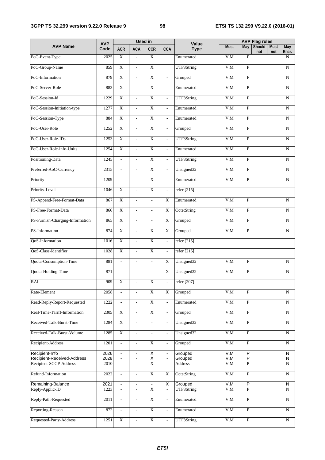### **3GPP TS 32.299 version 9.22.0 Release 9 98 ETSI TS 132 299 V9.22.0 (2016-01)**

|                                      | <b>AVP</b>   |                             |                                            | <b>Used in</b>                |                                                     | Value                  |             |                | <b>AVP Flag rules</b> |                    |                     |
|--------------------------------------|--------------|-----------------------------|--------------------------------------------|-------------------------------|-----------------------------------------------------|------------------------|-------------|----------------|-----------------------|--------------------|---------------------|
| <b>AVP Name</b>                      | Code         | <b>ACR</b>                  | <b>ACA</b>                                 | <b>CCR</b>                    | <b>CCA</b>                                          | <b>Type</b>            | <b>Must</b> | May            | <b>Should</b><br>not  | <b>Must</b><br>not | <b>May</b><br>Encr. |
| PoC-Event-Type                       | 2025         | $\mathbf X$                 | $\frac{1}{2}$                              | $\mathbf X$                   |                                                     | Enumerated             | V, M        | $\mathbf{P}$   |                       |                    | N                   |
| PoC-Group-Name                       | 859          | $\overline{X}$              | $\overline{\phantom{a}}$                   | $\overline{X}$                |                                                     | UTF8String             | V, M        | $\mathbf{P}$   |                       |                    | $\mathbf N$         |
| PoC-Information                      | 879          | $\overline{X}$              | $\overline{\phantom{a}}$                   | $\overline{X}$                | $\overline{\phantom{a}}$                            | Grouped                | V, M        | $\overline{P}$ |                       |                    | N                   |
| PoC-Server-Role                      | 883          | $\overline{X}$              | $\bar{\phantom{a}}$                        | $\overline{X}$                | $\mathbb{L}$                                        | Enumerated             | V, M        | $\overline{P}$ |                       |                    | N                   |
| PoC-Session-Id                       | 1229         | $\overline{X}$              | $\overline{\phantom{a}}$                   | $\overline{X}$                | $\mathbb{L}$                                        | UTF8String             | V,M         | $\overline{P}$ |                       |                    | N                   |
| PoC-Session-Initiation-type          | 1277         | $\overline{X}$              | $\overline{\phantom{a}}$                   | $\overline{X}$                | $\overline{\phantom{a}}$                            | Enumerated             | V,M         | $\overline{P}$ |                       |                    | N                   |
| PoC-Session-Type                     | 884          | $\overline{\text{X}}$       | $\overline{\phantom{a}}$                   | $\overline{X}$                | $\overline{\phantom{a}}$                            | Enumerated             | V, M        | $\mathbf{P}$   |                       |                    | N                   |
| PoC-User-Role                        | 1252         | $\overline{X}$              | $\overline{\phantom{a}}$                   | $\mathbf X$                   | $\mathcal{L}^{\pm}$                                 | Grouped                | V, M        | $\mathbf P$    |                       |                    | N                   |
| PoC-User-Role-IDs                    | 1253         | $\mathbf X$                 | $\overline{\phantom{a}}$                   | $\mathbf X$                   | $\overline{a}$                                      | UTF8String             | V, M        | $\overline{P}$ |                       |                    | N                   |
| PoC-User-Role-info-Units             | 1254         | $\overline{X}$              | $\overline{\phantom{a}}$                   | $\overline{X}$                | $\overline{\phantom{a}}$                            | Enumerated             | V, M        | $\mathbf{P}$   |                       |                    | N                   |
| Positioning-Data                     | 1245         | $\overline{\phantom{a}}$    | $\overline{\phantom{a}}$                   | $\overline{X}$                | $\overline{a}$                                      | UTF8String             | V, M        | $\overline{P}$ |                       |                    | N                   |
| Preferred-AoC-Currency               | 2315         | $\mathcal{L}^{\mathcal{A}}$ | $\bar{\phantom{a}}$                        | $\overline{X}$                | $\mathbb{Z}^{\mathbb{Z}}$                           | Unsigned32             | V,M         | $\overline{P}$ |                       |                    | N                   |
| Priority                             | 1209         | $\overline{a}$              | $\overline{a}$                             | $\overline{X}$                | ä,                                                  | Enumerated             | V,M         | $\mathbf{P}$   |                       |                    | ${\bf N}$           |
| Priority-Level                       | 1046         | $\overline{X}$              | $\overline{a}$                             | $\overline{X}$                | L.                                                  | refer [215]            |             |                |                       |                    |                     |
| PS-Append-Free-Format-Data           | 867          | $\overline{X}$              | $\overline{a}$                             | $\overline{a}$                | $\overline{X}$                                      | Enumerated             | V,M         | $\mathbf{P}$   |                       |                    | $\mathbf N$         |
| PS-Free-Format-Data                  | 866          | $\overline{X}$              | $\blacksquare$                             | $\overline{a}$                | $\mathbf X$                                         | OctetString            | V,M         | $\mathbf{P}$   |                       |                    | N                   |
| PS-Furnish-Charging-Information      | 865          | $\overline{X}$              | $\mathbf{r}$                               | $\overline{a}$                | X                                                   | Grouped                | V, M        | $\overline{P}$ |                       |                    | N                   |
| PS-Information                       | 874          | $\overline{X}$              | $\overline{\phantom{a}}$                   | $\overline{X}$                | X                                                   | Grouped                | V,M         | $\overline{P}$ |                       |                    | N                   |
| QoS-Information                      | 1016         | $\overline{X}$              | $\overline{\phantom{a}}$                   | $\overline{X}$                | $\overline{a}$                                      | refer [215]            |             |                |                       |                    |                     |
| QoS-Class-Identifier                 | 1028         | $\overline{X}$              | $\overline{a}$                             | $\overline{X}$                | $\overline{a}$                                      | refer [215]            |             |                |                       |                    |                     |
| Quota-Consumption-Time               | 881          | $\mathcal{L}$               | $\mathbb{L}$                               | $\overline{\phantom{a}}$      | $\overline{X}$                                      | Unsigned32             | V, M        | $\overline{P}$ |                       |                    | $\mathbf N$         |
| Quota-Holding-Time                   | 871          | $\overline{a}$              | $\overline{\phantom{a}}$                   | $\overline{a}$                | $\mathbf X$                                         | Unsigned <sub>32</sub> | V,M         | $\overline{P}$ |                       |                    | N                   |
| RAI                                  | 909          | $\overline{\text{X}}$       |                                            | $\overline{\mathrm{X}}$       |                                                     | refer [207]            |             |                |                       |                    |                     |
| Rate-Element                         | 2058         |                             | $\overline{\phantom{a}}$                   | $\overline{X}$                | $\overline{X}$                                      | Grouped                | V,M         | $\mathbf{P}$   |                       |                    | N                   |
| Read-Reply-Report-Requested          | 1222         | $\overline{\phantom{a}}$    | $\overline{\phantom{a}}$                   | $\mathbf X$                   | $\overline{\phantom{a}}$                            | Enumerated             | V, M        | $\, {\bf P}$   |                       |                    | N                   |
| Real-Time-Tariff-Information         | 2305         | $\mathbf X$                 | $\overline{\phantom{a}}$                   | $\mathbf X$                   | $\overline{\phantom{a}}$                            | Grouped                | V,M         | $\, {\bf P}$   |                       |                    | ${\bf N}$           |
| Received-Talk-Burst-Time             | 1284         | $\mathbf X$                 | $\overline{\phantom{a}}$                   | $\overline{\phantom{a}}$      | $\overline{\phantom{a}}$                            | Unsigned32             | V,M         | $\, {\bf P}$   |                       |                    | N                   |
| Received-Talk-Burst-Volume           | 1285         | $\mathbf X$                 | $\Box$                                     | $\overline{\phantom{a}}$      | $\overline{\phantom{a}}$                            | Unsigned32             | V, M        | $\overline{P}$ |                       |                    | $\mathbf N$         |
| Recipient-Address                    | 1201         | $\overline{\phantom{a}}$    | $\sim$                                     | $\mathbf X$                   | $\overline{\phantom{a}}$                            | Grouped                | V,M         | $\overline{P}$ |                       |                    | N                   |
| Recipient-Info                       | 2026         | $\blacksquare$              | $\blacksquare$                             | $\overline{\mathsf{X}}$       | $\blacksquare$                                      | Grouped                | V, M        | $\overline{P}$ |                       |                    | N                   |
| Recipient-Received-Address           | 2028         |                             | $\blacksquare$                             | $\overline{X}$                | $\blacksquare$                                      | Grouped                | V,M         | $\overline{P}$ |                       |                    | N                   |
| Recipient-SCCP-Address               | 2010         |                             | $\overline{\phantom{a}}$                   | $\overline{X}$                | $\overline{\phantom{a}}$                            | Address                | V, M        | P              |                       |                    | N                   |
| Refund-Information                   | 2022         | $\overline{\phantom{a}}$    | $\overline{\phantom{a}}$                   | $\mathbf X$                   | $\mathbf X$                                         | OctetString            | V, M        | $\overline{P}$ |                       |                    | N                   |
| Remaining-Balance<br>Reply-Applic-ID | 2021<br>1223 | $\blacksquare$              | $\blacksquare$<br>$\overline{\phantom{a}}$ | $\blacksquare$<br>$\mathbf X$ | $\overline{\mathsf{x}}$<br>$\overline{\phantom{a}}$ | Grouped<br>UTF8String  | V,M<br>V, M | P<br>P         |                       |                    | N<br>N              |
|                                      |              |                             |                                            |                               |                                                     |                        |             |                |                       |                    |                     |
| Reply-Path-Requested                 | 2011         | $\overline{a}$              | $\overline{\phantom{a}}$                   | $\overline{X}$                | ÷,                                                  | Enumerated             | V, M        | $\overline{P}$ |                       |                    | N                   |
| Reporting-Reason                     | 872          |                             | $\overline{\phantom{a}}$                   | $\overline{X}$                | $\overline{a}$                                      | Enumerated             | V,M         | $\overline{P}$ |                       |                    | N                   |
| Requested-Party-Address              | 1251         | $\mathbf X$                 | $\overline{\phantom{a}}$                   | $\mathbf X$                   | $\overline{a}$                                      | UTF8String             | V, M        | $\mathbf{P}$   |                       |                    | N                   |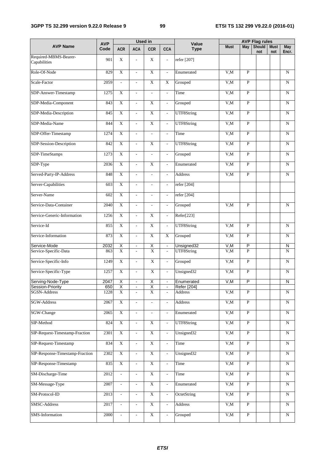### **3GPP TS 32.299 version 9.22.0 Release 9 99 ETSI TS 132 299 V9.22.0 (2016-01)**

|                                       |                    |                             |                          | <b>Used in</b>            |                             |                      |             | <b>AVP Flag rules</b>   |                      |                    |                |
|---------------------------------------|--------------------|-----------------------------|--------------------------|---------------------------|-----------------------------|----------------------|-------------|-------------------------|----------------------|--------------------|----------------|
| <b>AVP Name</b>                       | <b>AVP</b><br>Code | <b>ACR</b>                  | <b>ACA</b>               | <b>CCR</b>                | <b>CCA</b>                  | Value<br><b>Type</b> | <b>Must</b> | May                     | <b>Should</b><br>not | <b>Must</b><br>not | May<br>Encr.   |
| Required-MBMS-Bearer-<br>Capabilities | 901                | X                           | $\overline{a}$           | $\mathbf X$               | $\overline{a}$              | refer [207]          |             |                         |                      |                    |                |
| Role-Of-Node                          | 829                | $\overline{X}$              | $\blacksquare$           | $\overline{X}$            | $\overline{\phantom{a}}$    | Enumerated           | V,M         | $\mathbf{P}$            |                      |                    | N              |
| Scale-Factor                          | 2059               | $\overline{\phantom{a}}$    | $\overline{\phantom{a}}$ | $\mathbf X$               | X                           | Grouped              | V, M        | $\overline{P}$          |                      |                    | N              |
| SDP-Answer-Timestamp                  | 1275               | X                           | $\overline{\phantom{a}}$ | $\overline{\phantom{a}}$  | $\overline{\phantom{a}}$    | Time                 | V, M        | $\overline{P}$          |                      |                    | N              |
| SDP-Media-Component                   | 843                | $\overline{X}$              | $\overline{\phantom{a}}$ | $\mathbf X$               | ÷,                          | Grouped              | V, M        | $\overline{P}$          |                      |                    | ${\bf N}$      |
| SDP-Media-Description                 | 845                | $\overline{X}$              | $\mathbb{L}$             | $\overline{X}$            | $\mathbb{Z}^{\mathbb{Z}}$   | UTF8String           | V, M        | $\overline{P}$          |                      |                    | ${\bf N}$      |
| SDP-Media-Name                        | 844                | $\overline{X}$              | $\overline{\phantom{a}}$ | $\mathbf X$               | $\overline{\phantom{0}}$    | UTF8String           | V,M         | $\overline{P}$          |                      |                    | N              |
| SDP-Offer-Timestamp                   | 1274               | $\overline{X}$              | $\overline{\phantom{a}}$ | $\overline{a}$            | $\overline{\phantom{a}}$    | Time                 | V, M        | $\overline{P}$          |                      |                    | N              |
| SDP-Session-Description               | 842                | $\overline{X}$              | $\overline{a}$           | $\overline{X}$            | $\overline{a}$              | UTF8String           | V,M         | $\overline{P}$          |                      |                    | $\mathbf N$    |
| SDP-TimeStamps                        | 1273               | $\overline{X}$              | $\overline{\phantom{a}}$ | $\overline{\phantom{a}}$  | $\overline{\phantom{a}}$    | Grouped              | V,M         | $\overline{P}$          |                      |                    | N              |
| SDP-Type                              | 2036               | $\overline{X}$              | $\overline{\phantom{a}}$ | $\overline{X}$            | $\overline{a}$              | Enumerated           | V,M         | $\overline{P}$          |                      |                    | $\mathbf N$    |
| Served-Party-IP-Address               | 848                | $\overline{X}$              | $\mathcal{L}$            | $\overline{a}$            | $\mathbf{r}$                | Address              | V, M        | $\overline{P}$          |                      |                    | N              |
| Server-Capabilities                   | 603                | $\overline{X}$              | $\mathcal{L}$            | $\overline{a}$            | $\overline{a}$              | refer [204]          |             |                         |                      |                    |                |
| Server-Name                           | 602                | $\overline{X}$              | $\bar{\phantom{a}}$      | $\overline{\phantom{a}}$  | $\overline{\phantom{a}}$    | refer [204]          |             |                         |                      |                    |                |
| Service-Data-Container                | 2040               | $\overline{X}$              | $\mathbb{L}$             | $\overline{a}$            | $\mathcal{L}_{\mathcal{A}}$ | Grouped              | V, M        | $\overline{P}$          |                      |                    | N              |
| Service-Generic-Information           | 1256               | $\mathbf X$                 | $\overline{\phantom{a}}$ | $\mathbf X$               | $\overline{\phantom{0}}$    | Refer[223]           |             |                         |                      |                    |                |
| Service-Id                            | 855                | $\overline{X}$              | $\overline{\phantom{a}}$ | $\overline{X}$            | $\overline{\phantom{a}}$    | UTF8String           | V,M         | $\overline{P}$          |                      |                    | N              |
| Service-Information                   | 873                | $\overline{X}$              | $\overline{\phantom{a}}$ | $\overline{X}$            | $\mathbf X$                 | Grouped              | V, M        | $\overline{P}$          |                      |                    | N              |
| Service-Mode                          | 2032               | $\overline{X}$              | $\blacksquare$           | $\overline{\mathsf{X}}$   | $\blacksquare$              | Unsigned32           | V,M         | $\overline{P}$          |                      |                    | N              |
| Service-Specific-Data                 | 863                | $\overline{X}$              | $\overline{\phantom{a}}$ | $\overline{X}$            | $\overline{\phantom{0}}$    | UTF8String           | V.M         | $\overline{P}$          |                      |                    | N              |
| Service-Specific-Info                 | 1249               | $\overline{X}$              | $\blacksquare$           | $\overline{X}$            | ÷,                          | Grouped              | V.M         | $\overline{P}$          |                      |                    | $\overline{N}$ |
| Service-Specific-Type                 | 1257               | $\overline{X}$              | $\frac{1}{2}$            | $\overline{X}$            |                             | Unsigned32           | V, M        | $\mathbf{P}$            |                      |                    | $\mathbf N$    |
| Serving-Node-Type                     | 2047               | χ                           | $\blacksquare$           | $\overline{X}$            |                             | Enumerated           | V, M        | $\overline{P}$          |                      |                    | $\overline{N}$ |
| Session-Priority                      | 650                | $\overline{\mathsf{X}}$     | $\blacksquare$           | Χ                         | $\blacksquare$              | <b>Refer</b> [204]   |             |                         |                      |                    |                |
| SGSN-Address                          | 1228               | X                           | $\overline{\phantom{a}}$ | X                         | $\overline{\phantom{a}}$    | Address              | V, M        | $\mathbf{P}$            |                      |                    | N              |
| SGW-Address                           | 2067               | $\mathbf X$                 | $\overline{\phantom{a}}$ | $\overline{\phantom{a}}$  | $\overline{\phantom{a}}$    | Address              | V, M        | $\overline{P}$          |                      |                    | N              |
| SGW-Change                            | 2065               | $\mathbf X$                 | $\overline{\phantom{a}}$ | $\blacksquare$            | $\overline{\phantom{a}}$    | Enumerated           | V,M         | $\overline{P}$          |                      |                    | $\, {\rm N}$   |
| SIP-Method                            | 824                | $\mathbf X$                 | $\overline{\phantom{a}}$ | $\mathbf X$               | $\overline{\phantom{a}}$    | UTF8String           | V,M         | ${\bf P}$               |                      |                    | $\mathbf N$    |
| SIP-Request-Timestamp-Fraction        | 2301               | $\overline{\text{X}}$       | $\mathbb{L}$             | $\overline{X}$            | ÷.                          | Unsigned32           | V, M        | $\overline{P}$          |                      |                    | ${\bf N}$      |
| SIP-Request-Timestamp                 | 834                | $\overline{X}$              | $\overline{\phantom{a}}$ | $\overline{X}$            | $\overline{a}$              | Time                 | V,M         | $\overline{P}$          |                      |                    | $_{\rm N}$     |
| SIP-Response-Timestamp-Fraction       | 2302               | $\overline{\text{X}}$       | $\overline{\phantom{a}}$ | $\overline{\text{X}}$     | L.                          | Unsigned32           | V, M        | $\overline{P}$          |                      |                    | $_{\rm N}$     |
| SIP-Response-Timestamp                | 835                | $\overline{\textbf{X}}$     | $\overline{\phantom{a}}$ | $\overline{X}$            | $\overline{\phantom{a}}$    | Time                 | V, M        | $\overline{P}$          |                      |                    | N              |
| SM-Discharge-Time                     | 2012               | $\mathcal{L}^{\mathcal{A}}$ | $\overline{\phantom{a}}$ | $\mathbf X$               | $\bar{\phantom{a}}$         | Time                 | V, M        | $\overline{P}$          |                      |                    | N              |
| SM-Message-Type                       | 2007               | $\bar{\phantom{a}}$         | $\overline{\phantom{a}}$ | $\mathbf X$               | $\overline{a}$              | Enumerated           | V, M        | $\overline{P}$          |                      |                    | $_{\rm N}$     |
| SM-Protocol-ID                        | 2013               | $\mathcal{L}$               | $\overline{\phantom{a}}$ | $\overline{X}$            | $\bar{\phantom{a}}$         | OctetString          | V, M        | $\overline{P}$          |                      |                    | ${\rm N}$      |
| SMSC-Address                          | 2017               | $\overline{\phantom{a}}$    | $\overline{\phantom{a}}$ | $\overline{\text{X}}$     | $\overline{\phantom{a}}$    | Address              | V,M         | $\overline{P}$          |                      |                    | $\overline{N}$ |
| SMS-Information                       | 2000               | $\mathbb{L}$                | $\overline{\phantom{a}}$ | $\boldsymbol{\mathrm{X}}$ | $\overline{\phantom{a}}$    | Grouped              | V, M        | $\overline{\mathbf{P}}$ |                      |                    | $\overline{N}$ |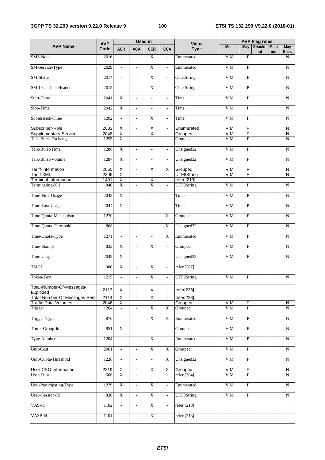### **3GPP TS 32.299 version 9.22.0 Release 9 100 ETSI TS 132 299 V9.22.0 (2016-01)**

|                                       |                    |                           |                             | <b>Used in</b>           |                          |                      |             | <b>AVP Flag rules</b>   |                      |                    |                     |
|---------------------------------------|--------------------|---------------------------|-----------------------------|--------------------------|--------------------------|----------------------|-------------|-------------------------|----------------------|--------------------|---------------------|
| <b>AVP Name</b>                       | <b>AVP</b><br>Code | <b>ACR</b>                | <b>ACA</b>                  | <b>CCR</b>               | <b>CCA</b>               | Value<br><b>Type</b> | <b>Must</b> | May                     | <b>Should</b><br>not | <b>Must</b><br>not | <b>May</b><br>Encr. |
| SMS-Node                              | 2016               | $\overline{\phantom{a}}$  | $\overline{a}$              | $\mathbf X$              | $\overline{\phantom{a}}$ | Enumerated           | V, M        | $\overline{P}$          |                      |                    | $\mathbf N$         |
| SM-Service-Type                       | 2029               | $\mathcal{L}$             | $\overline{\phantom{a}}$    | $\overline{X}$           | $\overline{a}$           | Enumerated           | V,M         | $\mathbf{P}$            |                      |                    | $\mathbf N$         |
| SM-Status                             | 2014               | $\mathcal{L}$             | $\mathcal{L}$               | $\overline{X}$           | $\overline{\phantom{a}}$ | OctetString          | V, M        | $\overline{P}$          |                      |                    | N                   |
| SM-User-Data-Header                   | 2015               | $\overline{a}$            | $\mathcal{L}_{\mathcal{A}}$ | $\overline{X}$           | $\mathbb{L}^2$           | OctetString          | V, M        | $\overline{P}$          |                      |                    | $\mathbf N$         |
| Start-Time                            | 2041               | $\overline{X}$            | $\overline{a}$              | $\overline{a}$           | $\overline{\phantom{a}}$ | Time                 | V, M        | $\overline{P}$          |                      |                    | N                   |
| Stop-Time                             | 2042               | $\overline{X}$            | $\overline{\phantom{a}}$    | $\overline{a}$           | $\overline{a}$           | Time                 | V, M        | $\mathbf{P}$            |                      |                    | N                   |
| Submission-Time                       | 1202               | $\overline{a}$            | $\overline{\phantom{a}}$    | $\overline{X}$           | $\overline{a}$           | Time                 | V, M        | $\overline{P}$          |                      |                    | N                   |
| Subscriber-Role                       | 2033               | $\overline{\mathsf{x}}$   | $\blacksquare$              | $\overline{\mathsf{x}}$  | $\blacksquare$           | Enumerated           | V,M         | $\overline{P}$          |                      |                    | N                   |
| Supplementary-Service                 | 2048               | Χ                         | $\blacksquare$              | $\overline{\mathsf{X}}$  | $\blacksquare$           | Grouped              | V, M        | $\overline{\mathsf{P}}$ |                      |                    | $\overline{N}$      |
| Talk-Burst-Exchange                   | 1255               | $\overline{X}$            | $\mathcal{L}$               | $\overline{\phantom{a}}$ | $\overline{\phantom{a}}$ | Grouped              | V,M         | $\overline{P}$          |                      |                    | ${\bf N}$           |
| Talk-Burst-Time                       | 1286               | $\overline{X}$            | $\overline{a}$              | $\overline{a}$           | $\overline{a}$           | Unsigned32           | V, M        | $\mathbf{P}$            |                      |                    | $\mathbf N$         |
| Talk-Burst-Volume                     | 1287               | $\overline{X}$            | $\overline{\phantom{a}}$    | $\overline{\phantom{a}}$ | $\overline{a}$           | Unsigned32           | V, M        | $\mathbf{P}$            |                      |                    | $\mathbf N$         |
| Tariff-Information                    | 2060               | $\overline{X}$            | $\blacksquare$              | Χ                        | $\overline{\mathsf{x}}$  | Grouped              | V, M        | $\overline{P}$          |                      |                    | N                   |
| Tariff-XML                            | 2306               | $\overline{\mathsf{X}}$   | $\blacksquare$              | $\blacksquare$           | $\blacksquare$           | UTF8String           | V, M        | $\overline{P}$          |                      |                    | N                   |
| Terminal-Information                  | 1401               | Χ                         | $\Box$                      | Χ                        | $\blacksquare$           | refer [219]          |             |                         |                      |                    |                     |
| Terminating-IOI                       | 840                | $\overline{X}$            | $\overline{\phantom{a}}$    | $\overline{X}$           | $\overline{\phantom{0}}$ | UTF8String           | V,M         | $\overline{P}$          |                      |                    | $\mathbf N$         |
| Time-First-Usage                      | 2043               | $\overline{X}$            | $\overline{\phantom{a}}$    | $\overline{\phantom{a}}$ | $\overline{\phantom{a}}$ | Time                 | V, M        | $\overline{P}$          |                      |                    | $\mathbf N$         |
| Time-Last-Usage                       | 2044               | $\overline{X}$            | $\bar{\phantom{a}}$         | $\omega$                 | $\mathbb{L}$             | Time                 | V, M        | $\mathbf{P}$            |                      |                    | N                   |
| Time-Quota-Mechanism                  | 1270               | $\overline{a}$            | $\overline{\phantom{a}}$    | $\overline{\phantom{a}}$ | $\mathbf X$              | Grouped              | V, M        | $\mathbf{P}$            |                      |                    | N                   |
| Time-Quota-Threshold                  | 868                | $\overline{a}$            | $\overline{\phantom{a}}$    | $\overline{\phantom{a}}$ | $\overline{X}$           | Unsigned32           | V, M        | $\mathbf{P}$            |                      |                    | N                   |
| Time-Quota-Type                       | 1271               |                           | $\overline{\phantom{a}}$    |                          | X                        | Enumerated           | V, M        | $\mathbf{P}$            |                      |                    | N                   |
| Time-Stamps                           | 833                | $\overline{X}$            | $\overline{\phantom{a}}$    | X                        | $\overline{\phantom{0}}$ | Grouped              | V, M        | $\mathbf{P}$            |                      |                    | N                   |
| Time-Usage                            | 2045               | $\overline{X}$            | $\overline{\phantom{a}}$    | $\overline{\phantom{a}}$ | $\overline{\phantom{a}}$ | Unsigned32           | V, M        | $\mathbf{P}$            |                      |                    | $\mathbf N$         |
| <b>TMGI</b>                           | 900                | $\mathbf X$               | $\overline{\phantom{a}}$    | $\mathbf X$              | $\overline{\phantom{a}}$ | refer [207]          |             |                         |                      |                    |                     |
| Token-Text                            | 1215               | $\overline{\phantom{a}}$  | $\overline{a}$              | $\overline{\mathbf{X}}$  | $\overline{\phantom{a}}$ | UTF8String           | V, M        | $\overline{P}$          |                      |                    | $\mathbf N$         |
| Total-Number-Of-Messages-<br>Exploded | 2113               | X                         | $\blacksquare$              | X                        | $\overline{\phantom{0}}$ | refer[223]           |             |                         |                      |                    |                     |
| Total-Number-Of-Messages-Sent         | 2114               | $\overline{\mathsf{X}}$   | $\blacksquare$              | $\overline{\mathsf{X}}$  |                          | refer[223]           |             |                         |                      |                    |                     |
| Traffic-Data-Volumes                  | 2046               | $\overline{\mathsf{X}}$   | $\blacksquare$              |                          | $\blacksquare$           | Grouped              | V, M        | $\overline{P}$          |                      |                    | N                   |
| Trigger                               | 1264               |                           |                             | $\overline{X}$           | $\mathbf X$              | Grouped              | V, M        | $\overline{P}$          |                      |                    | N                   |
| Trigger-Type                          | 870                | $\overline{\phantom{a}}$  | $\overline{\phantom{a}}$    | $\overline{\textbf{X}}$  | $\overline{\textbf{X}}$  | Enumerated           | V,M         | $\overline{P}$          |                      |                    | N                   |
| Trunk-Group-Id                        | 851                | $\mathbf X$               | $\overline{\phantom{a}}$    | $\overline{\phantom{a}}$ | $\overline{\phantom{a}}$ | Grouped              | V, M        | $\overline{P}$          |                      |                    | ${\bf N}$           |
| Type-Number                           | 1204               | ÷,                        | $\blacksquare$              | $\mathbf X$              | $\overline{\phantom{a}}$ | Enumerated           | V.M         | $\overline{P}$          |                      |                    | ${\bf N}$           |
| Unit-Cost                             | 2061               | $\mathbf{r}$              | $\overline{\phantom{a}}$    | $\overline{\textbf{X}}$  | $\mathbf X$              | Grouped              | V, M        | $\overline{P}$          |                      |                    | ${\bf N}$           |
| Unit-Quota-Threshold                  | 1226               | $\overline{\phantom{a}}$  | $\overline{\phantom{a}}$    | $\overline{\phantom{a}}$ | $\overline{X}$           | Unsigned32           | V,M         | $\overline{P}$          |                      |                    | ${\bf N}$           |
| User-CSG-Information                  | 2319               | X                         | $\blacksquare$              | Χ                        | $\overline{\mathsf{X}}$  | Grouped              | V, M        | $\overline{P}$          |                      |                    | ${\sf N}$           |
| User-Data                             | 606                | $\overline{X}$            | $\overline{\phantom{a}}$    |                          | $\overline{\phantom{a}}$ | refer [204]          | V, M        | $\overline{P}$          |                      |                    | N                   |
| User-Participating-Type               | 1279               | $\boldsymbol{\mathrm{X}}$ | $\overline{\phantom{a}}$    | $\mathbf X$              | $\overline{\phantom{a}}$ | Enumerated           | V,M         | $\overline{P}$          |                      |                    | $\overline{N}$      |
| User-Session-Id                       | 830                | $\overline{\textbf{X}}$   | $\overline{\phantom{a}}$    | $\overline{\textbf{X}}$  | $\overline{\phantom{a}}$ | UTF8String           | V, M        | $\overline{P}$          |                      |                    | ${\bf N}$           |
| VAS-Id                                | 1102               | $\mathbb{Z}^{\mathbb{Z}}$ | $\mathcal{L}^{\pm}$         | $\overline{\textbf{X}}$  | $\sim$                   | refer [213]          |             |                         |                      |                    |                     |
| VASP-Id                               | 1101               | $\overline{a}$            | $\overline{\phantom{a}}$    | $\overline{\textbf{X}}$  | $\overline{\phantom{a}}$ | refer [213]          |             |                         |                      |                    |                     |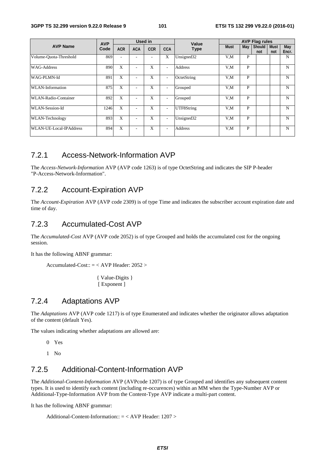| <b>AVP Name</b>                | <b>AVP</b><br>Code | Used in    |                          |            |                          | Value          | <b>AVP Flag rules</b> |              |                 |                    |              |
|--------------------------------|--------------------|------------|--------------------------|------------|--------------------------|----------------|-----------------------|--------------|-----------------|--------------------|--------------|
|                                |                    | <b>ACR</b> | <b>ACA</b>               | <b>CCR</b> | <b>CCA</b>               | <b>Type</b>    | <b>Must</b>           | May          | Should  <br>not | <b>Must</b><br>not | May<br>Encr. |
| Volume-Quota-Threshold         | 869                |            | ٠                        | ۰          | X                        | Unsigned32     | V,M                   | $\mathbf{P}$ |                 |                    | N            |
| <b>WAG-Address</b>             | 890                | X          | ٠                        | X          | $\overline{\phantom{0}}$ | <b>Address</b> | V.M                   | P            |                 |                    | N            |
| WAG-PLMN-Id                    | 891                | X          | ٠                        | X          | $\overline{\phantom{0}}$ | OctetString    | V,M                   | P            |                 |                    | N            |
| WLAN-Information               | 875                | X          |                          | X          | $\overline{\phantom{0}}$ | Grouped        | V.M                   | P            |                 |                    | N            |
| WLAN-Radio-Container           | 892                | X          | ٠                        | X          | $\overline{\phantom{0}}$ | Grouped        | V.M                   | P            |                 |                    | N            |
| WLAN-Session-Id                | 1246               | X          | ٠                        | X          | $\overline{\phantom{0}}$ | UTF8String     | V.M                   | P            |                 |                    | N            |
| WLAN-Technology                | 893                | X          | $\overline{\phantom{a}}$ | X          | $\overline{\phantom{0}}$ | Unsigned32     | V.M                   | $\mathbf{P}$ |                 |                    | N            |
| <b>WLAN-UE-Local-IPAddress</b> | 894                | X          | ٠                        | X          | $\overline{\phantom{0}}$ | <b>Address</b> | V.M                   | P            |                 |                    | N            |

### 7.2.1 Access-Network-Information AVP

The *Access-Network-Information* AVP (AVP code 1263) is of type OctetString and indicates the SIP P-header "P-Access-Network-Information".

### 7.2.2 Account-Expiration AVP

The *Account-Expiration* AVP (AVP code 2309) is of type Time and indicates the subscriber account expiration date and time of day.

### 7.2.3 Accumulated-Cost AVP

The *Accumulated-Cost* AVP (AVP code 2052) is of type Grouped and holds the accumulated cost for the ongoing session.

It has the following ABNF grammar:

Accumulated-Cost::  $=$  < AVP Header: 2052 >

{ Value-Digits } [ Exponent ]

### 7.2.4 Adaptations AVP

The *Adaptations* AVP (AVP code 1217) is of type Enumerated and indicates whether the originator allows adaptation of the content (default Yes).

The values indicating whether adaptations are allowed are:

- 0 Yes
- 1 No

## 7.2.5 Additional-Content-Information AVP

The *Additional-Content-Information* AVP (AVPcode 1207) is of type Grouped and identifies any subsequent content types. It is used to identify each content (including re-occurences) within an MM when the Type-Number AVP or Additional-Type-Information AVP from the Content-Type AVP indicate a multi-part content.

It has the following ABNF grammar:

Additional-Content-Information:: = < AVP Header: 1207 >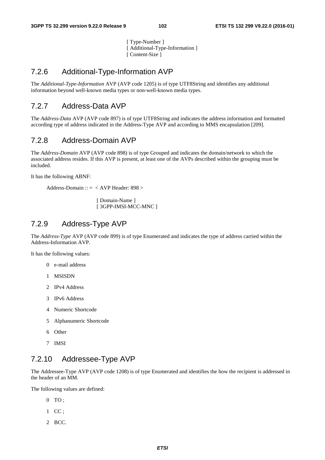[ Type-Number ] [ Additional-Type-Information ] [ Content-Size ]

## 7.2.6 Additional-Type-Information AVP

The *Additional-Type-Information* AVP (AVP code 1205) is of type UTF8String and identifies any additional information beyond well-known media types or non-well-known media types.

### 7.2.7 Address-Data AVP

The *Address-Data* AVP (AVP code 897) is of type UTF8String and indicates the address information and formatted according type of address indicated in the Address-Type AVP and according to MMS encapsulation [209].

### 7.2.8 Address-Domain AVP

The *Address-Domain* AVP (AVP code 898) is of type Grouped and indicates the domain/network to which the associated address resides. If this AVP is present, at least one of the AVPs described within the grouping must be included.

It has the following ABNF:

Address-Domain :: = < AVP Header: 898 >

[ Domain-Name ] [ 3GPP-IMSI-MCC-MNC ]

### 7.2.9 Address-Type AVP

The *Address-Type* AVP (AVP code 899) is of type Enumerated and indicates the type of address carried within the Address-Information AVP.

It has the following values:

- 0 e-mail address
- 1 MSISDN
- 2 IPv4 Address
- 3 IPv6 Address
- 4 Numeric Shortcode
- 5 Alphanumeric Shortcode
- 6 Other
- 7 IMSI

### 7.2.10 Addressee-Type AVP

The Addressee-Type AVP (AVP code 1208) is of type Enumerated and identifies the how the recipient is addressed in the header of an MM.

The following values are defined:

- $0$  TO :
- 1 CC ;
- 2 BCC.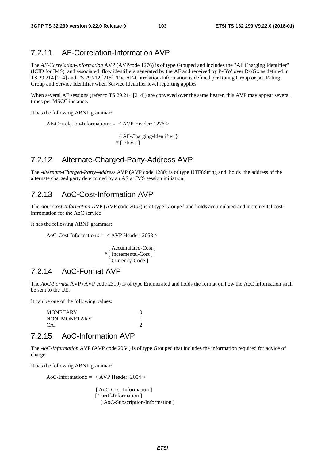## 7.2.11 AF-Correlation-Information AVP

The *AF-Correlation-Information* AVP (AVPcode 1276) is of type Grouped and includes the "AF Charging Identifier" (ICID for IMS) and associated flow identifiers generated by the AF and received by P-GW over Rx/Gx as defined in TS 29.214 [214] and TS 29.212 [215]. The AF-Correlation-Information is defined per Rating Group or per Rating Group and Service Identifier when Service Identifier level reporting applies.

When several AF sessions (refer to TS 29.214 [214]) are conveyed over the same bearer, this AVP may appear several times per MSCC instance.

It has the following ABNF grammar:

AF-Correlation-Information:: = < AVP Header: 1276 >

 { AF-Charging-Identifier } \* [ Flows ]

### 7.2.12 Alternate-Charged-Party-Address AVP

The *Alternate-Charged-Party-Address* AVP (AVP code 1280) is of type UTF8String and holds the address of the alternate charged party determined by an AS at IMS session initiation.

### 7.2.13 AoC-Cost-Information AVP

The *AoC-Cost-Information* AVP (AVP code 2053) is of type Grouped and holds accumulated and incremental cost infromation for the AoC service

It has the following ABNF grammar:

AoC-Cost-Information:: = < AVP Header: 2053 >

[ Accumulated-Cost ] \* [ Incremental-Cost ] [ Currency-Code ]

### 7.2.14 AoC-Format AVP

The *AoC-Format* AVP (AVP code 2310) is of type Enumerated and holds the format on how the AoC information shall be sent to the UE.

It can be one of the following values:

 MONETARY 0 NON\_MONETARY 1 CAI 2

### 7.2.15 AoC-Information AVP

The *AoC-Information* AVP (AVP code 2054) is of type Grouped that includes the information required for advice of charge.

It has the following ABNF grammar:

AoC-Information:: = < AVP Header: 2054 >

[ AoC-Cost-Information ] [ Tariff-Information ] [ AoC-Subscription-Information ]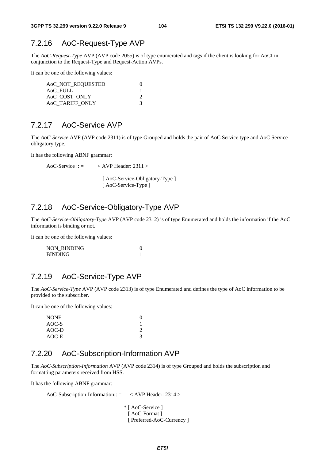### 7.2.16 AoC-Request-Type AVP

The *AoC-Request-Type* AVP (AVP code 2055) is of type enumerated and tags if the client is looking for AoCI in conjunction to the Request-Type and Request-Action AVPs.

It can be one of the following values:

| AoC_NOT_REQUESTED |  |
|-------------------|--|
| AoC FULL          |  |
| AoC_COST_ONLY     |  |
| AOC TARIFF ONLY   |  |

### 7.2.17 AoC-Service AVP

The *AoC-Service* AVP (AVP code 2311) is of type Grouped and holds the pair of AoC Service type and AoC Service obligatory type.

It has the following ABNF grammar:

AoC-Service ::  $=$  < AVP Header: 2311 >

[ AoC-Service-Obligatory-Type ] [ AoC-Service-Type ]

## 7.2.18 AoC-Service-Obligatory-Type AVP

The *AoC-Service-Obligatory-Type* AVP (AVP code 2312) is of type Enumerated and holds the information if the AoC information is binding or not.

It can be one of the following values:

NON BINDING 0 BINDING 1

### 7.2.19 AoC-Service-Type AVP

The *AoC-Service-Type* AVP (AVP code 2313) is of type Enumerated and defines the type of AoC information to be provided to the subscriber.

It can be one of the following values:

| <b>NONE</b> |  |
|-------------|--|
| AOC-S       |  |
| $AOC-D$     |  |
| AOC-E       |  |

## 7.2.20 AoC-Subscription-Information AVP

The *AoC-Subscription-Information* AVP (AVP code 2314) is of type Grouped and holds the subscription and formatting parameters received from HSS.

It has the following ABNF grammar:

```
AoC-Subscription-Information:: = < AVP Header: 2314 > 
                     * [ AoC-Service ] 
                      [ AoC-Format ]
                       [ Preferred-AoC-Currency ]
```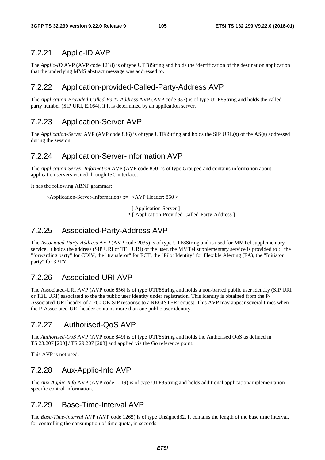## 7.2.21 Applic-ID AVP

The *Applic-ID* AVP (AVP code 1218) is of type UTF8String and holds the identification of the destination application that the underlying MMS abstract message was addressed to.

## 7.2.22 Application-provided-Called-Party-Address AVP

The *Application-Provided-Called-Party-Address* AVP (AVP code 837) is of type UTF8String and holds the called party number (SIP URI, E.164), if it is determined by an application server.

## 7.2.23 Application-Server AVP

The *Application-Server* AVP (AVP code 836) is of type UTF8String and holds the SIP URL(s) of the AS(s) addressed during the session.

### 7.2.24 Application-Server-Information AVP

The *Application-Server-Information* AVP (AVP code 850) is of type Grouped and contains information about application servers visited through ISC interface.

It has the following ABNF grammar:

<Application-Server-Information>::= <AVP Header: 850 >

[ Application-Server ]

\* [ Application-Provided-Called-Party-Address ]

### 7.2.25 Associated-Party-Address AVP

The *Associated-Party-Address* AVP (AVP code 2035) is of type UTF8String and is used for MMTel supplementary service. It holds the address (SIP URI or TEL URI) of the user, the MMTel supplementary service is provided to : the "forwarding party" for CDIV, the "transferor" for ECT, the "Pilot Identity" for Flexible Alerting (FA), the "Initiator party" for 3PTY.

## 7.2.26 Associated-URI AVP

The Associated-URI AVP (AVP code 856) is of type UTF8String and holds a non-barred public user identity (SIP URI or TEL URI) associated to the the public user identity under registration. This identity is obtained from the P-Associated-URI header of a 200 OK SIP response to a REGISTER request. This AVP may appear several times when the P-Associated-URI header contains more than one public user identity.

## 7.2.27 Authorised-QoS AVP

The *Authorised-QoS* AVP (AVP code 849) is of type UTF8String and holds the Authorised QoS as defined in TS 23.207 [200] / TS 29.207 [203] and applied via the Go reference point.

This AVP is not used.

## 7.2.28 Aux-Applic-Info AVP

The *Aux-Applic-Info* AVP (AVP code 1219) is of type UTF8String and holds additional application/implementation specific control information.

## 7.2.29 Base-Time-Interval AVP

The *Base-Time-Interval* AVP (AVP code 1265) is of type Unsigned32. It contains the length of the base time interval, for controlling the consumption of time quota, in seconds.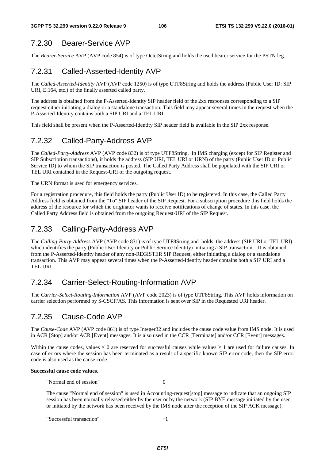# 7.2.30 Bearer-Service AVP

The *Bearer-Service* AVP (AVP code 854) is of type OctetString and holds the used bearer service for the PSTN leg.

# 7.2.31 Called-Asserted-Identity AVP

The *Called-Asserted-Identity* AVP (AVP code 1250) is of type UTF8String and holds the address (Public User ID: SIP URI, E.164, etc.) of the finally asserted called party.

The address is obtained from the P-Asserted-Identity SIP header field of the 2xx responses corresponding to a SIP request either initiating a dialog or a standalone transaction. This field may appear several times in the request when the P-Asserted-Identity contains both a SIP URI and a TEL URI.

This field shall be present when the P-Asserted-Identity SIP header field is available in the SIP 2xx response.

# 7.2.32 Called-Party-Address AVP

The *Called-Party-Address* AVP (AVP code 832) is of type UTF8String. In IMS charging (except for SIP Register and SIP Subscription transactions), it holds the address (SIP URI, TEL URI or URN) of the party (Public User ID or Public Service ID) to whom the SIP transaction is posted. The Called Party Address shall be populated with the SIP URI or TEL URI contained in the Request-URI of the outgoing request.

The URN format is used for emergency services.

For a registration procedure, this field holds the party (Public User ID) to be registered. In this case, the Called Party Address field is obtained from the "To" SIP header of the SIP Request. For a subscription procedure this field holds the address of the resource for which the originator wants to receive notifications of change of states. In this case, the Called Party Address field is obtained from the outgoing Request-URI of the SIP Request.

## 7.2.33 Calling-Party-Address AVP

The *Calling-Party-Address* AVP (AVP code 831) is of type UTF8String and holds the address (SIP URI or TEL URI) which identifies the party (Public User Identity or Public Service Identity) initiating a SIP transaction. . It is obtained from the P-Asserted-Identity header of any non-REGISTER SIP Request, either initiating a dialog or a standalone transaction. This AVP may appear several times when the P-Asserted-Identity header contains both a SIP URI and a TEL URI.

## 7.2.34 Carrier-Select-Routing-Information AVP

The *Carrier-Select-Routing-Information* AVP (AVP code 2023) is of type UTF8String. This AVP holds information on carrier selection performed by S-CSCF/AS. This information is sent over SIP in the Requested URI header.

## 7.2.35 Cause-Code AVP

The *Cause-Code* AVP (AVP code 861) is of type Integer32 and includes the cause code value from IMS node. It is used in ACR [Stop] and/or ACR [Event] messages. It is also used in the CCR [Terminate] and/or CCR [Event] messages.

Within the cause codes, values  $\leq 0$  are reserved for successful causes while values  $\geq 1$  are used for failure causes. In case of errors where the session has been terminated as a result of a specific known SIP error code, then the SIP error code is also used as the cause code.

### **Successful cause code values.**

"Normal end of session" 0

The cause "Normal end of session" is used in Accounting-request[stop] message to indicate that an ongoing SIP session has been normally released either by the user or by the network (SIP BYE message initiated by the user or initiated by the network has been received by the IMS node after the reception of the SIP ACK message).

"Successful transaction" -1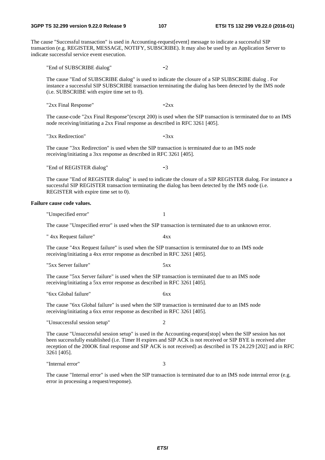The cause "Successful transaction" is used in Accounting-request[event] message to indicate a successful SIP transaction (e.g. REGISTER, MESSAGE, NOTIFY, SUBSCRIBE). It may also be used by an Application Server to indicate successful service event execution.

"End of SUBSCRIBE dialog" -2

The cause "End of SUBSCRIBE dialog" is used to indicate the closure of a SIP SUBSCRIBE dialog . For instance a successful SIP SUBSCRIBE transaction terminating the dialog has been detected by the IMS node (i.e. SUBSCRIBE with expire time set to 0).

"2xx Final Response"  $-2xx$ 

The cause-code "2xx Final Response"(except 200) is used when the SIP transaction is terminated due to an IMS node receiving/initiating a 2xx Final response as described in RFC 3261 [405].

" $3xx$  Redirection"  $-3xx$ 

The cause "3xx Redirection" is used when the SIP transaction is terminated due to an IMS node receiving/initiating a 3xx response as described in RFC 3261 [405].

"End of REGISTER dialog" -3

The cause "End of REGISTER dialog" is used to indicate the closure of a SIP REGISTER dialog. For instance a successful SIP REGISTER transaction terminating the dialog has been detected by the IMS node (i.e. REGISTER with expire time set to 0).

### **Failure cause code values.**

"Unspecified error" 1

The cause "Unspecified error" is used when the SIP transaction is terminated due to an unknown error.

" 4xx Request failure" 4xx

The cause "4xx Request failure" is used when the SIP transaction is terminated due to an IMS node receiving/initiating a 4xx error response as described in RFC 3261 [405].

"5xx Server failure" 5xx

The cause "5xx Server failure" is used when the SIP transaction is terminated due to an IMS node receiving/initiating a 5xx error response as described in RFC 3261 [405].

"6xx Global failure" 6xx

The cause "6xx Global failure" is used when the SIP transaction is terminated due to an IMS node receiving/initiating a 6xx error response as described in RFC 3261 [405].

"Unsuccessful session setup" 2

The cause "Unsuccessful session setup" is used in the Accounting-request[stop] when the SIP session has not been successfully established (i.e. Timer H expires and SIP ACK is not received or SIP BYE is received after reception of the 200OK final response and SIP ACK is not received) as described in TS 24.229 [202] and in RFC 3261 [405].

"Internal error" 3

The cause "Internal error" is used when the SIP transaction is terminated due to an IMS node internal error (e.g. error in processing a request/response).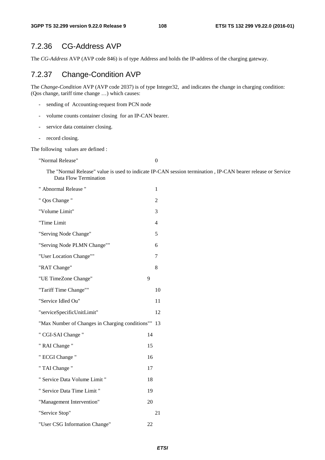## 7.2.36 CG-Address AVP

The *CG-Address* AVP (AVP code 846) is of type Address and holds the IP-address of the charging gateway.

## 7.2.37 Change-Condition AVP

The *Change-Condition* AVP (AVP code 2037) is of type Integer32, and indicates the change in charging condition: (Qos change, tariff time change …) which causes:

- sending of Accounting-request from PCN node
- volume counts container closing for an IP-CAN bearer.
- service data container closing.
- record closing.

The following values are defined :

"Normal Release" 0

The "Normal Release" value is used to indicate IP-CAN session termination , IP-CAN bearer release or Service Data Flow Termination

| " Abnormal Release "                            |    | 1              |
|-------------------------------------------------|----|----------------|
| " Qos Change "                                  |    | $\overline{2}$ |
| "Volume Limit"                                  |    | 3              |
| "Time Limit                                     |    | $\overline{4}$ |
| "Serving Node Change"                           |    | 5              |
| "Serving Node PLMN Change""                     |    | 6              |
| "User Location Change""                         |    | 7              |
| "RAT Change"                                    |    | 8              |
| "UE TimeZone Change"                            | 9  |                |
| "Tariff Time Change""                           |    | 10             |
| "Service Idled Ou"                              |    | 11             |
| "serviceSpecificUnitLimit"                      |    | 12             |
| "Max Number of Changes in Charging conditions"" |    | 13             |
| " CGI-SAI Change "                              | 14 |                |
| " RAI Change "                                  | 15 |                |
| " ECGI Change "                                 | 16 |                |
| " TAI Change "                                  | 17 |                |
| " Service Data Volume Limit "                   | 18 |                |
| " Service Data Time Limit "                     | 19 |                |
| "Management Intervention"                       | 20 |                |
| "Service Stop"                                  |    | 21             |
| "User CSG Information Change"                   | 22 |                |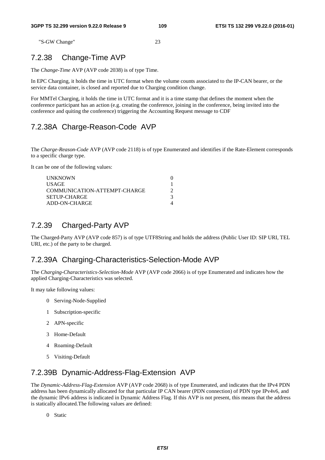"S-GW Change" 23

## 7.2.38 Change-Time AVP

The *Change-Time* AVP (AVP code 2038) is of type Time.

In EPC Charging, it holds the time in UTC format when the volume counts associated to the IP-CAN bearer, or the service data container, is closed and reported due to Charging condition change.

For MMTel Charging, it holds the time in UTC format and it is a time stamp that defines the moment when the conference participant has an action (e.g. creating the conference, joining in the conference, being invited into the conference and quiting the conference) triggering the Accounting Request message to CDF

## 7.2.38A Charge-Reason-Code AVP

The *Charge-Reason-Code* AVP (AVP code 2118) is of type Enumerated and identifies if the Rate-Element corresponds to a specific charge type.

It can be one of the following values:

| <b>UNKNOWN</b>               |  |
|------------------------------|--|
| <b>USAGE</b>                 |  |
| COMMUNICATION-ATTEMPT-CHARGE |  |
| SETUP-CHARGE                 |  |
| ADD-ON-CHARGE                |  |

## 7.2.39 Charged-Party AVP

The Charged-Party AVP (AVP code 857) is of type UTF8String and holds the address (Public User ID: SIP URI, TEL URI, etc.) of the party to be charged.

### 7.2.39A Charging-Characteristics-Selection-Mode AVP

The *Charging-Characteristics-Selection-Mode* AVP (AVP code 2066) is of type Enumerated and indicates how the applied Charging-Characteristics was selected.

It may take following values:

- 0 Serving-Node-Supplied
- 1 Subscription-specific
- 2 APN-specific
- 3 Home-Default
- 4 Roaming-Default
- 5 Visiting-Default

## 7.2.39B Dynamic-Address-Flag-Extension AVP

The *Dynamic-Address-Flag*-*Extension* AVP (AVP code 2068) is of type Enumerated, and indicates that the IPv4 PDN address has been dynamically allocated for that particular IP CAN bearer (PDN connection) of PDN type IPv4v6, and the dynamic IPv6 address is indicated in Dynamic Address Flag. If this AVP is not present, this means that the address is statically allocated.The following values are defined:

0 Static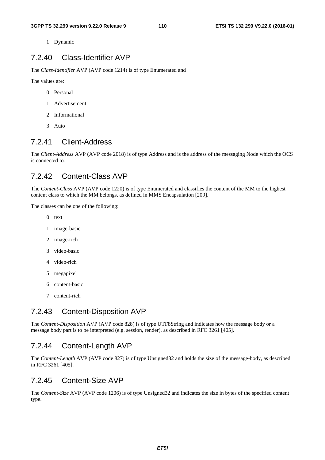1 Dynamic

## 7.2.40 Class-Identifier AVP

The *Class-Identifier* AVP (AVP code 1214) is of type Enumerated and

The values are:

- 0 Personal
- 1 Advertisement
- 2 Informational
- 3 Auto

## 7.2.41 Client-Address

The *Client-Address* AVP (AVP code 2018) is of type Address and is the address of the messaging Node which the OCS is connected to.

## 7.2.42 Content-Class AVP

The *Content-Class* AVP (AVP code 1220) is of type Enumerated and classifies the content of the MM to the highest content class to which the MM belongs, as defined in MMS Encapsulation [209].

The classes can be one of the following:

- 0 text
- 1 image-basic
- 2 image-rich
- 3 video-basic
- 4 video-rich
- 5 megapixel
- 6 content-basic
- 7 content-rich

## 7.2.43 Content-Disposition AVP

The *Content-Disposition* AVP (AVP code 828) is of type UTF8String and indicates how the message body or a message body part is to be interpreted (e.g. session, render), as described in RFC 3261 [405].

#### 7.2.44 Content-Length AVP

The *Content-Length* AVP (AVP code 827) is of type Unsigned32 and holds the size of the message-body, as described in RFC 3261 [405].

#### 7.2.45 Content-Size AVP

The *Content-Size* AVP (AVP code 1206) is of type Unsigned32 and indicates the size in bytes of the specified content type.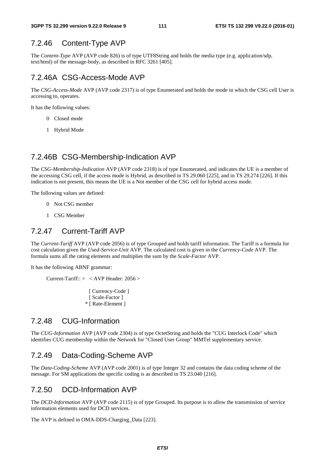# 7.2.46 Content-Type AVP

The *Content-Type* AVP (AVP code 826) is of type UTF8String and holds the media type (e.g. application/sdp, text/html) of the message-body, as described in RFC 3261 [405].

## 7.2.46A CSG-Access-Mode AVP

The *CSG-Access-Mode* AVP (AVP code 2317) is of type Enumerated and holds the mode in which the CSG cell User is accessing to, operates.

It has the following values:

- 0 Closed mode
- 1 Hybrid Mode

## 7.2.46B CSG-Membership-Indication AVP

The *CSG-Membership-Indication* AVP (AVP code 2318) is of type Enumerated, and indicates the UE is a member of the accessing CSG cell, if the access mode is Hybrid, as described in TS 29.060 [225], and in TS 29.274 [226]. If this indication is not present, this means the UE is a Not member of the CSG cell for hybrid access mode.

The following values are defined:

- 0 Not CSG member
- 1 CSG Member

## 7.2.47 Current-Tariff AVP

The *Current-Tariff* AVP (AVP code 2056) is of type Grouped and holds tariff information. The Tariff is a formula for cost calculation given the *Used-Service-Unit* AVP. The calculated cost is given in the *Currency-Code* AVP. The formula sums all the rating elements and multiplies the sum by the *Scale-Factor* AVP.

It has the following ABNF grammar:

Current-Tariff::  $=$  < AVP Header: 2056 >

[ Currency-Code ] [ Scale-Factor ] \* [ Rate-Element ]

## 7.2.48 CUG-Information

The *CUG-Information* AVP (AVP code 2304) is of type OctetString and holds the "CUG Interlock Code" which identifies CUG membership within the Network for "Closed User Group" MMTel supplementary service.

### 7.2.49 Data-Coding-Scheme AVP

The *Data-Coding-Scheme* AVP (AVP code 2001) is of type Integer 32 and contains the data coding scheme of the message. For SM applications the specific coding is as described in TS 23.040 [216].

### 7.2.50 DCD-Information AVP

The *DCD-Information* AVP (AVP code 2115) is of type Grouped. Its purpose is to allow the transmission of service information elements used for DCD services.

The AVP is defined in OMA-DDS-Charging\_Data [223].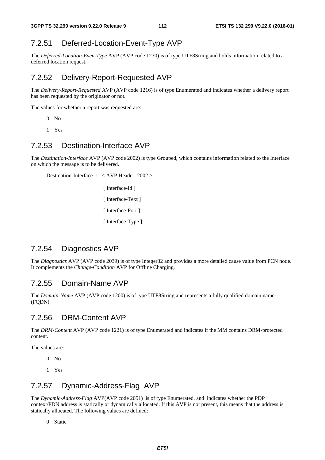# 7.2.51 Deferred-Location-Event-Type AVP

The *Deferred-Location-Even-Type* AVP (AVP code 1230) is of type UTF8String and holds information related to a deferred location request.

## 7.2.52 Delivery-Report-Requested AVP

The *Delivery-Report-Requested* AVP (AVP code 1216) is of type Enumerated and indicates whether a delivery report has been requested by the originator or not.

The values for whether a report was requested are:

- $0$  No
- 1 Yes

#### 7.2.53 Destination-Interface AVP

The *Destination-Interface* AVP (AVP code 2002) is type Grouped, which contains information related to the Interface on which the message is to be delivered.

Destination-Interface ::= < AVP Header: 2002 >

 [ Interface-Id ] [ Interface-Text ] [ Interface-Port ] [ Interface-Type ]

## 7.2.54 Diagnostics AVP

The *Diagnostics* AVP (AVP code 2039) is of type Integer32 and provides a more detailed cause value from PCN node. It complements the *Change-Condition* AVP for Offline Charging.

#### 7.2.55 Domain-Name AVP

The *Domain-Name* AVP (AVP code 1200) is of type UTF8String and represents a fully qualified domain name (FQDN).

### 7.2.56 DRM-Content AVP

The *DRM-Content* AVP (AVP code 1221) is of type Enumerated and indicates if the MM contains DRM-protected content.

The values are:

- 0 No
- 1 Yes

## 7.2.57 Dynamic-Address-Flag AVP

The *Dynamic-Address-Flag* AVP(AVP code 2051) is of type Enumerated, and indicates whether the PDP context/PDN address is statically or dynamically allocated. If this AVP is not present, this means that the address is statically allocated. The following values are defined:

0 Static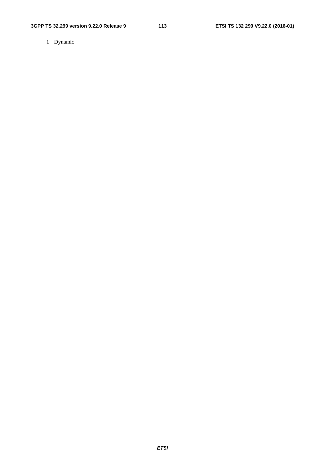1 Dynamic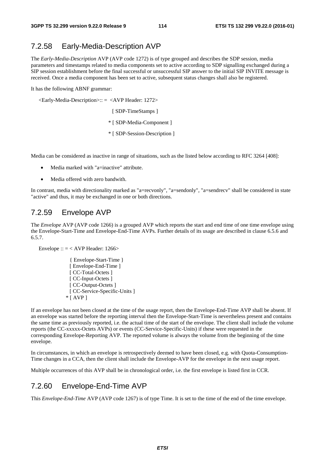## 7.2.58 Early-Media-Description AVP

The *Early-Media-Description* AVP (AVP code 1272) is of type grouped and describes the SDP session, media parameters and timestamps related to media components set to active according to SDP signalling exchanged during a SIP session establishment before the final successful or unsuccessful SIP answer to the initial SIP INVITE message is received. Once a media component has been set to active, subsequent status changes shall also be registered.

It has the following ABNF grammar:

<Early-Media-Description>:: = <AVP Header: 1272>

[ SDP-TimeStamps ]

\* [ SDP-Media-Component ]

\* [ SDP-Session-Description ]

Media can be considered as inactive in range of situations, such as the listed below according to RFC 3264 [408]:

- Media marked with "a=inactive" attribute.
- Media offered with zero bandwith.

In contrast, media with directionality marked as "a=recvonly", "a=sendonly", "a=sendrecv" shall be considered in state "active" and thus, it may be exchanged in one or both directions.

#### 7.2.59 Envelope AVP

The *Envelope* AVP (AVP code 1266) is a grouped AVP which reports the start and end time of one time envelope using the Envelope-Start-Time and Envelope-End-Time AVPs. Further details of its usage are described in clause 6.5.6 and 6.5.7.

Envelope ::  $=$  < AVP Header: 1266>

{ Envelope-Start-Time } [ Envelope-End-Time ] [ CC-Total-Octets ] [ CC-Input-Octets ] [ CC-Output-Octets ] [ CC-Service-Specific-Units ]  $*$  [ AVP ]

If an envelope has not been closed at the time of the usage report, then the Envelope-End-Time AVP shall be absent. If an envelope was started before the reporting interval then the Envelope-Start-Time is nevertheless present and contains the same time as previously reported, i.e. the actual time of the start of the envelope. The client shall include the volume reports (the CC-xxxxx-Octets AVPs) or events (CC-Service-Specific-Units) if these were requested in the corresponding Envelope-Reporting AVP. The reported volume is always the volume from the beginning of the time envelope.

In circumstances, in which an envelope is retrospectively deemed to have been closed, e.g. with Quota-Consumption-Time changes in a CCA, then the client shall include the Envelope-AVP for the envelope in the next usage report.

Multiple occurrences of this AVP shall be in chronological order, i.e. the first envelope is listed first in CCR.

#### 7.2.60 Envelope-End-Time AVP

This *Envelope-End-Time* AVP (AVP code 1267) is of type Time. It is set to the time of the end of the time envelope.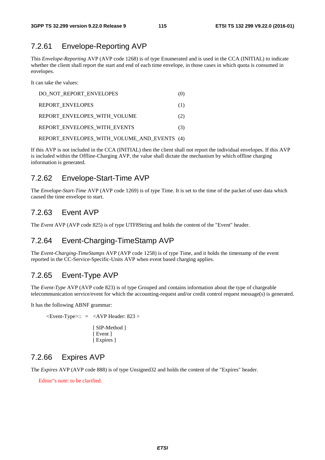## 7.2.61 Envelope-Reporting AVP

This *Envelope-Reporting* AVP (AVP code 1268) is of type Enumerated and is used in the CCA (INITIAL) to indicate whether the client shall report the start and end of each time envelope, in those cases in which quota is consumed in envelopes.

It can take the values:

| DO NOT REPORT ENVELOPES                     | (0) |
|---------------------------------------------|-----|
| <b>REPORT ENVELOPES</b>                     | (1) |
| REPORT ENVELOPES WITH VOLUME                | (2) |
| REPORT ENVELOPES WITH EVENTS                | (3) |
| REPORT ENVELOPES WITH VOLUME AND EVENTS (4) |     |

If this AVP is not included in the CCA (INITIAL) then the client shall not report the individual envelopes. If this AVP is included within the Offline-Charging AVP, the value shall dictate the mechanism by which offline charging information is generated.

## 7.2.62 Envelope-Start-Time AVP

The *Envelope-Start-Time* AVP (AVP code 1269) is of type Time. It is set to the time of the packet of user data which caused the time envelope to start.

## 7.2.63 Event AVP

The *Event* AVP (AVP code 825) is of type UTF8String and holds the content of the "Event" header.

## 7.2.64 Event-Charging-TimeStamp AVP

The *Event-Charging-TimeStamps* AVP (AVP code 1258) is of type Time, and it holds the timestamp of the event reported in the CC-Service-Specific-Units AVP when event based charging applies.

## 7.2.65 Event-Type AVP

The *Event-Type* AVP (AVP code 823) is of type Grouped and contains information about the type of chargeable telecommunication service/event for which the accounting-request and/or credit control request message(s) is generated.

It has the following ABNF grammar:

 $\leq$ Event-Type $\geq$ :: =  $\leq$ AVP Header: 823  $>$ [ SIP-Method ] [ Event ] [ Expires ]

### 7.2.66 Expires AVP

The *Expires* AVP (AVP code 888) is of type Unsigned32 and holds the content of the "Expires" header.

Editor"s note: to be clarified.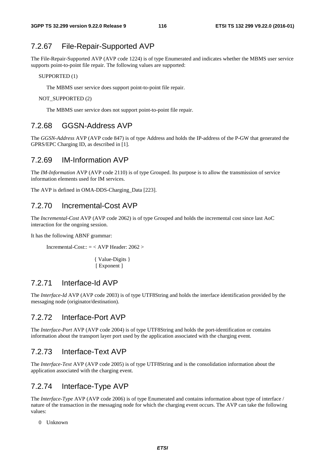## 7.2.67 File-Repair-Supported AVP

The File-Repair-Supported AVP (AVP code 1224) is of type Enumerated and indicates whether the MBMS user service supports point-to-point file repair. The following values are supported:

SUPPORTED (1)

The MBMS user service does support point-to-point file repair.

NOT SUPPORTED (2)

The MBMS user service does not support point-to-point file repair.

## 7.2.68 GGSN-Address AVP

The *GGSN-Address* AVP (AVP code 847) is of type Address and holds the IP-address of the P-GW that generated the GPRS/EPC Charging ID, as described in [1].

#### 7.2.69 IM-Information AVP

The *IM-Information* AVP (AVP code 2110) is of type Grouped. Its purpose is to allow the transmission of service information elements used for IM services.

The AVP is defined in OMA-DDS-Charging\_Data [223].

#### 7.2.70 Incremental-Cost AVP

The *Incremental-Cost* AVP (AVP code 2062) is of type Grouped and holds the incremental cost since last AoC interaction for the ongoing session.

It has the following ABNF grammar:

Incremental-Cost::  $=$  < AVP Header: 2062 >

 { Value-Digits } [ Exponent ]

#### 7.2.71 Interface-Id AVP

The *Interface-Id* AVP (AVP code 2003) is of type UTF8String and holds the interface identification provided by the messaging node (originator/destination).

#### 7.2.72 Interface-Port AVP

The *Interface-Port* AVP (AVP code 2004) is of type UTF8String and holds the port-identification or contains information about the transport layer port used by the application associated with the charging event.

#### 7.2.73 Interface-Text AVP

The *Interface-Text* AVP (AVP code 2005) is of type UTF8String and is the consolidation information about the application associated with the charging event.

### 7.2.74 Interface-Type AVP

The *Interface-Type* AVP (AVP code 2006) is of type Enumerated and contains information about type of interface / nature of the transaction in the messaging node for which the charging event occurs. The AVP can take the following values:

0 Unknown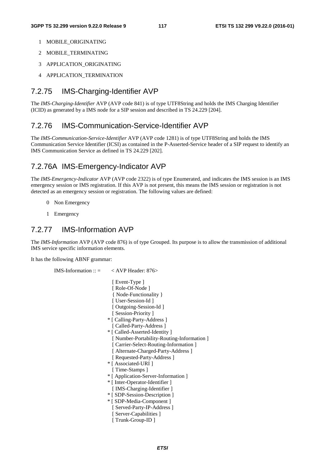- 1 MOBILE\_ORIGINATING
- 2 MOBILE\_TERMINATING
- 3 APPLICATION\_ORIGINATING
- 4 APPLICATION TERMINATION

## 7.2.75 IMS-Charging-Identifier AVP

The *IMS-Charging-Identifier* AVP (AVP code 841) is of type UTF8String and holds the IMS Charging Identifier (ICID) as generated by a IMS node for a SIP session and described in TS 24.229 [204].

## 7.2.76 IMS-Communication-Service-Identifier AVP

The *IMS-Communication-Service-Identifier* AVP (AVP code 1281) is of type UTF8String and holds the IMS Communication Service Identifier (ICSI) as contained in the P-Asserted-Service header of a SIP request to identify an IMS Communication Service as defined in TS 24.229 [202].

## 7.2.76A IMS-Emergency-Indicator AVP

The *IMS-Emergency-Indicator* AVP (AVP code 2322) is of type Enumerated, and indicates the IMS session is an IMS emergency session or IMS registration. If this AVP is not present, this means the IMS session or registration is not detected as an emergency session or registration. The following values are defined:

- 0 Non Emergency
- 1 Emergency

#### 7.2.77 IMS-Information AVP

The *IMS-Information* AVP (AVP code 876) is of type Grouped. Its purpose is to allow the transmission of additional IMS service specific information elements.

It has the following ABNF grammar:

```
IMS-Information :: = < AVP Header: 876>
                         [ Event-Type ]
                         [ Role-Of-Node ]
                          { Node-Functionality } 
                         [ User-Session-Id ]
                          [ Outgoing-Session-Id ] 
                         [ Session-Priority ]
                        * [ Calling-Party-Address ] 
                         [ Called-Party-Address ]
                        * [ Called-Asserted-Identity ] 
                          [ Number-Portability-Routing-Information ] 
                         [ Carrier-Select-Routing-Information ]
                         [ Alternate-Charged-Party-Address ]
                         [ Requested-Party-Address ]
                        * [ Associated-URI ] 
                         [ Time-Stamps ]
                        * [ Application-Server-Information ] 
                        * [ Inter-Operator-Identifier ] 
                         [ IMS-Charging-Identifier ]
                        * [ SDP-Session-Description ] 
                        * [ SDP-Media-Component ] 
                          [ Served-Party-IP-Address ] 
                         [ Server-Capabilities ]
                          [ Trunk-Group-ID ]
```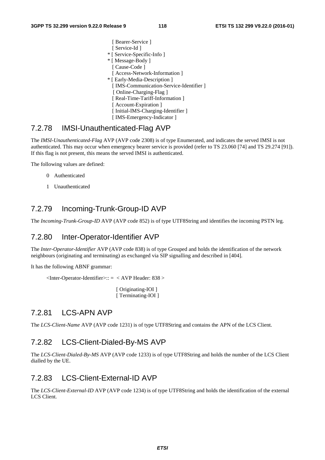#### 7.2.78 IMSI-Unauthenticated-Flag AVP

The *IMSI-Unauthenticated-Flag* AVP (AVP code 2308) is of type Enumerated, and indicates the served IMSI is not authenticated. This may occur when emergency bearer service is provided (refer to TS 23.060 [74] and TS 29.274 [91]). If this flag is not present, this means the served IMSI is authenticated.

The following values are defined:

- 0 Authenticated
- 1 Unauthenticated

#### 7.2.79 Incoming-Trunk-Group-ID AVP

The *Incoming-Trunk-Group-ID* AVP (AVP code 852) is of type UTF8String and identifies the incoming PSTN leg.

#### 7.2.80 Inter-Operator-Identifier AVP

The *Inter-Operator-Identifier* AVP (AVP code 838) is of type Grouped and holds the identification of the network neighbours (originating and terminating) as exchanged via SIP signalling and described in [404].

It has the following ABNF grammar:

```
\langleInter-Operator-Identifier>:: = \langle AVP Header: 838 >
```
[ Originating-IOI ] [ Terminating-IOI ]

#### 7.2.81 LCS-APN AVP

The *LCS-Client-Name* AVP (AVP code 1231) is of type UTF8String and contains the APN of the LCS Client.

#### 7.2.82 LCS-Client-Dialed-By-MS AVP

The *LCS-Client-Dialed-By-MS* AVP (AVP code 1233) is of type UTF8String and holds the number of the LCS Client dialled by the UE.

#### 7.2.83 LCS-Client-External-ID AVP

The *LCS-Client-External-ID* AVP (AVP code 1234) is of type UTF8String and holds the identification of the external LCS Client.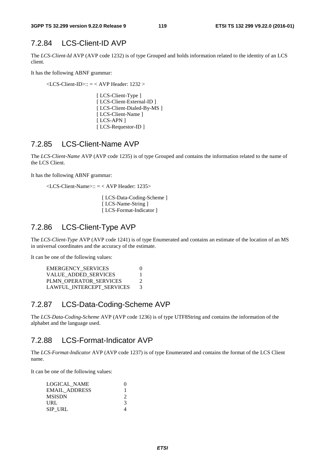## 7.2.84 LCS-Client-ID AVP

The *LCS-Client-Id* AVP (AVP code 1232) is of type Grouped and holds information related to the identity of an LCS client.

It has the following ABNF grammar:

 $\langle$ LCS-Client-ID>:: =  $\langle$  AVP Header: 1232 >

[ LCS-Client-Type ] [ LCS-Client-External-ID ] [ LCS-Client-Dialed-By-MS ] [ LCS-Client-Name ] [ LCS-APN ] [ LCS-Requestor-ID ]

## 7.2.85 LCS-Client-Name AVP

The *LCS-Client-Name* AVP (AVP code 1235) is of type Grouped and contains the information related to the name of the LCS Client.

It has the following ABNF grammar:

<LCS-Client-Name>:: = < AVP Header: 1235>

[ LCS-Data-Coding-Scheme ] [ LCS-Name-String ] [ LCS-Format-Indicator ]

#### 7.2.86 LCS-Client-Type AVP

The *LCS-Client-Type* AVP (AVP code 1241) is of type Enumerated and contains an estimate of the location of an MS in universal coordinates and the accuracy of the estimate.

It can be one of the following values:

| $\mathcal{D}$ |
|---------------|
| $\mathcal{E}$ |
|               |

#### 7.2.87 LCS-Data-Coding-Scheme AVP

The *LCS-Data-Coding-Scheme* AVP (AVP code 1236) is of type UTF8String and contains the information of the alphabet and the language used.

#### 7.2.88 LCS-Format-Indicator AVP

The *LCS-Format-Indicator* AVP (AVP code 1237) is of type Enumerated and contains the format of the LCS Client name.

It can be one of the following values:

| LOGICAL NAME         |   |
|----------------------|---|
| <b>EMAIL ADDRESS</b> |   |
| <b>MSISDN</b>        |   |
| URL                  | 3 |
| SIP URL              |   |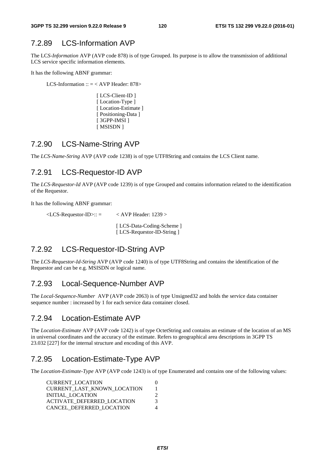## 7.2.89 LCS-Information AVP

The LC*S-Information* AVP (AVP code 878) is of type Grouped. Its purpose is to allow the transmission of additional LCS service specific information elements.

It has the following ABNF grammar:

LCS-Information ::  $=$  < AVP Header: 878>

[ LCS-Client-ID ] [Location-Type ] [Location-Estimate] [ Positioning-Data ] [ 3GPP-IMSI ] [ MSISDN ]

### 7.2.90 LCS-Name-String AVP

The *LCS-Name-String* AVP (AVP code 1238) is of type UTF8String and contains the LCS Client name.

### 7.2.91 LCS-Requestor-ID AVP

The *LCS-Requestor-Id* AVP (AVP code 1239) is of type Grouped and contains information related to the identification of the Requestor.

It has the following ABNF grammar:

 $\angle$ LCS-Requestor-ID $>$ :: =  $\angle$  AVP Header: 1239  $>$  [ LCS-Data-Coding-Scheme ] [ LCS-Requestor-ID-String ]

### 7.2.92 LCS-Requestor-ID-String AVP

The *LCS-Requestor-Id-String* AVP (AVP code 1240) is of type UTF8String and contains the identification of the Requestor and can be e.g. MSISDN or logical name.

### 7.2.93 Local-Sequence-Number AVP

The *Local-Sequence-Number* AVP (AVP code 2063) is of type Unsigned32 and holds the service data container sequence number : increased by 1 for each service data container closed.

### 7.2.94 Location-Estimate AVP

The *Location-Estimate* AVP (AVP code 1242) is of type OctetString and contains an estimate of the location of an MS in universal coordinates and the accuracy of the estimate. Refers to geographical area descriptions in 3GPP TS 23.032 [227] for the internal structure and encoding of this AVP.

## 7.2.95 Location-Estimate-Type AVP

The *Location-Estimate-Type* AVP (AVP code 1243) is of type Enumerated and contains one of the following values:

| <b>CURRENT LOCATION</b>           |               |
|-----------------------------------|---------------|
| CURRENT_LAST_KNOWN_LOCATION       |               |
| INITIAL LOCATION                  |               |
| <b>ACTIVATE DEFERRED LOCATION</b> | $\mathcal{R}$ |
| CANCEL DEFERRED LOCATION          |               |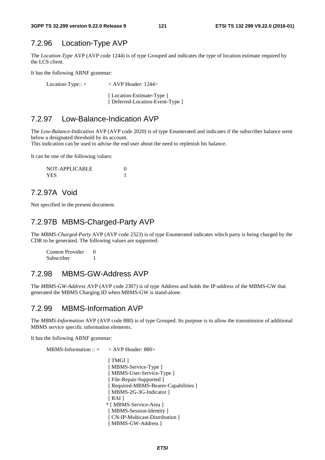## 7.2.96 Location-Type AVP

The *Location-Type* AVP (AVP code 1244) is of type Grouped and indicates the type of location estimate required by the LCS client.

It has the following ABNF grammar:

Location-Type:: = < AVP Header: 1244> [Location-Estimate-Type ]

[ Deferred-Location-Event-Type ]

## 7.2.97 Low-Balance-Indication AVP

The *Low-Balance-Indication* AVP (AVP code 2020) is of type Enumerated and indicates if the subscriber balance went below a designated threshold by its account.

This indication can be used to advise the end user about the need to replenish his balance.

It can be one of the following values:

| NOT-APPLICABLE |  |
|----------------|--|
| YES.           |  |

## 7.2.97A Void

Not specified in the present document.

## 7.2.97B MBMS-Charged-Party AVP

The *MBMS-Charged-Party* AVP (AVP code 2323) is of type Enumerated indicates which party is being charged by the CDR to be generated. The following values are supported:

Content Provider 0 Subscriber 1

## 7.2.98 MBMS-GW-Address AVP

The *MBMS-GW-Address* AVP (AVP code 2307) is of type Address and holds the IP-address of the MBMS-GW that generated the MBMS Charging ID when MBMS-GW is stand-alone.

### 7.2.99 MBMS-Information AVP

The *MBMS-Information* AVP (AVP code 880) is of type Grouped. Its purpose is to allow the transmission of additional MBMS service specific information elements.

It has the following ABNF grammar:

MBMS-Information :: = < AVP Header: 880>

[ TMGI ] [ MBMS-Service-Type ] [ MBMS-User-Service-Type ] [ File-Repair-Supported ] [ Required-MBMS-Bearer-Capabilities ] [ MBMS-2G-3G-Indicator ]  $[RAI]$  \* [ MBMS-Service-Area ] [ MBMS-Session-Identity ] [ CN-IP-Multicast-Distribution ] [ MBMS-GW-Address ]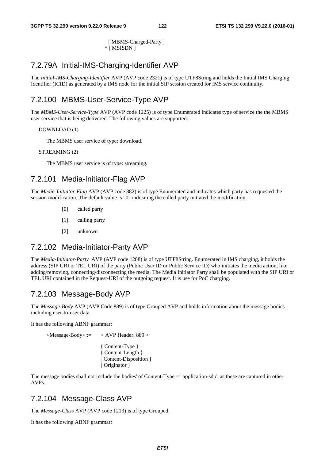[ MBMS-Charged-Party ] \* [ MSISDN ]

## 7.2.79A Initial-IMS-Charging-Identifier AVP

The *Initial-IMS-Charging-Identifier* AVP (AVP code 2321) is of type UTF8String and holds the Initial IMS Charging Identifier (ICID) as generated by a IMS node for the initial SIP session created for IMS service continuity.

## 7.2.100 MBMS-User-Service-Type AVP

The *MBMS-User-Service-Type* AVP (AVP code 1225) is of type Enumerated indicates type of service the the MBMS user service that is being delivered. The following values are supported:

#### DOWNLOAD (1)

The MBMS user service of type: download.

STREAMING (2)

The MBMS user service is of type: streaming.

## 7.2.101 Media-Initiator-Flag AVP

The *Media-Initiator-Flag* AVP (AVP code 882) is of type Enumerated and indicates which party has requested the session modification. The default value is "0" indicating the called party initiated the modification.

- [0] called party
- [1] calling party
- [2] unknown

#### 7.2.102 Media-Initiator-Party AVP

The *Media-Initiator-Party* AVP (AVP code 1288) is of type UTF8String. Enumerated in IMS charging, it holds the address (SIP URI or TEL URI) of the party (Public User ID or Public Service ID) who initiates the media action, like adding/removing, connecting/disconnecting the media. The Media Initiator Party shall be populated with the SIP URI or TEL URI contained in the Request-URI of the outgoing request. It is use for PoC charging.

## 7.2.103 Message-Body AVP

The *Message-Body* AVP (AVP Code 889) is of type Grouped AVP and holds information about the message bodies including user-to-user data.

It has the following ABNF grammar:

<Message-Body>::= < AVP Header: 889 >

{ Content-Type } { Content-Length } [ Content-Disposition ] [ Originator ]

The message bodies shall not include the bodies' of Content-Type = "application-sdp" as these are captured in other AVPs.

### 7.2.104 Message-Class AVP

The *Message-Class* AVP (AVP code 1213) is of type Grouped.

It has the following ABNF grammar: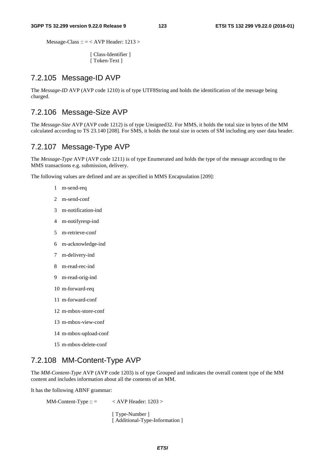Message-Class :: = < AVP Header: 1213 >

[ Class-Identifier ] [ Token-Text ]

#### 7.2.105 Message-ID AVP

The *Message-ID* AVP (AVP code 1210) is of type UTF8String and holds the identification of the message being charged.

## 7.2.106 Message-Size AVP

The *Message-Size* AVP (AVP code 1212) is of type Unsigned32. For MMS, it holds the total size in bytes of the MM calculated according to TS 23.140 [208]. For SMS, it holds the total size in octets of SM including any user data header.

#### 7.2.107 Message-Type AVP

The *Message-Type* AVP (AVP code 1211) is of type Enumerated and holds the type of the message according to the MMS transactions e.g. submission, delivery.

The following values are defined and are as specified in MMS Encapsulation [209]:

- 1 m-send-req
- 2 m-send-conf
- 3 m-notification-ind
- 4 m-notifyresp-ind
- 5 m-retrieve-conf
- 6 m-acknowledge-ind
- 7 m-delivery-ind
- 8 m-read-rec-ind
- 9 m-read-orig-ind
- 10 m-forward-req
- 11 m-forward-conf
- 12 m-mbox-store-conf
- 13 m-mbox-view-conf
- 14 m-mbox-upload-conf
- 15 m-mbox-delete-conf

## 7.2.108 MM-Content-Type AVP

The *MM-Content-Type* AVP (AVP code 1203) is of type Grouped and indicates the overall content type of the MM content and includes information about all the contents of an MM.

It has the following ABNF grammar:

MM-Content-Type ::  $=$  < AVP Header: 1203 >

[ Type-Number ] [ Additional-Type-Information ]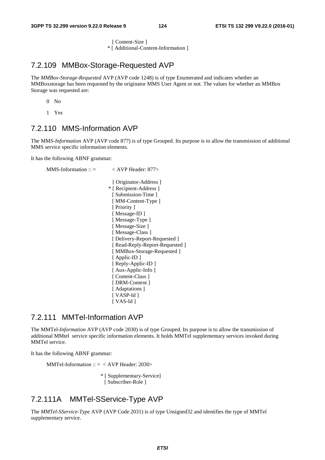[ Content-Size ]

\* [ Additional-Content-Information ]

## 7.2.109 MMBox-Storage-Requested AVP

The *MMBox-Storage-Requested* AVP (AVP code 1248) is of type Enumerated and indicates whether an MMBoxstorage has been requested by the originator MMS User Agent or not. The values for whether an MMBox Storage was requested are:

 $0$  No

1 Yes

## 7.2.110 MMS-Information AVP

The MM*S-Information* AVP (AVP code 877) is of type Grouped. Its purpose is to allow the transmission of additional MMS service specific information elements.

It has the following ABNF grammar:

```
MMS-Information :: = < AVP Header: 877>
                             [ Originator-Address ] 
                          * [ Recipient-Address ] 
                            [ Submission-Time ]
                            [ MM-Content-Type ]
                            [ Priority ]
                            [ Message-ID ] 
                            [ Message-Type ] 
                            [ Message-Size ]
                            [ Message-Class ] 
                            [ Delivery-Report-Requested ] 
                            [ Read-Reply-Report-Requested ]
                            [ MMBox-Storage-Requested ] 
                            [ Applic-ID ]
                            [ Reply-Applic-ID ] 
                            [ Aux-Applic-Info ] 
                            [ Content-Class ]
                            [ DRM-Content ] 
                            [ Adaptations ] 
                            [ VASP-Id ] 
                            [ VAS-Id ]
```
#### 7.2.111 MMTel-Information AVP

The MMTel*-Information* AVP (AVP code 2030) is of type Grouped. Its purpose is to allow the transmission of additional MMtel service specific information elements. It holds MMTel supplementary services invoked during MMTel service.

It has the following ABNF grammar:

MMTel-Information  $:: = <$  AVP Header: 2030>

\* [ Supplementary-Service] [ Subscriber-Role ]

## 7.2.111A MMTel-SService-Type AVP

The *MMTel-SService-Type* AVP (AVP Code 2031) is of type Unsigned32 and identifies the type of MMTel supplementary service.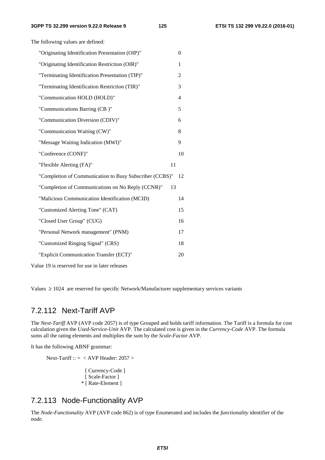| "Originating Identification Presentation (OIP)"         |    | $\theta$       |
|---------------------------------------------------------|----|----------------|
| "Originating Identification Restriction (OIR)"          |    | $\mathbf{1}$   |
| "Terminating Identification Presentation (TIP)"         |    | 2              |
| "Terminating Identification Restriction (TIR)"          |    | 3              |
| "Communication HOLD (HOLD)"                             |    | $\overline{4}$ |
| "Communications Barring (CB)"                           |    | 5              |
| "Communication Diversion (CDIV)"                        |    | 6              |
| "Communication Waiting (CW)"                            |    | 8              |
| "Message Waiting Indication (MWI)"                      |    | 9              |
| "Conference (CONF)"                                     |    | 10             |
| "Flexible Alerting (FA)"                                | 11 |                |
| "Completion of Communication to Busy Subscriber (CCBS)" |    | 12             |
| "Completion of Communications on No Reply (CCNR)"       | 13 |                |
| "Malicious Communication Identification (MCID)          |    | 14             |
| "Customized Alerting Tone" (CAT)                        |    | 15             |
| "Closed User Group" (CUG)                               |    | 16             |
|                                                         |    |                |
| "Personal Network management" (PNM)                     |    | 17             |
| "Customized Ringing Signal" (CRS)                       |    | 18             |
| "Explicit Communication Transfer (ECT)"                 |    | 20             |

The following values are defined:

Values  $\geq 1024$  are reserved for specific Network/Manufacturer supplementary services variants

#### 7.2.112 Next-Tariff AVP

The *Next-Tariff* AVP (AVP code 2057) is of type Grouped and holds tariff information. The Tariff is a formula for cost calculation given the *Used-Service-Unit* AVP. The calculated cost is given in the *Currency-Code* AVP. The formula sums all the rating elements and multiplies the sum by the *Scale-Factor* AVP.

It has the following ABNF grammar:

Next-Tariff ::  $=$  < AVP Header: 2057 >

[ Currency-Code ] [ Scale-Factor ] \* [ Rate-Element ]

## 7.2.113 Node-Functionality AVP

The *Node-Functionality* AVP (AVP code 862) is of type Enumerated and includes the *functionality* identifier of the *node*.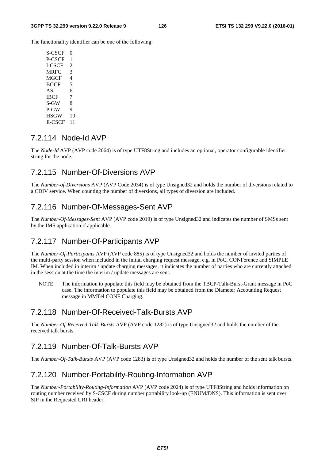The functionality identifier can be one of the following:

S-CSCF 0 P-CSCF 1 I-CSCF 2 MRFC 3 MGCF 4 BGCF 5  $AS$  6 IBCF 7  $S-GW = 8$  $P-GW = 9$ HSGW 10 E-CSCF 11

## 7.2.114 Node-Id AVP

The *Node-Id* AVP (AVP code 2064) is of type UTF8String and includes an optional, operator configurable identifier string for the node.

#### 7.2.115 Number-Of-Diversions AVP

The *Number-of-Diversions* AVP (AVP Code 2034) is of type Unsigned32 and holds the number of diversions related to a CDIV service. When counting the number of diversions, all types of diversion are included.

#### 7.2.116 Number-Of-Messages-Sent AVP

The *Number-Of-Messages-Sent* AVP (AVP code 2019) is of type Unsigned32 and indicates the number of SMSs sent by the IMS application if applicable.

### 7.2.117 Number-Of-Participants AVP

The *Number-Of-Participants* AVP (AVP code 885) is of type Unsigned32 and holds the number of invited parties of the multi-party session when included in the initial charging request message, e.g. in PoC, CONFerence and SIMPLE IM. When included in interim / update charging messages, it indicates the number of parties who are currently attached in the session at the time the interim / update messages are sent.

NOTE: The information to populate this field may be obtained from the TBCP-Talk-Burst-Grant message in PoC case. The information to populate this field may be obtained from the Diameter Accounting Request message in MMTel CONF Charging.

### 7.2.118 Number-Of-Received-Talk-Bursts AVP

The *Number-Of-Received-Talk-Bursts* AVP (AVP code 1282) is of type Unsigned32 and holds the number of the received talk bursts.

## 7.2.119 Number-Of-Talk-Bursts AVP

The *Number-Of-Talk-Bursts* AVP (AVP code 1283) is of type Unsigned32 and holds the number of the sent talk bursts.

### 7.2.120 Number-Portability-Routing-Information AVP

The *Number-Portability-Routing-Information* AVP (AVP code 2024) is of type UTF8String and holds information on routing number received by S-CSCF during number portability look-up (ENUM/DNS). This information is sent over SIP in the Requested URI header.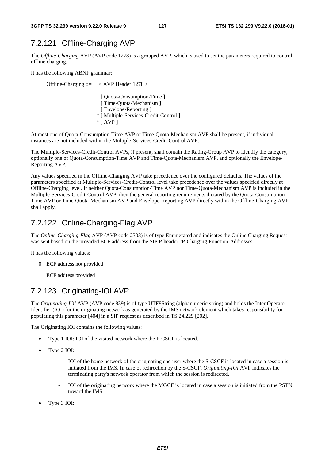## 7.2.121 Offline-Charging AVP

The *Offline-Charging* AVP (AVP code 1278) is a grouped AVP, which is used to set the parameters required to control offline charging.

It has the following ABNF grammar:

Offline-Charging ::= < AVP Header:1278 > [ Quota-Consumption-Time ] [ Time-Quota-Mechanism ] [ Envelope-Reporting ] \* [ Multiple-Services-Credit-Control ]  $*$  [ AVP ]

At most one of Quota-Consumption-Time AVP or Time-Quota-Mechanism AVP shall be present, if individual instances are not included within the Multiple-Services-Credit-Control AVP.

The Multiple-Services-Credit-Control AVPs, if present, shall contain the Rating-Group AVP to identify the category, optionally one of Quota-Consumption-Time AVP and Time-Quota-Mechanism AVP, and optionally the Envelope-Reporting AVP.

Any values specified in the Offline-Charging AVP take precedence over the configured defaults. The values of the parameters specified at Multiple-Services-Credit-Control level take precedence over the values specified directly at Offline-Charging level. If neither Quota-Consumption-Time AVP nor Time-Quota-Mechanism AVP is included in the Multiple-Services-Credit-Control AVP, then the general reporting requirements dictated by the Quota-Consumption-Time AVP or Time-Quota-Mechanism AVP and Envelope-Reporting AVP directly within the Offline-Charging AVP shall apply.

## 7.2.122 Online-Charging-Flag AVP

The *Online-Charging-Flag* AVP (AVP code 2303) is of type Enumerated and indicates the Online Charging Request was sent based on the provided ECF address from the SIP P-header "P-Charging-Function-Addresses".

It has the following values:

- 0 ECF address not provided
- 1 ECF address provided

## 7.2.123 Originating-IOI AVP

The *Originating-IOI* AVP (AVP code 839) is of type UTF8String (alphanumeric string) and holds the Inter Operator Identifier (IOI) for the originating network as generated by the IMS network element which takes responsibility for populating this parameter [404] in a SIP request as described in TS 24.229 [202].

The Originating IOI contains the following values:

- Type 1 IOI: IOI of the visited network where the P-CSCF is located.
- Type 2 IOI:
	- IOI of the home network of the originating end user where the S-CSCF is located in case a session is initiated from the IMS. In case of redirection by the S-CSCF, *Originating-IOI* AVP indicates the terminating party's network operator from which the session is redirected.
	- IOI of the originating network where the MGCF is located in case a session is initiated from the PSTN toward the IMS.
- Type 3 IOI: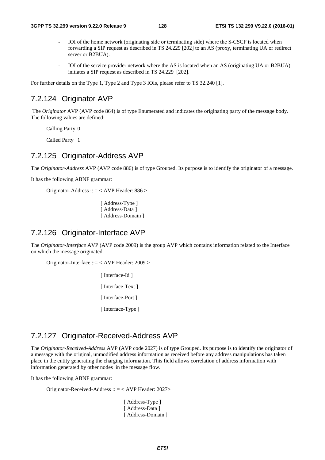- IOI of the home network (originating side or terminating side) where the S-CSCF is located when forwarding a SIP request as described in TS 24.229 [202] to an AS (proxy, terminating UA or redirect server or B2BUA).
- IOI of the service provider network where the AS is located when an AS (originating UA or B2BUA) initiates a SIP request as described in TS 24.229 [202].

For further details on the Type 1, Type 2 and Type 3 IOIs, please refer to TS 32.240 [1].

#### 7.2.124 Originator AVP

 The *Originator* AVP (AVP code 864) is of type Enumerated and indicates the originating party of the message body. The following values are defined:

Calling Party 0

Called Party 1

#### 7.2.125 Originator-Address AVP

The *Originator-Address* AVP (AVP code 886) is of type Grouped. Its purpose is to identify the originator of a message.

It has the following ABNF grammar:

Originator-Address :: = < AVP Header: 886 >

[ Address-Type ] [ Address-Data ] [ Address-Domain ]

#### 7.2.126 Originator-Interface AVP

The *Originator-Interface* AVP (AVP code 2009) is the group AVP which contains information related to the Interface on which the message originated.

Originator-Interface ::= < AVP Header: 2009 >

[ Interface-Id ] [ Interface-Text ] [ Interface-Port ] [ Interface-Type ]

## 7.2.127 Originator-Received-Address AVP

The *Originator-Received-Address* AVP (AVP code 2027) is of type Grouped. Its purpose is to identify the originator of a message with the original, unmodified address information as received before any address manipulations has taken place in the entity generating the charging information. This field allows correlation of address information with information generated by other nodes in the message flow.

It has the following ABNF grammar:

Originator-Received-Address :: = < AVP Header: 2027>

[ Address-Type ] [ Address-Data ] [ Address-Domain ]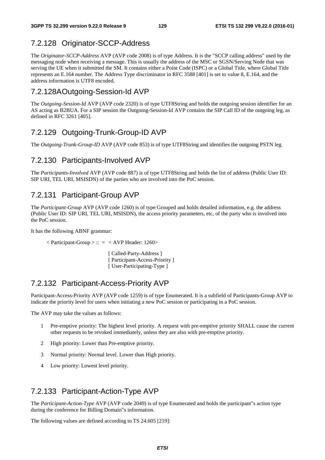## 7.2.128 Originator-SCCP-Address

The *Originator-SCCP-Address* AVP (AVP code 2008) is of type Address. It is the "SCCP calling address" used by the messaging node when receiving a message. This is usually the address of the MSC or SGSN/Serving Node that was serving the UE when it submitted the SM. It contains either a Point Code (ISPC) or a Global Title, where Global Title represents an E.164 number. The Address Type discriminator in RFC 3588 [401] is set to value 8, E.164, and the address information is UTF8 encoded.

#### 7.2.128A Outgoing-Session-Id AVP

The *Outgoing-Session-Id* AVP (AVP code 2320) is of type UTF8String and holds the outgoing session identifier for an AS acting as B2BUA. For a SIP session the Outgoing-Session-Id AVP contains the SIP Call ID of the outgoing leg, as defined in RFC 3261 [405].

### 7.2.129 Outgoing-Trunk-Group-ID AVP

The *Outgoing-Trunk-Group-ID* AVP (AVP code 853) is of type UTF8String and identifies the outgoing PSTN leg.

#### 7.2.130 Participants-Involved AVP

The *Participants-Involved* AVP (AVP code 887) is of type UTF8String and holds the list of address (Public User ID: SIP URI, TEL URI, MSISDN) of the parties who are involved into the PoC session.

#### 7.2.131 Participant-Group AVP

The *Participant-Group* AVP (AVP code 1260) is of type Grouped and holds detailed information, e.g. the address (Public User ID: SIP URI, TEL URI, MSISDN), the access priority parameters, etc, of the party who is involved into the PoC session.

It has the following ABNF grammar:

 $\langle$  Participant-Group  $>$  :: =  $\langle$  AVP Header: 1260 $>$ 

[ Called-Party-Address ] [ Participant-Access-Priority ] [ User-Participating-Type ]

#### 7.2.132 Participant-Access-Priority AVP

Participant-Access-Priority AVP (AVP code 1259) is of type Enumerated. It is a subfield of Participants-Group AVP to indicate the priority level for users when initiating a new PoC session or participating in a PoC session.

The AVP may take the values as follows:

- 1 Pre-emptive priority: The highest level priority. A request with pre-emptive priority SHALL cause the current other requests to be revoked immediately, unless they are also with pre-emptive priority.
- 2 High priority: Lower than Pre-emptive priority.
- 3 Normal priority: Normal level. Lower than High priority.
- 4 Low priority: Lowest level priority.

#### 7.2.133 Participant-Action-Type AVP

The *Participant-Action-Type* AVP (AVP code 2049) is of type Enumerated and holds the participant"s action type during the conference for Billing Domain"s information.

The following values are defined according to TS 24.605 [219]: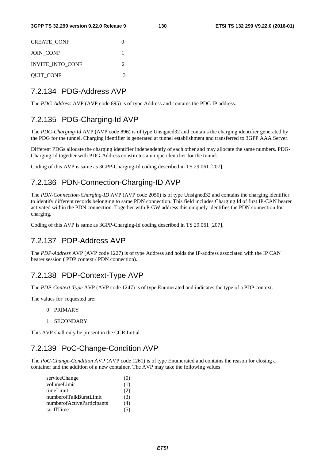| <b>CREATE CONF</b> |                             |
|--------------------|-----------------------------|
| <b>JOIN CONF</b>   |                             |
| INVITE_INTO_CONF   | $\mathcal{D}_{\mathcal{A}}$ |
| <b>QUIT_CONF</b>   |                             |

#### 7.2.134 PDG-Address AVP

The *PDG-Address* AVP (AVP code 895) is of type Address and contains the PDG IP address.

#### 7.2.135 PDG-Charging-Id AVP

The *PDG-Charging-Id* AVP (AVP code 896) is of type Unsigned32 and contains the charging identifier generated by the PDG for the tunnel. Charging identifier is generated at tunnel establishment and transferred to 3GPP AAA Server.

Different PDGs allocate the charging identifier independently of each other and may allocate the same numbers. PDG-Charging-Id together with PDG-Address constitutes a unique identifier for the tunnel.

Coding of this AVP is same as 3GPP-Charging-Id coding described in TS 29.061 [207].

#### 7.2.136 PDN-Connection-Charging-ID AVP

The *PDN-Connection-Charging-ID* AVP (AVP code 2050) is of type Unsigned32 and contains the charging identifier to identify different records belonging to same PDN connection. This field includes Charging Id of first IP-CAN bearer activated within the PDN connection. Together with P-GW address this uniquely identifies the PDN connection for charging.

Coding of this AVP is same as 3GPP-Charging-Id coding described in TS 29.061 [207].

## 7.2.137 PDP-Address AVP

The *PDP-Address* AVP (AVP code 1227) is of type Address and holds the IP-address associated with the IP CAN bearer session ( PDP context / PDN connection)..

#### 7.2.138 PDP-Context-Type AVP

The *PDP-Context-Type* AVP (AVP code 1247) is of type Enumerated and indicates the type of a PDP context.

The values for requested are:

- 0 PRIMARY
- 1 SECONDARY

This AVP shall only be present in the CCR Initial.

#### 7.2.139 PoC-Change-Condition AVP

The *PoC-Change-Condition* AVP (AVP code 1261) is of type Enumerated and contains the reason for closing a container and the addition of a new container. The AVP may take the following values:

| (Q) |
|-----|
| (1) |
| (2) |
| (3) |
| (4) |
| (5) |
|     |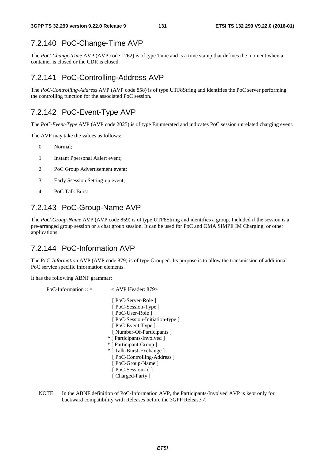# 7.2.140 PoC-Change-Time AVP

The *PoC-Change-Time* AVP (AVP code 1262) is of type Time and is a time stamp that defines the moment when a container is closed or the CDR is closed.

## 7.2.141 PoC-Controlling-Address AVP

The *PoC-Controlling-Address* AVP (AVP code 858) is of type UTF8String and identifies the PoC server performing the controlling function for the associated PoC session.

# 7.2.142 PoC-Event-Type AVP

The *PoC-Event-Type* AVP (AVP code 2025) is of type Enumerated and indicates PoC session unrelated charging event.

The AVP may take the values as follows:

- 0 Normal;
- 1 Instant Ppersonal Aalert event;
- 2 PoC Group Advertisement event;
- 3 Early Ssession Setting-up event;
- 4 PoC Talk Burst

# 7.2.143 PoC-Group-Name AVP

The *PoC-Group-Name* AVP (AVP code 859) is of type UTF8String and identifies a group. Included if the session is a pre-arranged group session or a chat group session. It can be used for PoC and OMA SIMPE IM Charging, or other applications.

# 7.2.144 PoC-Information AVP

The PoC*-Information* AVP (AVP code 879) is of type Grouped. Its purpose is to allow the transmission of additional PoC service specific information elements.

It has the following ABNF grammar:

```
PoC-Information :: = < AVP Header: 879>
                            [ PoC-Server-Role ] 
                            [ PoC-Session-Type ]
                            [ PoC-User-Role ] 
                            [ PoC-Session-Initiation-type ] 
                            [ PoC-Event-Type ]
                           [ Number-Of-Participants ]
                           * [ Participants-Involved ] 
                          * [ Participant-Group ] 
                           * [ Talk-Burst-Exchange ] 
                           [ PoC-Controlling-Address ]
                            [ PoC-Group-Name ]
                           [ PoC-Session-Id ]
                           [ Charged-Party ]
```
NOTE: In the ABNF definition of PoC-Information AVP, the Participants-Involved AVP is kept only for backward compatibility with Releases before the 3GPP Release 7.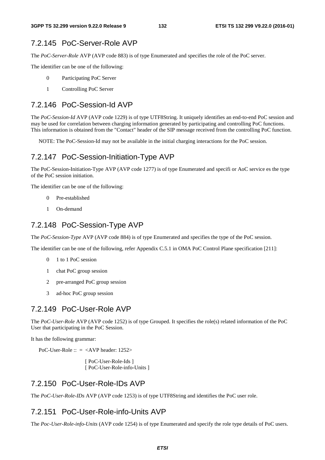## 7.2.145 PoC-Server-Role AVP

The *PoC-Server-Role* AVP (AVP code 883) is of type Enumerated and specifies the role of the PoC server.

The identifier can be one of the following:

- 0 Participating PoC Server
- 1 Controlling PoC Server

#### 7.2.146 PoC-Session-Id AVP

The *PoC-Session-Id* AVP (AVP code 1229) is of type UTF8String. It uniquely identifies an end-to-end PoC session and may be used for correlation between charging information generated by participating and controlling PoC functions. This information is obtained from the "Contact" header of the SIP message received from the controlling PoC function.

NOTE: The PoC-Session-Id may not be available in the initial charging interactions for the PoC session.

### 7.2.147 PoC-Session-Initiation-Type AVP

The PoC-Session-Initiation-Type AVP (AVP code 1277) is of type Enumerated and specifi or AoC service es the type of the PoC session initiation.

The identifier can be one of the following:

- 0 Pre-established
- 1 On-demand

#### 7.2.148 PoC-Session-Type AVP

The *PoC-Session-Type* AVP (AVP code 884) is of type Enumerated and specifies the type of the PoC session.

The identifier can be one of the following, refer Appendix C.5.1 in OMA PoC Control Plane specification [211]:

- 0 1 to 1 PoC session
- 1 chat PoC group session
- 2 pre-arranged PoC group session
- 3 ad-hoc PoC group session

#### 7.2.149 PoC-User-Role AVP

The *PoC-User-Role* AVP (AVP code 1252) is of type Grouped. It specifies the role(s) related information of the PoC User that participating in the PoC Session.

It has the following grammar:

PoC-User-Role  $:: = \langle AVP \text{ header}: 1252 \rangle$ 

 [ PoC-User-Role-Ids ] [ PoC-User-Role-info-Units ]

## 7.2.150 PoC-User-Role-IDs AVP

The *PoC-User-Role-IDs* AVP (AVP code 1253) is of type UTF8String and identifies the PoC user role.

### 7.2.151 PoC-User-Role-info-Units AVP

The *Poc-User-Role-info-Units* (AVP code 1254) is of type Enumerated and specify the role type details of PoC users.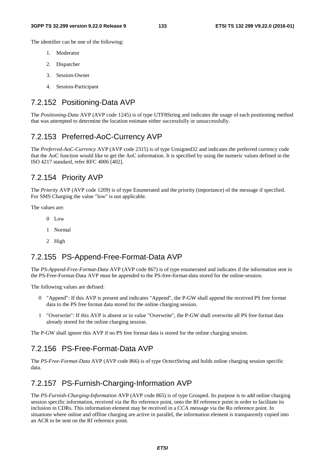The identifier can be one of the following:

- 1. Moderator
- 2. Dispatcher
- 3. Session-Owner
- 4. Session-Participant

## 7.2.152 Positioning-Data AVP

The *Positioning-Data* AVP (AVP code 1245) is of type UTF8String and indicates the usage of each positioning method that was attempted to determine the location estimate either successfully or unsuccessfully.

#### 7.2.153 Preferred-AoC-Currency AVP

The *Preferred-AoC-Currency* AVP (AVP code 2315) is of type Unsigned32 and indicates the preferred currency code that the AoC function would like to get the AoC information. It is specified by using the numeric values defined in the ISO 4217 standard, refer RFC 4006 [402].

#### 7.2.154 Priority AVP

The *Priority* AVP (AVP code 1209) is of type Enumerated and the priority (importance) of the message if specified. For SMS Charging the value "low" is not applicable.

The values are:

- $0$  Low
- 1 Normal
- 2 High

#### 7.2.155 PS-Append-Free-Format-Data AVP

The *PS-Append-Free-Format-Data* AVP (AVP code 867) is of type enumerated and indicates if the information sent in the PS-Free-Format-Data AVP must be appended to the PS-free-format-data stored for the online-session.

The following values are defined:

- 0 "Append": If this AVP is present and indicates "Append", the P-GW shall append the received PS free format data to the PS free format data stored for the online charging session.
- 1 "Overwrite": If this AVP is absent or in value "Overwrite", the P-GW shall overwrite all PS free format data already stored for the online charging session.

The P-GW shall ignore this AVP if no PS free format data is stored for the online charging session.

### 7.2.156 PS-Free-Format-Data AVP

The *PS-Free-Format-Data* AVP (AVP code 866) is of type OctectString and holds online charging session specific data.

## 7.2.157 PS-Furnish-Charging-Information AVP

The *PS-Furnish-Charging-Information* AVP (AVP code 865) is of type Grouped. Its purpose is to add online charging session specific information, received via the Ro reference point, onto the Rf reference point in order to facilitate its inclusion in CDRs. This information element may be received in a CCA message via the Ro reference point. In situations where online and offline charging are active in parallel, the information element is transparently copied into an ACR to be sent on the Rf reference point.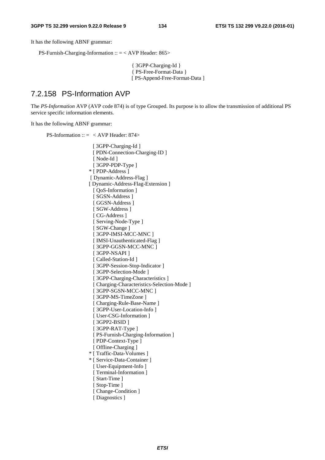It has the following ABNF grammar:

PS-Furnish-Charging-Information :: = < AVP Header: 865>

{ 3GPP-Charging-Id } { PS-Free-Format-Data } [ PS-Append-Free-Format-Data ]

#### 7.2.158 PS-Information AVP

The *PS-Information* AVP (AVP code 874) is of type Grouped. Its purpose is to allow the transmission of additional PS service specific information elements.

It has the following ABNF grammar:

PS-Information ::  $=$  < AVP Header: 874>

[ 3GPP-Charging-Id ] [ PDN-Connection-Charging-ID ] [ Node-Id ] [ 3GPP-PDP-Type ] \* [ PDP-Address ] [ Dynamic-Address-Flag ] [ Dynamic-Address-Flag-Extension ] [  $OoS$ -Information ] [ SGSN-Address ] [ GGSN-Address ] [ SGW-Address ] [ CG-Address ] [ Serving-Node-Type ] [ SGW-Change ] [ 3GPP-IMSI-MCC-MNC ] [ IMSI-Unauthenticated-Flag ] [ 3GPP-GGSN-MCC-MNC ] [ 3GPP-NSAPI ] [ Called-Station-Id ] [ 3GPP-Session-Stop-Indicator ] [ 3GPP-Selection-Mode ] [ 3GPP-Charging-Characteristics ] [ Charging-Characteristics-Selection-Mode ] [ 3GPP-SGSN-MCC-MNC ] [ 3GPP-MS-TimeZone ] [ Charging-Rule-Base-Name ] [ 3GPP-User-Location-Info ] [ User-CSG-Information ] [ 3GPP2-BSID ] [ 3GPP-RAT-Type ] [ PS-Furnish-Charging-Information ] [ PDP-Context-Type ] [ Offline-Charging ] \* [ Traffic-Data-Volumes ] \* [ Service-Data-Container ] [ User-Equipment-Info ] [ Terminal-Information ] [ Start-Time ] [ Stop-Time ] [ Change-Condition ] [ Diagnostics ]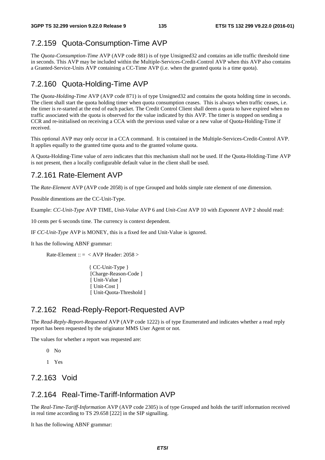# 7.2.159 Quota-Consumption-Time AVP

The *Quota-Consumption-Time* AVP (AVP code 881) is of type Unsigned32 and contains an idle traffic threshold time in seconds. This AVP may be included within the Multiple-Services-Credit-Control AVP when this AVP also contains a Granted-Service-Units AVP containing a CC-Time AVP (i.e. when the granted quota is a time quota).

# 7.2.160 Quota-Holding-Time AVP

The *Quota-Holding-Time* AVP (AVP code 871) is of type Unsigned32 and contains the quota holding time in seconds. The client shall start the quota holding timer when quota consumption ceases. This is always when traffic ceases, i.e. the timer is re-started at the end of each packet. The Credit Control Client shall deem a quota to have expired when no traffic associated with the quota is observed for the value indicated by this AVP. The timer is stopped on sending a CCR and re-initialised on receiving a CCA with the previous used value or a new value of Quota-Holding-Time if received.

This optional AVP may only occur in a CCA command. It is contained in the Multiple-Services-Credit-Control AVP. It applies equally to the granted time quota and to the granted volume quota.

A Quota-Holding-Time value of zero indicates that this mechanism shall not be used. If the Quota-Holding-Time AVP is not present, then a locally configurable default value in the client shall be used.

## 7.2.161 Rate-Element AVP

The *Rate-Element* AVP (AVP code 2058) is of type Grouped and holds simple rate element of one dimension.

Possible dimentions are the CC-Unit-Type.

Example: *CC-Unit-Type* AVP TIME, *Unit-Value* AVP 6 and *Unit-Cost* AVP 10 with *Exponent* AVP 2 should read:

10 cents per 6 seconds time. The currency is context dependent.

IF *CC-Unit-Type* AVP is MONEY, this is a fixed fee and Unit-Value is ignored.

It has the following ABNF grammar:

Rate-Element ::  $=$  < AVP Header: 2058 >

{ CC-Unit-Type } [Charge-Reason-Code ] [ Unit-Value ] [ Unit-Cost ] [ Unit-Quota-Threshold ]

## 7.2.162 Read-Reply-Report-Requested AVP

The *Read-Reply-Report-Requested* AVP (AVP code 1222) is of type Enumerated and indicates whether a read reply report has been requested by the originator MMS User Agent or not.

The values for whether a report was requested are:

- 0 No
- 1 Yes

## 7.2.163 Void

## 7.2.164 Real-Time-Tariff-Information AVP

The *Real-Time-Tariff-Information* AVP (AVP code 2305) is of type Grouped and holds the tariff information received in real time according to TS 29.658 [222] in the SIP signalling.

It has the following ABNF grammar: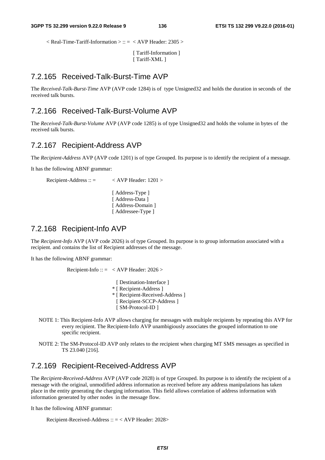$\langle$  Real-Time-Tariff-Information  $\langle$  :: =  $\langle$  AVP Header: 2305  $\rangle$ 

[ Tariff-Information ] [ Tariff-XML ]

#### 7.2.165 Received-Talk-Burst-Time AVP

The *Received-Talk-Burst-Time* AVP (AVP code 1284) is of type Unsigned32 and holds the duration in seconds of the received talk bursts.

#### 7.2.166 Received-Talk-Burst-Volume AVP

The *Received-Talk-Burst-Volume* AVP (AVP code 1285) is of type Unsigned32 and holds the volume in bytes of the received talk bursts.

#### 7.2.167 Recipient-Address AVP

The *Recipient-Address* AVP (AVP code 1201) is of type Grouped. Its purpose is to identify the recipient of a message.

It has the following ABNF grammar:

Recipient-Address ::  $=$  < AVP Header: 1201 >

[ Address-Type ] [ Address-Data ] [ Address-Domain ] [ Addressee-Type ]

#### 7.2.168 Recipient-Info AVP

The *Recipient-Info* AVP (AVP code 2026) is of type Grouped. Its purpose is to group information associated with a recipient. and contains the list of Recipient addresses of the message.

It has the following ABNF grammar:

Recipient-Info ::  $=$  < AVP Header: 2026 >

- [ Destination-Interface ] \* [ Recipient-Address ] \* [ Recipient-Received-Address ] [ Recipient-SCCP-Address ] [ SM-Protocol-ID ]
- NOTE 1: This Recipient-Info AVP allows charging for messages with multiple recipients by repeating this AVP for every recipient. The Recipient-Info AVP unambigiously associates the grouped information to one specific recipient.
- NOTE 2: The SM-Protocol-ID AVP only relates to the recipient when charging MT SMS messages as specified in TS 23.040 [216].

#### 7.2.169 Recipient-Received-Address AVP

The *Recipient-Received-Address* AVP (AVP code 2028) is of type Grouped. Its purpose is to identify the recipient of a message with the original, unmodified address information as received before any address manipulations has taken place in the entity generating the charging information. This field allows correlation of address information with information generated by other nodes in the message flow.

It has the following ABNF grammar:

Recipient-Received-Address :: = < AVP Header: 2028>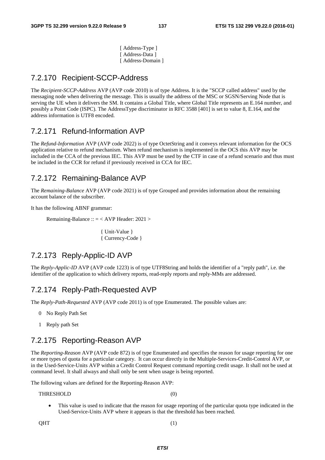[ Address-Type ] [ Address-Data ] [ Address-Domain ]

## 7.2.170 Recipient-SCCP-Address

The *Recipient-SCCP-Address* AVP (AVP code 2010) is of type Address. It is the "SCCP called address" used by the messaging node when delivering the message. This is usually the address of the MSC or SGSN/Serving Node that is serving the UE when it delivers the SM. It contains a Global Title, where Global Title represents an E.164 number, and possibly a Point Code (ISPC). The AddressType discriminator in RFC 3588 [401] is set to value 8, E.164, and the address information is UTF8 encoded.

## 7.2.171 Refund-Information AVP

The *Refund-Information* AVP (AVP code 2022) is of type OctetString and it conveys relevant information for the OCS application relative to refund mechanism. When refund mechanism is implemented in the OCS this AVP may be included in the CCA of the previous IEC. This AVP must be used by the CTF in case of a refund scenario and thus must be included in the CCR for refund if previously received in CCA for IEC.

# 7.2.172 Remaining-Balance AVP

The *Remaining-Balance* AVP (AVP code 2021) is of type Grouped and provides information about the remaining account balance of the subscriber.

It has the following ABNF grammar:

Remaining-Balance :: = < AVP Header: 2021 >

{ Unit-Value } { Currency-Code }

## 7.2.173 Reply-Applic-ID AVP

The *Reply-Applic-ID* AVP (AVP code 1223) is of type UTF8String and holds the identifier of a "reply path", i.e. the identifier of the application to which delivery reports, read-reply reports and reply-MMs are addressed.

### 7.2.174 Reply-Path-Requested AVP

The *Reply-Path-Requested* AVP (AVP code 2011) is of type Enumerated. The possible values are:

- 0 No Reply Path Set
- 1 Reply path Set

### 7.2.175 Reporting-Reason AVP

The *Reporting-Reason* AVP (AVP code 872) is of type Enumerated and specifies the reason for usage reporting for one or more types of quota for a particular category. It can occur directly in the Multiple-Services-Credit-Control AVP, or in the Used-Service-Units AVP within a Credit Control Request command reporting credit usage. It shall not be used at command level. It shall always and shall only be sent when usage is being reported.

The following values are defined for the Reporting-Reason AVP:

#### THRESHOLD (0)

• This value is used to indicate that the reason for usage reporting of the particular quota type indicated in the Used-Service-Units AVP where it appears is that the threshold has been reached.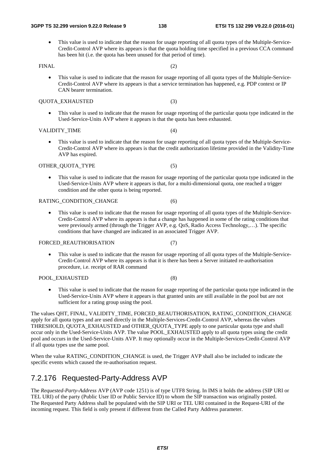• This value is used to indicate that the reason for usage reporting of all quota types of the Multiple-Service-Credit-Control AVP where its appears is that the quota holding time specified in a previous CCA command has been hit (i.e. the quota has been unused for that period of time).

#### FINAL (2)

• This value is used to indicate that the reason for usage reporting of all quota types of the Multiple-Service-Credit-Control AVP where its appears is that a service termination has happened, e.g. PDP context or IP CAN bearer termination.

#### QUOTA\_EXHAUSTED (3)

• This value is used to indicate that the reason for usage reporting of the particular quota type indicated in the Used-Service-Units AVP where it appears is that the quota has been exhausted.

#### VALIDITY TIME (4)

• This value is used to indicate that the reason for usage reporting of all quota types of the Multiple-Service-Credit-Control AVP where its appears is that the credit authorization lifetime provided in the Validity-Time AVP has expired.

#### OTHER QUOTA TYPE (5)

• This value is used to indicate that the reason for usage reporting of the particular quota type indicated in the Used-Service-Units AVP where it appears is that, for a multi-dimensional quota, one reached a trigger condition and the other quota is being reported.

#### RATING CONDITION CHANGE (6)

• This value is used to indicate that the reason for usage reporting of all quota types of the Multiple-Service-Credit-Control AVP where its appears is that a change has happened in some of the rating conditions that were previously armed (through the Trigger AVP, e.g. QoS, Radio Access Technology,…). The specific conditions that have changed are indicated in an associated Trigger AVP.

#### FORCED REAUTHORISATION (7)

• This value is used to indicate that the reason for usage reporting of all quota types of the Multiple-Service-Credit-Control AVP where its appears is that it is there has been a Server initiated re-authorisation procedure, i.e. receipt of RAR command

#### POOL EXHAUSTED (8)

• This value is used to indicate that the reason for usage reporting of the particular quota type indicated in the Used-Service-Units AVP where it appears is that granted units are still available in the pool but are not sufficient for a rating group using the pool.

The values QHT, FINAL, VALIDITY\_TIME, FORCED\_REAUTHORISATION, RATING\_CONDITION\_CHANGE apply for all quota types and are used directly in the Multiple-Services-Credit-Control AVP, whereas the values THRESHOLD, QUOTA\_EXHAUSTED and OTHER\_QUOTA\_TYPE apply to one particular quota type and shall occur only in the Used-Service-Units AVP. The value POOL\_EXHAUSTED apply to all quota types using the credit pool and occurs in the Used-Service-Units AVP. It may optionally occur in the Multiple-Services-Credit-Control AVP if all quota types use the same pool.

When the value RATING CONDITION CHANGE is used, the Trigger AVP shall also be included to indicate the specific events which caused the re-authorisation request.

### 7.2.176 Requested-Party-Address AVP

The *Requested-Party-Address* AVP (AVP code 1251) is of type UTF8 String. In IMS it holds the address (SIP URI or TEL URI) of the party (Public User ID or Public Service ID) to whom the SIP transaction was originally posted. The Requested Party Address shall be populated with the SIP URI or TEL URI contained in the Request-URI of the incoming request. This field is only present if different from the Called Party Address parameter.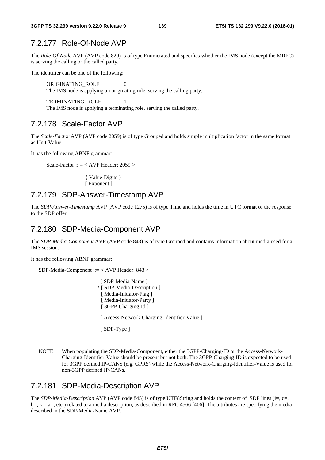## 7.2.177 Role-Of-Node AVP

The *Role-Of-Node* AVP (AVP code 829) is of type Enumerated and specifies whether the IMS node (except the MRFC) is serving the calling or the called party.

The identifier can be one of the following:

ORIGINATING ROLE 0 The IMS node is applying an originating role, serving the calling party.

TERMINATING\_ROLE 1 The IMS node is applying a terminating role, serving the called party.

#### 7.2.178 Scale-Factor AVP

The *Scale-Factor* AVP (AVP code 2059) is of type Grouped and holds simple multiplication factor in the same format as Unit-Value.

It has the following ABNF grammar:

Scale-Factor :: = < AVP Header: 2059 >

{ Value-Digits } [ Exponent ]

#### 7.2.179 SDP-Answer-Timestamp AVP

The *SDP-Answer-Timestamp* AVP (AVP code 1275) is of type Time and holds the time in UTC format of the response to the SDP offer.

#### 7.2.180 SDP-Media-Component AVP

The *SDP-Media-Component* AVP (AVP code 843) is of type Grouped and contains information about media used for a IMS session.

It has the following ABNF grammar:

SDP-Media-Component ::= < AVP Header: 843 >

```
[ SDP-Media-Name ]
* [ SDP-Media-Description ] 
 [ Media-Initiator-Flag ] 
[ Media-Initiator-Party ]
[ 3GPP-Charging-Id ]
[ Access-Network-Charging-Identifier-Value ] 
[ SDP-Type ]
```
NOTE: When populating the SDP-Media-Component, either the 3GPP-Charging-ID or the Access-Network-Charging-Identifier-Value should be present but not both. The 3GPP-Charging-ID is expected to be used for 3GPP defined IP-CANS (e.g. GPRS) while the Access-Network-Charging-Identifier-Value is used for non-3GPP defined IP-CANs.

#### 7.2.181 SDP-Media-Description AVP

The *SDP-Media-Description* AVP (AVP code 845) is of type UTF8String and holds the content of SDP lines (i=, c=,  $b=$ ,  $k=$ ,  $a=$ , etc.) related to a media description, as described in RFC 4566 [406]. The attributes are specifying the media described in the SDP-Media-Name AVP.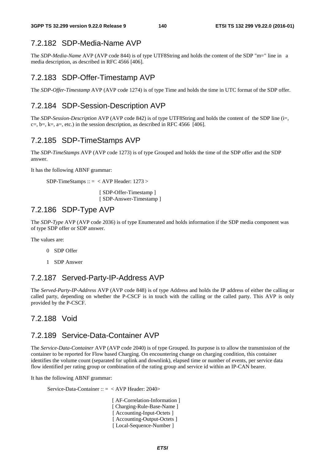## 7.2.182 SDP-Media-Name AVP

The *SDP-Media-Name* AVP (AVP code 844) is of type UTF8String and holds the content of the SDP "m=" line in a media description, as described in RFC 4566 [406].

## 7.2.183 SDP-Offer-Timestamp AVP

The *SDP-Offer-Timestamp* AVP (AVP code 1274) is of type Time and holds the time in UTC format of the SDP offer.

## 7.2.184 SDP-Session-Description AVP

The *SDP-Session-Description* AVP (AVP code 842) is of type UTF8String and holds the content of the SDP line (i=,  $c=$ ,  $b=$ ,  $k=$ ,  $a=$ , etc.) in the session description, as described in RFC 4566 [406].

# 7.2.185 SDP-TimeStamps AVP

The *SDP-TimeStamps* AVP (AVP code 1273) is of type Grouped and holds the time of the SDP offer and the SDP answer.

It has the following ABNF grammar:

SDP-TimeStamps ::  $=$  < AVP Header: 1273 >

 [ SDP-Offer-Timestamp ] [ SDP-Answer-Timestamp ]

## 7.2.186 SDP-Type AVP

The *SDP-Type* AVP (AVP code 2036) is of type Enumerated and holds information if the SDP media component was of type SDP offer or SDP answer.

The values are:

- 0 SDP Offer
- 1 SDP Answer

## 7.2.187 Served-Party-IP-Address AVP

The *Served-Party-IP-Address* AVP (AVP code 848) is of type Address and holds the IP address of either the calling or called party, depending on whether the P-CSCF is in touch with the calling or the called party. This AVP is only provided by the P-CSCF.

## 7.2.188 Void

### 7.2.189 Service-Data-Container AVP

The *Service-Data-Container* AVP (AVP code 2040) is of type Grouped. Its purpose is to allow the transmission of the container to be reported for Flow based Charging. On encountering change on charging condition, this container identifies the volume count (separated for uplink and downlink), elapsed time or number of events, per service data flow identified per rating group or combination of the rating group and service id within an IP-CAN bearer.

It has the following ABNF grammar:

Service-Data-Container  $\therefore$  = < AVP Header: 2040>

[ AF-Correlation-Information ] [ Charging-Rule-Base-Name ] [ Accounting-Input-Octets ] [ Accounting-Output-Octets ] [Local-Sequence-Number]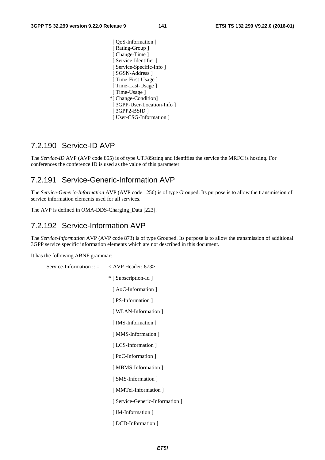[  $QoS$ -Information ] [ Rating-Group ] [ Change-Time ] [ Service-Identifier ] [ Service-Specific-Info ] [ SGSN-Address ] [ Time-First-Usage ] [ Time-Last-Usage ] [ Time-Usage ] \*[ Change-Condition] [ 3GPP-User-Location-Info ] [ 3GPP2-BSID ] [ User-CSG-Information ]

#### 7.2.190 Service-ID AVP

The *Service-ID* AVP (AVP code 855) is of type UTF8String and identifies the service the MRFC is hosting. For conferences the conference ID is used as the value of this parameter.

#### 7.2.191 Service-Generic-Information AVP

The *Service-Generic-Information* AVP (AVP code 1256) is of type Grouped. Its purpose is to allow the transmission of service information elements used for all services.

The AVP is defined in OMA-DDS-Charging\_Data [223].

## 7.2.192 Service-Information AVP

The *Service-Information* AVP (AVP code 873) is of type Grouped. Its purpose is to allow the transmission of additional 3GPP service specific information elements which are not described in this document.

It has the following ABNF grammar:

Service-Information ::  $=$  < AVP Header: 873> \* [ Subscription-Id ] [ AoC-Information ] [ PS-Information ] [ WLAN-Information ] [ IMS-Information ] [ MMS-Information ] [ LCS-Information ] [ PoC-Information ] [ MBMS-Information ] [ SMS-Information ] [ MMTel-Information ] [ Service-Generic-Information ] [ IM-Information ] [ DCD-Information ]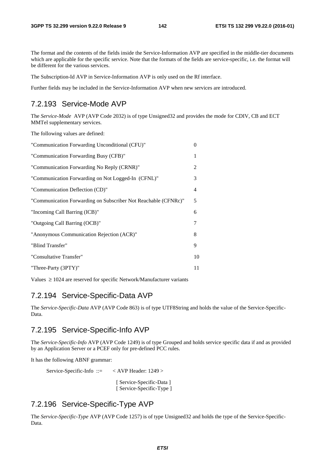The format and the contents of the fields inside the Service-Information AVP are specified in the middle-tier documents which are applicable for the specific service. Note that the formats of the fields are service-specific, i.e. the format will be different for the various services.

The Subscription-Id AVP in Service-Information AVP is only used on the Rf interface.

Further fields may be included in the Service-Information AVP when new services are introduced.

## 7.2.193 Service-Mode AVP

The *Service-Mode* AVP (AVP Code 2032) is of type Unsigned32 and provides the mode for CDIV, CB and ECT MMTel supplementary services.

The following values are defined:

| "Communication Forwarding Unconditional (CFU)"                 | $\overline{0}$ |
|----------------------------------------------------------------|----------------|
| "Communication Forwarding Busy (CFB)"                          | 1              |
| "Communication Forwarding No Reply (CRNR)"                     | 2              |
| "Communication Forwarding on Not Logged-In (CFNL)"             | 3              |
| "Communication Deflection (CD)"                                | 4              |
| "Communication Forwarding on Subscriber Not Reachable (CFNRc)" | 5              |
| "Incoming Call Barring (ICB)"                                  | 6              |
| "Outgoing Call Barring (OCB)"                                  | 7              |
| "Anonymous Communication Rejection (ACR)"                      | 8              |
| "Blind Transfer"                                               | 9              |
| "Consultative Transfer"                                        | 10             |
| "Three-Party (3PTY)"                                           | 11             |
|                                                                |                |

Values ≥ 1024 are reserved for specific Network/Manufacturer variants

#### 7.2.194 Service-Specific-Data AVP

The *Service-Specific-Data* AVP (AVP Code 863) is of type UTF8String and holds the value of the Service-Specific-Data.

#### 7.2.195 Service-Specific-Info AVP

The *Service-Specific-Info* AVP (AVP Code 1249) is of type Grouped and holds service specific data if and as provided by an Application Server or a PCEF only for pre-defined PCC rules.

It has the following ABNF grammar:

Service-Specific-Info ::= < AVP Header: 1249 >

 [ Service-Specific-Data ] [ Service-Specific-Type ]

## 7.2.196 Service-Specific-Type AVP

The *Service-Specific-Type* AVP (AVP Code 1257) is of type Unsigned32 and holds the type of the Service-Specific-Data.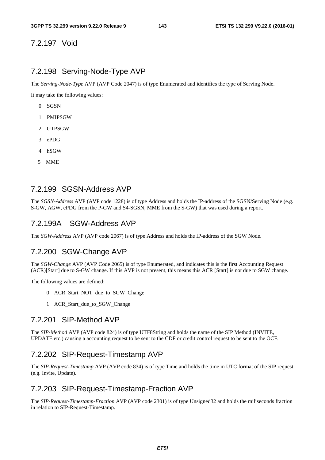## 7.2.197 Void

#### 7.2.198 Serving-Node-Type AVP

The *Serving-Node-Type* AVP (AVP Code 2047) is of type Enumerated and identifies the type of Serving Node.

It may take the following values:

- 0 SGSN
- 1 PMIPSGW
- 2 GTPSGW
- 3 ePDG
- 4 hSGW
- 5 MME

## 7.2.199 SGSN-Address AVP

The *SGSN-Address* AVP (AVP code 1228) is of type Address and holds the IP-address of the SGSN/Serving Node (e.g. S-GW, AGW, ePDG from the P-GW and S4-SGSN, MME from the S-GW) that was used during a report.

#### 7.2.199A SGW-Address AVP

The *SGW-Address* AVP (AVP code 2067) is of type Address and holds the IP-address of the SGW Node.

#### 7.2.200 SGW-Change AVP

The *SGW-Change* AVP (AVP Code 2065) is of type Enumerated, and indicates this is the first Accounting Request (ACR)[Start] due to S-GW change. If this AVP is not present, this means this ACR [Start] is not due to SGW change.

The following values are defined:

- 0 ACR\_Start\_NOT\_due\_to\_SGW\_Change
- 1 ACR\_Start\_due\_to\_SGW\_Change

#### 7.2.201 SIP-Method AVP

The *SIP-Method* AVP (AVP code 824) is of type UTF8String and holds the name of the SIP Method (INVITE, UPDATE etc.) causing a accounting request to be sent to the CDF or credit control request to be sent to the OCF.

#### 7.2.202 SIP-Request-Timestamp AVP

The *SIP-Request-Timestamp* AVP (AVP code 834) is of type Time and holds the time in UTC format of the SIP request (e.g. Invite, Update).

### 7.2.203 SIP-Request-Timestamp-Fraction AVP

The *SIP-Request-Timestamp-Fraction* AVP (AVP code 2301) is of type Unsigned32 and holds the miliseconds fraction in relation to SIP-Request-Timestamp.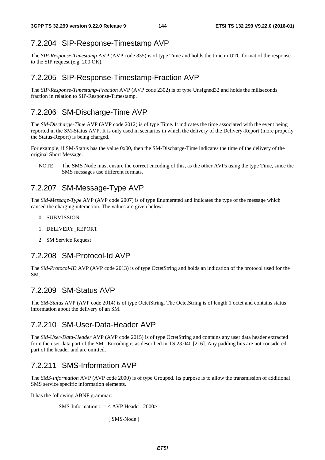## 7.2.204 SIP-Response-Timestamp AVP

The *SIP-Response-Timestamp* AVP (AVP code 835) is of type Time and holds the time in UTC format of the response to the SIP request (e.g. 200 OK).

## 7.2.205 SIP-Response-Timestamp-Fraction AVP

The *SIP-Response-Timestamp-Fraction* AVP (AVP code 2302) is of type Unsigned32 and holds the miliseconds fraction in relation to SIP-Response-Timestamp.

## 7.2.206 SM-Discharge-Time AVP

The *SM-Discharge-Time* AVP (AVP code 2012) is of type Time. It indicates the time associated with the event being reported in the SM-Status AVP. It is only used in scenarios in which the delivery of the Delivery-Report (more properly the Status-Report) is being charged.

For example, if SM-Status has the value 0x00, then the SM-Discharge-Time indicates the time of the delivery of the original Short Message.

NOTE: The SMS Node must ensure the correct encoding of this, as the other AVPs using the type Time, since the SMS messages use different formats.

## 7.2.207 SM-Message-Type AVP

The *SM*-*Message-Type* AVP (AVP code 2007) is of type Enumerated and indicates the type of the message which caused the charging interaction. The values are given below:

- 0. SUBMISSION
- 1. DELIVERY\_REPORT
- 2. SM Service Request

## 7.2.208 SM-Protocol-Id AVP

The *SM-Protocol-ID* AVP (AVP code 2013) is of type OctetString and holds an indication of the protocol used for the SM.

## 7.2.209 SM-Status AVP

The *SM-Status* AVP (AVP code 2014) is of type OctetString. The OctetString is of length 1 octet and contains status information about the delivery of an SM.

## 7.2.210 SM-User-Data-Header AVP

The *SM-User-Data-Header* AVP (AVP code 2015) is of type OctetString and contains any user data header extracted from the user data part of the SM. Encoding is as described in TS 23.040 [216]. Any padding bits are not considered part of the header and are omitted.

## 7.2.211 SMS-Information AVP

The *SMS-Information* AVP (AVP code 2000) is of type Grouped. Its purpose is to allow the transmission of additional SMS service specific information elements.

It has the following ABNF grammar:

SMS-Information ::  $=$  < AVP Header: 2000>

[ SMS-Node ]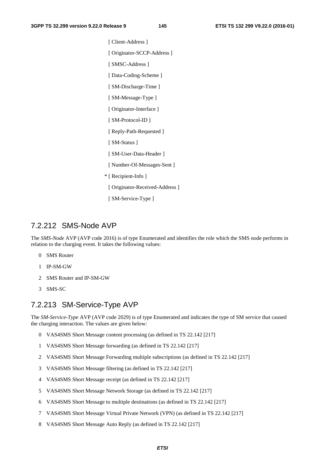[ Client-Address ] [ Originator-SCCP-Address ] [ SMSC-Address ]

[ Data-Coding-Scheme ]

[ SM-Discharge-Time ]

[ SM-Message-Type ]

[ Originator-Interface ]

[ SM-Protocol-ID ]

[ Reply-Path-Requested ]

[ SM-Status ]

[ SM-User-Data-Header ]

[ Number-Of-Messages-Sent ]

\* [ Recipient-Info ]

[ Originator-Received-Address ]

[ SM-Service-Type ]

## 7.2.212 SMS-Node AVP

The *SMS-Node* AVP (AVP code 2016) is of type Enumerated and identifies the role which the SMS node performs in relation to the charging event. It takes the following values:

- 0 SMS Router
- 1 IP-SM-GW
- 2 SMS Router and IP-SM-GW
- 3 SMS-SC

## 7.2.213 SM-Service-Type AVP

The *SM-Service-Type* AVP (AVP code 2029) is of type Enumerated and indicates the type of SM service that caused the charging interaction. The values are given below:

- 0 VAS4SMS Short Message content processing (as defined in TS 22.142 [217]
- 1 VAS4SMS Short Message forwarding (as defined in TS 22.142 [217]
- 2 VAS4SMS Short Message Forwarding multiple subscriptions (as defined in TS 22.142 [217]
- 3 VAS4SMS Short Message filtering (as defined in TS 22.142 [217]
- 4 VAS4SMS Short Message receipt (as defined in TS 22.142 [217]
- 5 VAS4SMS Short Message Network Storage (as defined in TS 22.142 [217]
- 6 VAS4SMS Short Message to multiple destinations (as defined in TS 22.142 [217]
- 7 VAS4SMS Short Message Virtual Private Network (VPN) (as defined in TS 22.142 [217]
- 8 VAS4SMS Short Message Auto Reply (as defined in TS 22.142 [217]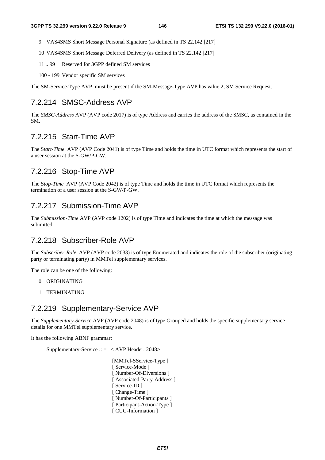- 9 VAS4SMS Short Message Personal Signature (as defined in TS 22.142 [217]
- 10 VAS4SMS Short Message Deferred Delivery (as defined in TS 22.142 [217]
- 11 .. 99 Reserved for 3GPP defined SM services
- 100 199 Vendor specific SM services

The SM-Service-Type AVP must be present if the SM-Message-Type AVP has value 2, SM Service Request.

## 7.2.214 SMSC-Address AVP

The *SMSC-Address* AVP (AVP code 2017) is of type Address and carries the address of the SMSC, as contained in the SM.

## 7.2.215 Start-Time AVP

The S*tart-Time* AVP (AVP Code 2041) is of type Time and holds the time in UTC format which represents the start of a user session at the S-GW/P-GW.

## 7.2.216 Stop-Time AVP

The S*top-Time* AVP (AVP Code 2042) is of type Time and holds the time in UTC format which represents the termination of a user session at the S-GW/P-GW.

## 7.2.217 Submission-Time AVP

The *Submission-Time* AVP (AVP code 1202) is of type Time and indicates the time at which the message was submitted.

## 7.2.218 Subscriber-Role AVP

The *Subscriber-Role* AVP (AVP code 2033) is of type Enumerated and indicates the role of the subscriber (originating party or terminating party) in MMTel supplementary services.

The role can be one of the following:

- 0. ORIGINATING
- 1. TERMINATING

## 7.2.219 Supplementary-Service AVP

The *Supplementary-Service* AVP (AVP code 2048) is of type Grouped and holds the specific supplementary service details for one MMTel supplementary service.

It has the following ABNF grammar:

Supplementary-Service  $\therefore$  = < AVP Header: 2048>

 [MMTel-SService-Type ] [ Service-Mode ] [ Number-Of-Diversions ] [ Associated-Party-Address ] [ Service-ID ] [ Change-Time ] [ Number-Of-Participants ] [ Participant-Action-Type ] [ CUG-Information ]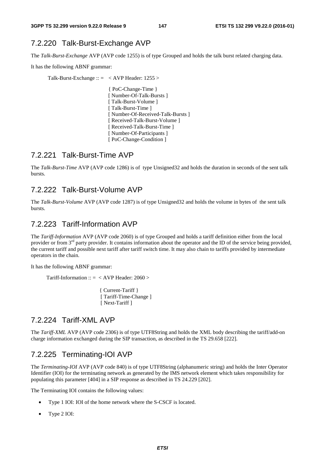## 7.2.220 Talk-Burst-Exchange AVP

The *Talk-Burst-Exchange* AVP (AVP code 1255) is of type Grouped and holds the talk burst related charging data.

It has the following ABNF grammar:

Talk-Burst-Exchange :: = < AVP Header: 1255 >

{ PoC-Change-Time } [ Number-Of-Talk-Bursts ] [ Talk-Burst-Volume ] [ Talk-Burst-Time ] [ Number-Of-Received-Talk-Bursts ] [ Received-Talk-Burst-Volume ] [ Received-Talk-Burst-Time ] [ Number-Of-Participants ] [ PoC-Change-Condition ]

## 7.2.221 Talk-Burst-Time AVP

The *Talk-Burst-Time* AVP (AVP code 1286) is of type Unsigned32 and holds the duration in seconds of the sent talk bursts.

## 7.2.222 Talk-Burst-Volume AVP

The *Talk-Burst-Volume* AVP (AVP code 1287) is of type Unsigned32 and holds the volume in bytes of the sent talk bursts.

## 7.2.223 Tariff-Information AVP

The *Tariff-Information* AVP (AVP code 2060) is of type Grouped and holds a tariff definition either from the local provider or from 3<sup>rd</sup> party provider. It contains information about the operator and the ID of the service being provided, the current tariff and possible next tariff after tariff switch time. It may also chain to tariffs provided by intermediate operators in the chain.

It has the following ABNF grammar:

Tariff-Information ::  $=$  < AVP Header: 2060 >

 { Current-Tariff } [ Tariff-Time-Change ] [ Next-Tariff ]

## 7.2.224 Tariff-XML AVP

The *Tariff-XML* AVP (AVP code 2306) is of type UTF8String and holds the XML body describing the tariff/add-on charge information exchanged during the SIP transaction, as described in the TS 29.658 [222].

## 7.2.225 Terminating-IOI AVP

The *Terminating-IOI* AVP (AVP code 840) is of type UTF8String (alphanumeric string) and holds the Inter Operator Identifier (IOI) for the terminating network as generated by the IMS network element which takes responsibility for populating this parameter [404] in a SIP response as described in TS 24.229 [202].

The Terminating IOI contains the following values:

- Type 1 IOI: IOI of the home network where the S-CSCF is located.
- Type 2 IOI: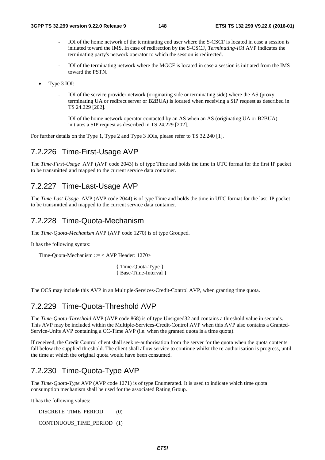- IOI of the home network of the terminating end user where the S-CSCF is located in case a session is initiated toward the IMS. In case of redirection by the S-CSCF, *Terminating-IOI* AVP indicates the terminating party's network operator to which the session is redirected.
- IOI of the terminating network where the MGCF is located in case a session is initiated from the IMS toward the PSTN.
- Type 3 IOI:
	- IOI of the service provider network (originating side or terminating side) where the AS (proxy, terminating UA or redirect server or B2BUA) is located when receiving a SIP request as described in TS 24.229 [202].
	- IOI of the home network operator contacted by an AS when an AS (originating UA or B2BUA) initiates a SIP request as described in TS 24.229 [202].

For further details on the Type 1, Type 2 and Type 3 IOIs, please refer to TS 32.240 [1].

## 7.2.226 Time-First-Usage AVP

The *Time-First-Usage* AVP (AVP code 2043) is of type Time and holds the time in UTC format for the first IP packet to be transmitted and mapped to the current service data container.

## 7.2.227 Time-Last-Usage AVP

The *Time-Last-Usage* AVP (AVP code 2044) is of type Time and holds the time in UTC format for the last IP packet to be transmitted and mapped to the current service data container.

## 7.2.228 Time-Quota-Mechanism

The *Time-Quota-Mechanism* AVP (AVP code 1270) is of type Grouped.

It has the following syntax:

Time-Quota-Mechanism ::= < AVP Header: 1270>

{ Time-Quota-Type } { Base-Time-Interval }

The OCS may include this AVP in an Multiple-Services-Credit-Control AVP, when granting time quota.

## 7.2.229 Time-Quota-Threshold AVP

The *Time-Quota-Threshold* AVP (AVP code 868) is of type Unsigned32 and contains a threshold value in seconds. This AVP may be included within the Multiple-Services-Credit-Control AVP when this AVP also contains a Granted-Service-Units AVP containing a CC-Time AVP (i.e. when the granted quota is a time quota).

If received, the Credit Control client shall seek re-authorisation from the server for the quota when the quota contents fall below the supplied threshold. The client shall allow service to continue whilst the re-authorisation is progress, until the time at which the original quota would have been consumed.

## 7.2.230 Time-Quota-Type AVP

The *Time-Quota-Type* AVP (AVP code 1271) is of type Enumerated. It is used to indicate which time quota consumption mechanism shall be used for the associated Rating Group.

It has the following values:

DISCRETE\_TIME\_PERIOD (0)

CONTINUOUS\_TIME\_PERIOD (1)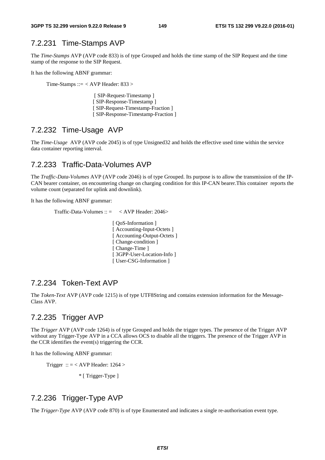## 7.2.231 Time-Stamps AVP

The *Time-Stamps* AVP (AVP code 833) is of type Grouped and holds the time stamp of the SIP Request and the time stamp of the response to the SIP Request.

It has the following ABNF grammar:

Time-Stamps ::=  $\langle$  AVP Header: 833  $\rangle$ 

 [ SIP-Request-Timestamp ] [ SIP-Response-Timestamp ] [ SIP-Request-Timestamp-Fraction ] [ SIP-Response-Timestamp-Fraction ]

## 7.2.232 Time-Usage AVP

The *Time-Usage* AVP (AVP code 2045) is of type Unsigned32 and holds the effective used time within the service data container reporting interval.

## 7.2.233 Traffic-Data-Volumes AVP

The *Traffic-Data-Volumes* AVP (AVP code 2046) is of type Grouped. Its purpose is to allow the transmission of the IP-CAN bearer container, on encountering change on charging condition for this IP-CAN bearer.This container reports the volume count (separated for uplink and downlink).

It has the following ABNF grammar:

```
Traffic-Data-Volumes :: = < AVP Header: 2046>
```
 [ QoS-Information ] [ Accounting-Input-Octets ] [ Accounting-Output-Octets ] [ Change-condition ] [ Change-Time ] [ 3GPP-User-Location-Info ] [ User-CSG-Information ]

## 7.2.234 Token-Text AVP

The *Token-Text* AVP (AVP code 1215) is of type UTF8String and contains extension information for the Message-Class AVP.

## 7.2.235 Trigger AVP

The *Trigger* AVP (AVP code 1264) is of type Grouped and holds the trigger types. The presence of the Trigger AVP without any Trigger-Type AVP in a CCA allows OCS to disable all the triggers. The presence of the Trigger AVP in the CCR identifies the event(s) triggering the CCR.

It has the following ABNF grammar:

Trigger :: = < AVP Header:  $1264$  >

\* [ Trigger-Type ]

# 7.2.236 Trigger-Type AVP

The *Trigger-Type* AVP (AVP code 870) is of type Enumerated and indicates a single re-authorisation event type.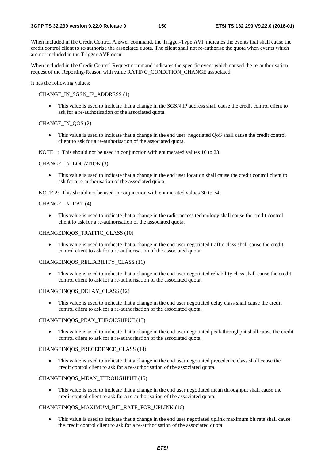When included in the Credit Control Answer command, the Trigger-Type AVP indicates the events that shall cause the credit control client to re-authorise the associated quota. The client shall not re-authorise the quota when events which are not included in the Trigger AVP occur.

When included in the Credit Control Request command indicates the specific event which caused the re-authorisation request of the Reporting-Reason with value RATING\_CONDITION\_CHANGE associated.

It has the following values:

#### CHANGE\_IN\_SGSN\_IP\_ADDRESS (1)

• This value is used to indicate that a change in the SGSN IP address shall cause the credit control client to ask for a re-authorisation of the associated quota.

### CHANGE\_IN\_QOS (2)

• This value is used to indicate that a change in the end user negotiated QoS shall cause the credit control client to ask for a re-authorisation of the associated quota.

NOTE 1: This should not be used in conjunction with enumerated values 10 to 23.

#### CHANGE\_IN\_LOCATION (3)

• This value is used to indicate that a change in the end user location shall cause the credit control client to ask for a re-authorisation of the associated quota.

NOTE 2: This should not be used in conjunction with enumerated values 30 to 34.

#### CHANGE\_IN\_RAT (4)

• This value is used to indicate that a change in the radio access technology shall cause the credit control client to ask for a re-authorisation of the associated quota.

#### CHANGEINQOS\_TRAFFIC\_CLASS (10)

• This value is used to indicate that a change in the end user negotiated traffic class shall cause the credit control client to ask for a re-authorisation of the associated quota.

### CHANGEINQOS\_RELIABILITY\_CLASS (11)

• This value is used to indicate that a change in the end user negotiated reliability class shall cause the credit control client to ask for a re-authorisation of the associated quota.

#### CHANGEINQOS\_DELAY\_CLASS (12)

• This value is used to indicate that a change in the end user negotiated delay class shall cause the credit control client to ask for a re-authorisation of the associated quota.

#### CHANGEINQOS\_PEAK\_THROUGHPUT (13)

• This value is used to indicate that a change in the end user negotiated peak throughput shall cause the credit control client to ask for a re-authorisation of the associated quota.

#### CHANGEINQOS\_PRECEDENCE\_CLASS (14)

This value is used to indicate that a change in the end user negotiated precedence class shall cause the credit control client to ask for a re-authorisation of the associated quota.

### CHANGEINQOS\_MEAN\_THROUGHPUT (15)

• This value is used to indicate that a change in the end user negotiated mean throughput shall cause the credit control client to ask for a re-authorisation of the associated quota.

### CHANGEINQOS\_MAXIMUM\_BIT\_RATE\_FOR\_UPLINK (16)

This value is used to indicate that a change in the end user negotiated uplink maximum bit rate shall cause the credit control client to ask for a re-authorisation of the associated quota.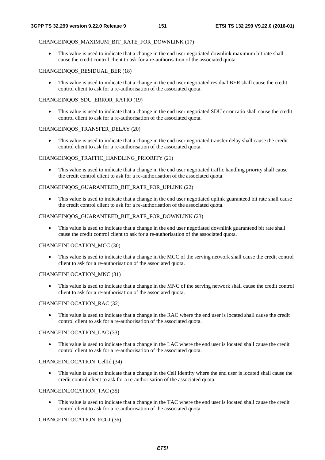#### CHANGEINQOS\_MAXIMUM\_BIT\_RATE\_FOR\_DOWNLINK (17)

• This value is used to indicate that a change in the end user negotiated downlink maximum bit rate shall cause the credit control client to ask for a re-authorisation of the associated quota.

#### CHANGEINQOS\_RESIDUAL\_BER (18)

• This value is used to indicate that a change in the end user negotiated residual BER shall cause the credit control client to ask for a re-authorisation of the associated quota.

#### CHANGEINQOS\_SDU\_ERROR\_RATIO (19)

• This value is used to indicate that a change in the end user negotiated SDU error ratio shall cause the credit control client to ask for a re-authorisation of the associated quota.

#### CHANGEINQOS\_TRANSFER\_DELAY (20)

• This value is used to indicate that a change in the end user negotiated transfer delay shall cause the credit control client to ask for a re-authorisation of the associated quota.

#### CHANGEINQOS\_TRAFFIC\_HANDLING\_PRIORITY (21)

• This value is used to indicate that a change in the end user negotiated traffic handling priority shall cause the credit control client to ask for a re-authorisation of the associated quota.

#### CHANGEINQOS\_GUARANTEED\_BIT\_RATE\_FOR\_UPLINK (22)

• This value is used to indicate that a change in the end user negotiated uplink guaranteed bit rate shall cause the credit control client to ask for a re-authorisation of the associated quota.

#### CHANGEINOOS\_GUARANTEED\_BIT\_RATE\_FOR\_DOWNLINK (23)

• This value is used to indicate that a change in the end user negotiated downlink guaranteed bit rate shall cause the credit control client to ask for a re-authorisation of the associated quota.

#### CHANGEINLOCATION\_MCC (30)

• This value is used to indicate that a change in the MCC of the serving network shall cause the credit control client to ask for a re-authorisation of the associated quota.

#### CHANGEINLOCATION\_MNC (31)

• This value is used to indicate that a change in the MNC of the serving network shall cause the credit control client to ask for a re-authorisation of the associated quota.

#### CHANGEINLOCATION\_RAC (32)

This value is used to indicate that a change in the RAC where the end user is located shall cause the credit control client to ask for a re-authorisation of the associated quota.

#### CHANGEINLOCATION\_LAC (33)

• This value is used to indicate that a change in the LAC where the end user is located shall cause the credit control client to ask for a re-authorisation of the associated quota.

#### CHANGEINLOCATION\_CellId (34)

• This value is used to indicate that a change in the Cell Identity where the end user is located shall cause the credit control client to ask for a re-authorisation of the associated quota.

#### CHANGEINLOCATION\_TAC (35)

• This value is used to indicate that a change in the TAC where the end user is located shall cause the credit control client to ask for a re-authorisation of the associated quota.

#### CHANGEINLOCATION\_ECGI (36)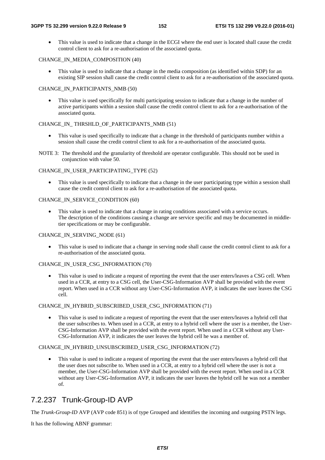• This value is used to indicate that a change in the ECGI where the end user is located shall cause the credit control client to ask for a re-authorisation of the associated quota.

#### CHANGE\_IN\_MEDIA\_COMPOSITION (40)

• This value is used to indicate that a change in the media composition (as identified within SDP) for an existing SIP session shall cause the credit control client to ask for a re-authorisation of the associated quota.

### CHANGE\_IN\_PARTICIPANTS\_NMB (50)

This value is used specifically for multi participating session to indicate that a change in the number of active participants within a session shall cause the credit control client to ask for a re-authorisation of the associated quota.

#### CHANGE\_IN\_ THRSHLD\_OF\_PARTICIPANTS\_NMB (51)

- This value is used specifically to indicate that a change in the threshold of participants number within a session shall cause the credit control client to ask for a re-authorisation of the associated quota.
- NOTE 3: The threshold and the granularity of threshold are operator configurable. This should not be used in conjunction with value 50.

### CHANGE\_IN\_USER\_PARTICIPATING\_TYPE (52)

This value is used specifically to indicate that a change in the user participating type within a session shall cause the credit control client to ask for a re-authorisation of the associated quota.

#### CHANGE\_IN\_SERVICE\_CONDITION (60)

• This value is used to indicate that a change in rating conditions associated with a service occurs. The description of the conditions causing a change are service specific and may be documented in middletier specifications or may be configurable.

#### CHANGE\_IN\_SERVING\_NODE (61)

This value is used to indicate that a change in serving node shall cause the credit control client to ask for a re-authorisation of the associated quota.

#### CHANGE\_IN\_USER\_CSG\_INFORMATION (70)

This value is used to indicate a request of reporting the event that the user enters/leaves a CSG cell. When used in a CCR, at entry to a CSG cell, the User-CSG-Information AVP shall be provided with the event report. When used in a CCR without any User-CSG-Information AVP, it indicates the user leaves the CSG cell.

#### CHANGE\_IN\_HYBRID\_SUBSCRIBED\_USER\_CSG\_INFORMATION (71)

• This value is used to indicate a request of reporting the event that the user enters/leaves a hybrid cell that the user subscribes to. When used in a CCR, at entry to a hybrid cell where the user is a member, the User-CSG-Information AVP shall be provided with the event report. When used in a CCR without any User-CSG-Information AVP, it indicates the user leaves the hybrid cell he was a member of.

### CHANGE\_IN\_HYBRID\_UNSUBSCRIBED\_USER\_CSG\_INFORMATION (72)

• This value is used to indicate a request of reporting the event that the user enters/leaves a hybrid cell that the user does not subscribe to. When used in a CCR, at entry to a hybrid cell where the user is not a member, the User-CSG-Information AVP shall be provided with the event report. When used in a CCR without any User-CSG-Information AVP, it indicates the user leaves the hybrid cell he was not a member of.

## 7.2.237 Trunk-Group-ID AVP

The *Trunk-Group-ID* AVP (AVP code 851) is of type Grouped and identifies the incoming and outgoing PSTN legs.

It has the following ABNF grammar: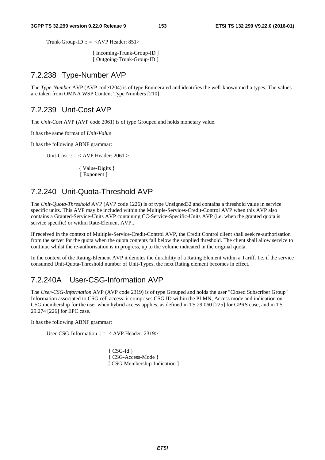Trunk-Group-ID ::  $=$  <AVP Header: 851>

 [ Incoming-Trunk-Group-ID ] [ Outgoing-Trunk-Group-ID ]

## 7.2.238 Type-Number AVP

The *Type-Number* AVP (AVP code1204) is of type Enumerated and identifies the well-known media types. The values are taken from OMNA WSP Content Type Numbers [210]

## 7.2.239 Unit-Cost AVP

The *Unit-Cost* AVP (AVP code 2061) is of type Grouped and holds monetary value.

It has the same format of *Unit-Value*

It has the following ABNF grammar:

Unit-Cost ::  $=$  < AVP Header: 2061 >

 { Value-Digits } [ Exponent ]

## 7.2.240 Unit-Quota-Threshold AVP

The *Unit-Quota-Threshold* AVP (AVP code 1226) is of type Unsigned32 and contains a threshold value in service specific units. This AVP may be included within the Multiple-Services-Credit-Control AVP when this AVP also contains a Granted-Service-Units AVP containing CC-Service-Specific-Units AVP (i.e. when the granted quota is service specific) or within Rate-Element AVP..

If received in the context of Multiple-Service-Credit-Control AVP, the Credit Control client shall seek re-authorisation from the server for the quota when the quota contents fall below the supplied threshold. The client shall allow service to continue whilst the re-authorisation is in progress, up to the volume indicated in the original quota.

In the context of the Rating-Element AVP it denotes the durability of a Rating Element within a Tariff. I.e. if the service consumed Unit-Quota-Threshold number of Unit-Types, the next Rating element becomes in effect.

# 7.2.240A User-CSG-Information AVP

The *User-CSG-Information* AVP (AVP code 2319) is of type Grouped and holds the user "Closed Subscriber Group" Information associated to CSG cell access: it comprises CSG ID within the PLMN, Access mode and indication on CSG membership for the user when hybrid access applies, as defined in TS 29.060 [225] for GPRS case, and in TS 29.274 [226] for EPC case.

It has the following ABNF grammar:

User-CSG-Information ::  $=$  < AVP Header: 2319>

{ CSG-Id } { CSG-Access-Mode } [ CSG-Membership-Indication ]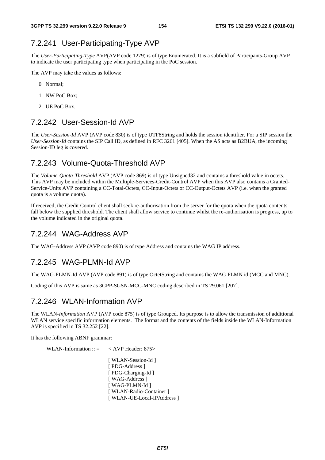## 7.2.241 User-Participating-Type AVP

The *User-Participating-Type* AVP(AVP code 1279) is of type Enumerated. It is a subfield of Participants-Group AVP to indicate the user participating type when participating in the PoC session.

The AVP may take the values as follows:

- 0 Normal;
- 1 NW PoC Box;
- 2 UE PoC Box.

## 7.2.242 User-Session-Id AVP

The *User-Session-Id* AVP (AVP code 830) is of type UTF8String and holds the session identifier. For a SIP session the *User-Session-Id* contains the SIP Call ID, as defined in RFC 3261 [405]. When the AS acts as B2BUA, the incoming Session-ID leg is covered.

## 7.2.243 Volume-Quota-Threshold AVP

The *Volume-Quota-Threshold* AVP (AVP code 869) is of type Unsigned32 and contains a threshold value in octets. This AVP may be included within the Multiple-Services-Credit-Control AVP when this AVP also contains a Granted-Service-Units AVP containing a CC-Total-Octets, CC-Input-Octets or CC-Output-Octets AVP (i.e. when the granted quota is a volume quota).

If received, the Credit Control client shall seek re-authorisation from the server for the quota when the quota contents fall below the supplied threshold. The client shall allow service to continue whilst the re-authorisation is progress, up to the volume indicated in the original quota.

## 7.2.244 WAG-Address AVP

The WAG-Address AVP (AVP code 890) is of type Address and contains the WAG IP address.

## 7.2.245 WAG-PLMN-Id AVP

The WAG-PLMN-Id AVP (AVP code 891) is of type OctetString and contains the WAG PLMN id (MCC and MNC).

Coding of this AVP is same as 3GPP-SGSN-MCC-MNC coding described in TS 29.061 [207].

## 7.2.246 WLAN-Information AVP

The WLAN*-Information* AVP (AVP code 875) is of type Grouped. Its purpose is to allow the transmission of additional WLAN service specific information elements. The format and the contents of the fields inside the WLAN-Information AVP is specified in TS 32.252 [22].

It has the following ABNF grammar:

```
WLAN-Information :: = < AVP Header: 875>
```
[ WLAN-Session-Id ] [ PDG-Address ] [ PDG-Charging-Id ] [ WAG-Address ] [ WAG-PLMN-Id ] [ WLAN-Radio-Container ] [ WLAN-UE-Local-IPAddress ]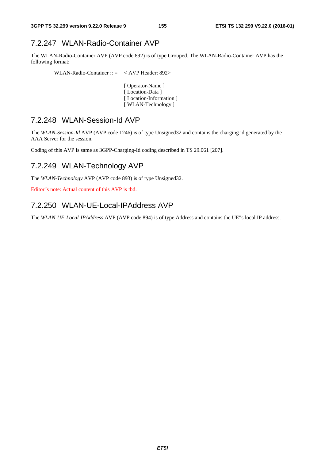## 7.2.247 WLAN-Radio-Container AVP

The WLAN-Radio-Container AVP (AVP code 892) is of type Grouped. The WLAN-Radio-Container AVP has the following format:

WLAN-Radio-Container :: = < AVP Header: 892>

 [ Operator-Name ] [ Location-Data ] [Location-Information] [ WLAN-Technology ]

## 7.2.248 WLAN-Session-Id AVP

The *WLAN-Session-Id* AVP (AVP code 1246) is of type Unsigned32 and contains the charging id generated by the AAA Server for the session.

Coding of this AVP is same as 3GPP-Charging-Id coding described in TS 29.061 [207].

## 7.2.249 WLAN-Technology AVP

The *WLAN-Technology* AVP (AVP code 893) is of type Unsigned32.

Editor"s note: Actual content of this AVP is tbd.

## 7.2.250 WLAN-UE-Local-IPAddress AVP

The *WLAN-UE-Local-IPAddress* AVP (AVP code 894) is of type Address and contains the UE"s local IP address.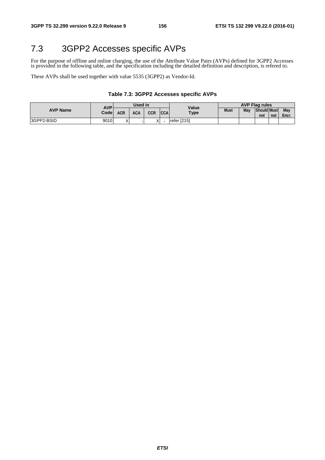# 7.3 3GPP2 Accesses specific AVPs

For the purpose of offline and online charging, the use of the Attribute Value Pairs (AVPs) defined for 3GPP2 Accesses is provided in the following table, and the specification including the detailed definition and description, is refered to.

These AVPs shall be used together with value 5535 (3GPP2) as Vendor-Id.

### **Table 7.3: 3GPP2 Accesses specific AVPs**

|                 | AVP'  | Used in           |            |     |            | Value       | <b>AVP Flag rules</b> |     |                           |     |              |  |
|-----------------|-------|-------------------|------------|-----|------------|-------------|-----------------------|-----|---------------------------|-----|--------------|--|
| <b>AVP Name</b> | Codel | ACR               | <b>ACA</b> | CCR | <b>CCA</b> | <b>Type</b> | <b>Must</b>           | May | <b>Should Must</b><br>not | not | May<br>Encr. |  |
| 3GPP2-BSID      | 9010  | $\checkmark$<br>⋏ |            |     |            | refer [215] |                       |     |                           |     |              |  |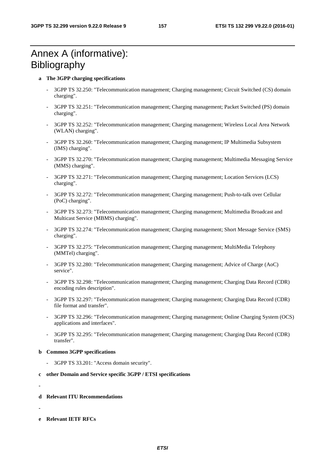# Annex A (informative): **Bibliography**

## **a The 3GPP charging specifications**

- 3GPP TS 32.250: "Telecommunication management; Charging management; Circuit Switched (CS) domain charging".
- 3GPP TS 32.251: "Telecommunication management; Charging management; Packet Switched (PS) domain charging".
- 3GPP TS 32.252: "Telecommunication management; Charging management; Wireless Local Area Network (WLAN) charging".
- 3GPP TS 32.260: "Telecommunication management; Charging management; IP Multimedia Subsystem (IMS) charging".
- 3GPP TS 32.270: "Telecommunication management; Charging management; Multimedia Messaging Service (MMS) charging".
- 3GPP TS 32.271: "Telecommunication management; Charging management; Location Services (LCS) charging".
- 3GPP TS 32.272: "Telecommunication management; Charging management; Push-to-talk over Cellular (PoC) charging".
- 3GPP TS 32.273: "Telecommunication management; Charging management; Multimedia Broadcast and Multicast Service (MBMS) charging".
- 3GPP TS 32.274: "Telecommunication management; Charging management; Short Message Service (SMS) charging".
- 3GPP TS 32.275: "Telecommunication management; Charging management; MultiMedia Telephony (MMTel) charging".
- 3GPP TS 32.280: "Telecommunication management; Charging management; Advice of Charge (AoC) service".
- 3GPP TS 32.298: "Telecommunication management; Charging management; Charging Data Record (CDR) encoding rules description".
- 3GPP TS 32.297: "Telecommunication management; Charging management; Charging Data Record (CDR) file format and transfer".
- 3GPP TS 32.296: "Telecommunication management; Charging management; Online Charging System (OCS) applications and interfaces".
- 3GPP TS 32.295: "Telecommunication management; Charging management; Charging Data Record (CDR) transfer".

## **b Common 3GPP specifications**

3GPP TS 33.201: "Access domain security".

## **c other Domain and Service specific 3GPP / ETSI specifications**

**-** 

- **d Relevant ITU Recommendations**
- 
- **e Relevant IETF RFCs**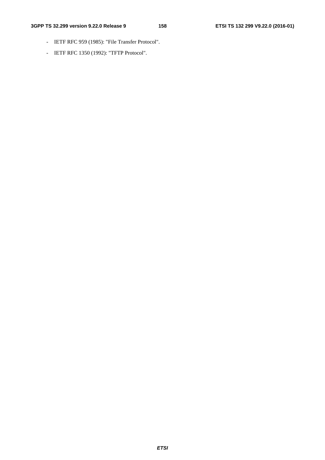- IETF RFC 959 (1985): "File Transfer Protocol".
- IETF RFC 1350 (1992): "TFTP Protocol".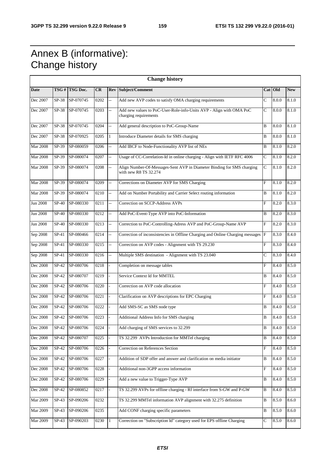# Annex B (informative): Change history

| <b>Change history</b> |         |                |      |                          |                                                                                                 |                           |           |            |
|-----------------------|---------|----------------|------|--------------------------|-------------------------------------------------------------------------------------------------|---------------------------|-----------|------------|
| <b>Date</b>           |         | TSG # TSG Doc. | CR   | <b>Rev</b>               | Subject/Comment                                                                                 |                           | $Cat$ Old | <b>New</b> |
| Dec 2007              | SP-38   | SP-070745      | 0202 | н.                       | Add new AVP codes to satisfy OMA charging requirements                                          | C                         | 8.0.0     | 8.1.0      |
| Dec 2007              | SP-38   | SP-070745      | 0203 | цĹ,                      | Add new values to PoC-User-Role-info-Units AVP - Align with OMA PoC<br>charging requirements    | C                         | 8.0.0     | 8.1.0      |
| Dec 2007              | SP-38   | SP-070745      | 0204 | $\overline{\phantom{a}}$ | Add general description to PoC-Group-Name                                                       | B                         | 8.0.0     | 8.1.0      |
| Dec 2007              | SP-38   | SP-070925      | 0205 | $\mathbf{1}$             | Introduce Diameter details for SMS charging                                                     | B                         | 8.0.0     | 8.1.0      |
| <b>Mar 2008</b>       | SP-39   | SP-080059      | 0206 | Ξ.                       | Add IBCF to Node-Functionality AVP list of NEs                                                  | B                         | 8.1.0     | 8.2.0      |
| <b>Mar 2008</b>       | SP-39   | SP-080074      | 0207 | u.                       | Usage of CC-Correlation-Id in online charging - Align with IETF RFC 4006                        | C                         | 8.1.0     | 8.2.0      |
| <b>Mar 2008</b>       | $SP-39$ | SP-080074      | 0208 | u.                       | Align Number-Of-Messages-Sent AVP in Diameter Binding for SMS charging<br>with new R8 TS 32.274 | C                         | 8.1.0     | 8.2.0      |
| <b>Mar 2008</b>       | SP-39   | SP-080074      | 0209 | $\overline{\phantom{a}}$ | Corrections on Diameter AVP for SMS Charging                                                    | ${\bf F}$                 | 8.1.0     | 8.2.0      |
| <b>Mar 2008</b>       | SP-39   | SP-080074      | 0210 | u.                       | Add on Number Portability and Carrier Select routing information                                | B                         | 8.1.0     | 8.2.0      |
| <b>Jun 2008</b>       | $SP-40$ | SP-080330      | 0211 | u.                       | Correction on SCCP-Address AVPs                                                                 | F                         | 8.2.0     | 8.3.0      |
| <b>Jun 2008</b>       | SP-40   | SP-080330      | 0212 | $\overline{\phantom{a}}$ | Add PoC-Event-Type AVP into PoC-Information                                                     | B                         | 8.2.0     | 8.3.0      |
| <b>Jun 2008</b>       | SP-40   | SP-080330      | 0213 | $\overline{\phantom{a}}$ | Correction to PoC-Controlling-Adress AVP and PoC-Group-Name AVP                                 | $\boldsymbol{\mathrm{F}}$ | 8.2.0     | 8.3.0      |
| Sep 2008              | $SP-41$ | SP-080466      | 0214 | $\overline{a}$           | Correction of inconsistencies in Offline Charging and Online Charging messages                  | $\mathbf F$               | 8.3.0     | 8.4.0      |
| Sep 2008              | $SP-41$ | SP-080330      | 0215 | $\overline{\phantom{a}}$ | Correction on AVP codes - Alignment with TS 29.230                                              | $\mathbf F$               | 8.3.0     | 8.4.0      |
| Sep 2008              | $SP-41$ | SP-080330      | 0216 | u.                       | Multiple SMS destination - Alignment with TS 23.040                                             | C                         | 8.3.0     | 8.4.0      |
| Dec 2008              | $SP-42$ | SP-080706      | 0218 |                          | Completion on message tables                                                                    | $\overline{F}$            | 8.4.0     | 8.5.0      |
| Dec 2008              | $SP-42$ | SP-080707      | 0219 |                          | Service Context Id for MMTEL                                                                    | B                         | 8.4.0     | 8.5.0      |
| Dec 2008              | $SP-42$ | SP-080706      | 0220 | $\overline{\phantom{a}}$ | Correction on AVP code allocation                                                               | F                         | 8.4.0     | 8.5.0      |
| Dec 2008              | $SP-42$ | SP-080706      | 0221 | ÷,                       | Clarification on AVP descriptions for EPC Charging                                              | $\mathbf F$               | 8.4.0     | 8.5.0      |
| Dec 2008              | $SP-42$ | SP-080706      | 0222 | $\overline{a}$           | Add SMS-SC as SMS node type                                                                     | B                         | 8.4.0     | 8.5.0      |
| Dec 2008              | $SP-42$ | SP-080706      | 0223 | $\overline{a}$           | Additional Address Info for SMS charging                                                        | B                         | 8.4.0     | 8.5.0      |
| Dec 2008              | $SP-42$ | SP-080706      | 0224 |                          | Add charging of SMS services to 32.299                                                          | $\, {\bf B}$              | 8.4.0     | 8.5.0      |
| Dec 2008              | $SP-42$ | SP-080707      | 0225 |                          | TS 32.299 AVPs Introduction for MMTel charging                                                  | B                         | 8.4.0     | 8.5.0      |
| Dec 2008              | $SP-42$ | SP-080706      | 0226 |                          | Correction on References Section                                                                | $\boldsymbol{\mathrm{F}}$ | 8.4.0     | 8.5.0      |
| Dec 2008              | $SP-42$ | SP-080706      | 0227 | $\overline{a}$           | Addition of SDP offer and answer and clarification on media initiator                           | B                         | 8.4.0     | 8.5.0      |
| Dec 2008              | $SP-42$ | SP-080706      | 0228 |                          | Additional non-3GPP access information                                                          | F                         | 8.4.0     | 8.5.0      |
| Dec 2008              | $SP-42$ | SP-080706      | 0229 | $\overline{a}$           | Add a new value to Trigger-Type AVP                                                             | B                         | 8.4.0     | 8.5.0      |
| Dec 2008              | $SP-42$ | SP-080852      | 0217 | $\overline{a}$           | TS 32.299 AVPs for offline charging - Rf interface from S-GW and P-GW                           | B                         | 8.4.0     | 8.5.0      |
| <b>Mar 2009</b>       | $SP-43$ | SP-090206      | 0232 |                          | TS 32.299 MMTel information AVP alignment with 32.275 definition                                | B                         | 8.5.0     | 8.6.0      |
| Mar 2009              | $SP-43$ | SP-090206      | 0235 |                          | Add CONF charging specific parameters                                                           | B                         | 8.5.0     | 8.6.0      |
| Mar 2009              | $SP-43$ | SP-090203      | 0230 | $\mathbf{1}$             | Correction on "Subscription Id" category used for EPS offline Charging                          | С                         | 8.5.0     | 8.6.0      |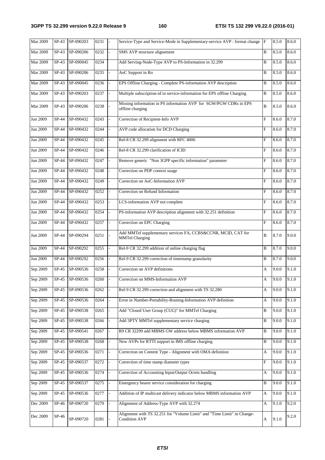| Mar 2009        | $SP-43$                   | SP-090203       | 0231              |                          | Service-Type and Service-Mode in Supplementary-service AVP : format change F                    |                           | 8.5.0 | 8.6.0 |
|-----------------|---------------------------|-----------------|-------------------|--------------------------|-------------------------------------------------------------------------------------------------|---------------------------|-------|-------|
| <b>Mar 2009</b> | $SP-43$                   | SP-090206       | 0232              |                          | SMS AVP structure alignement                                                                    | B                         | 8.5.0 | 8.6.0 |
| Mar 2009        | $SP-43$                   | SP-090045       | 0234              |                          | Add Serving-Node-Type AVP to PS-Information in 32.299                                           | B                         | 8.5.0 | 8.6.0 |
| <b>Mar 2009</b> | $SP-43$                   | SP-090206       | 0235              | ä,                       | AoC Support in Ro                                                                               | B                         | 8.5.0 | 8.6.0 |
| <b>Mar 2009</b> | $SP-43$                   | SP-090045       | 0236              |                          | EPS Offline Charging - Complete PS-information AVP description                                  | B                         | 8.5.0 | 8.6.0 |
| Mar 2009        | $SP-43$                   | SP-090203       | 0237              |                          | Multiple subscription-id in service-information for EPS offline Charging                        | B                         | 8.5.0 | 8.6.0 |
| Mar 2009        | $SP-43$                   | SP-090206       | 0238              |                          | Missing information in PS information AVP for SGW/PGW CDRs in EPS<br>offline charging           | B                         | 8.5.0 | 8.6.0 |
| Jun 2009        | SP-44                     | SP-090432       | $\overline{0}243$ |                          | Correction of Recipient-Info AVP                                                                | F                         | 8.6.0 | 8.7.0 |
| Jun 2009        | SP-44                     | SP-090432       | 0244              |                          | AVP code allocation for DCD Charging                                                            | F                         | 8.6.0 | 8.7.0 |
| Jun 2009        | SP-44                     | SP-090432       | 0245              | ä,                       | Rel-8 CR 32.299 alignment with RFC 4006                                                         | $\mathbf{F}$              | 8.6.0 | 8.7.0 |
| Jun 2009        | SP-44                     | SP-090432       | 0246              |                          | Rel-8 CR 32.299 clarification of ICID                                                           | F                         | 8.6.0 | 8.7.0 |
| Jun 2009        | SP-44                     | SP-090432       | 0247              | ÷,                       | Remove generic "Non 3GPP specific information" parameter                                        | F                         | 8.6.0 | 8.7.0 |
| Jun 2009        | SP-44                     | SP-090432       | 0248              | ä,                       | Correction on PDP context usage                                                                 | $\mathbf F$               | 8.6.0 | 8.7.0 |
| Jun 2009        | SP-44                     | SP-090432       | 0249              |                          | Correction on AoC-Information AVP                                                               | F                         | 8.6.0 | 8.7.0 |
| Jun 2009        | SP-44                     | SP-090432       | 0252              |                          | Correction on Refund Information                                                                | F                         | 8.6.0 | 8.7.0 |
| Jun 2009        | SP-44                     | SP-090432       | 0253              | ä,                       | LCS-information AVP not complete                                                                | $\mathbf F$               | 8.6.0 | 8.7.0 |
| Jun 2009        | SP-44                     | SP-090432       | 0254              |                          | PS-information AVP description alignment with 32.251 definition                                 | F                         | 8.6.0 | 8.7.0 |
| Jun 2009        | SP-44                     | SP-090432       | 0257              |                          | Correction on EPC Charging                                                                      | F                         | 8.6.0 | 8.7.0 |
| Jun 2009        | SP-44                     | SP-090294       | 0251              |                          | Add MMTel supplementary services FA, CCBS&CCNR, MCID, CAT for<br><b>MMTel Charging</b>          | B                         | 8.7.0 | 9.0.0 |
| Jun 2009        | SP-44                     | SP-090292       | 0255              |                          | Rel-9 CR 32.299 addition of online charging flag                                                | B                         | 8.7.0 | 9.0.0 |
| Jun 2009        | SP-44                     | SP-090292       | 0256              |                          | Rel-9 CR 32.299 correction of timestamp granularity                                             | B                         | 8.7.0 | 9.0.0 |
| Sep 2009        | $SP-45$                   | SP-090536       | 0258              | ä,                       | Correction on AVP definitions                                                                   | A                         | 9.0.0 | 9.1.0 |
| Sep 2009        |                           | SP-45 SP-090536 | 0260              |                          | Correction on MMS-Information AVP                                                               | A                         | 9.0.0 | 9.1.0 |
| Sep 2009        | $SP-45$                   | SP-090536       | 0262              |                          | Rel-9 CR 32.299 correction and alignment with TS 32.280                                         | A                         | 9.0.0 | 9.1.0 |
| Sep 2009        | $SP-45$                   | SP-090536       | 0264              | $\overline{a}$           | Error in Number-Portability-Routing-Information AVP definition                                  | A                         | 9.0.0 | 9.1.0 |
| Sep 2009        | $SP-45$                   | SP-090538       | 0265              |                          | Add "Closed User Group (CUG)" for MMTel Charging                                                | B                         | 9.0.0 | 9.1.0 |
| Sep 2009        | SP-45                     | SP-090538       | 0266              |                          | Add 3PTY MMTel supplementary service charging                                                   | B                         | 9.0.0 | 9.1.0 |
| Sep 2009        | $\overline{\text{SP-45}}$ | SP-090541       | 0267              | $\overline{\phantom{0}}$ | R9 CR 32299 add MBMS GW address below MBMS information AVP                                      | $\, {\bf B}$              | 9.0.0 | 9.1.0 |
| Sep 2009        | $SP-45$                   | SP-090538       | 0268              |                          | New AVPs for RTTI support in IMS offline charging                                               | B                         | 9.0.0 | 9.1.0 |
| Sep 2009        | $SP-45$                   | SP-090536       | 0271              |                          | Correction on Content Type - Alignment with OMA definition                                      | A                         | 9.0.0 | 9.1.0 |
| Sep 2009        | $SP-45$                   | SP-090537       | 0272              |                          | Correction of time stamp diameter types                                                         | $\boldsymbol{\mathrm{F}}$ | 9.0.0 | 9.1.0 |
| Sep 2009        | $SP-45$                   | SP-090536       | 0274              | $\frac{1}{2}$            | Correction of Accounting Input/Output Octets handling                                           | A                         | 9.0.0 | 9.1.0 |
| Sep 2009        | $SP-45$                   | SP-090537       | 0275              |                          | Emergency bearer service consideration for charging                                             | B                         | 9.0.0 | 9.1.0 |
| Sep 2009        | SP-45                     | SP-090536       | 0277              | $\overline{\phantom{0}}$ | Addition of IP multicast delivery indicator below MBMS information AVP                          | A                         | 9.0.0 | 9.1.0 |
| Dec 2009        | $SP-46$                   | SP-090720       | 0279              | $\overline{a}$           | Alignment of Address-Type AVP with 32.274                                                       | A                         | 9.1.0 | 9.2.0 |
| Dec 2009        | SP-46                     | SP-090720       | 0281              |                          | Alignment with TS 32.251 for "Volume Limit" and "Time Limit" in Change-<br><b>Condition AVP</b> | A                         | 9.1.0 | 9.2.0 |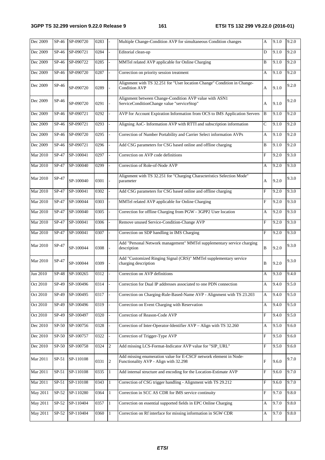| Dec 2009        | $SP-46$ | SP-090720       | 0283 |                | Multiple Change-Condition AVP for simultaneous Condition changes                                           | A                         | 9.1.0 | 9.2.0 |
|-----------------|---------|-----------------|------|----------------|------------------------------------------------------------------------------------------------------------|---------------------------|-------|-------|
| Dec 2009        | SP-46   | SP-090721       | 0284 |                | Editorial clean-up                                                                                         | D                         | 9.1.0 | 9.2.0 |
| Dec 2009        | SP-46   | SP-090722       | 0285 |                | MMTel related AVP applicable for Online Charging                                                           | B                         | 9.1.0 | 9.2.0 |
| Dec 2009        | SP-46   | SP-090720       | 0287 | $\overline{a}$ | Correction on priority session treatment                                                                   | A                         | 9.1.0 | 9.2.0 |
| Dec 2009        | SP-46   | SP-090720       | 0289 |                | Alignment with TS 32.251 for "User location Change" Condition in Change-<br><b>Condition AVP</b>           | A                         | 9.1.0 | 9.2.0 |
| Dec 2009        | SP-46   | SP-090720       | 0291 |                | Alignment between Change-Condition AVP value with ASN1<br>ServiceConditionChange value "serviceStop"       | A                         | 9.1.0 | 9.2.0 |
| Dec 2009        | $SP-46$ | SP-090721       | 0292 | $\overline{a}$ | AVP for Account Expiration Information from OCS to IMS Application Servers                                 | B                         | 9.1.0 | 9.2.0 |
| Dec 2009        | $SP-46$ | SP-090721       | 0293 |                | Aligning AoC- Information AVP with RTTI and subscription information                                       | C                         | 9.1.0 | 9.2.0 |
| Dec 2009        | SP-46   | SP-090720       | 0295 |                | Correction of Number Portability and Carrier Select information AVPs                                       | A                         | 9.1.0 | 9.2.0 |
| Dec 2009        | SP-46   | SP-090721       | 0296 | $\overline{a}$ | Add CSG parameters for CSG based online and offline charging                                               | B                         | 9.1.0 | 9.2.0 |
| Mar 2010        | SP-47   | SP-100041       | 0297 |                | Correction on AVP code definitions                                                                         | $\mathbf{F}$              | 9.2.0 | 9.3.0 |
| Mar 2010        | SP-47   | SP-100040       | 0299 |                | Correction of Role-of-Node AVP                                                                             | A                         | 9.2.0 | 9.3.0 |
| Mar 2010        | SP-47   | SP-100040       | 0301 |                | Alignment with TS 32.251 for "Charging Characteristics Selection Mode"<br>parameter                        | A                         | 9.2.0 | 9.3.0 |
| <b>Mar 2010</b> | $SP-47$ | SP-100041       | 0302 |                | Add CSG parameters for CSG based online and offline charging                                               | $\mathbf F$               | 9.2.0 | 9.3.0 |
| Mar 2010        | SP-47   | SP-100044       | 0303 |                | MMTel related AVP applicable for Online Charging                                                           | $\mathbf F$               | 9.2.0 | 9.3.0 |
| Mar 2010        | SP-47   | SP-100040       | 0305 | $\overline{a}$ | Correction for offline Charging from PGW - 3GPP2 User location                                             | A                         | 9.2.0 | 9.3.0 |
| Mar 2010        | $SP-47$ | SP-100041       | 0306 |                | Remove unused Service-Condition-Change AVP                                                                 | $\boldsymbol{\mathrm{F}}$ | 9.2.0 | 9.3.0 |
| <b>Mar 2010</b> | SP-47   | SP-100041       | 0307 |                | Correction on SDP handling in IMS Charging                                                                 | $\boldsymbol{\mathrm{F}}$ | 9.2.0 | 9.3.0 |
| Mar 2010        | SP-47   | SP-100044       | 0308 |                | Add "Personal Network management" MMTel supplementary service charging<br>description                      | B                         | 9.2.0 | 9.3.0 |
| Mar 2010        | SP-47   | SP-100044       | 0309 |                | Add "Customized Ringing Signal (CRS)" MMTel supplementary service<br>charging description                  | B                         | 9.2.0 | 9.3.0 |
| Jun 2010        | $SP-48$ | SP-100265       | 0312 |                | Correction on AVP definitions                                                                              | A                         | 9.3.0 | 9.4.0 |
| Oct 2010        |         | SP-49 SP-100496 | 0314 |                | Correction for Dual IP addresses associated to one PDN connection                                          | A                         | 9.4.0 | 9.5.0 |
| Oct 2010        | SP-49   | SP-100495       | 0317 |                | Correction on Charging-Rule-Based-Name AVP - Alignment with TS 23.203                                      | A                         | 9.4.0 | 9.5.0 |
| Oct 2010        | SP-49   | SP-100496       | 0319 |                | Correction on Event Charging with Reservation                                                              | A                         | 9.4.0 | 9.5.0 |
| Oct 2010        | SP-49   | SP-100497       | 0320 | $\overline{a}$ | Correction of Reason-Code AVP                                                                              | F                         | 9.4.0 | 9.5.0 |
| Dec 2010        | SP-50   | SP-100756       | 0328 |                | Correction of Inter-Operator-Identifier AVP - Align with TS 32.260                                         | A                         | 9.5.0 | 9.6.0 |
| Dec 2010        | $SP-50$ | SP-100757       | 0322 |                | Correction of Trigger-Type AVP                                                                             | $\boldsymbol{\mathrm{F}}$ | 9.5.0 | 9.6.0 |
| Dec 2010        | SP-50   | SP-100758       | 0324 | $\sqrt{2}$     | Add missing LCS-Format-Indicator AVP value for "SIP_URL"                                                   | $\mathbf F$               | 9.5.0 | 9.6.0 |
| Mar 2011        | $SP-51$ | SP-110108       | 0331 | $\overline{2}$ | Add missing enumeration value for E-CSCF network element in Node-<br>Functionality AVP - Align with 32.298 | $\boldsymbol{\mathrm{F}}$ | 9.6.0 | 9.7.0 |
| Mar 2011        | $SP-51$ | SP-110108       | 0335 | $\mathbf{1}$   | Add internal structure and encoding for the Location-Estimate AVP                                          | $\boldsymbol{\mathrm{F}}$ | 9.6.0 | 9.7.0 |
| Mar 2011        | $SP-51$ | SP-110108       | 0343 | $\mathbf{1}$   | Correction of CSG trigger handling - Alignment with TS 29.212                                              | F                         | 9.6.0 | 9.7.0 |
| May 2011        | $SP-52$ | SP-110280       | 0364 | $\mathbf{1}$   | Correction in SCC AS CDR for IMS service continuity                                                        | $\boldsymbol{\mathrm{F}}$ | 9.7.0 | 9.8.0 |
| May 2011        | $SP-52$ | SP-110404       | 0357 | $\mathbf{1}$   | Correction on essential supported fields in EPC Online Charging                                            | A                         | 9.7.0 | 9.8.0 |
| May 2011        | $SP-52$ | SP-110404       | 0360 | $\mathbf{1}$   | Correction on Rf interface for missing information in SGW CDR                                              | A                         | 9.7.0 | 9.8.0 |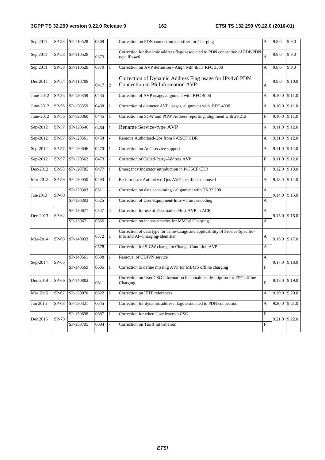| Sep 2011  | $SP-53$ | SP-110528       | 0368 |                | Correction on PDN connection identifier for Charging                                                             | А                         | 9.8.0         | 9.9.0         |
|-----------|---------|-----------------|------|----------------|------------------------------------------------------------------------------------------------------------------|---------------------------|---------------|---------------|
| Sep 2011  | $SP-53$ | SP-110528       | 0373 |                | Correction for dynamic address flags associated to PDN connection of PDP/PDN<br>type IPv4v6                      | A                         | 9.8.0         | 9.9.0         |
| Sep 2011  | $SP-53$ | SP-110528       | 0379 | $\mathbf{1}$   | Correction on AVP definition - Align with IETF RFC 3588                                                          | A                         | 9.8.0         | 9.9.0         |
| Dec 2011  | SP-54   | SP-110708       | 0417 | $\overline{2}$ | Correction of Dynamic Address Flag usage for IPv4v6 PDN<br>Connection in PS Information AVP                      | A                         | 9.9.0         | 9.10.0        |
| June-2012 | SP-56   | SP-120359       | 0435 |                | Correction of AVP usage, alignment with RFC 4006                                                                 | А                         | 9.10.0 9.11.0 |               |
| June-2012 | SP-56   | SP-120359       | 0438 | $\mathbf{1}$   | Correction of diameter AVP usages, alignment with RFC 4006                                                       | А                         | 9.10.0 9.11.0 |               |
| June-2012 | SP-56   | SP-120360       | 0445 | $\mathbf{1}$   | Correction on SGW and PGW Address reporting, alignment with 29.212                                               | $\boldsymbol{\mathrm{F}}$ | 9.10.0 9.11.0 |               |
| Sep-2012  | SP-57   | SP-120646       | 0454 | $\mathbf{1}$   | Rename Service-type AVP                                                                                          | A                         | 9.11.0        | 9.12.0        |
| Sep-2012  | $SP-57$ | SP-120561       | 0458 |                | Remove Authorised-Qos from P-CSCF CDR                                                                            | А                         | 9.11.0 9.12.0 |               |
| Sep-2012  | $SP-57$ | SP-120646       | 0470 | $\mathbf{1}$   | Correction on AoC service support                                                                                | А                         | 9.11.0 9.12.0 |               |
| Sep-2012  | $SP-57$ | SP-120562       | 0473 | ÷,             | Correction of Called-Party-Address AVP                                                                           | $\mathbf F$               | 9.11.0 9.12.0 |               |
| Dec-2012  | $SP-58$ | SP-120785       | 0477 | $\mathbf{1}$   | Emergency Indicator introduction in P-CSCF CDR                                                                   | $\mathbf F$               |               | 9.12.0 9.13.0 |
| Mar-2013  | SP-59   | SP-130050       | 0493 | $\mathbf{1}$   | Re-introduce Authorized-Qos AVP specified as unused                                                              | A                         |               | 9.13.0 9.14.0 |
| Jun-2013  | $SP-60$ | SP-130303       | 0511 | ÷,             | Correction on data accounting - alignment with TS 32.298                                                         | А                         | 9.14.0 9.15.0 |               |
|           |         | SP-130303       | 0525 | $\overline{a}$ | Correction of User-Equipment-Info-Value : encoding                                                               | A                         |               |               |
| Dec-2013  | $SP-62$ | SP-130677       | 0547 | 2              | Correction for use of Destination-Host AVP in ACR                                                                | A                         | 9.15.0        | 9.16.0        |
|           |         | SP-130671       | 0556 |                | Correction on inconsistencies for MMTel Charging                                                                 | А                         |               |               |
| Mar-2014  | $SP-63$ | SP-140033       | 0572 | $\mathbf{1}$   | Correction of data type for Time-Usage and applicability of Service-Specific-<br>Info and AF-Charging-Identifier | А                         | 9.16.0 9.17.0 |               |
|           |         |                 | 0578 |                | Correction for S-GW change in Change-Condition AVP                                                               | А                         |               |               |
| Sep-2014  | SP-65   | SP-140561       | 0598 | $\mathbf{1}$   | Removal of CDIVN service                                                                                         | A                         | 9.17.0 9.18.0 |               |
|           |         | SP-140569       | 0605 | $\mathbf{1}$   | Correction to define missing AVP for MBMS offline charging                                                       | $\mathbf{F}$              |               |               |
| Dec-2014  |         | SP-66 SP-140802 | 0611 |                | Correction on User CSG Information in containers description for EPC offline<br>Charging                         | ${\bf F}$                 |               | 9.18.0 9.19.0 |
| Mar 2015  | SP-67   | SP-150070       | 0622 | $\mathbf{1}$   | Correction on IETF references                                                                                    | А                         | 9.19.0 9.20.0 |               |
| Jun 2015  | SP-68   | SP-150321       | 0645 |                | Correction for dynamic address flags associated to PDN connection                                                | A                         | 9.20.0        | 9.21.0        |
| Dec 2015  | SP-70   | SP-150698       | 0687 | $\mathbf{1}$   | Correction for when User leaves a CSG                                                                            | $\mathbf F$               |               | 9.21.0 9.22.0 |
|           |         | SP-150705       | 0694 |                | Correction on Tariff Information                                                                                 | ${\bf F}$                 |               |               |